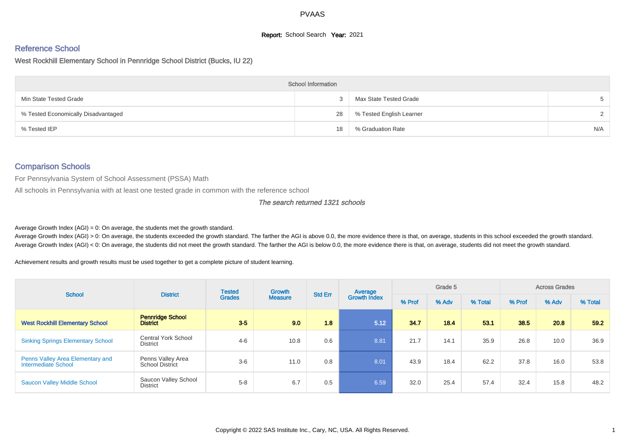# **Report:** School Search **Year:** 2021

# Reference School

West Rockhill Elementary School in Pennridge School District (Bucks, IU 22)

|                                     | <b>School Information</b> |                          |               |
|-------------------------------------|---------------------------|--------------------------|---------------|
| Min State Tested Grade              |                           | Max State Tested Grade   |               |
| % Tested Economically Disadvantaged | 28                        | % Tested English Learner | $\mathcal{D}$ |
| % Tested IEP                        | 18                        | % Graduation Rate        | N/A           |

#### Comparison Schools

For Pennsylvania System of School Assessment (PSSA) Math

All schools in Pennsylvania with at least one tested grade in common with the reference school

#### The search returned 1321 schools

Average Growth Index  $(AGI) = 0$ : On average, the students met the growth standard.

Average Growth Index (AGI) > 0: On average, the students exceeded the growth standard. The farther the AGI is above 0.0, the more evidence there is that, on average, students in this school exceeded the growth standard. Average Growth Index (AGI) < 0: On average, the students did not meet the growth standard. The farther the AGI is below 0.0, the more evidence there is that, on average, students did not meet the growth standard.

Achievement results and growth results must be used together to get a complete picture of student learning.

| <b>School</b>                                           | <b>District</b>                             | <b>Tested</b> | Growth         | <b>Std Err</b> | Average             | Grade 5 |       |         | <b>Across Grades</b> |       |         |
|---------------------------------------------------------|---------------------------------------------|---------------|----------------|----------------|---------------------|---------|-------|---------|----------------------|-------|---------|
|                                                         |                                             | <b>Grades</b> | <b>Measure</b> |                | <b>Growth Index</b> | % Prof  | % Adv | % Total | % Prof               | % Adv | % Total |
| <b>West Rockhill Elementary School</b>                  | <b>Pennridge School</b><br><b>District</b>  | $3-5$         | 9.0            | 1.8            | 5.12                | 34.7    | 18.4  | 53.1    | 38.5                 | 20.8  | 59.2    |
| <b>Sinking Springs Elementary School</b>                | Central York School<br><b>District</b>      | $4 - 6$       | 10.8           | 0.6            | 8.81                | 21.7    | 14.1  | 35.9    | 26.8                 | 10.0  | 36.9    |
| Penns Valley Area Elementary and<br>Intermediate School | Penns Valley Area<br><b>School District</b> | $3-6$         | 11.0           | 0.8            | 8.01                | 43.9    | 18.4  | 62.2    | 37.8                 | 16.0  | 53.8    |
| <b>Saucon Valley Middle School</b>                      | Saucon Valley School<br><b>District</b>     | $5 - 8$       | 6.7            | 0.5            | 6.59                | 32.0    | 25.4  | 57.4    | 32.4                 | 15.8  | 48.2    |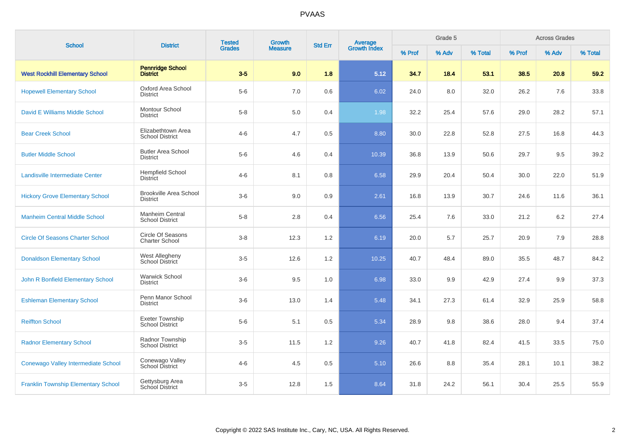| <b>School</b>                              | <b>District</b>                                   | <b>Tested</b> | Growth         | <b>Std Err</b> |                                |        | Grade 5 |         |        | <b>Across Grades</b> |         |
|--------------------------------------------|---------------------------------------------------|---------------|----------------|----------------|--------------------------------|--------|---------|---------|--------|----------------------|---------|
|                                            |                                                   | <b>Grades</b> | <b>Measure</b> |                | <b>Average</b><br>Growth Index | % Prof | % Adv   | % Total | % Prof | % Adv                | % Total |
| <b>West Rockhill Elementary School</b>     | <b>Pennridge School</b><br><b>District</b>        | $3-5$         | 9.0            | 1.8            | 5.12                           | 34.7   | 18.4    | 53.1    | 38.5   | 20.8                 | 59.2    |
| <b>Hopewell Elementary School</b>          | Oxford Area School<br><b>District</b>             | $5-6$         | 7.0            | 0.6            | 6.02                           | 24.0   | 8.0     | 32.0    | 26.2   | 7.6                  | 33.8    |
| David E Williams Middle School             | Montour School<br><b>District</b>                 | $5-8$         | 5.0            | 0.4            | 1.98                           | 32.2   | 25.4    | 57.6    | 29.0   | 28.2                 | 57.1    |
| <b>Bear Creek School</b>                   | Elizabethtown Area<br><b>School District</b>      | $4 - 6$       | 4.7            | 0.5            | 8.80                           | 30.0   | 22.8    | 52.8    | 27.5   | 16.8                 | 44.3    |
| <b>Butler Middle School</b>                | <b>Butler Area School</b><br><b>District</b>      | $5-6$         | 4.6            | 0.4            | 10.39                          | 36.8   | 13.9    | 50.6    | 29.7   | 9.5                  | 39.2    |
| Landisville Intermediate Center            | <b>Hempfield School</b><br><b>District</b>        | $4 - 6$       | 8.1            | 0.8            | 6.58                           | 29.9   | 20.4    | 50.4    | 30.0   | 22.0                 | 51.9    |
| <b>Hickory Grove Elementary School</b>     | <b>Brookville Area School</b><br><b>District</b>  | $3-6$         | 9.0            | 0.9            | 2.61                           | 16.8   | 13.9    | 30.7    | 24.6   | 11.6                 | 36.1    |
| <b>Manheim Central Middle School</b>       | Manheim Central<br><b>School District</b>         | $5-8$         | 2.8            | 0.4            | 6.56                           | 25.4   | 7.6     | 33.0    | 21.2   | 6.2                  | 27.4    |
| <b>Circle Of Seasons Charter School</b>    | <b>Circle Of Seasons</b><br><b>Charter School</b> | $3 - 8$       | 12.3           | 1.2            | 6.19                           | 20.0   | 5.7     | 25.7    | 20.9   | 7.9                  | 28.8    |
| <b>Donaldson Elementary School</b>         | West Allegheny<br>School District                 | $3-5$         | 12.6           | 1.2            | 10.25                          | 40.7   | 48.4    | 89.0    | 35.5   | 48.7                 | 84.2    |
| John R Bonfield Elementary School          | <b>Warwick School</b><br><b>District</b>          | $3-6$         | 9.5            | 1.0            | 6.98                           | 33.0   | 9.9     | 42.9    | 27.4   | 9.9                  | 37.3    |
| <b>Eshleman Elementary School</b>          | Penn Manor School<br><b>District</b>              | $3-6$         | 13.0           | 1.4            | 5.48                           | 34.1   | 27.3    | 61.4    | 32.9   | 25.9                 | 58.8    |
| <b>Reiffton School</b>                     | Exeter Township<br><b>School District</b>         | $5-6$         | 5.1            | 0.5            | 5.34                           | 28.9   | 9.8     | 38.6    | 28.0   | 9.4                  | 37.4    |
| <b>Radnor Elementary School</b>            | Radnor Township<br><b>School District</b>         | $3-5$         | 11.5           | 1.2            | 9.26                           | 40.7   | 41.8    | 82.4    | 41.5   | 33.5                 | 75.0    |
| Conewago Valley Intermediate School        | Conewago Valley<br>School District                | $4 - 6$       | 4.5            | $0.5\,$        | 5.10                           | 26.6   | 8.8     | 35.4    | 28.1   | 10.1                 | 38.2    |
| <b>Franklin Township Elementary School</b> | Gettysburg Area<br>School District                | $3-5$         | 12.8           | 1.5            | 8.64                           | 31.8   | 24.2    | 56.1    | 30.4   | 25.5                 | 55.9    |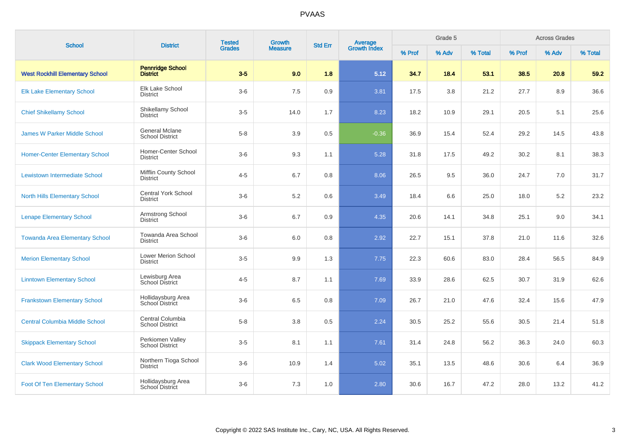| <b>School</b>                          | <b>District</b>                                 | <b>Tested</b> | Growth         | <b>Std Err</b> |                                |        | Grade 5 |         |        | <b>Across Grades</b> |         |
|----------------------------------------|-------------------------------------------------|---------------|----------------|----------------|--------------------------------|--------|---------|---------|--------|----------------------|---------|
|                                        |                                                 | <b>Grades</b> | <b>Measure</b> |                | <b>Average</b><br>Growth Index | % Prof | % Adv   | % Total | % Prof | % Adv                | % Total |
| <b>West Rockhill Elementary School</b> | <b>Pennridge School</b><br><b>District</b>      | $3-5$         | 9.0            | 1.8            | 5.12                           | 34.7   | 18.4    | 53.1    | 38.5   | 20.8                 | 59.2    |
| <b>Elk Lake Elementary School</b>      | Elk Lake School<br><b>District</b>              | $3-6$         | 7.5            | $0.9\,$        | 3.81                           | 17.5   | 3.8     | 21.2    | 27.7   | 8.9                  | 36.6    |
| <b>Chief Shikellamy School</b>         | Shikellamy School<br><b>District</b>            | $3-5$         | 14.0           | 1.7            | 8.23                           | 18.2   | 10.9    | 29.1    | 20.5   | 5.1                  | 25.6    |
| <b>James W Parker Middle School</b>    | <b>General Mclane</b><br><b>School District</b> | $5-8$         | 3.9            | 0.5            | $-0.36$                        | 36.9   | 15.4    | 52.4    | 29.2   | 14.5                 | 43.8    |
| <b>Homer-Center Elementary School</b>  | Homer-Center School<br><b>District</b>          | $3-6$         | 9.3            | 1.1            | 5.28                           | 31.8   | 17.5    | 49.2    | 30.2   | 8.1                  | 38.3    |
| Lewistown Intermediate School          | <b>Mifflin County School</b><br><b>District</b> | $4 - 5$       | 6.7            | 0.8            | 8.06                           | 26.5   | 9.5     | 36.0    | 24.7   | 7.0                  | 31.7    |
| <b>North Hills Elementary School</b>   | <b>Central York School</b><br><b>District</b>   | $3-6$         | 5.2            | 0.6            | 3.49                           | 18.4   | 6.6     | 25.0    | 18.0   | 5.2                  | 23.2    |
| <b>Lenape Elementary School</b>        | Armstrong School<br><b>District</b>             | $3-6$         | 6.7            | 0.9            | 4.35                           | 20.6   | 14.1    | 34.8    | 25.1   | 9.0                  | 34.1    |
| <b>Towanda Area Elementary School</b>  | Towanda Area School<br><b>District</b>          | $3-6$         | 6.0            | 0.8            | 2.92                           | 22.7   | 15.1    | 37.8    | 21.0   | 11.6                 | 32.6    |
| <b>Merion Elementary School</b>        | Lower Merion School<br><b>District</b>          | $3-5$         | 9.9            | 1.3            | 7.75                           | 22.3   | 60.6    | 83.0    | 28.4   | 56.5                 | 84.9    |
| <b>Linntown Elementary School</b>      | Lewisburg Area<br>School District               | $4 - 5$       | 8.7            | 1.1            | 7.69                           | 33.9   | 28.6    | 62.5    | 30.7   | 31.9                 | 62.6    |
| <b>Frankstown Elementary School</b>    | Hollidaysburg Area<br>School District           | $3-6$         | 6.5            | 0.8            | 7.09                           | 26.7   | 21.0    | 47.6    | 32.4   | 15.6                 | 47.9    |
| <b>Central Columbia Middle School</b>  | Central Columbia<br><b>School District</b>      | $5-8$         | 3.8            | 0.5            | 2.24                           | 30.5   | 25.2    | 55.6    | 30.5   | 21.4                 | 51.8    |
| <b>Skippack Elementary School</b>      | Perkiomen Valley<br><b>School District</b>      | $3-5$         | 8.1            | 1.1            | 7.61                           | 31.4   | 24.8    | 56.2    | 36.3   | 24.0                 | 60.3    |
| <b>Clark Wood Elementary School</b>    | Northern Tioga School<br><b>District</b>        | $3-6$         | 10.9           | 1.4            | 5.02                           | 35.1   | 13.5    | 48.6    | 30.6   | 6.4                  | 36.9    |
| <b>Foot Of Ten Elementary School</b>   | Hollidaysburg Area<br>School District           | $3-6$         | 7.3            | 1.0            | 2.80                           | 30.6   | 16.7    | 47.2    | 28.0   | 13.2                 | 41.2    |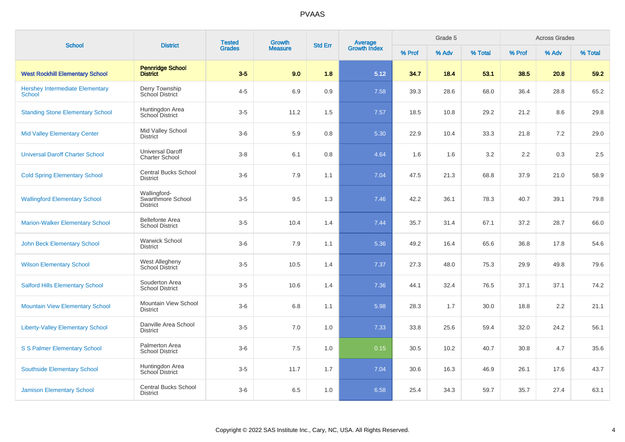| <b>School</b>                                           | <b>District</b>                                      | <b>Tested</b> | Growth         | <b>Std Err</b> |                                |        | Grade 5 |         |        | <b>Across Grades</b> |         |
|---------------------------------------------------------|------------------------------------------------------|---------------|----------------|----------------|--------------------------------|--------|---------|---------|--------|----------------------|---------|
|                                                         |                                                      | <b>Grades</b> | <b>Measure</b> |                | <b>Average</b><br>Growth Index | % Prof | % Adv   | % Total | % Prof | % Adv                | % Total |
| <b>West Rockhill Elementary School</b>                  | <b>Pennridge School</b><br><b>District</b>           | $3-5$         | 9.0            | 1.8            | 5.12                           | 34.7   | 18.4    | 53.1    | 38.5   | 20.8                 | 59.2    |
| <b>Hershey Intermediate Elementary</b><br><b>School</b> | Derry Township<br>School District                    | $4 - 5$       | 6.9            | 0.9            | 7.58                           | 39.3   | 28.6    | 68.0    | 36.4   | 28.8                 | 65.2    |
| <b>Standing Stone Elementary School</b>                 | Huntingdon Area<br>School District                   | $3-5$         | 11.2           | 1.5            | 7.57                           | 18.5   | 10.8    | 29.2    | 21.2   | 8.6                  | 29.8    |
| <b>Mid Valley Elementary Center</b>                     | Mid Valley School<br><b>District</b>                 | $3-6$         | 5.9            | 0.8            | 5.30                           | 22.9   | 10.4    | 33.3    | 21.8   | 7.2                  | 29.0    |
| <b>Universal Daroff Charter School</b>                  | <b>Universal Daroff</b><br><b>Charter School</b>     | $3-8$         | 6.1            | 0.8            | 4.64                           | 1.6    | 1.6     | 3.2     | 2.2    | 0.3                  | 2.5     |
| <b>Cold Spring Elementary School</b>                    | <b>Central Bucks School</b><br><b>District</b>       | $3-6$         | 7.9            | 1.1            | 7.04                           | 47.5   | 21.3    | 68.8    | 37.9   | 21.0                 | 58.9    |
| <b>Wallingford Elementary School</b>                    | Wallingford-<br>Swarthmore School<br><b>District</b> | $3-5$         | 9.5            | 1.3            | 7.46                           | 42.2   | 36.1    | 78.3    | 40.7   | 39.1                 | 79.8    |
| <b>Marion-Walker Elementary School</b>                  | <b>Bellefonte Area</b><br><b>School District</b>     | $3-5$         | 10.4           | 1.4            | 7.44                           | 35.7   | 31.4    | 67.1    | 37.2   | 28.7                 | 66.0    |
| <b>John Beck Elementary School</b>                      | <b>Warwick School</b><br><b>District</b>             | $3-6$         | 7.9            | 1.1            | 5.36                           | 49.2   | 16.4    | 65.6    | 36.8   | 17.8                 | 54.6    |
| <b>Wilson Elementary School</b>                         | West Allegheny<br>School District                    | $3-5$         | 10.5           | 1.4            | 7.37                           | 27.3   | 48.0    | 75.3    | 29.9   | 49.8                 | 79.6    |
| <b>Salford Hills Elementary School</b>                  | Souderton Area<br><b>School District</b>             | $3-5$         | 10.6           | 1.4            | 7.36                           | 44.1   | 32.4    | 76.5    | 37.1   | 37.1                 | 74.2    |
| <b>Mountain View Elementary School</b>                  | Mountain View School<br><b>District</b>              | $3-6$         | 6.8            | 1.1            | 5.98                           | 28.3   | 1.7     | 30.0    | 18.8   | 2.2                  | 21.1    |
| <b>Liberty-Valley Elementary School</b>                 | Danville Area School<br><b>District</b>              | $3-5$         | 7.0            | 1.0            | 7.33                           | 33.8   | 25.6    | 59.4    | 32.0   | 24.2                 | 56.1    |
| <b>S S Palmer Elementary School</b>                     | Palmerton Area<br><b>School District</b>             | $3-6$         | 7.5            | 1.0            | 0.15                           | 30.5   | 10.2    | 40.7    | 30.8   | 4.7                  | 35.6    |
| <b>Southside Elementary School</b>                      | Huntingdon Area<br>School District                   | $3-5$         | 11.7           | 1.7            | 7.04                           | 30.6   | 16.3    | 46.9    | 26.1   | 17.6                 | 43.7    |
| <b>Jamison Elementary School</b>                        | <b>Central Bucks School</b><br><b>District</b>       | $3-6$         | 6.5            | 1.0            | 6.58                           | 25.4   | 34.3    | 59.7    | 35.7   | 27.4                 | 63.1    |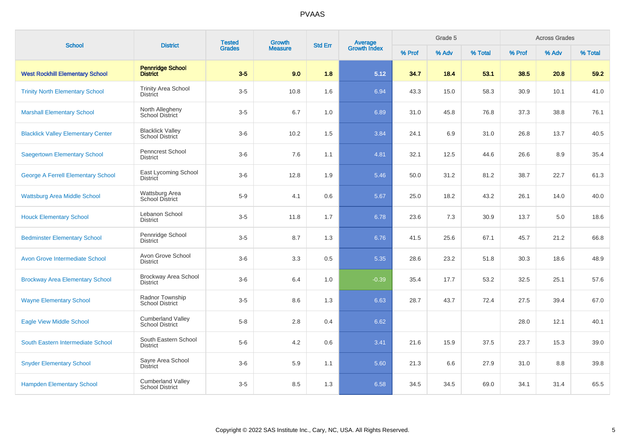|                                           | <b>Tested</b><br><b>School</b><br><b>District</b><br><b>Grades</b> | Growth | <b>Std Err</b> | <b>Average</b><br>Growth Index |         | Grade 5 |       | <b>Across Grades</b> |        |       |         |
|-------------------------------------------|--------------------------------------------------------------------|--------|----------------|--------------------------------|---------|---------|-------|----------------------|--------|-------|---------|
|                                           |                                                                    |        | <b>Measure</b> |                                |         | % Prof  | % Adv | % Total              | % Prof | % Adv | % Total |
| <b>West Rockhill Elementary School</b>    | <b>Pennridge School</b><br><b>District</b>                         | $3-5$  | 9.0            | 1.8                            | 5.12    | 34.7    | 18.4  | 53.1                 | 38.5   | 20.8  | 59.2    |
| <b>Trinity North Elementary School</b>    | <b>Trinity Area School</b><br><b>District</b>                      | $3-5$  | 10.8           | 1.6                            | 6.94    | 43.3    | 15.0  | 58.3                 | 30.9   | 10.1  | 41.0    |
| <b>Marshall Elementary School</b>         | North Allegheny<br>School District                                 | $3-5$  | 6.7            | 1.0                            | 6.89    | 31.0    | 45.8  | 76.8                 | 37.3   | 38.8  | 76.1    |
| <b>Blacklick Valley Elementary Center</b> | <b>Blacklick Valley</b><br>School District                         | $3-6$  | 10.2           | 1.5                            | 3.84    | 24.1    | 6.9   | 31.0                 | 26.8   | 13.7  | 40.5    |
| <b>Saegertown Elementary School</b>       | Penncrest School<br><b>District</b>                                | $3-6$  | 7.6            | 1.1                            | 4.81    | 32.1    | 12.5  | 44.6                 | 26.6   | 8.9   | 35.4    |
| <b>George A Ferrell Elementary School</b> | East Lycoming School<br><b>District</b>                            | $3-6$  | 12.8           | 1.9                            | 5.46    | 50.0    | 31.2  | 81.2                 | 38.7   | 22.7  | 61.3    |
| <b>Wattsburg Area Middle School</b>       | Wattsburg Area<br>School District                                  | $5-9$  | 4.1            | 0.6                            | 5.67    | 25.0    | 18.2  | 43.2                 | 26.1   | 14.0  | 40.0    |
| <b>Houck Elementary School</b>            | Lebanon School<br><b>District</b>                                  | $3-5$  | 11.8           | 1.7                            | 6.78    | 23.6    | 7.3   | 30.9                 | 13.7   | 5.0   | 18.6    |
| <b>Bedminster Elementary School</b>       | Pennridge School<br><b>District</b>                                | $3-5$  | 8.7            | 1.3                            | 6.76    | 41.5    | 25.6  | 67.1                 | 45.7   | 21.2  | 66.8    |
| <b>Avon Grove Intermediate School</b>     | Avon Grove School<br><b>District</b>                               | $3-6$  | 3.3            | 0.5                            | 5.35    | 28.6    | 23.2  | 51.8                 | 30.3   | 18.6  | 48.9    |
| <b>Brockway Area Elementary School</b>    | Brockway Area School<br><b>District</b>                            | $3-6$  | 6.4            | 1.0                            | $-0.39$ | 35.4    | 17.7  | 53.2                 | 32.5   | 25.1  | 57.6    |
| <b>Wayne Elementary School</b>            | Radnor Township<br><b>School District</b>                          | $3-5$  | 8.6            | 1.3                            | 6.63    | 28.7    | 43.7  | 72.4                 | 27.5   | 39.4  | 67.0    |
| <b>Eagle View Middle School</b>           | <b>Cumberland Valley</b><br><b>School District</b>                 | $5-8$  | 2.8            | 0.4                            | 6.62    |         |       |                      | 28.0   | 12.1  | 40.1    |
| South Eastern Intermediate School         | South Eastern School<br><b>District</b>                            | $5-6$  | 4.2            | 0.6                            | 3.41    | 21.6    | 15.9  | 37.5                 | 23.7   | 15.3  | 39.0    |
| <b>Snyder Elementary School</b>           | Sayre Area School<br><b>District</b>                               | $3-6$  | 5.9            | 1.1                            | 5.60    | 21.3    | 6.6   | 27.9                 | 31.0   | 8.8   | 39.8    |
| <b>Hampden Elementary School</b>          | <b>Cumberland Valley</b><br><b>School District</b>                 | $3-5$  | 8.5            | 1.3                            | 6.58    | 34.5    | 34.5  | 69.0                 | 34.1   | 31.4  | 65.5    |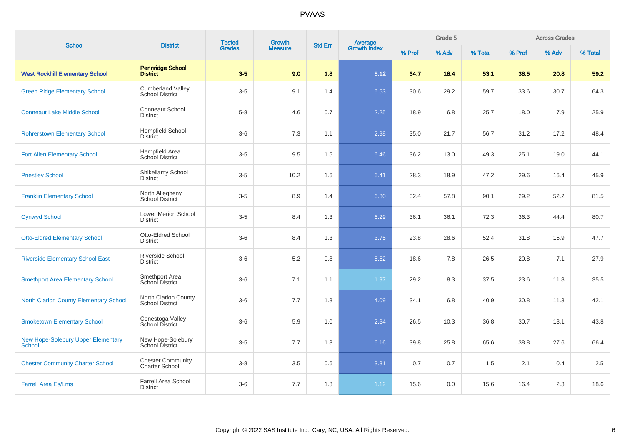| <b>School</b>                                              | <b>District</b>                                    | <b>Tested</b> | Growth         | <b>Std Err</b> | <b>Average</b><br>Growth Index |        | Grade 5 |         |        | <b>Across Grades</b> |         |
|------------------------------------------------------------|----------------------------------------------------|---------------|----------------|----------------|--------------------------------|--------|---------|---------|--------|----------------------|---------|
|                                                            |                                                    | <b>Grades</b> | <b>Measure</b> |                |                                | % Prof | % Adv   | % Total | % Prof | % Adv                | % Total |
| <b>West Rockhill Elementary School</b>                     | <b>Pennridge School</b><br><b>District</b>         | $3-5$         | 9.0            | 1.8            | 5.12                           | 34.7   | 18.4    | 53.1    | 38.5   | 20.8                 | 59.2    |
| <b>Green Ridge Elementary School</b>                       | <b>Cumberland Valley</b><br><b>School District</b> | $3-5$         | 9.1            | 1.4            | 6.53                           | 30.6   | 29.2    | 59.7    | 33.6   | 30.7                 | 64.3    |
| <b>Conneaut Lake Middle School</b>                         | <b>Conneaut School</b><br><b>District</b>          | $5 - 8$       | 4.6            | 0.7            | 2.25                           | 18.9   | 6.8     | 25.7    | 18.0   | 7.9                  | 25.9    |
| <b>Rohrerstown Elementary School</b>                       | <b>Hempfield School</b><br><b>District</b>         | $3-6$         | 7.3            | 1.1            | 2.98                           | 35.0   | 21.7    | 56.7    | 31.2   | 17.2                 | 48.4    |
| <b>Fort Allen Elementary School</b>                        | Hempfield Area<br>School District                  | $3-5$         | 9.5            | 1.5            | 6.46                           | 36.2   | 13.0    | 49.3    | 25.1   | 19.0                 | 44.1    |
| <b>Priestley School</b>                                    | Shikellamy School<br><b>District</b>               | $3-5$         | 10.2           | 1.6            | 6.41                           | 28.3   | 18.9    | 47.2    | 29.6   | 16.4                 | 45.9    |
| <b>Franklin Elementary School</b>                          | North Allegheny<br>School District                 | $3-5$         | 8.9            | 1.4            | 6.30                           | 32.4   | 57.8    | 90.1    | 29.2   | 52.2                 | 81.5    |
| <b>Cynwyd School</b>                                       | <b>Lower Merion School</b><br><b>District</b>      | $3-5$         | 8.4            | 1.3            | 6.29                           | 36.1   | 36.1    | 72.3    | 36.3   | 44.4                 | 80.7    |
| <b>Otto-Eldred Elementary School</b>                       | Otto-Eldred School<br><b>District</b>              | $3-6$         | 8.4            | 1.3            | 3.75                           | 23.8   | 28.6    | 52.4    | 31.8   | 15.9                 | 47.7    |
| <b>Riverside Elementary School East</b>                    | Riverside School<br><b>District</b>                | $3-6$         | $5.2\,$        | 0.8            | 5.52                           | 18.6   | 7.8     | 26.5    | 20.8   | 7.1                  | 27.9    |
| <b>Smethport Area Elementary School</b>                    | Smethport Area<br>School District                  | $3-6$         | 7.1            | 1.1            | 1.97                           | 29.2   | 8.3     | 37.5    | 23.6   | 11.8                 | 35.5    |
| <b>North Clarion County Elementary School</b>              | North Clarion County<br><b>School District</b>     | $3-6$         | 7.7            | 1.3            | 4.09                           | 34.1   | 6.8     | 40.9    | 30.8   | 11.3                 | 42.1    |
| <b>Smoketown Elementary School</b>                         | Conestoga Valley<br>School District                | $3-6$         | 5.9            | 1.0            | 2.84                           | 26.5   | 10.3    | 36.8    | 30.7   | 13.1                 | 43.8    |
| <b>New Hope-Solebury Upper Elementary</b><br><b>School</b> | New Hope-Solebury<br>School District               | $3-5$         | 7.7            | 1.3            | 6.16                           | 39.8   | 25.8    | 65.6    | 38.8   | 27.6                 | 66.4    |
| <b>Chester Community Charter School</b>                    | <b>Chester Community</b><br><b>Charter School</b>  | $3-8$         | 3.5            | 0.6            | 3.31                           | 0.7    | 0.7     | 1.5     | 2.1    | 0.4                  | 2.5     |
| <b>Farrell Area Es/Lms</b>                                 | Farrell Area School<br><b>District</b>             | $3-6$         | 7.7            | 1.3            | 1.12                           | 15.6   | 0.0     | 15.6    | 16.4   | 2.3                  | 18.6    |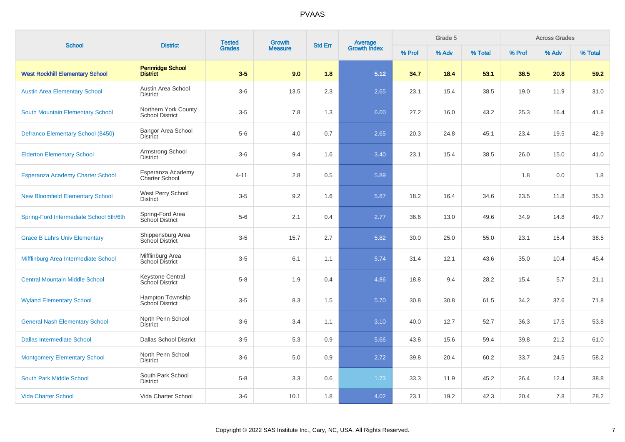| <b>School</b>                           | <b>District</b>                                | <b>Tested</b> | Growth         | <b>Std Err</b> |                                |        | Grade 5 |         |        | <b>Across Grades</b> |         |
|-----------------------------------------|------------------------------------------------|---------------|----------------|----------------|--------------------------------|--------|---------|---------|--------|----------------------|---------|
|                                         |                                                | <b>Grades</b> | <b>Measure</b> |                | <b>Average</b><br>Growth Index | % Prof | % Adv   | % Total | % Prof | % Adv                | % Total |
| <b>West Rockhill Elementary School</b>  | <b>Pennridge School</b><br><b>District</b>     | $3-5$         | 9.0            | 1.8            | 5.12                           | 34.7   | 18.4    | 53.1    | 38.5   | 20.8                 | 59.2    |
| <b>Austin Area Elementary School</b>    | Austin Area School<br><b>District</b>          | $3-6$         | 13.5           | 2.3            | 2.65                           | 23.1   | 15.4    | 38.5    | 19.0   | 11.9                 | 31.0    |
| South Mountain Elementary School        | Northern York County<br><b>School District</b> | $3-5$         | 7.8            | 1.3            | 6.00                           | 27.2   | 16.0    | 43.2    | 25.3   | 16.4                 | 41.8    |
| Defranco Elementary School (8450)       | <b>Bangor Area School</b><br><b>District</b>   | $5-6$         | 4.0            | 0.7            | 2.65                           | 20.3   | 24.8    | 45.1    | 23.4   | 19.5                 | 42.9    |
| <b>Elderton Elementary School</b>       | Armstrong School<br><b>District</b>            | $3-6$         | 9.4            | 1.6            | 3.40                           | 23.1   | 15.4    | 38.5    | 26.0   | 15.0                 | 41.0    |
| <b>Esperanza Academy Charter School</b> | Esperanza Academy<br><b>Charter School</b>     | $4 - 11$      | 2.8            | 0.5            | 5.89                           |        |         |         | 1.8    | 0.0                  | 1.8     |
| <b>New Bloomfield Elementary School</b> | West Perry School<br><b>District</b>           | $3-5$         | 9.2            | 1.6            | 5.87                           | 18.2   | 16.4    | 34.6    | 23.5   | 11.8                 | 35.3    |
| Spring-Ford Intermediate School 5th/6th | Spring-Ford Area<br>School District            | $5-6$         | 2.1            | 0.4            | 2.77                           | 36.6   | 13.0    | 49.6    | 34.9   | 14.8                 | 49.7    |
| <b>Grace B Luhrs Univ Elementary</b>    | Shippensburg Area<br>School District           | $3-5$         | 15.7           | 2.7            | 5.82                           | 30.0   | 25.0    | 55.0    | 23.1   | 15.4                 | 38.5    |
| Mifflinburg Area Intermediate School    | Mifflinburg Area<br>School District            | $3-5$         | 6.1            | 1.1            | 5.74                           | 31.4   | 12.1    | 43.6    | 35.0   | 10.4                 | 45.4    |
| <b>Central Mountain Middle School</b>   | Keystone Central<br>School District            | $5 - 8$       | 1.9            | 0.4            | 4.86                           | 18.8   | 9.4     | 28.2    | 15.4   | 5.7                  | 21.1    |
| <b>Wyland Elementary School</b>         | Hampton Township<br><b>School District</b>     | $3-5$         | 8.3            | 1.5            | 5.70                           | 30.8   | 30.8    | 61.5    | 34.2   | 37.6                 | 71.8    |
| <b>General Nash Elementary School</b>   | North Penn School<br><b>District</b>           | $3-6$         | 3.4            | 1.1            | 3.10                           | 40.0   | 12.7    | 52.7    | 36.3   | 17.5                 | 53.8    |
| <b>Dallas Intermediate School</b>       | <b>Dallas School District</b>                  | $3-5$         | 5.3            | 0.9            | 5.66                           | 43.8   | 15.6    | 59.4    | 39.8   | 21.2                 | 61.0    |
| <b>Montgomery Elementary School</b>     | North Penn School<br><b>District</b>           | $3-6$         | 5.0            | 0.9            | 2.72                           | 39.8   | 20.4    | 60.2    | 33.7   | 24.5                 | 58.2    |
| South Park Middle School                | South Park School<br><b>District</b>           | $5-8$         | 3.3            | 0.6            | 1.73                           | 33.3   | 11.9    | 45.2    | 26.4   | 12.4                 | 38.8    |
| <b>Vida Charter School</b>              | Vida Charter School                            | $3-6$         | 10.1           | 1.8            | 4.02                           | 23.1   | 19.2    | 42.3    | 20.4   | 7.8                  | 28.2    |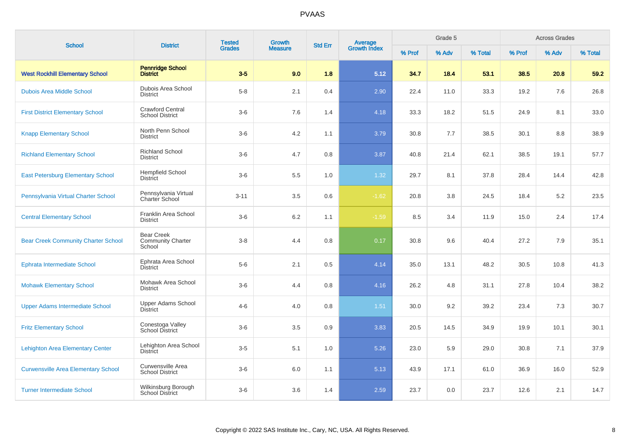| <b>School</b>                              | <b>District</b>                                         | <b>Tested</b> | <b>Growth</b>  | <b>Std Err</b> | Average<br>Growth Index |        | Grade 5 |         |        | <b>Across Grades</b> |         |
|--------------------------------------------|---------------------------------------------------------|---------------|----------------|----------------|-------------------------|--------|---------|---------|--------|----------------------|---------|
|                                            |                                                         | <b>Grades</b> | <b>Measure</b> |                |                         | % Prof | % Adv   | % Total | % Prof | % Adv                | % Total |
| <b>West Rockhill Elementary School</b>     | <b>Pennridge School</b><br><b>District</b>              | $3-5$         | 9.0            | 1.8            | 5.12                    | 34.7   | 18.4    | 53.1    | 38.5   | 20.8                 | 59.2    |
| <b>Dubois Area Middle School</b>           | Dubois Area School<br><b>District</b>                   | $5-8$         | 2.1            | 0.4            | 2.90                    | 22.4   | 11.0    | 33.3    | 19.2   | 7.6                  | 26.8    |
| <b>First District Elementary School</b>    | <b>Crawford Central</b><br><b>School District</b>       | $3-6$         | 7.6            | 1.4            | 4.18                    | 33.3   | 18.2    | 51.5    | 24.9   | 8.1                  | 33.0    |
| <b>Knapp Elementary School</b>             | North Penn School<br><b>District</b>                    | $3-6$         | 4.2            | 1.1            | 3.79                    | 30.8   | 7.7     | 38.5    | 30.1   | 8.8                  | 38.9    |
| <b>Richland Elementary School</b>          | <b>Richland School</b><br><b>District</b>               | $3-6$         | 4.7            | 0.8            | 3.87                    | 40.8   | 21.4    | 62.1    | 38.5   | 19.1                 | 57.7    |
| <b>East Petersburg Elementary School</b>   | <b>Hempfield School</b><br><b>District</b>              | $3-6$         | 5.5            | 1.0            | 1.32                    | 29.7   | 8.1     | 37.8    | 28.4   | 14.4                 | 42.8    |
| Pennsylvania Virtual Charter School        | Pennsylvania Virtual<br>Charter School                  | $3 - 11$      | 3.5            | 0.6            | $-1.62$                 | 20.8   | 3.8     | 24.5    | 18.4   | 5.2                  | 23.5    |
| <b>Central Elementary School</b>           | Franklin Area School<br><b>District</b>                 | $3-6$         | $6.2\,$        | 1.1            | $-1.59$                 | 8.5    | 3.4     | 11.9    | 15.0   | 2.4                  | 17.4    |
| <b>Bear Creek Community Charter School</b> | <b>Bear Creek</b><br><b>Community Charter</b><br>School | $3-8$         | 4.4            | 0.8            | 0.17                    | 30.8   | 9.6     | 40.4    | 27.2   | 7.9                  | 35.1    |
| <b>Ephrata Intermediate School</b>         | Ephrata Area School<br><b>District</b>                  | $5-6$         | 2.1            | 0.5            | 4.14                    | 35.0   | 13.1    | 48.2    | 30.5   | 10.8                 | 41.3    |
| <b>Mohawk Elementary School</b>            | Mohawk Area School<br><b>District</b>                   | $3-6$         | 4.4            | 0.8            | 4.16                    | 26.2   | 4.8     | 31.1    | 27.8   | 10.4                 | 38.2    |
| <b>Upper Adams Intermediate School</b>     | Upper Adams School<br><b>District</b>                   | $4 - 6$       | 4.0            | 0.8            | $1.51$                  | 30.0   | 9.2     | 39.2    | 23.4   | 7.3                  | 30.7    |
| <b>Fritz Elementary School</b>             | Conestoga Valley<br><b>School District</b>              | $3-6$         | 3.5            | 0.9            | 3.83                    | 20.5   | 14.5    | 34.9    | 19.9   | 10.1                 | 30.1    |
| <b>Lehighton Area Elementary Center</b>    | Lehighton Area School<br><b>District</b>                | $3-5$         | 5.1            | 1.0            | 5.26                    | 23.0   | 5.9     | 29.0    | 30.8   | 7.1                  | 37.9    |
| <b>Curwensville Area Elementary School</b> | Curwensville Area<br><b>School District</b>             | $3-6$         | 6.0            | 1.1            | 5.13                    | 43.9   | 17.1    | 61.0    | 36.9   | 16.0                 | 52.9    |
| <b>Turner Intermediate School</b>          | Wilkinsburg Borough<br><b>School District</b>           | $3-6$         | 3.6            | 1.4            | 2.59                    | 23.7   | 0.0     | 23.7    | 12.6   | 2.1                  | 14.7    |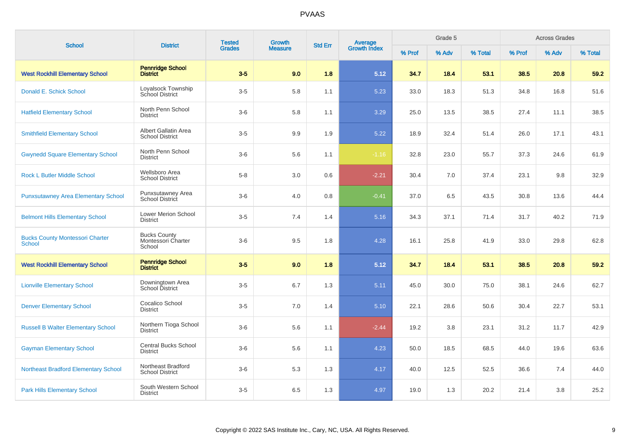| <b>School</b>                                           | <b>District</b>                                     | <b>Tested</b> | <b>Growth</b>  | <b>Std Err</b> | Average<br>Growth Index |        | Grade 5 |         |        | <b>Across Grades</b> |         |
|---------------------------------------------------------|-----------------------------------------------------|---------------|----------------|----------------|-------------------------|--------|---------|---------|--------|----------------------|---------|
|                                                         |                                                     | <b>Grades</b> | <b>Measure</b> |                |                         | % Prof | % Adv   | % Total | % Prof | % Adv                | % Total |
| <b>West Rockhill Elementary School</b>                  | <b>Pennridge School</b><br><b>District</b>          | $3-5$         | 9.0            | 1.8            | 5.12                    | 34.7   | 18.4    | 53.1    | 38.5   | 20.8                 | 59.2    |
| Donald E. Schick School                                 | Loyalsock Township<br><b>School District</b>        | $3-5$         | 5.8            | 1.1            | 5.23                    | 33.0   | 18.3    | 51.3    | 34.8   | 16.8                 | 51.6    |
| <b>Hatfield Elementary School</b>                       | North Penn School<br><b>District</b>                | $3-6$         | 5.8            | 1.1            | 3.29                    | 25.0   | 13.5    | 38.5    | 27.4   | 11.1                 | 38.5    |
| <b>Smithfield Elementary School</b>                     | Albert Gallatin Area<br><b>School District</b>      | $3-5$         | 9.9            | 1.9            | 5.22                    | 18.9   | 32.4    | 51.4    | 26.0   | 17.1                 | 43.1    |
| <b>Gwynedd Square Elementary School</b>                 | North Penn School<br><b>District</b>                | $3-6$         | 5.6            | 1.1            | $-1.16$                 | 32.8   | 23.0    | 55.7    | 37.3   | 24.6                 | 61.9    |
| <b>Rock L Butler Middle School</b>                      | Wellsboro Area<br><b>School District</b>            | $5-8$         | 3.0            | 0.6            | $-2.21$                 | 30.4   | 7.0     | 37.4    | 23.1   | 9.8                  | 32.9    |
| <b>Punxsutawney Area Elementary School</b>              | Punxsutawney Area<br>School District                | $3-6$         | 4.0            | 0.8            | $-0.41$                 | 37.0   | 6.5     | 43.5    | 30.8   | 13.6                 | 44.4    |
| <b>Belmont Hills Elementary School</b>                  | <b>Lower Merion School</b><br><b>District</b>       | $3-5$         | 7.4            | 1.4            | 5.16                    | 34.3   | 37.1    | 71.4    | 31.7   | 40.2                 | 71.9    |
| <b>Bucks County Montessori Charter</b><br><b>School</b> | <b>Bucks County</b><br>Montessori Charter<br>School | $3-6$         | 9.5            | 1.8            | 4.28                    | 16.1   | 25.8    | 41.9    | 33.0   | 29.8                 | 62.8    |
| <b>West Rockhill Elementary School</b>                  | <b>Pennridge School</b><br><b>District</b>          | $3-5$         | 9.0            | 1.8            | 5.12                    | 34.7   | 18.4    | 53.1    | 38.5   | 20.8                 | 59.2    |
| <b>Lionville Elementary School</b>                      | Downingtown Area<br>School District                 | $3-5$         | 6.7            | 1.3            | 5.11                    | 45.0   | 30.0    | 75.0    | 38.1   | 24.6                 | 62.7    |
| <b>Denver Elementary School</b>                         | Cocalico School<br><b>District</b>                  | $3-5$         | 7.0            | 1.4            | 5.10                    | 22.1   | 28.6    | 50.6    | 30.4   | 22.7                 | 53.1    |
| <b>Russell B Walter Elementary School</b>               | Northern Tioga School<br><b>District</b>            | $3-6$         | 5.6            | 1.1            | $-2.44$                 | 19.2   | 3.8     | 23.1    | 31.2   | 11.7                 | 42.9    |
| <b>Gayman Elementary School</b>                         | <b>Central Bucks School</b><br><b>District</b>      | $3-6$         | 5.6            | 1.1            | 4.23                    | 50.0   | 18.5    | 68.5    | 44.0   | 19.6                 | 63.6    |
| <b>Northeast Bradford Elementary School</b>             | Northeast Bradford<br><b>School District</b>        | $3-6$         | 5.3            | 1.3            | 4.17                    | 40.0   | 12.5    | 52.5    | 36.6   | 7.4                  | 44.0    |
| <b>Park Hills Elementary School</b>                     | South Western School<br><b>District</b>             | $3-5$         | 6.5            | 1.3            | 4.97                    | 19.0   | 1.3     | 20.2    | 21.4   | 3.8                  | 25.2    |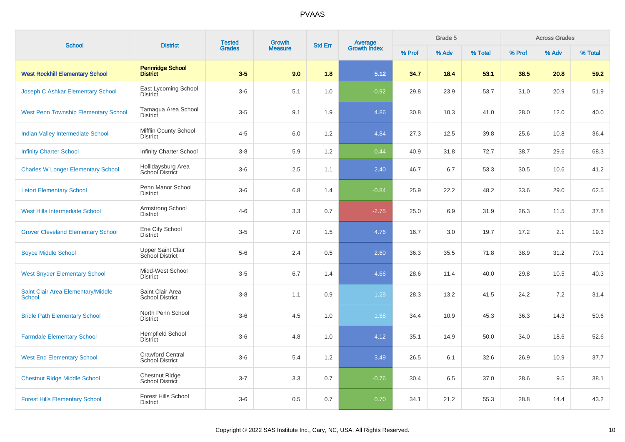| <b>School</b>                                       | <b>District</b>                                    | <b>Tested</b> | <b>Growth</b>  | <b>Std Err</b> |                                |        | Grade 5 |         |        | <b>Across Grades</b> |         |
|-----------------------------------------------------|----------------------------------------------------|---------------|----------------|----------------|--------------------------------|--------|---------|---------|--------|----------------------|---------|
|                                                     |                                                    | <b>Grades</b> | <b>Measure</b> |                | <b>Average</b><br>Growth Index | % Prof | % Adv   | % Total | % Prof | % Adv                | % Total |
| <b>West Rockhill Elementary School</b>              | <b>Pennridge School</b><br><b>District</b>         | $3-5$         | 9.0            | 1.8            | 5.12                           | 34.7   | 18.4    | 53.1    | 38.5   | 20.8                 | 59.2    |
| Joseph C Ashkar Elementary School                   | East Lycoming School<br>District                   | $3-6$         | 5.1            | 1.0            | $-0.92$                        | 29.8   | 23.9    | 53.7    | 31.0   | 20.9                 | 51.9    |
| <b>West Penn Township Elementary School</b>         | Tamaqua Area School<br>District                    | $3-5$         | 9.1            | 1.9            | 4.86                           | 30.8   | 10.3    | 41.0    | 28.0   | 12.0                 | 40.0    |
| Indian Valley Intermediate School                   | Mifflin County School<br><b>District</b>           | $4 - 5$       | 6.0            | 1.2            | 4.84                           | 27.3   | 12.5    | 39.8    | 25.6   | 10.8                 | 36.4    |
| <b>Infinity Charter School</b>                      | <b>Infinity Charter School</b>                     | $3 - 8$       | 5.9            | 1.2            | 0.44                           | 40.9   | 31.8    | 72.7    | 38.7   | 29.6                 | 68.3    |
| <b>Charles W Longer Elementary School</b>           | Hollidaysburg Area<br>School District              | $3-6$         | 2.5            | 1.1            | 2.40                           | 46.7   | 6.7     | 53.3    | 30.5   | 10.6                 | 41.2    |
| <b>Letort Elementary School</b>                     | Penn Manor School<br><b>District</b>               | $3-6$         | 6.8            | 1.4            | $-0.84$                        | 25.9   | 22.2    | 48.2    | 33.6   | 29.0                 | 62.5    |
| West Hills Intermediate School                      | Armstrong School<br><b>District</b>                | $4 - 6$       | 3.3            | 0.7            | $-2.75$                        | 25.0   | 6.9     | 31.9    | 26.3   | 11.5                 | 37.8    |
| <b>Grover Cleveland Elementary School</b>           | Erie City School<br><b>District</b>                | $3-5$         | 7.0            | 1.5            | 4.76                           | 16.7   | 3.0     | 19.7    | 17.2   | 2.1                  | 19.3    |
| <b>Boyce Middle School</b>                          | <b>Upper Saint Clair</b><br><b>School District</b> | $5-6$         | 2.4            | 0.5            | 2.60                           | 36.3   | 35.5    | 71.8    | 38.9   | 31.2                 | 70.1    |
| <b>West Snyder Elementary School</b>                | Midd-West School<br><b>District</b>                | $3-5$         | 6.7            | 1.4            | 4.66                           | 28.6   | 11.4    | 40.0    | 29.8   | 10.5                 | 40.3    |
| Saint Clair Area Elementary/Middle<br><b>School</b> | Saint Clair Area<br><b>School District</b>         | $3 - 8$       | 1.1            | 0.9            | 1.29                           | 28.3   | 13.2    | 41.5    | 24.2   | 7.2                  | 31.4    |
| <b>Bridle Path Elementary School</b>                | North Penn School<br><b>District</b>               | $3-6$         | 4.5            | 1.0            | 1.58                           | 34.4   | 10.9    | 45.3    | 36.3   | 14.3                 | 50.6    |
| <b>Farmdale Elementary School</b>                   | <b>Hempfield School</b><br>District                | $3-6$         | 4.8            | 1.0            | 4.12                           | 35.1   | 14.9    | 50.0    | 34.0   | 18.6                 | 52.6    |
| <b>West End Elementary School</b>                   | <b>Crawford Central</b><br><b>School District</b>  | $3-6$         | 5.4            | 1.2            | 3.49                           | 26.5   | 6.1     | 32.6    | 26.9   | 10.9                 | 37.7    |
| <b>Chestnut Ridge Middle School</b>                 | <b>Chestnut Ridge</b><br>School District           | $3 - 7$       | 3.3            | 0.7            | $-0.76$                        | 30.4   | 6.5     | 37.0    | 28.6   | 9.5                  | 38.1    |
| <b>Forest Hills Elementary School</b>               | <b>Forest Hills School</b><br><b>District</b>      | $3-6$         | 0.5            | 0.7            | 0.70                           | 34.1   | 21.2    | 55.3    | 28.8   | 14.4                 | 43.2    |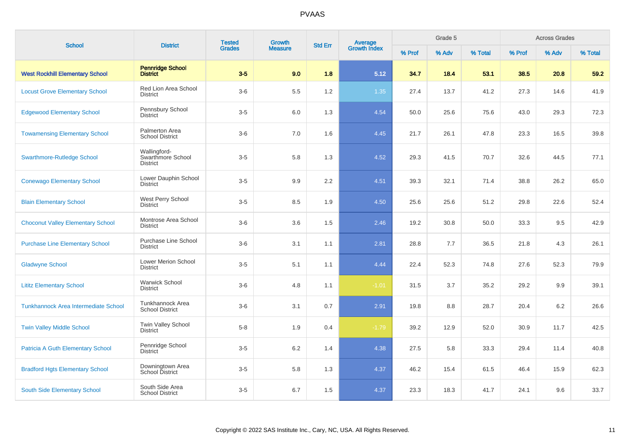| <b>School</b>                               | <b>District</b>                                      | <b>Tested</b> | <b>Growth</b>  | <b>Std Err</b> |                                |        | Grade 5 |         |        | <b>Across Grades</b> |         |
|---------------------------------------------|------------------------------------------------------|---------------|----------------|----------------|--------------------------------|--------|---------|---------|--------|----------------------|---------|
|                                             |                                                      | <b>Grades</b> | <b>Measure</b> |                | <b>Average</b><br>Growth Index | % Prof | % Adv   | % Total | % Prof | % Adv                | % Total |
| <b>West Rockhill Elementary School</b>      | <b>Pennridge School</b><br><b>District</b>           | $3-5$         | 9.0            | 1.8            | 5.12                           | 34.7   | 18.4    | 53.1    | 38.5   | 20.8                 | 59.2    |
| <b>Locust Grove Elementary School</b>       | <b>Red Lion Area School</b><br><b>District</b>       | $3-6$         | 5.5            | 1.2            | 1.35                           | 27.4   | 13.7    | 41.2    | 27.3   | 14.6                 | 41.9    |
| <b>Edgewood Elementary School</b>           | Pennsbury School<br><b>District</b>                  | $3-5$         | 6.0            | 1.3            | 4.54                           | 50.0   | 25.6    | 75.6    | 43.0   | 29.3                 | 72.3    |
| <b>Towamensing Elementary School</b>        | Palmerton Area<br><b>School District</b>             | $3-6$         | 7.0            | 1.6            | 4.45                           | 21.7   | 26.1    | 47.8    | 23.3   | 16.5                 | 39.8    |
| <b>Swarthmore-Rutledge School</b>           | Wallingford-<br>Swarthmore School<br><b>District</b> | $3-5$         | 5.8            | 1.3            | 4.52                           | 29.3   | 41.5    | 70.7    | 32.6   | 44.5                 | 77.1    |
| <b>Conewago Elementary School</b>           | Lower Dauphin School<br><b>District</b>              | $3-5$         | 9.9            | 2.2            | 4.51                           | 39.3   | 32.1    | 71.4    | 38.8   | 26.2                 | 65.0    |
| <b>Blain Elementary School</b>              | West Perry School<br><b>District</b>                 | $3-5$         | 8.5            | 1.9            | 4.50                           | 25.6   | 25.6    | 51.2    | 29.8   | 22.6                 | 52.4    |
| <b>Choconut Valley Elementary School</b>    | Montrose Area School<br><b>District</b>              | $3-6$         | 3.6            | 1.5            | 2.46                           | 19.2   | 30.8    | 50.0    | 33.3   | 9.5                  | 42.9    |
| <b>Purchase Line Elementary School</b>      | <b>Purchase Line School</b><br><b>District</b>       | $3-6$         | 3.1            | 1.1            | 2.81                           | 28.8   | 7.7     | 36.5    | 21.8   | 4.3                  | 26.1    |
| <b>Gladwyne School</b>                      | <b>Lower Merion School</b><br><b>District</b>        | $3-5$         | 5.1            | 1.1            | 4.44                           | 22.4   | 52.3    | 74.8    | 27.6   | 52.3                 | 79.9    |
| <b>Lititz Elementary School</b>             | <b>Warwick School</b><br><b>District</b>             | $3-6$         | 4.8            | 1.1            | $-1.01$                        | 31.5   | 3.7     | 35.2    | 29.2   | 9.9                  | 39.1    |
| <b>Tunkhannock Area Intermediate School</b> | Tunkhannock Area<br><b>School District</b>           | $3-6$         | 3.1            | 0.7            | 2.91                           | 19.8   | 8.8     | 28.7    | 20.4   | 6.2                  | 26.6    |
| <b>Twin Valley Middle School</b>            | Twin Valley School<br><b>District</b>                | $5 - 8$       | 1.9            | 0.4            | $-1.79$                        | 39.2   | 12.9    | 52.0    | 30.9   | 11.7                 | 42.5    |
| <b>Patricia A Guth Elementary School</b>    | Pennridge School<br><b>District</b>                  | $3-5$         | 6.2            | 1.4            | 4.38                           | 27.5   | 5.8     | 33.3    | 29.4   | 11.4                 | 40.8    |
| <b>Bradford Hgts Elementary School</b>      | Downingtown Area<br><b>School District</b>           | $3-5$         | 5.8            | 1.3            | 4.37                           | 46.2   | 15.4    | 61.5    | 46.4   | 15.9                 | 62.3    |
| South Side Elementary School                | South Side Area<br><b>School District</b>            | $3-5$         | 6.7            | 1.5            | 4.37                           | 23.3   | 18.3    | 41.7    | 24.1   | 9.6                  | 33.7    |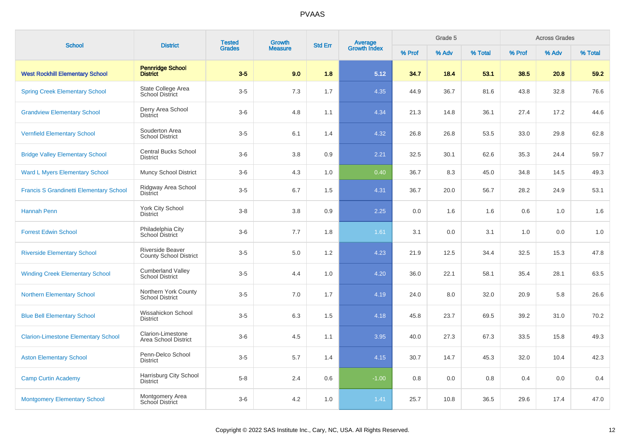| <b>School</b>                                  | <b>District</b>                                          | <b>Tested</b> | <b>Growth</b>  |     | <b>Average</b><br>Growth Index<br><b>Std Err</b> |        | Grade 5 |         | <b>Across Grades</b> |       |         |  |
|------------------------------------------------|----------------------------------------------------------|---------------|----------------|-----|--------------------------------------------------|--------|---------|---------|----------------------|-------|---------|--|
|                                                |                                                          | <b>Grades</b> | <b>Measure</b> |     |                                                  | % Prof | % Adv   | % Total | % Prof               | % Adv | % Total |  |
| <b>West Rockhill Elementary School</b>         | <b>Pennridge School</b><br><b>District</b>               | $3-5$         | 9.0            | 1.8 | 5.12                                             | 34.7   | 18.4    | 53.1    | 38.5                 | 20.8  | 59.2    |  |
| <b>Spring Creek Elementary School</b>          | State College Area<br><b>School District</b>             | $3-5$         | 7.3            | 1.7 | 4.35                                             | 44.9   | 36.7    | 81.6    | 43.8                 | 32.8  | 76.6    |  |
| <b>Grandview Elementary School</b>             | Derry Area School<br><b>District</b>                     | $3-6$         | 4.8            | 1.1 | 4.34                                             | 21.3   | 14.8    | 36.1    | 27.4                 | 17.2  | 44.6    |  |
| <b>Vernfield Elementary School</b>             | Souderton Area<br><b>School District</b>                 | $3-5$         | 6.1            | 1.4 | 4.32                                             | 26.8   | 26.8    | 53.5    | 33.0                 | 29.8  | 62.8    |  |
| <b>Bridge Valley Elementary School</b>         | <b>Central Bucks School</b><br><b>District</b>           | $3-6$         | 3.8            | 0.9 | 2.21                                             | 32.5   | 30.1    | 62.6    | 35.3                 | 24.4  | 59.7    |  |
| <b>Ward L Myers Elementary School</b>          | <b>Muncy School District</b>                             | $3-6$         | 4.3            | 1.0 | 0.40                                             | 36.7   | 8.3     | 45.0    | 34.8                 | 14.5  | 49.3    |  |
| <b>Francis S Grandinetti Elementary School</b> | Ridgway Area School<br><b>District</b>                   | $3-5$         | 6.7            | 1.5 | 4.31                                             | 36.7   | 20.0    | 56.7    | 28.2                 | 24.9  | 53.1    |  |
| <b>Hannah Penn</b>                             | York City School<br><b>District</b>                      | $3-8$         | 3.8            | 0.9 | 2.25                                             | 0.0    | 1.6     | 1.6     | 0.6                  | 1.0   | 1.6     |  |
| <b>Forrest Edwin School</b>                    | Philadelphia City<br>School District                     | $3-6$         | 7.7            | 1.8 | 1.61                                             | 3.1    | 0.0     | 3.1     | 1.0                  | 0.0   | 1.0     |  |
| <b>Riverside Elementary School</b>             | <b>Riverside Beaver</b><br><b>County School District</b> | $3-5$         | 5.0            | 1.2 | 4.23                                             | 21.9   | 12.5    | 34.4    | 32.5                 | 15.3  | 47.8    |  |
| <b>Winding Creek Elementary School</b>         | <b>Cumberland Valley</b><br><b>School District</b>       | $3-5$         | 4.4            | 1.0 | 4.20                                             | 36.0   | 22.1    | 58.1    | 35.4                 | 28.1  | 63.5    |  |
| <b>Northern Elementary School</b>              | Northern York County<br><b>School District</b>           | $3-5$         | 7.0            | 1.7 | 4.19                                             | 24.0   | 8.0     | 32.0    | 20.9                 | 5.8   | 26.6    |  |
| <b>Blue Bell Elementary School</b>             | Wissahickon School<br><b>District</b>                    | $3-5$         | 6.3            | 1.5 | 4.18                                             | 45.8   | 23.7    | 69.5    | 39.2                 | 31.0  | 70.2    |  |
| <b>Clarion-Limestone Elementary School</b>     | Clarion-Limestone<br>Area School District                | $3-6$         | 4.5            | 1.1 | 3.95                                             | 40.0   | 27.3    | 67.3    | 33.5                 | 15.8  | 49.3    |  |
| <b>Aston Elementary School</b>                 | Penn-Delco School<br><b>District</b>                     | $3-5$         | 5.7            | 1.4 | 4.15                                             | 30.7   | 14.7    | 45.3    | 32.0                 | 10.4  | 42.3    |  |
| <b>Camp Curtin Academy</b>                     | Harrisburg City School<br><b>District</b>                | $5-8$         | 2.4            | 0.6 | $-1.00$                                          | 0.8    | 0.0     | 0.8     | 0.4                  | 0.0   | 0.4     |  |
| <b>Montgomery Elementary School</b>            | Montgomery Area<br>School District                       | $3-6$         | 4.2            | 1.0 | 1.41                                             | 25.7   | 10.8    | 36.5    | 29.6                 | 17.4  | 47.0    |  |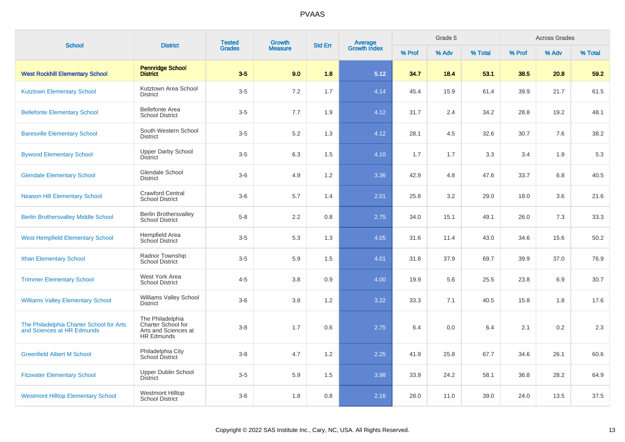| <b>School</b>                                                          | <b>District</b>                                                                     | <b>Tested</b> | <b>Growth</b>  | <b>Std Err</b> | <b>Average</b><br>Growth Index |        | Grade 5 |         |        | <b>Across Grades</b> |         |
|------------------------------------------------------------------------|-------------------------------------------------------------------------------------|---------------|----------------|----------------|--------------------------------|--------|---------|---------|--------|----------------------|---------|
|                                                                        |                                                                                     | <b>Grades</b> | <b>Measure</b> |                |                                | % Prof | % Adv   | % Total | % Prof | % Adv                | % Total |
| <b>West Rockhill Elementary School</b>                                 | <b>Pennridge School</b><br><b>District</b>                                          | $3-5$         | 9.0            | 1.8            | 5.12                           | 34.7   | 18.4    | 53.1    | 38.5   | 20.8                 | 59.2    |
| <b>Kutztown Elementary School</b>                                      | Kutztown Area School<br><b>District</b>                                             | $3-5$         | 7.2            | 1.7            | 4.14                           | 45.4   | 15.9    | 61.4    | 39.9   | 21.7                 | 61.5    |
| <b>Bellefonte Elementary School</b>                                    | <b>Bellefonte Area</b><br><b>School District</b>                                    | $3-5$         | 7.7            | 1.9            | 4.12                           | 31.7   | 2.4     | 34.2    | 28.8   | 19.2                 | 48.1    |
| <b>Baresville Elementary School</b>                                    | South Western School<br><b>District</b>                                             | $3-5$         | 5.2            | 1.3            | 4.12                           | 28.1   | 4.5     | 32.6    | 30.7   | 7.6                  | 38.2    |
| <b>Bywood Elementary School</b>                                        | <b>Upper Darby School</b><br><b>District</b>                                        | $3-5$         | 6.3            | 1.5            | 4.10                           | 1.7    | 1.7     | 3.3     | 3.4    | 1.9                  | 5.3     |
| <b>Glendale Elementary School</b>                                      | Glendale School<br>District                                                         | $3-6$         | 4.9            | 1.2            | 3.36                           | 42.9   | 4.8     | 47.6    | 33.7   | 6.8                  | 40.5    |
| <b>Neason Hill Elementary School</b>                                   | <b>Crawford Central</b><br><b>School District</b>                                   | $3-6$         | 5.7            | 1.4            | 2.01                           | 25.8   | 3.2     | 29.0    | 18.0   | 3.6                  | 21.6    |
| <b>Berlin Brothersvalley Middle School</b>                             | <b>Berlin Brothersvalley</b><br><b>School District</b>                              | $5-8$         | 2.2            | 0.8            | 2.75                           | 34.0   | 15.1    | 49.1    | 26.0   | 7.3                  | 33.3    |
| <b>West Hempfield Elementary School</b>                                | Hempfield Area<br>School District                                                   | $3-5$         | 5.3            | 1.3            | 4.05                           | 31.6   | 11.4    | 43.0    | 34.6   | 15.6                 | 50.2    |
| <b>Ithan Elementary School</b>                                         | Radnor Township<br><b>School District</b>                                           | $3-5$         | 5.9            | 1.5            | 4.01                           | 31.8   | 37.9    | 69.7    | 39.9   | 37.0                 | 76.9    |
| <b>Trimmer Elementary School</b>                                       | West York Area<br><b>School District</b>                                            | $4 - 5$       | 3.8            | 0.9            | 4.00                           | 19.9   | 5.6     | 25.5    | 23.8   | 6.9                  | 30.7    |
| <b>Williams Valley Elementary School</b>                               | <b>Williams Valley School</b><br><b>District</b>                                    | $3-6$         | 3.8            | 1.2            | 3.22                           | 33.3   | 7.1     | 40.5    | 15.8   | 1.8                  | 17.6    |
| The Philadelphia Charter School for Arts<br>and Sciences at HR Edmunds | The Philadelphia<br>Charter School for<br>Arts and Sciences at<br><b>HR Edmunds</b> | $3 - 8$       | 1.7            | 0.6            | 2.75                           | 6.4    | 0.0     | 6.4     | 2.1    | 0.2                  | 2.3     |
| <b>Greenfield Albert M School</b>                                      | Philadelphia City<br>School District                                                | $3 - 8$       | 4.7            | 1.2            | 2.25                           | 41.9   | 25.8    | 67.7    | 34.6   | 26.1                 | 60.6    |
| <b>Fitzwater Elementary School</b>                                     | <b>Upper Dublin School</b><br><b>District</b>                                       | $3-5$         | 5.9            | 1.5            | 3.98                           | 33.9   | 24.2    | 58.1    | 36.8   | 28.2                 | 64.9    |
| <b>Westmont Hilltop Elementary School</b>                              | <b>Westmont Hilltop</b><br><b>School District</b>                                   | $3-6$         | 1.8            | 0.8            | 2.16                           | 28.0   | 11.0    | 39.0    | 24.0   | 13.5                 | 37.5    |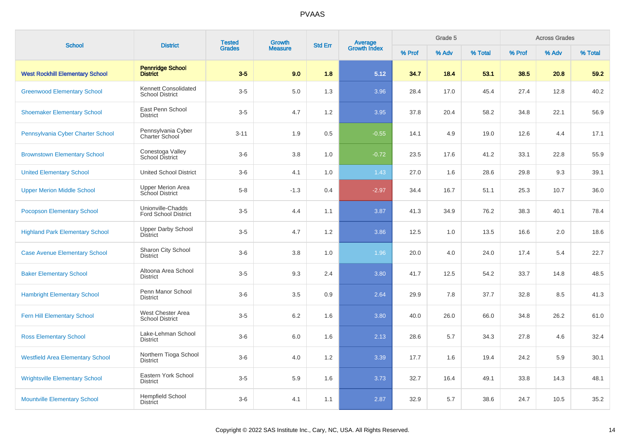| <b>School</b>                           | <b>District</b>                                  | <b>Tested</b> | <b>Growth</b>  | <b>Std Err</b> |                                |        | Grade 5 |         |        | <b>Across Grades</b> |         |
|-----------------------------------------|--------------------------------------------------|---------------|----------------|----------------|--------------------------------|--------|---------|---------|--------|----------------------|---------|
|                                         |                                                  | <b>Grades</b> | <b>Measure</b> |                | <b>Average</b><br>Growth Index | % Prof | % Adv   | % Total | % Prof | % Adv                | % Total |
| <b>West Rockhill Elementary School</b>  | <b>Pennridge School</b><br><b>District</b>       | $3-5$         | 9.0            | 1.8            | 5.12                           | 34.7   | 18.4    | 53.1    | 38.5   | 20.8                 | 59.2    |
| <b>Greenwood Elementary School</b>      | Kennett Consolidated<br><b>School District</b>   | $3-5$         | 5.0            | 1.3            | 3.96                           | 28.4   | 17.0    | 45.4    | 27.4   | 12.8                 | 40.2    |
| <b>Shoemaker Elementary School</b>      | East Penn School<br><b>District</b>              | $3-5$         | 4.7            | 1.2            | 3.95                           | 37.8   | 20.4    | 58.2    | 34.8   | 22.1                 | 56.9    |
| Pennsylvania Cyber Charter School       | Pennsylvania Cyber<br>Charter School             | $3 - 11$      | 1.9            | 0.5            | $-0.55$                        | 14.1   | 4.9     | 19.0    | 12.6   | 4.4                  | 17.1    |
| <b>Brownstown Elementary School</b>     | Conestoga Valley<br><b>School District</b>       | $3-6$         | 3.8            | 1.0            | $-0.72$                        | 23.5   | 17.6    | 41.2    | 33.1   | 22.8                 | 55.9    |
| <b>United Elementary School</b>         | <b>United School District</b>                    | $3-6$         | 4.1            | 1.0            | 1.43                           | 27.0   | 1.6     | 28.6    | 29.8   | 9.3                  | 39.1    |
| <b>Upper Merion Middle School</b>       | <b>Upper Merion Area</b><br>School District      | $5-8$         | $-1.3$         | 0.4            | $-2.97$                        | 34.4   | 16.7    | 51.1    | 25.3   | 10.7                 | 36.0    |
| <b>Pocopson Elementary School</b>       | Unionville-Chadds<br><b>Ford School District</b> | $3-5$         | 4.4            | 1.1            | 3.87                           | 41.3   | 34.9    | 76.2    | 38.3   | 40.1                 | 78.4    |
| <b>Highland Park Elementary School</b>  | <b>Upper Darby School</b><br>District            | $3-5$         | 4.7            | 1.2            | 3.86                           | 12.5   | 1.0     | 13.5    | 16.6   | 2.0                  | 18.6    |
| <b>Case Avenue Elementary School</b>    | Sharon City School<br><b>District</b>            | $3-6$         | 3.8            | 1.0            | 1.96                           | 20.0   | 4.0     | 24.0    | 17.4   | 5.4                  | 22.7    |
| <b>Baker Elementary School</b>          | Altoona Area School<br><b>District</b>           | $3-5$         | 9.3            | 2.4            | 3.80                           | 41.7   | 12.5    | 54.2    | 33.7   | 14.8                 | 48.5    |
| <b>Hambright Elementary School</b>      | Penn Manor School<br><b>District</b>             | $3-6$         | 3.5            | 0.9            | 2.64                           | 29.9   | 7.8     | 37.7    | 32.8   | 8.5                  | 41.3    |
| <b>Fern Hill Elementary School</b>      | West Chester Area<br><b>School District</b>      | $3-5$         | 6.2            | 1.6            | 3.80                           | 40.0   | 26.0    | 66.0    | 34.8   | 26.2                 | 61.0    |
| <b>Ross Elementary School</b>           | Lake-Lehman School<br><b>District</b>            | $3-6$         | 6.0            | 1.6            | 2.13                           | 28.6   | 5.7     | 34.3    | 27.8   | 4.6                  | 32.4    |
| <b>Westfield Area Elementary School</b> | Northern Tioga School<br><b>District</b>         | $3-6$         | 4.0            | 1.2            | 3.39                           | 17.7   | 1.6     | 19.4    | 24.2   | 5.9                  | 30.1    |
| <b>Wrightsville Elementary School</b>   | Eastern York School<br><b>District</b>           | $3-5$         | 5.9            | 1.6            | 3.73                           | 32.7   | 16.4    | 49.1    | 33.8   | 14.3                 | 48.1    |
| <b>Mountville Elementary School</b>     | <b>Hempfield School</b><br><b>District</b>       | $3-6$         | 4.1            | 1.1            | 2.87                           | 32.9   | 5.7     | 38.6    | 24.7   | 10.5                 | 35.2    |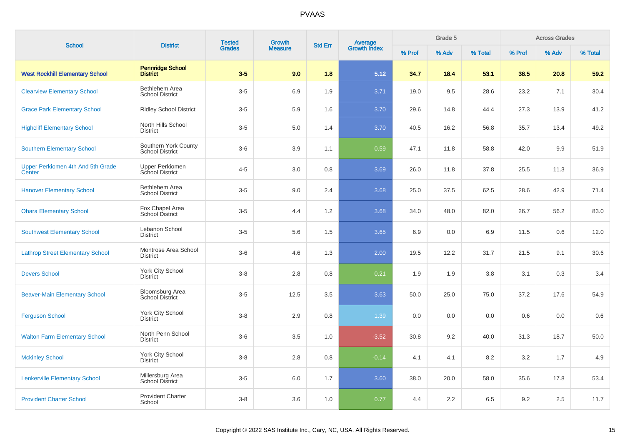| <b>School</b>                               | <b>District</b>                                | <b>Tested</b> | <b>Growth</b><br><b>Average</b><br>Growth Index<br><b>Std Err</b><br><b>Measure</b> | Grade 5 |         |        | <b>Across Grades</b> |         |        |       |         |
|---------------------------------------------|------------------------------------------------|---------------|-------------------------------------------------------------------------------------|---------|---------|--------|----------------------|---------|--------|-------|---------|
|                                             |                                                | <b>Grades</b> |                                                                                     |         |         | % Prof | % Adv                | % Total | % Prof | % Adv | % Total |
| <b>West Rockhill Elementary School</b>      | <b>Pennridge School</b><br><b>District</b>     | $3-5$         | 9.0                                                                                 | 1.8     | 5.12    | 34.7   | 18.4                 | 53.1    | 38.5   | 20.8  | 59.2    |
| <b>Clearview Elementary School</b>          | Bethlehem Area<br><b>School District</b>       | $3-5$         | 6.9                                                                                 | 1.9     | 3.71    | 19.0   | 9.5                  | 28.6    | 23.2   | 7.1   | 30.4    |
| <b>Grace Park Elementary School</b>         | <b>Ridley School District</b>                  | $3-5$         | 5.9                                                                                 | 1.6     | 3.70    | 29.6   | 14.8                 | 44.4    | 27.3   | 13.9  | 41.2    |
| <b>Highcliff Elementary School</b>          | North Hills School<br><b>District</b>          | $3-5$         | 5.0                                                                                 | 1.4     | 3.70    | 40.5   | 16.2                 | 56.8    | 35.7   | 13.4  | 49.2    |
| <b>Southern Elementary School</b>           | Southern York County<br><b>School District</b> | $3-6$         | 3.9                                                                                 | 1.1     | 0.59    | 47.1   | 11.8                 | 58.8    | 42.0   | 9.9   | 51.9    |
| Upper Perkiomen 4th And 5th Grade<br>Center | <b>Upper Perkiomen</b><br>School District      | $4 - 5$       | 3.0                                                                                 | 0.8     | 3.69    | 26.0   | 11.8                 | 37.8    | 25.5   | 11.3  | 36.9    |
| <b>Hanover Elementary School</b>            | Bethlehem Area<br><b>School District</b>       | $3-5$         | 9.0                                                                                 | 2.4     | 3.68    | 25.0   | 37.5                 | 62.5    | 28.6   | 42.9  | 71.4    |
| <b>Ohara Elementary School</b>              | Fox Chapel Area<br>School District             | $3-5$         | 4.4                                                                                 | 1.2     | 3.68    | 34.0   | 48.0                 | 82.0    | 26.7   | 56.2  | 83.0    |
| <b>Southwest Elementary School</b>          | Lebanon School<br><b>District</b>              | $3-5$         | 5.6                                                                                 | 1.5     | 3.65    | 6.9    | 0.0                  | 6.9     | 11.5   | 0.6   | 12.0    |
| <b>Lathrop Street Elementary School</b>     | Montrose Area School<br><b>District</b>        | $3-6$         | 4.6                                                                                 | 1.3     | 2.00    | 19.5   | 12.2                 | 31.7    | 21.5   | 9.1   | 30.6    |
| <b>Devers School</b>                        | York City School<br><b>District</b>            | $3-8$         | 2.8                                                                                 | 0.8     | 0.21    | 1.9    | 1.9                  | 3.8     | 3.1    | 0.3   | 3.4     |
| <b>Beaver-Main Elementary School</b>        | <b>Bloomsburg Area</b><br>School District      | $3-5$         | 12.5                                                                                | 3.5     | 3.63    | 50.0   | 25.0                 | 75.0    | 37.2   | 17.6  | 54.9    |
| <b>Ferguson School</b>                      | York City School<br><b>District</b>            | $3-8$         | 2.9                                                                                 | 0.8     | 1.39    | 0.0    | 0.0                  | 0.0     | 0.6    | 0.0   | 0.6     |
| <b>Walton Farm Elementary School</b>        | North Penn School<br><b>District</b>           | $3-6$         | 3.5                                                                                 | 1.0     | $-3.52$ | 30.8   | 9.2                  | 40.0    | 31.3   | 18.7  | 50.0    |
| <b>Mckinley School</b>                      | York City School<br><b>District</b>            | $3-8$         | 2.8                                                                                 | 0.8     | $-0.14$ | 4.1    | 4.1                  | 8.2     | 3.2    | 1.7   | 4.9     |
| <b>Lenkerville Elementary School</b>        | Millersburg Area<br>School District            | $3-5$         | 6.0                                                                                 | 1.7     | 3.60    | 38.0   | 20.0                 | 58.0    | 35.6   | 17.8  | 53.4    |
| <b>Provident Charter School</b>             | <b>Provident Charter</b><br>School             | $3-8$         | 3.6                                                                                 | 1.0     | 0.77    | 4.4    | 2.2                  | 6.5     | 9.2    | 2.5   | 11.7    |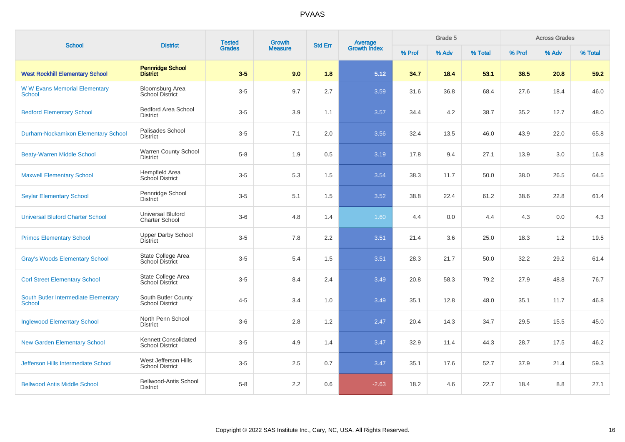| <b>School</b>                                         | <b>District</b>                                   | <b>Tested</b> | Growth         | <b>Std Err</b> | <b>Average</b><br>Growth Index |        | Grade 5 |         |        | <b>Across Grades</b> |         |
|-------------------------------------------------------|---------------------------------------------------|---------------|----------------|----------------|--------------------------------|--------|---------|---------|--------|----------------------|---------|
|                                                       |                                                   | <b>Grades</b> | <b>Measure</b> |                |                                | % Prof | % Adv   | % Total | % Prof | % Adv                | % Total |
| <b>West Rockhill Elementary School</b>                | <b>Pennridge School</b><br><b>District</b>        | $3-5$         | 9.0            | 1.8            | 5.12                           | 34.7   | 18.4    | 53.1    | 38.5   | 20.8                 | 59.2    |
| <b>WW Evans Memorial Elementary</b><br><b>School</b>  | Bloomsburg Area<br><b>School District</b>         | $3-5$         | 9.7            | 2.7            | 3.59                           | 31.6   | 36.8    | 68.4    | 27.6   | 18.4                 | 46.0    |
| <b>Bedford Elementary School</b>                      | <b>Bedford Area School</b><br><b>District</b>     | $3-5$         | 3.9            | 1.1            | 3.57                           | 34.4   | 4.2     | 38.7    | 35.2   | 12.7                 | 48.0    |
| <b>Durham-Nockamixon Elementary School</b>            | Palisades School<br><b>District</b>               | $3-5$         | 7.1            | 2.0            | 3.56                           | 32.4   | 13.5    | 46.0    | 43.9   | 22.0                 | 65.8    |
| <b>Beaty-Warren Middle School</b>                     | <b>Warren County School</b><br><b>District</b>    | $5-8$         | 1.9            | 0.5            | 3.19                           | 17.8   | 9.4     | 27.1    | 13.9   | 3.0                  | 16.8    |
| <b>Maxwell Elementary School</b>                      | Hempfield Area<br>School District                 | $3-5$         | 5.3            | 1.5            | 3.54                           | 38.3   | 11.7    | 50.0    | 38.0   | 26.5                 | 64.5    |
| <b>Seylar Elementary School</b>                       | Pennridge School<br><b>District</b>               | $3-5$         | 5.1            | 1.5            | 3.52                           | 38.8   | 22.4    | 61.2    | 38.6   | 22.8                 | 61.4    |
| <b>Universal Bluford Charter School</b>               | <b>Universal Bluford</b><br><b>Charter School</b> | $3-6$         | 4.8            | 1.4            | 1.60                           | 4.4    | 0.0     | 4.4     | 4.3    | 0.0                  | 4.3     |
| <b>Primos Elementary School</b>                       | <b>Upper Darby School</b><br>District             | $3-5$         | 7.8            | 2.2            | 3.51                           | 21.4   | 3.6     | 25.0    | 18.3   | 1.2                  | 19.5    |
| <b>Gray's Woods Elementary School</b>                 | State College Area<br><b>School District</b>      | $3-5$         | 5.4            | 1.5            | 3.51                           | 28.3   | 21.7    | 50.0    | 32.2   | 29.2                 | 61.4    |
| <b>Corl Street Elementary School</b>                  | State College Area<br><b>School District</b>      | $3-5$         | 8.4            | 2.4            | 3.49                           | 20.8   | 58.3    | 79.2    | 27.9   | 48.8                 | 76.7    |
| South Butler Intermediate Elementary<br><b>School</b> | South Butler County<br><b>School District</b>     | $4 - 5$       | 3.4            | 1.0            | 3.49                           | 35.1   | 12.8    | 48.0    | 35.1   | 11.7                 | 46.8    |
| <b>Inglewood Elementary School</b>                    | North Penn School<br><b>District</b>              | $3-6$         | 2.8            | 1.2            | 2.47                           | 20.4   | 14.3    | 34.7    | 29.5   | 15.5                 | 45.0    |
| <b>New Garden Elementary School</b>                   | Kennett Consolidated<br><b>School District</b>    | $3-5$         | 4.9            | 1.4            | 3.47                           | 32.9   | 11.4    | 44.3    | 28.7   | 17.5                 | 46.2    |
| <b>Jefferson Hills Intermediate School</b>            | West Jefferson Hills<br><b>School District</b>    | $3-5$         | 2.5            | 0.7            | 3.47                           | 35.1   | 17.6    | 52.7    | 37.9   | 21.4                 | 59.3    |
| <b>Bellwood Antis Middle School</b>                   | Bellwood-Antis School<br><b>District</b>          | $5-8$         | 2.2            | 0.6            | $-2.63$                        | 18.2   | 4.6     | 22.7    | 18.4   | 8.8                  | 27.1    |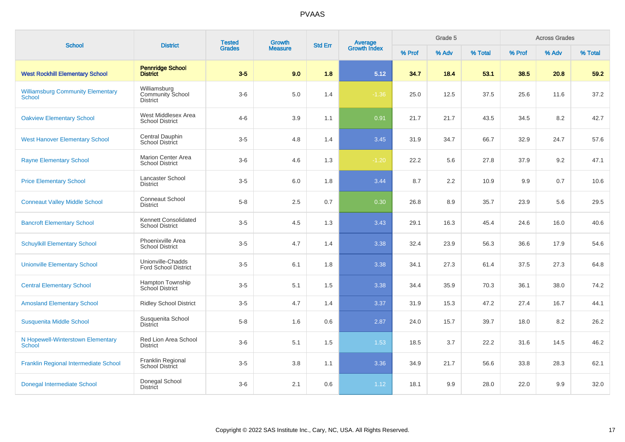| <b>School</b>                                             | <b>District</b>                                            | <b>Tested</b> | Growth         | <b>Std Err</b> |                                |        | Grade 5 |         |        | <b>Across Grades</b> |         |  |
|-----------------------------------------------------------|------------------------------------------------------------|---------------|----------------|----------------|--------------------------------|--------|---------|---------|--------|----------------------|---------|--|
|                                                           |                                                            | <b>Grades</b> | <b>Measure</b> |                | <b>Average</b><br>Growth Index | % Prof | % Adv   | % Total | % Prof | % Adv                | % Total |  |
| <b>West Rockhill Elementary School</b>                    | <b>Pennridge School</b><br><b>District</b>                 | $3-5$         | 9.0            | 1.8            | 5.12                           | 34.7   | 18.4    | 53.1    | 38.5   | 20.8                 | 59.2    |  |
| <b>Williamsburg Community Elementary</b><br><b>School</b> | Williamsburg<br><b>Community School</b><br><b>District</b> | $3-6$         | $5.0\,$        | 1.4            | $-1.36$                        | 25.0   | 12.5    | 37.5    | 25.6   | 11.6                 | 37.2    |  |
| <b>Oakview Elementary School</b>                          | West Middlesex Area<br><b>School District</b>              | $4 - 6$       | 3.9            | 1.1            | 0.91                           | 21.7   | 21.7    | 43.5    | 34.5   | 8.2                  | 42.7    |  |
| <b>West Hanover Elementary School</b>                     | Central Dauphin<br><b>School District</b>                  | $3-5$         | 4.8            | 1.4            | 3.45                           | 31.9   | 34.7    | 66.7    | 32.9   | 24.7                 | 57.6    |  |
| <b>Rayne Elementary School</b>                            | <b>Marion Center Area</b><br><b>School District</b>        | $3-6$         | 4.6            | 1.3            | $-1.20$                        | 22.2   | 5.6     | 27.8    | 37.9   | 9.2                  | 47.1    |  |
| <b>Price Elementary School</b>                            | Lancaster School<br><b>District</b>                        | $3-5$         | 6.0            | 1.8            | 3.44                           | 8.7    | 2.2     | 10.9    | 9.9    | 0.7                  | 10.6    |  |
| <b>Conneaut Valley Middle School</b>                      | Conneaut School<br><b>District</b>                         | $5 - 8$       | 2.5            | 0.7            | 0.30                           | 26.8   | 8.9     | 35.7    | 23.9   | 5.6                  | 29.5    |  |
| <b>Bancroft Elementary School</b>                         | Kennett Consolidated<br><b>School District</b>             | $3-5$         | 4.5            | 1.3            | 3.43                           | 29.1   | 16.3    | 45.4    | 24.6   | 16.0                 | 40.6    |  |
| <b>Schuylkill Elementary School</b>                       | Phoenixville Area<br><b>School District</b>                | $3-5$         | 4.7            | 1.4            | 3.38                           | 32.4   | 23.9    | 56.3    | 36.6   | 17.9                 | 54.6    |  |
| <b>Unionville Elementary School</b>                       | Unionville-Chadds<br><b>Ford School District</b>           | $3-5$         | 6.1            | 1.8            | 3.38                           | 34.1   | 27.3    | 61.4    | 37.5   | 27.3                 | 64.8    |  |
| <b>Central Elementary School</b>                          | <b>Hampton Township</b><br><b>School District</b>          | $3-5$         | 5.1            | 1.5            | 3.38                           | 34.4   | 35.9    | 70.3    | 36.1   | 38.0                 | 74.2    |  |
| <b>Amosland Elementary School</b>                         | <b>Ridley School District</b>                              | $3-5$         | 4.7            | 1.4            | 3.37                           | 31.9   | 15.3    | 47.2    | 27.4   | 16.7                 | 44.1    |  |
| Susquenita Middle School                                  | Susquenita School<br><b>District</b>                       | $5-8$         | 1.6            | 0.6            | 2.87                           | 24.0   | 15.7    | 39.7    | 18.0   | 8.2                  | 26.2    |  |
| N Hopewell-Winterstown Elementary<br><b>School</b>        | Red Lion Area School<br><b>District</b>                    | $3-6$         | 5.1            | 1.5            | 1.53                           | 18.5   | 3.7     | 22.2    | 31.6   | 14.5                 | 46.2    |  |
| Franklin Regional Intermediate School                     | Franklin Regional<br>School District                       | $3-5$         | 3.8            | 1.1            | 3.36                           | 34.9   | 21.7    | 56.6    | 33.8   | 28.3                 | 62.1    |  |
| Donegal Intermediate School                               | Donegal School<br><b>District</b>                          | $3-6$         | 2.1            | 0.6            | 1.12                           | 18.1   | 9.9     | 28.0    | 22.0   | 9.9                  | 32.0    |  |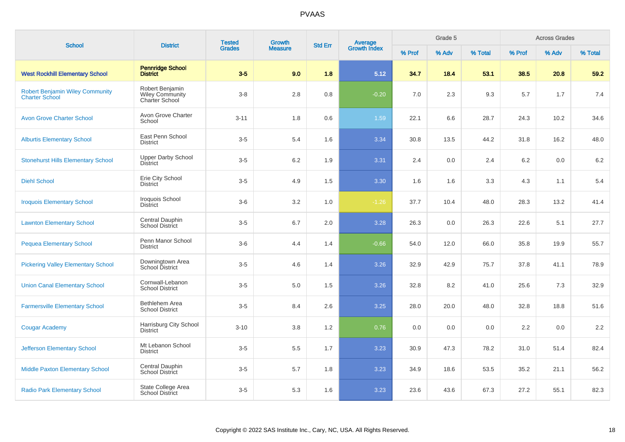| <b>School</b>                                                   | <b>District</b>                                             | <b>Tested</b> | <b>Growth</b>  | <b>Std Err</b> | Average<br>Growth Index |        | Grade 5 |         |        | <b>Across Grades</b> |         |
|-----------------------------------------------------------------|-------------------------------------------------------------|---------------|----------------|----------------|-------------------------|--------|---------|---------|--------|----------------------|---------|
|                                                                 |                                                             | <b>Grades</b> | <b>Measure</b> |                |                         | % Prof | % Adv   | % Total | % Prof | % Adv                | % Total |
| <b>West Rockhill Elementary School</b>                          | <b>Pennridge School</b><br><b>District</b>                  | $3-5$         | 9.0            | 1.8            | 5.12                    | 34.7   | 18.4    | 53.1    | 38.5   | 20.8                 | 59.2    |
| <b>Robert Benjamin Wiley Community</b><br><b>Charter School</b> | Robert Benjamin<br><b>Wiley Community</b><br>Charter School | $3 - 8$       | 2.8            | 0.8            | $-0.20$                 | 7.0    | 2.3     | 9.3     | 5.7    | 1.7                  | 7.4     |
| <b>Avon Grove Charter School</b>                                | Avon Grove Charter<br>School                                | $3 - 11$      | 1.8            | 0.6            | 1.59                    | 22.1   | 6.6     | 28.7    | 24.3   | 10.2                 | 34.6    |
| <b>Alburtis Elementary School</b>                               | East Penn School<br><b>District</b>                         | $3-5$         | 5.4            | 1.6            | 3.34                    | 30.8   | 13.5    | 44.2    | 31.8   | 16.2                 | 48.0    |
| <b>Stonehurst Hills Elementary School</b>                       | <b>Upper Darby School</b><br><b>District</b>                | $3-5$         | 6.2            | 1.9            | 3.31                    | 2.4    | 0.0     | 2.4     | 6.2    | 0.0                  | 6.2     |
| <b>Diehl School</b>                                             | Erie City School<br><b>District</b>                         | $3-5$         | 4.9            | 1.5            | 3.30                    | 1.6    | 1.6     | 3.3     | 4.3    | 1.1                  | 5.4     |
| <b>Iroquois Elementary School</b>                               | Iroquois School<br><b>District</b>                          | $3-6$         | 3.2            | 1.0            | $-1.26$                 | 37.7   | 10.4    | 48.0    | 28.3   | 13.2                 | 41.4    |
| <b>Lawnton Elementary School</b>                                | Central Dauphin<br>School District                          | $3-5$         | 6.7            | 2.0            | 3.28                    | 26.3   | 0.0     | 26.3    | 22.6   | 5.1                  | 27.7    |
| <b>Pequea Elementary School</b>                                 | Penn Manor School<br><b>District</b>                        | $3-6$         | 4.4            | 1.4            | $-0.66$                 | 54.0   | 12.0    | 66.0    | 35.8   | 19.9                 | 55.7    |
| <b>Pickering Valley Elementary School</b>                       | Downingtown Area<br>School District                         | $3-5$         | 4.6            | 1.4            | 3.26                    | 32.9   | 42.9    | 75.7    | 37.8   | 41.1                 | 78.9    |
| <b>Union Canal Elementary School</b>                            | Cornwall-Lebanon<br><b>School District</b>                  | $3-5$         | 5.0            | 1.5            | 3.26                    | 32.8   | 8.2     | 41.0    | 25.6   | 7.3                  | 32.9    |
| <b>Farmersville Elementary School</b>                           | Bethlehem Area<br><b>School District</b>                    | $3-5$         | 8.4            | 2.6            | 3.25                    | 28.0   | 20.0    | 48.0    | 32.8   | 18.8                 | 51.6    |
| <b>Cougar Academy</b>                                           | Harrisburg City School<br><b>District</b>                   | $3 - 10$      | 3.8            | 1.2            | 0.76                    | 0.0    | 0.0     | 0.0     | 2.2    | 0.0                  | 2.2     |
| <b>Jefferson Elementary School</b>                              | Mt Lebanon School<br><b>District</b>                        | $3-5$         | 5.5            | 1.7            | 3.23                    | 30.9   | 47.3    | 78.2    | 31.0   | 51.4                 | 82.4    |
| <b>Middle Paxton Elementary School</b>                          | Central Dauphin<br><b>School District</b>                   | $3-5$         | 5.7            | 1.8            | 3.23                    | 34.9   | 18.6    | 53.5    | 35.2   | 21.1                 | 56.2    |
| <b>Radio Park Elementary School</b>                             | State College Area<br><b>School District</b>                | $3-5$         | 5.3            | 1.6            | 3.23                    | 23.6   | 43.6    | 67.3    | 27.2   | 55.1                 | 82.3    |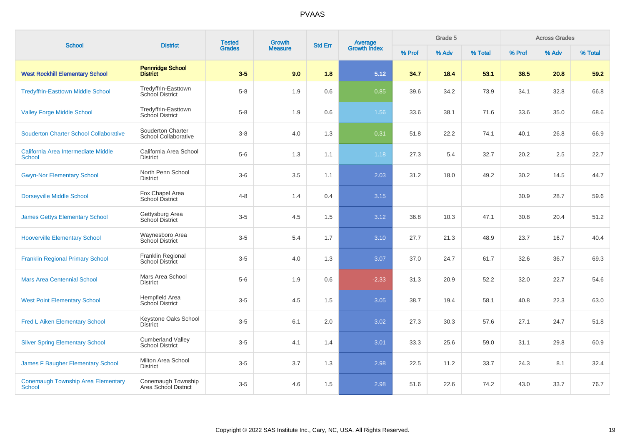| <b>School</b>                                              | <b>District</b>                                    | <b>Tested</b> | Growth         | <b>Std Err</b> |                                |        | Grade 5 |         |        | <b>Across Grades</b> |         |
|------------------------------------------------------------|----------------------------------------------------|---------------|----------------|----------------|--------------------------------|--------|---------|---------|--------|----------------------|---------|
|                                                            |                                                    | <b>Grades</b> | <b>Measure</b> |                | <b>Average</b><br>Growth Index | % Prof | % Adv   | % Total | % Prof | % Adv                | % Total |
| <b>West Rockhill Elementary School</b>                     | <b>Pennridge School</b><br><b>District</b>         | $3-5$         | 9.0            | 1.8            | 5.12                           | 34.7   | 18.4    | 53.1    | 38.5   | 20.8                 | 59.2    |
| <b>Tredyffrin-Easttown Middle School</b>                   | Tredyffrin-Easttown<br><b>School District</b>      | $5 - 8$       | 1.9            | 0.6            | 0.85                           | 39.6   | 34.2    | 73.9    | 34.1   | 32.8                 | 66.8    |
| <b>Valley Forge Middle School</b>                          | Tredyffrin-Easttown<br>School District             | $5-8$         | 1.9            | 0.6            | 1.56                           | 33.6   | 38.1    | 71.6    | 33.6   | 35.0                 | 68.6    |
| <b>Souderton Charter School Collaborative</b>              | Souderton Charter<br>School Collaborative          | $3 - 8$       | 4.0            | 1.3            | 0.31                           | 51.8   | 22.2    | 74.1    | 40.1   | 26.8                 | 66.9    |
| California Area Intermediate Middle<br><b>School</b>       | California Area School<br><b>District</b>          | $5-6$         | 1.3            | 1.1            | 1.18                           | 27.3   | 5.4     | 32.7    | 20.2   | 2.5                  | 22.7    |
| <b>Gwyn-Nor Elementary School</b>                          | North Penn School<br><b>District</b>               | $3-6$         | 3.5            | 1.1            | 2.03                           | 31.2   | 18.0    | 49.2    | 30.2   | 14.5                 | 44.7    |
| <b>Dorseyville Middle School</b>                           | Fox Chapel Area<br>School District                 | $4 - 8$       | 1.4            | 0.4            | 3.15                           |        |         |         | 30.9   | 28.7                 | 59.6    |
| <b>James Gettys Elementary School</b>                      | Gettysburg Area<br>School District                 | $3-5$         | 4.5            | 1.5            | 3.12                           | 36.8   | 10.3    | 47.1    | 30.8   | 20.4                 | 51.2    |
| <b>Hooverville Elementary School</b>                       | Waynesboro Area<br>School District                 | $3-5$         | 5.4            | 1.7            | 3.10                           | 27.7   | 21.3    | 48.9    | 23.7   | 16.7                 | 40.4    |
| <b>Franklin Regional Primary School</b>                    | Franklin Regional<br><b>School District</b>        | $3-5$         | 4.0            | 1.3            | 3.07                           | 37.0   | 24.7    | 61.7    | 32.6   | 36.7                 | 69.3    |
| <b>Mars Area Centennial School</b>                         | Mars Area School<br><b>District</b>                | $5-6$         | 1.9            | 0.6            | $-2.33$                        | 31.3   | 20.9    | 52.2    | 32.0   | 22.7                 | 54.6    |
| <b>West Point Elementary School</b>                        | Hempfield Area<br><b>School District</b>           | $3-5$         | 4.5            | 1.5            | 3.05                           | 38.7   | 19.4    | 58.1    | 40.8   | 22.3                 | 63.0    |
| <b>Fred L Aiken Elementary School</b>                      | Keystone Oaks School<br><b>District</b>            | $3-5$         | 6.1            | 2.0            | 3.02                           | 27.3   | 30.3    | 57.6    | 27.1   | 24.7                 | 51.8    |
| <b>Silver Spring Elementary School</b>                     | <b>Cumberland Valley</b><br><b>School District</b> | $3-5$         | 4.1            | 1.4            | 3.01                           | 33.3   | 25.6    | 59.0    | 31.1   | 29.8                 | 60.9    |
| James F Baugher Elementary School                          | Milton Area School<br><b>District</b>              | $3-5$         | 3.7            | 1.3            | 2.98                           | 22.5   | 11.2    | 33.7    | 24.3   | 8.1                  | 32.4    |
| <b>Conemaugh Township Area Elementary</b><br><b>School</b> | Conemaugh Township<br>Area School District         | $3-5$         | 4.6            | 1.5            | 2.98                           | 51.6   | 22.6    | 74.2    | 43.0   | 33.7                 | 76.7    |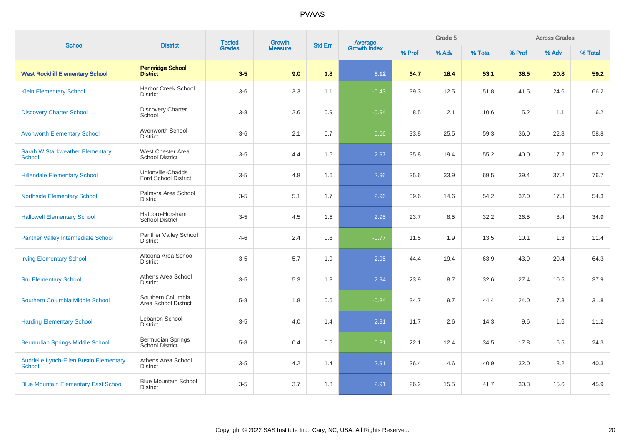| <b>School</b>                                                   | <b>District</b>                                    | <b>Tested</b> | Growth         | <b>Std Err</b> |                                |        | Grade 5 |         |        | <b>Across Grades</b> |         |
|-----------------------------------------------------------------|----------------------------------------------------|---------------|----------------|----------------|--------------------------------|--------|---------|---------|--------|----------------------|---------|
|                                                                 |                                                    | <b>Grades</b> | <b>Measure</b> |                | <b>Average</b><br>Growth Index | % Prof | % Adv   | % Total | % Prof | % Adv                | % Total |
| <b>West Rockhill Elementary School</b>                          | <b>Pennridge School</b><br><b>District</b>         | $3-5$         | 9.0            | 1.8            | 5.12                           | 34.7   | 18.4    | 53.1    | 38.5   | 20.8                 | 59.2    |
| <b>Klein Elementary School</b>                                  | <b>Harbor Creek School</b><br><b>District</b>      | $3-6$         | 3.3            | 1.1            | $-0.43$                        | 39.3   | 12.5    | 51.8    | 41.5   | 24.6                 | 66.2    |
| <b>Discovery Charter School</b>                                 | <b>Discovery Charter</b><br>School                 | $3-8$         | 2.6            | 0.9            | $-0.94$                        | 8.5    | 2.1     | 10.6    | 5.2    | 1.1                  | 6.2     |
| <b>Avonworth Elementary School</b>                              | Avonworth School<br><b>District</b>                | $3-6$         | 2.1            | 0.7            | 0.56                           | 33.8   | 25.5    | 59.3    | 36.0   | 22.8                 | 58.8    |
| <b>Sarah W Starkweather Elementary</b><br><b>School</b>         | West Chester Area<br><b>School District</b>        | $3-5$         | 4.4            | 1.5            | 2.97                           | 35.8   | 19.4    | 55.2    | 40.0   | 17.2                 | 57.2    |
| <b>Hillendale Elementary School</b>                             | Unionville-Chadds<br><b>Ford School District</b>   | $3-5$         | 4.8            | 1.6            | 2.96                           | 35.6   | 33.9    | 69.5    | 39.4   | 37.2                 | 76.7    |
| <b>Northside Elementary School</b>                              | Palmyra Area School<br><b>District</b>             | $3-5$         | 5.1            | 1.7            | 2.96                           | 39.6   | 14.6    | 54.2    | 37.0   | 17.3                 | 54.3    |
| <b>Hallowell Elementary School</b>                              | Hatboro-Horsham<br><b>School District</b>          | $3-5$         | 4.5            | 1.5            | 2.95                           | 23.7   | 8.5     | 32.2    | 26.5   | 8.4                  | 34.9    |
| <b>Panther Valley Intermediate School</b>                       | Panther Valley School<br><b>District</b>           | $4 - 6$       | 2.4            | 0.8            | $-0.77$                        | 11.5   | 1.9     | 13.5    | 10.1   | 1.3                  | 11.4    |
| <b>Irving Elementary School</b>                                 | Altoona Area School<br><b>District</b>             | $3-5$         | 5.7            | 1.9            | 2.95                           | 44.4   | 19.4    | 63.9    | 43.9   | 20.4                 | 64.3    |
| <b>Sru Elementary School</b>                                    | Athens Area School<br><b>District</b>              | $3-5$         | 5.3            | 1.8            | 2.94                           | 23.9   | 8.7     | 32.6    | 27.4   | 10.5                 | 37.9    |
| Southern Columbia Middle School                                 | Southern Columbia<br>Area School District          | $5-8$         | 1.8            | 0.6            | $-0.84$                        | 34.7   | 9.7     | 44.4    | 24.0   | 7.8                  | 31.8    |
| <b>Harding Elementary School</b>                                | Lebanon School<br><b>District</b>                  | $3-5$         | 4.0            | 1.4            | 2.91                           | 11.7   | 2.6     | 14.3    | 9.6    | 1.6                  | 11.2    |
| <b>Bermudian Springs Middle School</b>                          | <b>Bermudian Springs</b><br><b>School District</b> | $5-8$         | 0.4            | 0.5            | 0.81                           | 22.1   | 12.4    | 34.5    | 17.8   | 6.5                  | 24.3    |
| <b>Audrielle Lynch-Ellen Bustin Elementary</b><br><b>School</b> | Athens Area School<br><b>District</b>              | $3-5$         | 4.2            | 1.4            | 2.91                           | 36.4   | 4.6     | 40.9    | 32.0   | 8.2                  | 40.3    |
| <b>Blue Mountain Elementary East School</b>                     | <b>Blue Mountain School</b><br><b>District</b>     | $3-5$         | 3.7            | 1.3            | 2.91                           | 26.2   | 15.5    | 41.7    | 30.3   | 15.6                 | 45.9    |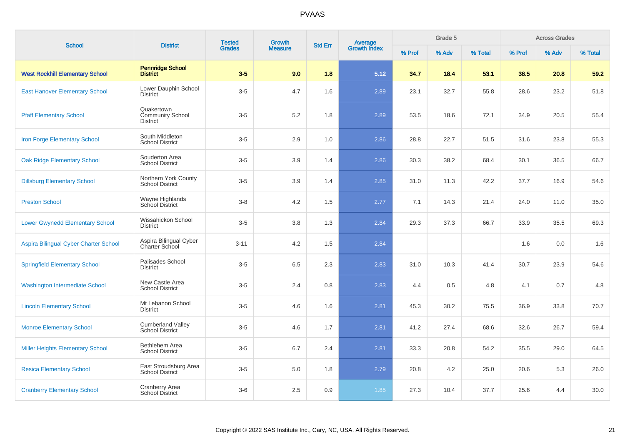| <b>School</b>                           | <b>District</b>                                          | <b>Tested</b> | <b>Growth</b>  | <b>Std Err</b> | Average<br>Growth Index |        | Grade 5 |         |        | <b>Across Grades</b> |         |
|-----------------------------------------|----------------------------------------------------------|---------------|----------------|----------------|-------------------------|--------|---------|---------|--------|----------------------|---------|
|                                         |                                                          | <b>Grades</b> | <b>Measure</b> |                |                         | % Prof | % Adv   | % Total | % Prof | % Adv                | % Total |
| <b>West Rockhill Elementary School</b>  | <b>Pennridge School</b><br><b>District</b>               | $3-5$         | 9.0            | 1.8            | 5.12                    | 34.7   | 18.4    | 53.1    | 38.5   | 20.8                 | 59.2    |
| <b>East Hanover Elementary School</b>   | Lower Dauphin School<br>District                         | $3-5$         | 4.7            | 1.6            | 2.89                    | 23.1   | 32.7    | 55.8    | 28.6   | 23.2                 | 51.8    |
| <b>Pfaff Elementary School</b>          | Quakertown<br><b>Community School</b><br><b>District</b> | $3-5$         | 5.2            | 1.8            | 2.89                    | 53.5   | 18.6    | 72.1    | 34.9   | 20.5                 | 55.4    |
| Iron Forge Elementary School            | South Middleton<br><b>School District</b>                | $3-5$         | 2.9            | 1.0            | 2.86                    | 28.8   | 22.7    | 51.5    | 31.6   | 23.8                 | 55.3    |
| <b>Oak Ridge Elementary School</b>      | Souderton Area<br><b>School District</b>                 | $3-5$         | 3.9            | 1.4            | 2.86                    | 30.3   | 38.2    | 68.4    | 30.1   | 36.5                 | 66.7    |
| <b>Dillsburg Elementary School</b>      | Northern York County<br><b>School District</b>           | $3-5$         | 3.9            | 1.4            | 2.85                    | 31.0   | 11.3    | 42.2    | 37.7   | 16.9                 | 54.6    |
| <b>Preston School</b>                   | Wayne Highlands<br>School District                       | $3 - 8$       | 4.2            | 1.5            | 2.77                    | 7.1    | 14.3    | 21.4    | 24.0   | 11.0                 | 35.0    |
| <b>Lower Gwynedd Elementary School</b>  | Wissahickon School<br><b>District</b>                    | $3-5$         | 3.8            | 1.3            | 2.84                    | 29.3   | 37.3    | 66.7    | 33.9   | 35.5                 | 69.3    |
| Aspira Bilingual Cyber Charter School   | Aspira Bilingual Cyber<br>Charter School                 | $3 - 11$      | 4.2            | 1.5            | 2.84                    |        |         |         | 1.6    | 0.0                  | 1.6     |
| <b>Springfield Elementary School</b>    | Palisades School<br><b>District</b>                      | $3-5$         | 6.5            | 2.3            | 2.83                    | 31.0   | 10.3    | 41.4    | 30.7   | 23.9                 | 54.6    |
| <b>Washington Intermediate School</b>   | New Castle Area<br><b>School District</b>                | $3-5$         | 2.4            | 0.8            | 2.83                    | 4.4    | 0.5     | 4.8     | 4.1    | 0.7                  | 4.8     |
| <b>Lincoln Elementary School</b>        | Mt Lebanon School<br><b>District</b>                     | $3-5$         | 4.6            | 1.6            | 2.81                    | 45.3   | 30.2    | 75.5    | 36.9   | 33.8                 | 70.7    |
| <b>Monroe Elementary School</b>         | <b>Cumberland Valley</b><br><b>School District</b>       | $3-5$         | 4.6            | 1.7            | 2.81                    | 41.2   | 27.4    | 68.6    | 32.6   | 26.7                 | 59.4    |
| <b>Miller Heights Elementary School</b> | Bethlehem Area<br><b>School District</b>                 | $3-5$         | 6.7            | 2.4            | 2.81                    | 33.3   | 20.8    | 54.2    | 35.5   | 29.0                 | 64.5    |
| <b>Resica Elementary School</b>         | East Stroudsburg Area<br><b>School District</b>          | $3-5$         | $5.0\,$        | 1.8            | 2.79                    | 20.8   | 4.2     | 25.0    | 20.6   | 5.3                  | 26.0    |
| <b>Cranberry Elementary School</b>      | <b>Cranberry Area</b><br>School District                 | $3-6$         | 2.5            | 0.9            | 1.85                    | 27.3   | 10.4    | 37.7    | 25.6   | 4.4                  | 30.0    |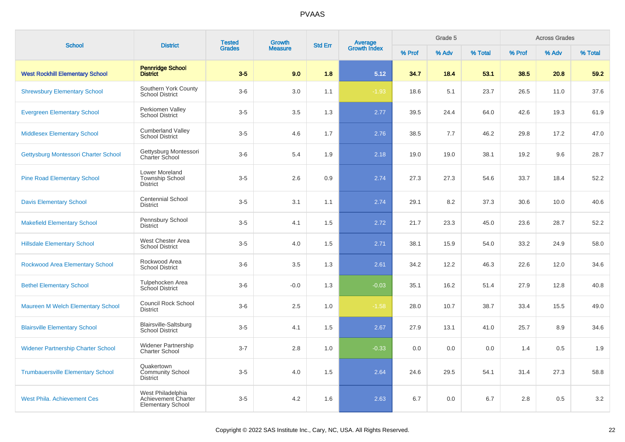| <b>School</b>                             | <b>District</b>                                                      | <b>Tested</b><br><b>Growth</b> |                | <b>Std Err</b> | Average             |        | Grade 5 |         |        | <b>Across Grades</b> |         |
|-------------------------------------------|----------------------------------------------------------------------|--------------------------------|----------------|----------------|---------------------|--------|---------|---------|--------|----------------------|---------|
|                                           |                                                                      | <b>Grades</b>                  | <b>Measure</b> |                | <b>Growth Index</b> | % Prof | % Adv   | % Total | % Prof | % Adv                | % Total |
| <b>West Rockhill Elementary School</b>    | <b>Pennridge School</b><br><b>District</b>                           | $3-5$                          | 9.0            | 1.8            | 5.12                | 34.7   | 18.4    | 53.1    | 38.5   | 20.8                 | 59.2    |
| <b>Shrewsbury Elementary School</b>       | Southern York County<br><b>School District</b>                       | $3-6$                          | 3.0            | 1.1            | $-1.93$             | 18.6   | 5.1     | 23.7    | 26.5   | 11.0                 | 37.6    |
| <b>Evergreen Elementary School</b>        | Perkiomen Valley<br><b>School District</b>                           | $3-5$                          | 3.5            | 1.3            | 2.77                | 39.5   | 24.4    | 64.0    | 42.6   | 19.3                 | 61.9    |
| <b>Middlesex Elementary School</b>        | <b>Cumberland Valley</b><br><b>School District</b>                   | $3-5$                          | 4.6            | 1.7            | 2.76                | 38.5   | 7.7     | 46.2    | 29.8   | 17.2                 | 47.0    |
| Gettysburg Montessori Charter School      | Gettysburg Montessori<br><b>Charter School</b>                       | $3-6$                          | 5.4            | 1.9            | 2.18                | 19.0   | 19.0    | 38.1    | 19.2   | 9.6                  | 28.7    |
| <b>Pine Road Elementary School</b>        | Lower Moreland<br><b>Township School</b><br><b>District</b>          | $3-5$                          | 2.6            | 0.9            | 2.74                | 27.3   | 27.3    | 54.6    | 33.7   | 18.4                 | 52.2    |
| <b>Davis Elementary School</b>            | <b>Centennial School</b><br><b>District</b>                          | $3-5$                          | 3.1            | 1.1            | 2.74                | 29.1   | 8.2     | 37.3    | 30.6   | 10.0                 | 40.6    |
| <b>Makefield Elementary School</b>        | Pennsbury School<br><b>District</b>                                  | $3-5$                          | 4.1            | 1.5            | 2.72                | 21.7   | 23.3    | 45.0    | 23.6   | 28.7                 | 52.2    |
| <b>Hillsdale Elementary School</b>        | West Chester Area<br><b>School District</b>                          | $3-5$                          | 4.0            | 1.5            | 2.71                | 38.1   | 15.9    | 54.0    | 33.2   | 24.9                 | 58.0    |
| Rockwood Area Elementary School           | Rockwood Area<br><b>School District</b>                              | $3-6$                          | 3.5            | 1.3            | 2.61                | 34.2   | 12.2    | 46.3    | 22.6   | 12.0                 | 34.6    |
| <b>Bethel Elementary School</b>           | Tulpehocken Area<br>School District                                  | $3-6$                          | $-0.0$         | 1.3            | $-0.03$             | 35.1   | 16.2    | 51.4    | 27.9   | 12.8                 | 40.8    |
| Maureen M Welch Elementary School         | <b>Council Rock School</b><br><b>District</b>                        | $3-6$                          | 2.5            | 1.0            | $-1.58$             | 28.0   | 10.7    | 38.7    | 33.4   | 15.5                 | 49.0    |
| <b>Blairsville Elementary School</b>      | Blairsville-Saltsburg<br><b>School District</b>                      | $3-5$                          | 4.1            | 1.5            | 2.67                | 27.9   | 13.1    | 41.0    | 25.7   | 8.9                  | 34.6    |
| <b>Widener Partnership Charter School</b> | <b>Widener Partnership</b><br><b>Charter School</b>                  | $3 - 7$                        | 2.8            | 1.0            | $-0.33$             | 0.0    | 0.0     | 0.0     | 1.4    | 0.5                  | 1.9     |
| <b>Trumbauersville Elementary School</b>  | Quakertown<br><b>Community School</b><br>District                    | $3-5$                          | 4.0            | 1.5            | 2.64                | 24.6   | 29.5    | 54.1    | 31.4   | 27.3                 | 58.8    |
| <b>West Phila. Achievement Ces</b>        | West Philadelphia<br>Achievement Charter<br><b>Elementary School</b> | $3-5$                          | 4.2            | 1.6            | 2.63                | 6.7    | 0.0     | 6.7     | 2.8    | 0.5                  | 3.2     |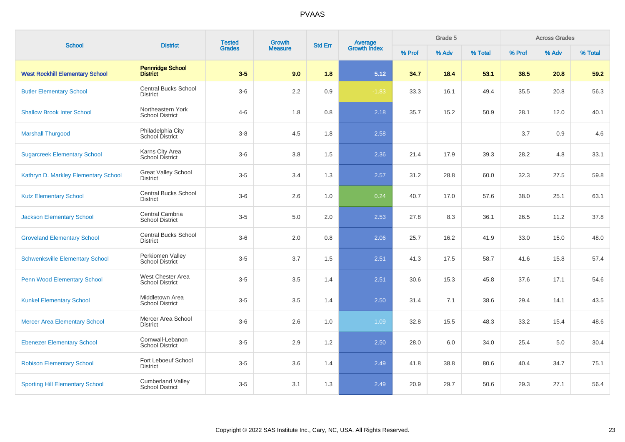| <b>School</b>                          | <b>District</b>                                    | <b>Tested</b> | Growth         | <b>Std Err</b> |                                |        | Grade 5 |         |        | <b>Across Grades</b> |         |
|----------------------------------------|----------------------------------------------------|---------------|----------------|----------------|--------------------------------|--------|---------|---------|--------|----------------------|---------|
|                                        |                                                    | <b>Grades</b> | <b>Measure</b> |                | <b>Average</b><br>Growth Index | % Prof | % Adv   | % Total | % Prof | % Adv                | % Total |
| <b>West Rockhill Elementary School</b> | <b>Pennridge School</b><br><b>District</b>         | $3-5$         | 9.0            | 1.8            | 5.12                           | 34.7   | 18.4    | 53.1    | 38.5   | 20.8                 | 59.2    |
| <b>Butler Elementary School</b>        | <b>Central Bucks School</b><br><b>District</b>     | $3-6$         | 2.2            | 0.9            | $-1.83$                        | 33.3   | 16.1    | 49.4    | 35.5   | 20.8                 | 56.3    |
| <b>Shallow Brook Inter School</b>      | Northeastern York<br><b>School District</b>        | $4 - 6$       | 1.8            | 0.8            | 2.18                           | 35.7   | 15.2    | 50.9    | 28.1   | 12.0                 | 40.1    |
| <b>Marshall Thurgood</b>               | Philadelphia City<br>School District               | $3 - 8$       | 4.5            | 1.8            | 2.58                           |        |         |         | 3.7    | 0.9                  | 4.6     |
| <b>Sugarcreek Elementary School</b>    | Karns City Area<br><b>School District</b>          | $3-6$         | 3.8            | 1.5            | 2.36                           | 21.4   | 17.9    | 39.3    | 28.2   | 4.8                  | 33.1    |
| Kathryn D. Markley Elementary School   | <b>Great Valley School</b><br><b>District</b>      | $3-5$         | 3.4            | 1.3            | 2.57                           | 31.2   | 28.8    | 60.0    | 32.3   | 27.5                 | 59.8    |
| <b>Kutz Elementary School</b>          | <b>Central Bucks School</b><br><b>District</b>     | $3-6$         | 2.6            | 1.0            | 0.24                           | 40.7   | 17.0    | 57.6    | 38.0   | 25.1                 | 63.1    |
| <b>Jackson Elementary School</b>       | Central Cambria<br><b>School District</b>          | $3-5$         | 5.0            | 2.0            | 2.53                           | 27.8   | 8.3     | 36.1    | 26.5   | 11.2                 | 37.8    |
| <b>Groveland Elementary School</b>     | <b>Central Bucks School</b><br><b>District</b>     | $3-6$         | 2.0            | 0.8            | 2.06                           | 25.7   | 16.2    | 41.9    | 33.0   | 15.0                 | 48.0    |
| <b>Schwenksville Elementary School</b> | Perkiomen Valley<br><b>School District</b>         | $3-5$         | 3.7            | 1.5            | 2.51                           | 41.3   | 17.5    | 58.7    | 41.6   | 15.8                 | 57.4    |
| <b>Penn Wood Elementary School</b>     | West Chester Area<br><b>School District</b>        | $3-5$         | 3.5            | 1.4            | 2.51                           | 30.6   | 15.3    | 45.8    | 37.6   | 17.1                 | 54.6    |
| <b>Kunkel Elementary School</b>        | Middletown Area<br><b>School District</b>          | $3-5$         | 3.5            | 1.4            | 2.50                           | 31.4   | 7.1     | 38.6    | 29.4   | 14.1                 | 43.5    |
| <b>Mercer Area Elementary School</b>   | Mercer Area School<br><b>District</b>              | $3-6$         | 2.6            | 1.0            | 1.09                           | 32.8   | 15.5    | 48.3    | 33.2   | 15.4                 | 48.6    |
| <b>Ebenezer Elementary School</b>      | Cornwall-Lebanon<br><b>School District</b>         | $3-5$         | 2.9            | 1.2            | 2.50                           | 28.0   | 6.0     | 34.0    | 25.4   | 5.0                  | 30.4    |
| <b>Robison Elementary School</b>       | Fort Leboeuf School<br><b>District</b>             | $3-5$         | 3.6            | 1.4            | 2.49                           | 41.8   | 38.8    | 80.6    | 40.4   | 34.7                 | 75.1    |
| <b>Sporting Hill Elementary School</b> | <b>Cumberland Valley</b><br><b>School District</b> | $3-5$         | 3.1            | 1.3            | 2.49                           | 20.9   | 29.7    | 50.6    | 29.3   | 27.1                 | 56.4    |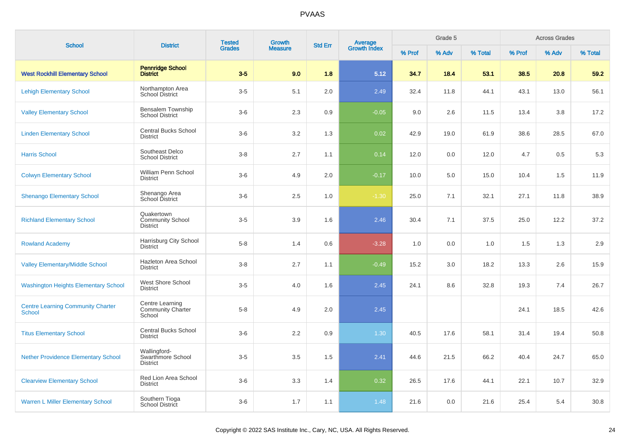| <b>School</b>                                             | <b>District</b>                                          | <b>Tested</b> | <b>Growth</b>  |     | <b>Average</b><br>Growth Index<br><b>Std Err</b> |        | Grade 5 |         |        | <b>Across Grades</b> |         |
|-----------------------------------------------------------|----------------------------------------------------------|---------------|----------------|-----|--------------------------------------------------|--------|---------|---------|--------|----------------------|---------|
|                                                           |                                                          | <b>Grades</b> | <b>Measure</b> |     |                                                  | % Prof | % Adv   | % Total | % Prof | % Adv                | % Total |
| <b>West Rockhill Elementary School</b>                    | <b>Pennridge School</b><br><b>District</b>               | $3-5$         | 9.0            | 1.8 | 5.12                                             | 34.7   | 18.4    | 53.1    | 38.5   | 20.8                 | 59.2    |
| <b>Lehigh Elementary School</b>                           | Northampton Area<br>School District                      | $3-5$         | 5.1            | 2.0 | 2.49                                             | 32.4   | 11.8    | 44.1    | 43.1   | 13.0                 | 56.1    |
| <b>Valley Elementary School</b>                           | Bensalem Township<br><b>School District</b>              | $3-6$         | 2.3            | 0.9 | $-0.05$                                          | 9.0    | 2.6     | 11.5    | 13.4   | 3.8                  | 17.2    |
| <b>Linden Elementary School</b>                           | Central Bucks School<br><b>District</b>                  | $3-6$         | 3.2            | 1.3 | 0.02                                             | 42.9   | 19.0    | 61.9    | 38.6   | 28.5                 | 67.0    |
| <b>Harris School</b>                                      | Southeast Delco<br><b>School District</b>                | $3-8$         | 2.7            | 1.1 | 0.14                                             | 12.0   | 0.0     | 12.0    | 4.7    | 0.5                  | 5.3     |
| <b>Colwyn Elementary School</b>                           | William Penn School<br><b>District</b>                   | $3-6$         | 4.9            | 2.0 | $-0.17$                                          | 10.0   | 5.0     | 15.0    | 10.4   | 1.5                  | 11.9    |
| <b>Shenango Elementary School</b>                         | Shenango Area<br>School District                         | $3-6$         | 2.5            | 1.0 | $-1.30$                                          | 25.0   | 7.1     | 32.1    | 27.1   | 11.8                 | 38.9    |
| <b>Richland Elementary School</b>                         | Quakertown<br><b>Community School</b><br><b>District</b> | $3-5$         | 3.9            | 1.6 | 2.46                                             | 30.4   | 7.1     | 37.5    | 25.0   | 12.2                 | 37.2    |
| <b>Rowland Academy</b>                                    | Harrisburg City School<br><b>District</b>                | $5-8$         | 1.4            | 0.6 | $-3.28$                                          | 1.0    | 0.0     | 1.0     | 1.5    | 1.3                  | 2.9     |
| <b>Valley Elementary/Middle School</b>                    | Hazleton Area School<br><b>District</b>                  | $3-8$         | 2.7            | 1.1 | $-0.49$                                          | 15.2   | 3.0     | 18.2    | 13.3   | 2.6                  | 15.9    |
| <b>Washington Heights Elementary School</b>               | West Shore School<br><b>District</b>                     | $3-5$         | 4.0            | 1.6 | 2.45                                             | 24.1   | 8.6     | 32.8    | 19.3   | 7.4                  | 26.7    |
| <b>Centre Learning Community Charter</b><br><b>School</b> | Centre Learning<br><b>Community Charter</b><br>School    | $5-8$         | 4.9            | 2.0 | 2.45                                             |        |         |         | 24.1   | 18.5                 | 42.6    |
| <b>Titus Elementary School</b>                            | <b>Central Bucks School</b><br><b>District</b>           | $3-6$         | 2.2            | 0.9 | $1.30$                                           | 40.5   | 17.6    | 58.1    | 31.4   | 19.4                 | 50.8    |
| <b>Nether Providence Elementary School</b>                | Wallingford-<br>Swarthmore School<br><b>District</b>     | $3-5$         | 3.5            | 1.5 | 2.41                                             | 44.6   | 21.5    | 66.2    | 40.4   | 24.7                 | 65.0    |
| <b>Clearview Elementary School</b>                        | Red Lion Area School<br><b>District</b>                  | $3-6$         | 3.3            | 1.4 | 0.32                                             | 26.5   | 17.6    | 44.1    | 22.1   | 10.7                 | 32.9    |
| <b>Warren L Miller Elementary School</b>                  | Southern Tioga<br>School District                        | $3-6$         | 1.7            | 1.1 | 1.48                                             | 21.6   | 0.0     | 21.6    | 25.4   | 5.4                  | 30.8    |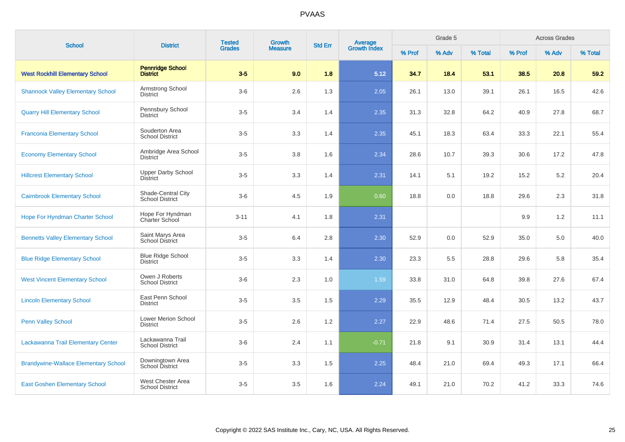| <b>School</b>                               | <b>District</b>                              | <b>Tested</b> | Growth         | <b>Std Err</b> |                                |        | Grade 5 |         |        | <b>Across Grades</b> |         |
|---------------------------------------------|----------------------------------------------|---------------|----------------|----------------|--------------------------------|--------|---------|---------|--------|----------------------|---------|
|                                             |                                              | <b>Grades</b> | <b>Measure</b> |                | <b>Average</b><br>Growth Index | % Prof | % Adv   | % Total | % Prof | % Adv                | % Total |
| <b>West Rockhill Elementary School</b>      | <b>Pennridge School</b><br><b>District</b>   | $3-5$         | 9.0            | 1.8            | 5.12                           | 34.7   | 18.4    | 53.1    | 38.5   | 20.8                 | 59.2    |
| <b>Shannock Valley Elementary School</b>    | Armstrong School<br>District                 | $3-6$         | 2.6            | 1.3            | 2.05                           | 26.1   | 13.0    | 39.1    | 26.1   | 16.5                 | 42.6    |
| <b>Quarry Hill Elementary School</b>        | Pennsbury School<br><b>District</b>          | $3-5$         | 3.4            | 1.4            | 2.35                           | 31.3   | 32.8    | 64.2    | 40.9   | 27.8                 | 68.7    |
| <b>Franconia Elementary School</b>          | Souderton Area<br><b>School District</b>     | $3-5$         | 3.3            | 1.4            | 2.35                           | 45.1   | 18.3    | 63.4    | 33.3   | 22.1                 | 55.4    |
| <b>Economy Elementary School</b>            | Ambridge Area School<br><b>District</b>      | $3-5$         | 3.8            | 1.6            | 2.34                           | 28.6   | 10.7    | 39.3    | 30.6   | 17.2                 | 47.8    |
| <b>Hillcrest Elementary School</b>          | <b>Upper Darby School</b><br><b>District</b> | $3-5$         | 3.3            | 1.4            | 2.31                           | 14.1   | 5.1     | 19.2    | 15.2   | 5.2                  | 20.4    |
| <b>Cairnbrook Elementary School</b>         | Shade-Central City<br><b>School District</b> | $3-6$         | 4.5            | 1.9            | 0.60                           | 18.8   | 0.0     | 18.8    | 29.6   | 2.3                  | 31.8    |
| <b>Hope For Hyndman Charter School</b>      | Hope For Hyndman<br>Charter School           | $3 - 11$      | 4.1            | 1.8            | 2.31                           |        |         |         | 9.9    | 1.2                  | 11.1    |
| <b>Bennetts Valley Elementary School</b>    | Saint Marys Area<br>School District          | $3-5$         | 6.4            | 2.8            | 2.30                           | 52.9   | 0.0     | 52.9    | 35.0   | 5.0                  | 40.0    |
| <b>Blue Ridge Elementary School</b>         | <b>Blue Ridge School</b><br>District         | $3-5$         | 3.3            | 1.4            | 2.30                           | 23.3   | 5.5     | 28.8    | 29.6   | 5.8                  | 35.4    |
| <b>West Vincent Elementary School</b>       | Owen J Roberts<br><b>School District</b>     | $3-6$         | 2.3            | 1.0            | 1.59                           | 33.8   | 31.0    | 64.8    | 39.8   | 27.6                 | 67.4    |
| <b>Lincoln Elementary School</b>            | East Penn School<br><b>District</b>          | $3-5$         | 3.5            | 1.5            | 2.29                           | 35.5   | 12.9    | 48.4    | 30.5   | 13.2                 | 43.7    |
| <b>Penn Valley School</b>                   | Lower Merion School<br><b>District</b>       | $3-5$         | 2.6            | 1.2            | 2.27                           | 22.9   | 48.6    | 71.4    | 27.5   | 50.5                 | 78.0    |
| Lackawanna Trail Elementary Center          | Lackawanna Trail<br><b>School District</b>   | $3-6$         | 2.4            | 1.1            | $-0.71$                        | 21.8   | 9.1     | 30.9    | 31.4   | 13.1                 | 44.4    |
| <b>Brandywine-Wallace Elementary School</b> | Downingtown Area<br><b>School District</b>   | $3-5$         | 3.3            | 1.5            | 2.25                           | 48.4   | 21.0    | 69.4    | 49.3   | 17.1                 | 66.4    |
| <b>East Goshen Elementary School</b>        | West Chester Area<br><b>School District</b>  | $3-5$         | 3.5            | 1.6            | 2.24                           | 49.1   | 21.0    | 70.2    | 41.2   | 33.3                 | 74.6    |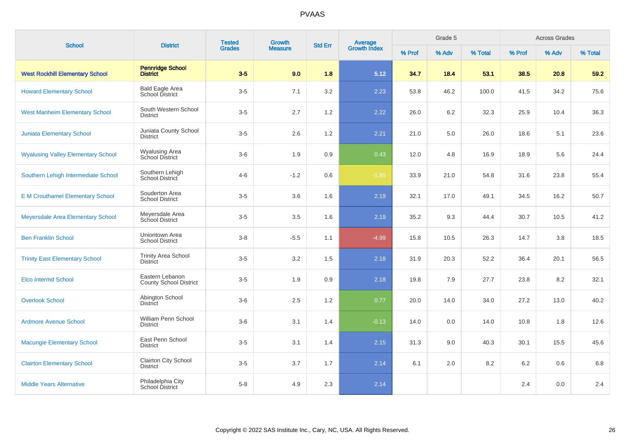| <b>School</b>                             | <b>District</b>                                  | <b>Tested</b> | Growth         | <b>Std Err</b> | <b>Average</b><br>Growth Index |        | Grade 5 |         |        | <b>Across Grades</b> |         |
|-------------------------------------------|--------------------------------------------------|---------------|----------------|----------------|--------------------------------|--------|---------|---------|--------|----------------------|---------|
|                                           |                                                  | <b>Grades</b> | <b>Measure</b> |                |                                | % Prof | % Adv   | % Total | % Prof | % Adv                | % Total |
| <b>West Rockhill Elementary School</b>    | <b>Pennridge School</b><br><b>District</b>       | $3-5$         | 9.0            | 1.8            | 5.12                           | 34.7   | 18.4    | 53.1    | 38.5   | 20.8                 | 59.2    |
| <b>Howard Elementary School</b>           | <b>Bald Eagle Area</b><br><b>School District</b> | $3-5$         | 7.1            | 3.2            | 2.23                           | 53.8   | 46.2    | 100.0   | 41.5   | 34.2                 | 75.6    |
| <b>West Manheim Elementary School</b>     | South Western School<br><b>District</b>          | $3-5$         | 2.7            | 1.2            | 2.22                           | 26.0   | 6.2     | 32.3    | 25.9   | 10.4                 | 36.3    |
| <b>Juniata Elementary School</b>          | Juniata County School<br><b>District</b>         | $3-5$         | 2.6            | 1.2            | 2.21                           | 21.0   | 5.0     | 26.0    | 18.6   | 5.1                  | 23.6    |
| <b>Wyalusing Valley Elementary School</b> | <b>Wyalusing Area</b><br>School District         | $3-6$         | 1.9            | 0.9            | 0.43                           | 12.0   | 4.8     | 16.9    | 18.9   | 5.6                  | 24.4    |
| Southern Lehigh Intermediate School       | Southern Lehigh<br>School District               | $4 - 6$       | $-1.2$         | 0.6            | $-1.85$                        | 33.9   | 21.0    | 54.8    | 31.6   | 23.8                 | 55.4    |
| <b>E M Crouthamel Elementary School</b>   | Souderton Area<br><b>School District</b>         | $3-5$         | 3.6            | 1.6            | 2.19                           | 32.1   | 17.0    | 49.1    | 34.5   | 16.2                 | 50.7    |
| Meyersdale Area Elementary School         | Meyersdale Area<br>School District               | $3-5$         | 3.5            | 1.6            | 2.19                           | 35.2   | 9.3     | 44.4    | 30.7   | 10.5                 | 41.2    |
| <b>Ben Franklin School</b>                | Uniontown Area<br><b>School District</b>         | $3 - 8$       | $-5.5$         | 1.1            | $-4.99$                        | 15.8   | 10.5    | 26.3    | 14.7   | 3.8                  | 18.5    |
| <b>Trinity East Elementary School</b>     | <b>Trinity Area School</b><br><b>District</b>    | $3-5$         | 3.2            | 1.5            | 2.18                           | 31.9   | 20.3    | 52.2    | 36.4   | 20.1                 | 56.5    |
| <b>Elco Intermd School</b>                | Eastern Lebanon<br><b>County School District</b> | $3-5$         | 1.9            | 0.9            | 2.18                           | 19.8   | 7.9     | 27.7    | 23.8   | 8.2                  | 32.1    |
| <b>Overlook School</b>                    | Abington School<br><b>District</b>               | $3-6$         | 2.5            | 1.2            | 0.77                           | 20.0   | 14.0    | 34.0    | 27.2   | 13.0                 | 40.2    |
| <b>Ardmore Avenue School</b>              | William Penn School<br><b>District</b>           | $3-6$         | 3.1            | 1.4            | $-0.13$                        | 14.0   | 0.0     | 14.0    | 10.8   | 1.8                  | 12.6    |
| <b>Macungie Elementary School</b>         | East Penn School<br><b>District</b>              | $3-5$         | 3.1            | 1.4            | 2.15                           | 31.3   | 9.0     | 40.3    | 30.1   | 15.5                 | 45.6    |
| <b>Clairton Elementary School</b>         | Clairton City School<br><b>District</b>          | $3-5$         | 3.7            | 1.7            | 2.14                           | 6.1    | 2.0     | 8.2     | 6.2    | 0.6                  | 6.8     |
| <b>Middle Years Alternative</b>           | Philadelphia City<br>School District             | $5-8$         | 4.9            | 2.3            | 2.14                           |        |         |         | 2.4    | 0.0                  | 2.4     |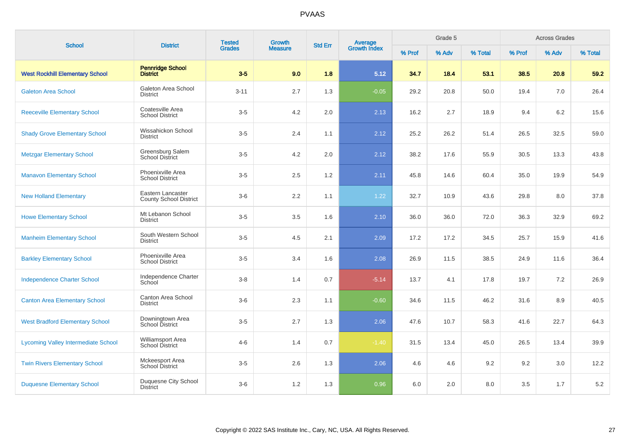| <b>School</b>                              | <b>District</b>                             | <b>Tested</b> | Growth         | <b>Std Err</b> | <b>Average</b><br>Growth Index | Grade 5 |       |         | <b>Across Grades</b> |       |         |
|--------------------------------------------|---------------------------------------------|---------------|----------------|----------------|--------------------------------|---------|-------|---------|----------------------|-------|---------|
|                                            |                                             | <b>Grades</b> | <b>Measure</b> |                |                                | % Prof  | % Adv | % Total | % Prof               | % Adv | % Total |
| <b>West Rockhill Elementary School</b>     | <b>Pennridge School</b><br><b>District</b>  | $3-5$         | 9.0            | 1.8            | 5.12                           | 34.7    | 18.4  | 53.1    | 38.5                 | 20.8  | 59.2    |
| <b>Galeton Area School</b>                 | Galeton Area School<br><b>District</b>      | $3 - 11$      | 2.7            | 1.3            | $-0.05$                        | 29.2    | 20.8  | 50.0    | 19.4                 | 7.0   | 26.4    |
| <b>Reeceville Elementary School</b>        | Coatesville Area<br><b>School District</b>  | $3-5$         | 4.2            | 2.0            | 2.13                           | 16.2    | 2.7   | 18.9    | 9.4                  | 6.2   | 15.6    |
| <b>Shady Grove Elementary School</b>       | Wissahickon School<br><b>District</b>       | $3-5$         | 2.4            | 1.1            | 2.12                           | 25.2    | 26.2  | 51.4    | 26.5                 | 32.5  | 59.0    |
| <b>Metzgar Elementary School</b>           | Greensburg Salem<br>School District         | $3-5$         | 4.2            | 2.0            | 2.12                           | 38.2    | 17.6  | 55.9    | 30.5                 | 13.3  | 43.8    |
| <b>Manavon Elementary School</b>           | Phoenixville Area<br><b>School District</b> | $3-5$         | 2.5            | 1.2            | 2.11                           | 45.8    | 14.6  | 60.4    | 35.0                 | 19.9  | 54.9    |
| <b>New Holland Elementary</b>              | Eastern Lancaster<br>County School District | $3-6$         | 2.2            | 1.1            | 1.22                           | 32.7    | 10.9  | 43.6    | 29.8                 | 8.0   | 37.8    |
| <b>Howe Elementary School</b>              | Mt Lebanon School<br><b>District</b>        | $3-5$         | 3.5            | 1.6            | 2.10                           | 36.0    | 36.0  | 72.0    | 36.3                 | 32.9  | 69.2    |
| <b>Manheim Elementary School</b>           | South Western School<br><b>District</b>     | $3-5$         | 4.5            | 2.1            | 2.09                           | 17.2    | 17.2  | 34.5    | 25.7                 | 15.9  | 41.6    |
| <b>Barkley Elementary School</b>           | Phoenixville Area<br><b>School District</b> | $3-5$         | 3.4            | 1.6            | 2.08                           | 26.9    | 11.5  | 38.5    | 24.9                 | 11.6  | 36.4    |
| <b>Independence Charter School</b>         | Independence Charter<br>School              | $3-8$         | 1.4            | 0.7            | $-5.14$                        | 13.7    | 4.1   | 17.8    | 19.7                 | 7.2   | 26.9    |
| <b>Canton Area Elementary School</b>       | Canton Area School<br><b>District</b>       | $3-6$         | 2.3            | 1.1            | $-0.60$                        | 34.6    | 11.5  | 46.2    | 31.6                 | 8.9   | 40.5    |
| <b>West Bradford Elementary School</b>     | Downingtown Area<br>School District         | $3-5$         | 2.7            | 1.3            | 2.06                           | 47.6    | 10.7  | 58.3    | 41.6                 | 22.7  | 64.3    |
| <b>Lycoming Valley Intermediate School</b> | Williamsport Area<br><b>School District</b> | $4 - 6$       | 1.4            | 0.7            | $-1.40$                        | 31.5    | 13.4  | 45.0    | 26.5                 | 13.4  | 39.9    |
| <b>Twin Rivers Elementary School</b>       | Mckeesport Area<br><b>School District</b>   | $3-5$         | 2.6            | 1.3            | 2.06                           | 4.6     | 4.6   | 9.2     | 9.2                  | 3.0   | 12.2    |
| <b>Duquesne Elementary School</b>          | Duquesne City School<br><b>District</b>     | $3-6$         | $1.2$          | 1.3            | 0.96                           | 6.0     | 2.0   | 8.0     | 3.5                  | 1.7   | $5.2\,$ |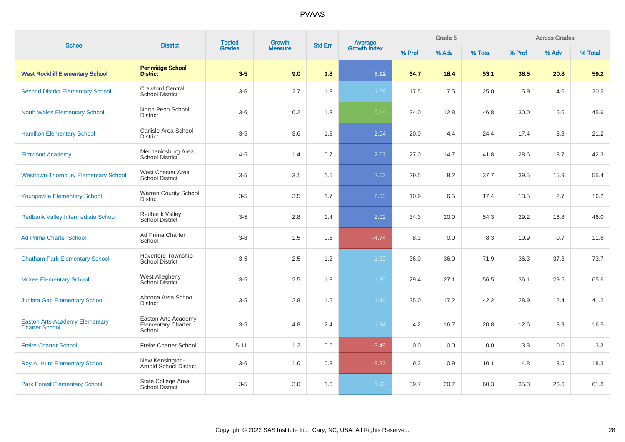| <b>School</b>                                                  | <b>District</b>                                            | <b>Tested</b> | Growth         | <b>Std Err</b> | <b>Average</b><br>Growth Index |        | Grade 5 |         |        | <b>Across Grades</b> |         |
|----------------------------------------------------------------|------------------------------------------------------------|---------------|----------------|----------------|--------------------------------|--------|---------|---------|--------|----------------------|---------|
|                                                                |                                                            | <b>Grades</b> | <b>Measure</b> |                |                                | % Prof | % Adv   | % Total | % Prof | % Adv                | % Total |
| <b>West Rockhill Elementary School</b>                         | <b>Pennridge School</b><br><b>District</b>                 | $3-5$         | 9.0            | 1.8            | 5.12                           | 34.7   | 18.4    | 53.1    | 38.5   | 20.8                 | 59.2    |
| <b>Second District Elementary School</b>                       | <b>Crawford Central</b><br><b>School District</b>          | $3-6$         | 2.7            | 1.3            | 1.69                           | 17.5   | 7.5     | 25.0    | 15.9   | 4.6                  | 20.5    |
| <b>North Wales Elementary School</b>                           | North Penn School<br><b>District</b>                       | $3-6$         | 0.2            | 1.3            | 0.14                           | 34.0   | 12.8    | 46.8    | 30.0   | 15.6                 | 45.6    |
| <b>Hamilton Elementary School</b>                              | Carlisle Area School<br><b>District</b>                    | $3-5$         | 3.6            | 1.8            | 2.04                           | 20.0   | 4.4     | 24.4    | 17.4   | 3.8                  | 21.2    |
| <b>Elmwood Academy</b>                                         | Mechanicsburg Area<br>School District                      | $4 - 5$       | 1.4            | 0.7            | 2.03                           | 27.0   | 14.7    | 41.8    | 28.6   | 13.7                 | 42.3    |
| <b>Westtown-Thornbury Elementary School</b>                    | West Chester Area<br><b>School District</b>                | $3-5$         | 3.1            | 1.5            | 2.03                           | 29.5   | 8.2     | 37.7    | 39.5   | 15.9                 | 55.4    |
| <b>Youngsville Elementary School</b>                           | Warren County School<br><b>District</b>                    | $3-5$         | 3.5            | 1.7            | 2.03                           | 10.9   | 6.5     | 17.4    | 13.5   | 2.7                  | 16.2    |
| <b>Redbank Valley Intermediate School</b>                      | Redbank Valley<br><b>School District</b>                   | $3-5$         | 2.8            | 1.4            | 2.02                           | 34.3   | 20.0    | 54.3    | 29.2   | 16.8                 | 46.0    |
| <b>Ad Prima Charter School</b>                                 | Ad Prima Charter<br>School                                 | $3 - 8$       | 1.5            | 0.8            | $-4.74$                        | 8.3    | 0.0     | 8.3     | 10.9   | 0.7                  | 11.6    |
| <b>Chatham Park Elementary School</b>                          | <b>Haverford Township</b><br><b>School District</b>        | $3-5$         | 2.5            | 1.2            | 1.99                           | 36.0   | 36.0    | 71.9    | 36.3   | 37.3                 | 73.7    |
| <b>Mckee Elementary School</b>                                 | <b>West Allegheny</b><br>School District                   | $3-5$         | 2.5            | 1.3            | 1.95                           | 29.4   | 27.1    | 56.5    | 36.1   | 29.5                 | 65.6    |
| <b>Juniata Gap Elementary School</b>                           | Altoona Area School<br>District                            | $3-5$         | 2.8            | 1.5            | 1.94                           | 25.0   | 17.2    | 42.2    | 28.9   | 12.4                 | 41.2    |
| <b>Easton Arts Academy Elementary</b><br><b>Charter School</b> | Easton Arts Academy<br><b>Elementary Charter</b><br>School | $3-5$         | 4.8            | 2.4            | 1.94                           | 4.2    | 16.7    | 20.8    | 12.6   | 3.9                  | 16.5    |
| <b>Freire Charter School</b>                                   | Freire Charter School                                      | $5 - 11$      | 1.2            | 0.6            | $-3.49$                        | 0.0    | 0.0     | 0.0     | 3.3    | 0.0                  | 3.3     |
| Roy A. Hunt Elementary School                                  | New Kensington-<br>Arnold School District                  | $3-6$         | 1.6            | 0.8            | $-3.82$                        | 9.2    | 0.9     | 10.1    | 14.8   | 3.5                  | 18.3    |
| <b>Park Forest Elementary School</b>                           | State College Area<br><b>School District</b>               | $3-5$         | 3.0            | 1.6            | 1.92                           | 39.7   | 20.7    | 60.3    | 35.3   | 26.6                 | 61.8    |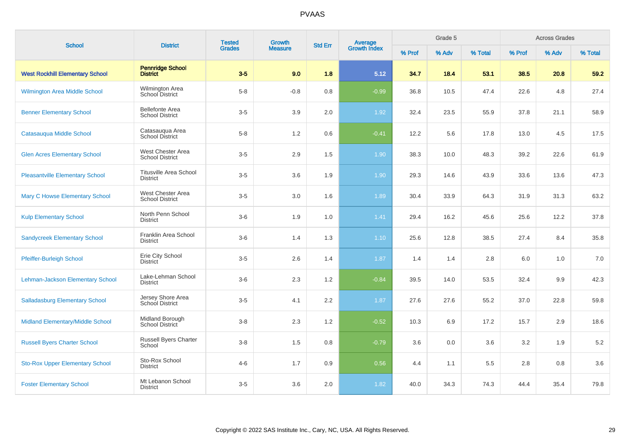| <b>School</b>                          | <b>District</b>                                  | <b>Tested</b> | Growth         | <b>Std Err</b> |                                |        | Grade 5 |         |        | <b>Across Grades</b> |         |
|----------------------------------------|--------------------------------------------------|---------------|----------------|----------------|--------------------------------|--------|---------|---------|--------|----------------------|---------|
|                                        |                                                  | <b>Grades</b> | <b>Measure</b> |                | <b>Average</b><br>Growth Index | % Prof | % Adv   | % Total | % Prof | % Adv                | % Total |
| <b>West Rockhill Elementary School</b> | <b>Pennridge School</b><br><b>District</b>       | $3-5$         | 9.0            | 1.8            | 5.12                           | 34.7   | 18.4    | 53.1    | 38.5   | 20.8                 | 59.2    |
| <b>Wilmington Area Middle School</b>   | Wilmington Area<br>School District               | $5 - 8$       | $-0.8$         | 0.8            | $-0.99$                        | 36.8   | 10.5    | 47.4    | 22.6   | 4.8                  | 27.4    |
| <b>Benner Elementary School</b>        | <b>Bellefonte Area</b><br><b>School District</b> | $3-5$         | 3.9            | 2.0            | 1.92                           | 32.4   | 23.5    | 55.9    | 37.8   | 21.1                 | 58.9    |
| <b>Catasauqua Middle School</b>        | Catasauqua Area<br><b>School District</b>        | $5-8$         | 1.2            | 0.6            | $-0.41$                        | 12.2   | 5.6     | 17.8    | 13.0   | 4.5                  | 17.5    |
| <b>Glen Acres Elementary School</b>    | West Chester Area<br><b>School District</b>      | $3-5$         | 2.9            | 1.5            | 1.90                           | 38.3   | 10.0    | 48.3    | 39.2   | 22.6                 | 61.9    |
| <b>Pleasantville Elementary School</b> | <b>Titusville Area School</b><br><b>District</b> | $3-5$         | 3.6            | 1.9            | 1.90                           | 29.3   | 14.6    | 43.9    | 33.6   | 13.6                 | 47.3    |
| <b>Mary C Howse Elementary School</b>  | West Chester Area<br><b>School District</b>      | $3-5$         | 3.0            | 1.6            | 1.89                           | 30.4   | 33.9    | 64.3    | 31.9   | 31.3                 | 63.2    |
| <b>Kulp Elementary School</b>          | North Penn School<br><b>District</b>             | $3-6$         | 1.9            | 1.0            | 1.41                           | 29.4   | 16.2    | 45.6    | 25.6   | 12.2                 | 37.8    |
| <b>Sandycreek Elementary School</b>    | Franklin Area School<br><b>District</b>          | $3-6$         | 1.4            | 1.3            | 1.10                           | 25.6   | 12.8    | 38.5    | 27.4   | 8.4                  | 35.8    |
| <b>Pfeiffer-Burleigh School</b>        | Erie City School<br><b>District</b>              | $3-5$         | 2.6            | 1.4            | 1.87                           | 1.4    | 1.4     | 2.8     | 6.0    | 1.0                  | 7.0     |
| Lehman-Jackson Elementary School       | Lake-Lehman School<br><b>District</b>            | $3-6$         | 2.3            | 1.2            | $-0.84$                        | 39.5   | 14.0    | 53.5    | 32.4   | 9.9                  | 42.3    |
| <b>Salladasburg Elementary School</b>  | Jersey Shore Area<br>School District             | $3-5$         | 4.1            | 2.2            | 1.87                           | 27.6   | 27.6    | 55.2    | 37.0   | 22.8                 | 59.8    |
| Midland Elementary/Middle School       | Midland Borough<br>School District               | $3-8$         | 2.3            | 1.2            | $-0.52$                        | 10.3   | 6.9     | 17.2    | 15.7   | 2.9                  | 18.6    |
| <b>Russell Byers Charter School</b>    | Russell Byers Charter<br>School                  | $3-8$         | 1.5            | 0.8            | $-0.79$                        | 3.6    | 0.0     | 3.6     | 3.2    | 1.9                  | $5.2\,$ |
| <b>Sto-Rox Upper Elementary School</b> | Sto-Rox School<br><b>District</b>                | $4 - 6$       | 1.7            | $0.9\,$        | 0.56                           | 4.4    | 1.1     | 5.5     | 2.8    | 0.8                  | 3.6     |
| <b>Foster Elementary School</b>        | Mt Lebanon School<br><b>District</b>             | $3-5$         | 3.6            | 2.0            | 1.82                           | 40.0   | 34.3    | 74.3    | 44.4   | 35.4                 | 79.8    |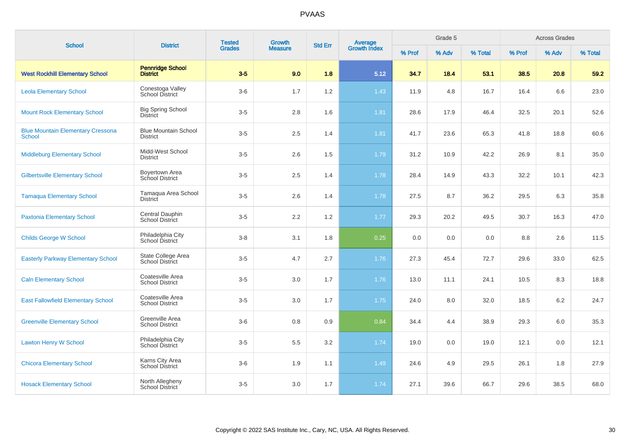| <b>School</b>                                             | <b>District</b>                                | <b>Tested</b> | Growth         | <b>Std Err</b> |                                |        | Grade 5 |         |        | <b>Across Grades</b> |         |
|-----------------------------------------------------------|------------------------------------------------|---------------|----------------|----------------|--------------------------------|--------|---------|---------|--------|----------------------|---------|
|                                                           |                                                | <b>Grades</b> | <b>Measure</b> |                | <b>Average</b><br>Growth Index | % Prof | % Adv   | % Total | % Prof | % Adv                | % Total |
| <b>West Rockhill Elementary School</b>                    | <b>Pennridge School</b><br><b>District</b>     | $3-5$         | 9.0            | 1.8            | 5.12                           | 34.7   | 18.4    | 53.1    | 38.5   | 20.8                 | 59.2    |
| <b>Leola Elementary School</b>                            | Conestoga Valley<br><b>School District</b>     | $3-6$         | 1.7            | 1.2            | 1.43                           | 11.9   | 4.8     | 16.7    | 16.4   | 6.6                  | 23.0    |
| <b>Mount Rock Elementary School</b>                       | <b>Big Spring School</b><br><b>District</b>    | $3-5$         | 2.8            | 1.6            | 1.81                           | 28.6   | 17.9    | 46.4    | 32.5   | 20.1                 | 52.6    |
| <b>Blue Mountain Elementary Cressona</b><br><b>School</b> | <b>Blue Mountain School</b><br><b>District</b> | $3-5$         | 2.5            | 1.4            | 1.81                           | 41.7   | 23.6    | 65.3    | 41.8   | 18.8                 | 60.6    |
| <b>Middleburg Elementary School</b>                       | Midd-West School<br><b>District</b>            | $3-5$         | 2.6            | 1.5            | 1.79                           | 31.2   | 10.9    | 42.2    | 26.9   | 8.1                  | 35.0    |
| <b>Gilbertsville Elementary School</b>                    | Boyertown Area<br>School District              | $3-5$         | 2.5            | 1.4            | 1.78                           | 28.4   | 14.9    | 43.3    | 32.2   | 10.1                 | 42.3    |
| <b>Tamaqua Elementary School</b>                          | Tamaqua Area School<br><b>District</b>         | $3-5$         | 2.6            | 1.4            | 1.78                           | 27.5   | 8.7     | 36.2    | 29.5   | 6.3                  | 35.8    |
| <b>Paxtonia Elementary School</b>                         | Central Dauphin<br>School District             | $3-5$         | 2.2            | 1.2            | 1.77                           | 29.3   | 20.2    | 49.5    | 30.7   | 16.3                 | 47.0    |
| <b>Childs George W School</b>                             | Philadelphia City<br>School District           | $3 - 8$       | 3.1            | 1.8            | 0.25                           | 0.0    | 0.0     | 0.0     | 8.8    | 2.6                  | 11.5    |
| <b>Easterly Parkway Elementary School</b>                 | State College Area<br><b>School District</b>   | $3-5$         | 4.7            | 2.7            | 1.76                           | 27.3   | 45.4    | 72.7    | 29.6   | 33.0                 | 62.5    |
| <b>Caln Elementary School</b>                             | Coatesville Area<br><b>School District</b>     | $3-5$         | 3.0            | 1.7            | 1.76                           | 13.0   | 11.1    | 24.1    | 10.5   | 8.3                  | 18.8    |
| <b>East Fallowfield Elementary School</b>                 | Coatesville Area<br><b>School District</b>     | $3-5$         | 3.0            | 1.7            | 1.75                           | 24.0   | 8.0     | 32.0    | 18.5   | 6.2                  | 24.7    |
| <b>Greenville Elementary School</b>                       | Greenville Area<br><b>School District</b>      | $3-6$         | 0.8            | 0.9            | 0.84                           | 34.4   | 4.4     | 38.9    | 29.3   | 6.0                  | 35.3    |
| <b>Lawton Henry W School</b>                              | Philadelphia City<br>School District           | $3-5$         | 5.5            | 3.2            | 1.74                           | 19.0   | 0.0     | 19.0    | 12.1   | 0.0                  | 12.1    |
| <b>Chicora Elementary School</b>                          | Karns City Area<br><b>School District</b>      | $3-6$         | 1.9            | 1.1            | 1.49                           | 24.6   | 4.9     | 29.5    | 26.1   | 1.8                  | 27.9    |
| <b>Hosack Elementary School</b>                           | North Allegheny<br>School District             | $3-5$         | 3.0            | 1.7            | 1.74                           | 27.1   | 39.6    | 66.7    | 29.6   | 38.5                 | 68.0    |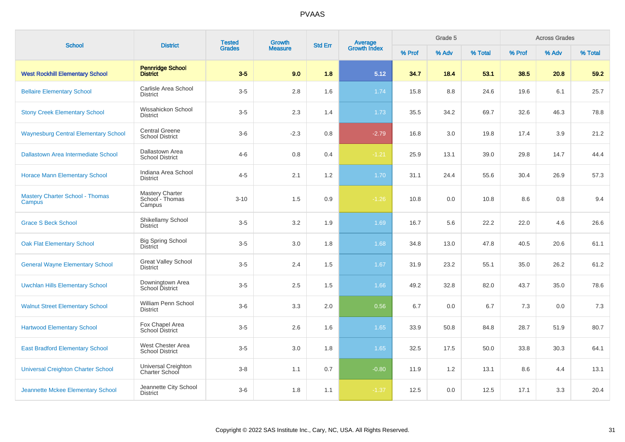| <b>School</b>                                    | <b>District</b>                                     | <b>Tested</b> | <b>Growth</b>  | <b>Std Err</b> |                                |        | Grade 5 |         |        | <b>Across Grades</b> |         |
|--------------------------------------------------|-----------------------------------------------------|---------------|----------------|----------------|--------------------------------|--------|---------|---------|--------|----------------------|---------|
|                                                  |                                                     | <b>Grades</b> | <b>Measure</b> |                | <b>Average</b><br>Growth Index | % Prof | % Adv   | % Total | % Prof | % Adv                | % Total |
| <b>West Rockhill Elementary School</b>           | <b>Pennridge School</b><br><b>District</b>          | $3-5$         | 9.0            | 1.8            | 5.12                           | 34.7   | 18.4    | 53.1    | 38.5   | 20.8                 | 59.2    |
| <b>Bellaire Elementary School</b>                | Carlisle Area School<br><b>District</b>             | $3-5$         | 2.8            | 1.6            | 1.74                           | 15.8   | 8.8     | 24.6    | 19.6   | 6.1                  | 25.7    |
| <b>Stony Creek Elementary School</b>             | Wissahickon School<br><b>District</b>               | $3-5$         | 2.3            | 1.4            | 1.73                           | 35.5   | 34.2    | 69.7    | 32.6   | 46.3                 | 78.8    |
| <b>Waynesburg Central Elementary School</b>      | <b>Central Greene</b><br><b>School District</b>     | $3-6$         | $-2.3$         | 0.8            | $-2.79$                        | 16.8   | 3.0     | 19.8    | 17.4   | 3.9                  | 21.2    |
| <b>Dallastown Area Intermediate School</b>       | Dallastown Area<br><b>School District</b>           | $4 - 6$       | 0.8            | 0.4            | $-1.21$                        | 25.9   | 13.1    | 39.0    | 29.8   | 14.7                 | 44.4    |
| <b>Horace Mann Elementary School</b>             | Indiana Area School<br><b>District</b>              | $4 - 5$       | 2.1            | 1.2            | 1.70                           | 31.1   | 24.4    | 55.6    | 30.4   | 26.9                 | 57.3    |
| <b>Mastery Charter School - Thomas</b><br>Campus | <b>Mastery Charter</b><br>School - Thomas<br>Campus | $3 - 10$      | 1.5            | 0.9            | $-1.26$                        | 10.8   | 0.0     | 10.8    | 8.6    | 0.8                  | 9.4     |
| <b>Grace S Beck School</b>                       | Shikellamy School<br><b>District</b>                | $3-5$         | 3.2            | 1.9            | 1.69                           | 16.7   | 5.6     | 22.2    | 22.0   | 4.6                  | 26.6    |
| <b>Oak Flat Elementary School</b>                | <b>Big Spring School</b><br><b>District</b>         | $3-5$         | 3.0            | 1.8            | 1.68                           | 34.8   | 13.0    | 47.8    | 40.5   | 20.6                 | 61.1    |
| <b>General Wayne Elementary School</b>           | <b>Great Valley School</b><br><b>District</b>       | $3-5$         | 2.4            | 1.5            | 1.67                           | 31.9   | 23.2    | 55.1    | 35.0   | 26.2                 | 61.2    |
| <b>Uwchlan Hills Elementary School</b>           | Downingtown Area<br>School District                 | $3-5$         | 2.5            | 1.5            | 1.66                           | 49.2   | 32.8    | 82.0    | 43.7   | 35.0                 | 78.6    |
| <b>Walnut Street Elementary School</b>           | William Penn School<br><b>District</b>              | $3-6$         | 3.3            | 2.0            | 0.56                           | 6.7    | 0.0     | 6.7     | 7.3    | 0.0                  | 7.3     |
| <b>Hartwood Elementary School</b>                | Fox Chapel Area<br>School District                  | $3-5$         | 2.6            | 1.6            | 1.65                           | 33.9   | 50.8    | 84.8    | 28.7   | 51.9                 | 80.7    |
| <b>East Bradford Elementary School</b>           | West Chester Area<br><b>School District</b>         | $3-5$         | 3.0            | 1.8            | 1.65                           | 32.5   | 17.5    | 50.0    | 33.8   | 30.3                 | 64.1    |
| <b>Universal Creighton Charter School</b>        | Universal Creighton<br>Charter School               | $3-8$         | 1.1            | 0.7            | $-0.80$                        | 11.9   | 1.2     | 13.1    | 8.6    | 4.4                  | 13.1    |
| Jeannette Mckee Elementary School                | Jeannette City School<br><b>District</b>            | $3-6$         | 1.8            | 1.1            | $-1.37$                        | 12.5   | 0.0     | 12.5    | 17.1   | 3.3                  | 20.4    |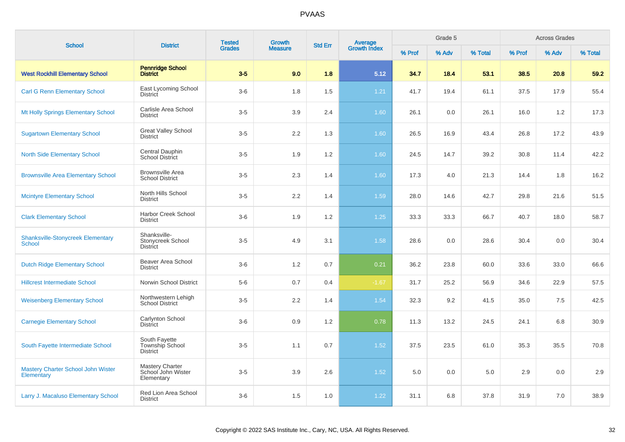| <b>School</b>                                           | <b>District</b>                                            | <b>Tested</b> | <b>Growth</b>  | <b>Std Err</b> | <b>Average</b><br>Growth Index |        | Grade 5 |         |        | <b>Across Grades</b> |         |
|---------------------------------------------------------|------------------------------------------------------------|---------------|----------------|----------------|--------------------------------|--------|---------|---------|--------|----------------------|---------|
|                                                         |                                                            | <b>Grades</b> | <b>Measure</b> |                |                                | % Prof | % Adv   | % Total | % Prof | % Adv                | % Total |
| <b>West Rockhill Elementary School</b>                  | <b>Pennridge School</b><br><b>District</b>                 | $3-5$         | 9.0            | 1.8            | 5.12                           | 34.7   | 18.4    | 53.1    | 38.5   | 20.8                 | 59.2    |
| <b>Carl G Renn Elementary School</b>                    | East Lycoming School<br>District                           | $3-6$         | 1.8            | 1.5            | $1.21$                         | 41.7   | 19.4    | 61.1    | 37.5   | 17.9                 | 55.4    |
| Mt Holly Springs Elementary School                      | Carlisle Area School<br><b>District</b>                    | $3-5$         | 3.9            | 2.4            | 1.60                           | 26.1   | 0.0     | 26.1    | 16.0   | 1.2                  | 17.3    |
| <b>Sugartown Elementary School</b>                      | <b>Great Valley School</b><br>District                     | $3-5$         | 2.2            | 1.3            | 1.60                           | 26.5   | 16.9    | 43.4    | 26.8   | 17.2                 | 43.9    |
| <b>North Side Elementary School</b>                     | Central Dauphin<br><b>School District</b>                  | $3-5$         | 1.9            | 1.2            | 1.60                           | 24.5   | 14.7    | 39.2    | 30.8   | 11.4                 | 42.2    |
| <b>Brownsville Area Elementary School</b>               | <b>Brownsville Area</b><br><b>School District</b>          | $3-5$         | 2.3            | 1.4            | 1.60                           | 17.3   | 4.0     | 21.3    | 14.4   | 1.8                  | 16.2    |
| <b>Mcintyre Elementary School</b>                       | North Hills School<br><b>District</b>                      | $3-5$         | 2.2            | 1.4            | 1.59                           | 28.0   | 14.6    | 42.7    | 29.8   | 21.6                 | 51.5    |
| <b>Clark Elementary School</b>                          | <b>Harbor Creek School</b><br><b>District</b>              | $3-6$         | 1.9            | 1.2            | 1.25                           | 33.3   | 33.3    | 66.7    | 40.7   | 18.0                 | 58.7    |
| <b>Shanksville-Stonycreek Elementary</b><br>School      | Shanksville-<br>Stonycreek School<br><b>District</b>       | $3-5$         | 4.9            | 3.1            | 1.58                           | 28.6   | 0.0     | 28.6    | 30.4   | 0.0                  | 30.4    |
| <b>Dutch Ridge Elementary School</b>                    | Beaver Area School<br><b>District</b>                      | $3-6$         | 1.2            | 0.7            | 0.21                           | 36.2   | 23.8    | 60.0    | 33.6   | 33.0                 | 66.6    |
| <b>Hillcrest Intermediate School</b>                    | Norwin School District                                     | $5-6$         | 0.7            | 0.4            | $-1.67$                        | 31.7   | 25.2    | 56.9    | 34.6   | 22.9                 | 57.5    |
| <b>Weisenberg Elementary School</b>                     | Northwestern Lehigh<br><b>School District</b>              | $3-5$         | 2.2            | 1.4            | 1.54                           | 32.3   | 9.2     | 41.5    | 35.0   | 7.5                  | 42.5    |
| <b>Carnegie Elementary School</b>                       | Carlynton School<br><b>District</b>                        | $3-6$         | 0.9            | 1.2            | 0.78                           | 11.3   | 13.2    | 24.5    | 24.1   | 6.8                  | 30.9    |
| South Fayette Intermediate School                       | South Fayette<br>Township School<br><b>District</b>        | $3-5$         | 1.1            | 0.7            | 1.52                           | 37.5   | 23.5    | 61.0    | 35.3   | 35.5                 | 70.8    |
| <b>Mastery Charter School John Wister</b><br>Elementary | <b>Mastery Charter</b><br>School John Wister<br>Elementary | $3-5$         | 3.9            | 2.6            | 1.52                           | 5.0    | 0.0     | 5.0     | 2.9    | 0.0                  | 2.9     |
| Larry J. Macaluso Elementary School                     | Red Lion Area School<br><b>District</b>                    | $3-6$         | 1.5            | 1.0            | 1.22                           | 31.1   | 6.8     | 37.8    | 31.9   | 7.0                  | 38.9    |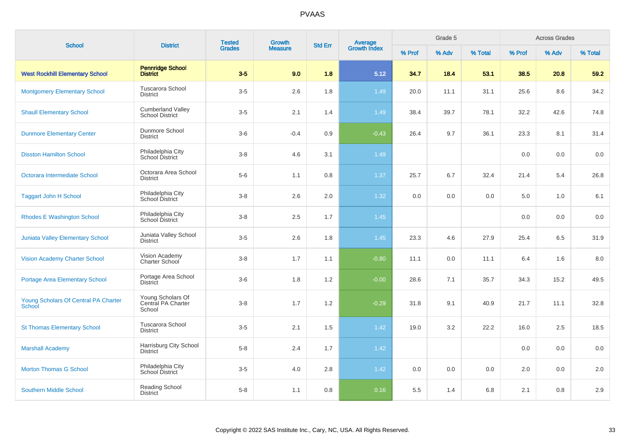| <b>School</b>                                         | <b>District</b>                                    | <b>Tested</b> | <b>Growth</b>  | <b>Std Err</b> | <b>Average</b><br>Growth Index |        | Grade 5 |         |        | <b>Across Grades</b> |         |  |
|-------------------------------------------------------|----------------------------------------------------|---------------|----------------|----------------|--------------------------------|--------|---------|---------|--------|----------------------|---------|--|
|                                                       |                                                    | <b>Grades</b> | <b>Measure</b> |                |                                | % Prof | % Adv   | % Total | % Prof | % Adv                | % Total |  |
| <b>West Rockhill Elementary School</b>                | <b>Pennridge School</b><br><b>District</b>         | $3-5$         | 9.0            | 1.8            | 5.12                           | 34.7   | 18.4    | 53.1    | 38.5   | 20.8                 | 59.2    |  |
| <b>Montgomery Elementary School</b>                   | <b>Tuscarora School</b><br><b>District</b>         | $3-5$         | 2.6            | 1.8            | 1.49                           | 20.0   | 11.1    | 31.1    | 25.6   | 8.6                  | 34.2    |  |
| <b>Shaull Elementary School</b>                       | <b>Cumberland Valley</b><br><b>School District</b> | $3-5$         | 2.1            | 1.4            | 1.49                           | 38.4   | 39.7    | 78.1    | 32.2   | 42.6                 | 74.8    |  |
| <b>Dunmore Elementary Center</b>                      | Dunmore School<br><b>District</b>                  | $3-6$         | $-0.4$         | 0.9            | $-0.43$                        | 26.4   | 9.7     | 36.1    | 23.3   | 8.1                  | 31.4    |  |
| <b>Disston Hamilton School</b>                        | Philadelphia City<br>School District               | $3-8$         | 4.6            | 3.1            | 1.49                           |        |         |         | 0.0    | 0.0                  | 0.0     |  |
| Octorara Intermediate School                          | Octorara Area School<br><b>District</b>            | $5-6$         | 1.1            | 0.8            | 1.37                           | 25.7   | 6.7     | 32.4    | 21.4   | 5.4                  | 26.8    |  |
| <b>Taggart John H School</b>                          | Philadelphia City<br>School District               | $3 - 8$       | 2.6            | 2.0            | 1.32                           | 0.0    | 0.0     | 0.0     | 5.0    | 1.0                  | 6.1     |  |
| <b>Rhodes E Washington School</b>                     | Philadelphia City<br>School District               | $3-8$         | 2.5            | 1.7            | 1.45                           |        |         |         | 0.0    | 0.0                  | 0.0     |  |
| Juniata Valley Elementary School                      | Juniata Valley School<br><b>District</b>           | $3-5$         | 2.6            | 1.8            | 1.45                           | 23.3   | 4.6     | 27.9    | 25.4   | 6.5                  | 31.9    |  |
| <b>Vision Academy Charter School</b>                  | Vision Academy<br>Charter School                   | $3 - 8$       | 1.7            | 1.1            | $-0.80$                        | 11.1   | 0.0     | 11.1    | 6.4    | 1.6                  | 8.0     |  |
| <b>Portage Area Elementary School</b>                 | Portage Area School<br><b>District</b>             | $3-6$         | 1.8            | 1.2            | $-0.00$                        | 28.6   | 7.1     | 35.7    | 34.3   | 15.2                 | 49.5    |  |
| Young Scholars Of Central PA Charter<br><b>School</b> | Young Scholars Of<br>Central PA Charter<br>School  | $3 - 8$       | 1.7            | 1.2            | $-0.29$                        | 31.8   | 9.1     | 40.9    | 21.7   | 11.1                 | 32.8    |  |
| <b>St Thomas Elementary School</b>                    | Tuscarora School<br><b>District</b>                | $3-5$         | 2.1            | 1.5            | 1.42                           | 19.0   | 3.2     | 22.2    | 16.0   | 2.5                  | 18.5    |  |
| <b>Marshall Academy</b>                               | Harrisburg City School<br><b>District</b>          | $5 - 8$       | 2.4            | 1.7            | 1.42                           |        |         |         | 0.0    | 0.0                  | 0.0     |  |
| <b>Morton Thomas G School</b>                         | Philadelphia City<br><b>School District</b>        | $3-5$         | 4.0            | 2.8            | 1.42                           | 0.0    | 0.0     | 0.0     | 2.0    | 0.0                  | 2.0     |  |
| <b>Southern Middle School</b>                         | Reading School<br><b>District</b>                  | $5-8$         | 1.1            | 0.8            | 0.16                           | 5.5    | 1.4     | 6.8     | 2.1    | 0.8                  | 2.9     |  |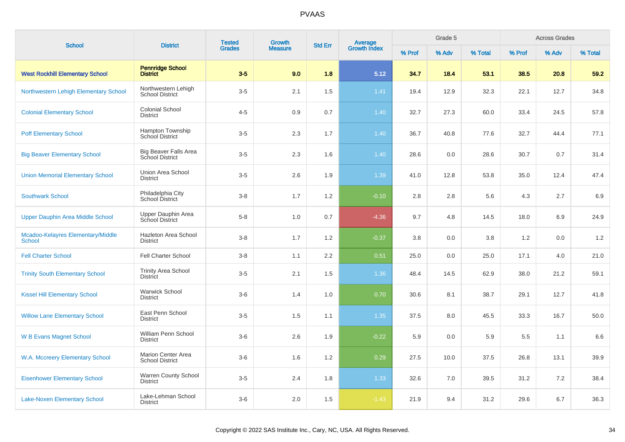| <b>School</b>                                      | <b>District</b>                                        | <b>Tested</b> | <b>Growth</b>  | <b>Std Err</b> |                                |        | Grade 5 |         |        | <b>Across Grades</b> |         |
|----------------------------------------------------|--------------------------------------------------------|---------------|----------------|----------------|--------------------------------|--------|---------|---------|--------|----------------------|---------|
|                                                    |                                                        | <b>Grades</b> | <b>Measure</b> |                | <b>Average</b><br>Growth Index | % Prof | % Adv   | % Total | % Prof | % Adv                | % Total |
| <b>West Rockhill Elementary School</b>             | <b>Pennridge School</b><br><b>District</b>             | $3-5$         | 9.0            | 1.8            | 5.12                           | 34.7   | 18.4    | 53.1    | 38.5   | 20.8                 | 59.2    |
| Northwestern Lehigh Elementary School              | Northwestern Lehigh<br><b>School District</b>          | $3-5$         | 2.1            | 1.5            | 1.41                           | 19.4   | 12.9    | 32.3    | 22.1   | 12.7                 | 34.8    |
| <b>Colonial Elementary School</b>                  | <b>Colonial School</b><br><b>District</b>              | $4 - 5$       | 0.9            | 0.7            | 1.40                           | 32.7   | 27.3    | 60.0    | 33.4   | 24.5                 | 57.8    |
| <b>Poff Elementary School</b>                      | Hampton Township<br>School District                    | $3-5$         | 2.3            | 1.7            | 1.40                           | 36.7   | 40.8    | 77.6    | 32.7   | 44.4                 | 77.1    |
| <b>Big Beaver Elementary School</b>                | <b>Big Beaver Falls Area</b><br><b>School District</b> | $3-5$         | 2.3            | 1.6            | 1.40                           | 28.6   | 0.0     | 28.6    | 30.7   | 0.7                  | 31.4    |
| <b>Union Memorial Elementary School</b>            | Union Area School<br><b>District</b>                   | $3-5$         | 2.6            | 1.9            | 1.39                           | 41.0   | 12.8    | 53.8    | 35.0   | 12.4                 | 47.4    |
| <b>Southwark School</b>                            | Philadelphia City<br><b>School District</b>            | $3-8$         | 1.7            | 1.2            | $-0.10$                        | 2.8    | 2.8     | 5.6     | 4.3    | 2.7                  | 6.9     |
| Upper Dauphin Area Middle School                   | Upper Dauphin Area<br>School District                  | $5-8$         | 1.0            | 0.7            | $-4.36$                        | 9.7    | 4.8     | 14.5    | 18.0   | 6.9                  | 24.9    |
| Mcadoo-Kelayres Elementary/Middle<br><b>School</b> | Hazleton Area School<br><b>District</b>                | $3-8$         | 1.7            | 1.2            | $-0.37$                        | 3.8    | 0.0     | 3.8     | 1.2    | 0.0                  | 1.2     |
| <b>Fell Charter School</b>                         | <b>Fell Charter School</b>                             | $3-8$         | 1.1            | 2.2            | 0.51                           | 25.0   | 0.0     | 25.0    | 17.1   | 4.0                  | 21.0    |
| <b>Trinity South Elementary School</b>             | <b>Trinity Area School</b><br><b>District</b>          | $3-5$         | 2.1            | 1.5            | 1.36                           | 48.4   | 14.5    | 62.9    | 38.0   | 21.2                 | 59.1    |
| <b>Kissel Hill Elementary School</b>               | <b>Warwick School</b><br><b>District</b>               | $3-6$         | 1.4            | 1.0            | 0.70                           | 30.6   | 8.1     | 38.7    | 29.1   | 12.7                 | 41.8    |
| <b>Willow Lane Elementary School</b>               | East Penn School<br><b>District</b>                    | $3-5$         | 1.5            | 1.1            | 1.35                           | 37.5   | 8.0     | 45.5    | 33.3   | 16.7                 | 50.0    |
| <b>W B Evans Magnet School</b>                     | William Penn School<br><b>District</b>                 | $3-6$         | 2.6            | 1.9            | $-0.22$                        | 5.9    | 0.0     | 5.9     | 5.5    | 1.1                  | 6.6     |
| W.A. Mccreery Elementary School                    | <b>Marion Center Area</b><br><b>School District</b>    | $3-6$         | 1.6            | 1.2            | 0.29                           | 27.5   | 10.0    | 37.5    | 26.8   | 13.1                 | 39.9    |
| <b>Eisenhower Elementary School</b>                | <b>Warren County School</b><br><b>District</b>         | $3-5$         | 2.4            | 1.8            | 1.33                           | 32.6   | 7.0     | 39.5    | 31.2   | 7.2                  | 38.4    |
| <b>Lake-Noxen Elementary School</b>                | Lake-Lehman School<br><b>District</b>                  | $3-6$         | 2.0            | 1.5            | $-1.43$                        | 21.9   | 9.4     | 31.2    | 29.6   | 6.7                  | 36.3    |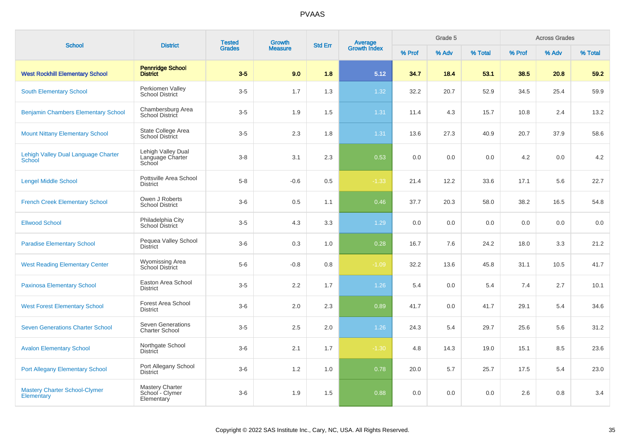| <b>School</b>                                             | <b>District</b>                                   | <b>Tested</b> | <b>Growth</b>  | <b>Std Err</b> | Average<br>Growth Index |        | Grade 5 |         |        | <b>Across Grades</b> |         |
|-----------------------------------------------------------|---------------------------------------------------|---------------|----------------|----------------|-------------------------|--------|---------|---------|--------|----------------------|---------|
|                                                           |                                                   | <b>Grades</b> | <b>Measure</b> |                |                         | % Prof | % Adv   | % Total | % Prof | % Adv                | % Total |
| <b>West Rockhill Elementary School</b>                    | <b>Pennridge School</b><br><b>District</b>        | $3-5$         | 9.0            | 1.8            | 5.12                    | 34.7   | 18.4    | 53.1    | 38.5   | 20.8                 | 59.2    |
| <b>South Elementary School</b>                            | Perkiomen Valley<br><b>School District</b>        | $3-5$         | 1.7            | 1.3            | 1.32                    | 32.2   | 20.7    | 52.9    | 34.5   | 25.4                 | 59.9    |
| <b>Benjamin Chambers Elementary School</b>                | Chambersburg Area<br>School District              | $3-5$         | 1.9            | 1.5            | 1.31                    | 11.4   | 4.3     | 15.7    | 10.8   | 2.4                  | 13.2    |
| <b>Mount Nittany Elementary School</b>                    | State College Area<br><b>School District</b>      | $3-5$         | 2.3            | 1.8            | 1.31                    | 13.6   | 27.3    | 40.9    | 20.7   | 37.9                 | 58.6    |
| Lehigh Valley Dual Language Charter<br><b>School</b>      | Lehigh Valley Dual<br>Language Charter<br>School  | $3-8$         | 3.1            | 2.3            | 0.53                    | 0.0    | 0.0     | 0.0     | 4.2    | 0.0                  | 4.2     |
| <b>Lengel Middle School</b>                               | Pottsville Area School<br><b>District</b>         | $5-8$         | $-0.6$         | 0.5            | $-1.33$                 | 21.4   | 12.2    | 33.6    | 17.1   | 5.6                  | 22.7    |
| <b>French Creek Elementary School</b>                     | Owen J Roberts<br><b>School District</b>          | $3-6$         | 0.5            | 1.1            | 0.46                    | 37.7   | 20.3    | 58.0    | 38.2   | 16.5                 | 54.8    |
| <b>Ellwood School</b>                                     | Philadelphia City<br>School District              | $3-5$         | 4.3            | 3.3            | 1.29                    | 0.0    | 0.0     | 0.0     | 0.0    | 0.0                  | 0.0     |
| <b>Paradise Elementary School</b>                         | Pequea Valley School<br><b>District</b>           | $3-6$         | 0.3            | 1.0            | 0.28                    | 16.7   | 7.6     | 24.2    | 18.0   | 3.3                  | 21.2    |
| <b>West Reading Elementary Center</b>                     | Wyomissing Area<br><b>School District</b>         | $5-6$         | $-0.8$         | 0.8            | $-1.09$                 | 32.2   | 13.6    | 45.8    | 31.1   | 10.5                 | 41.7    |
| <b>Paxinosa Elementary School</b>                         | Easton Area School<br><b>District</b>             | $3-5$         | 2.2            | 1.7            | 1.26                    | 5.4    | 0.0     | 5.4     | 7.4    | 2.7                  | 10.1    |
| <b>West Forest Elementary School</b>                      | Forest Area School<br><b>District</b>             | $3-6$         | 2.0            | 2.3            | 0.89                    | 41.7   | 0.0     | 41.7    | 29.1   | 5.4                  | 34.6    |
| <b>Seven Generations Charter School</b>                   | <b>Seven Generations</b><br><b>Charter School</b> | $3-5$         | 2.5            | 2.0            | 1.26                    | 24.3   | 5.4     | 29.7    | 25.6   | 5.6                  | 31.2    |
| <b>Avalon Elementary School</b>                           | Northgate School<br><b>District</b>               | $3-6$         | 2.1            | 1.7            | $-1.30$                 | 4.8    | 14.3    | 19.0    | 15.1   | 8.5                  | 23.6    |
| <b>Port Allegany Elementary School</b>                    | Port Allegany School<br><b>District</b>           | $3-6$         | 1.2            | 1.0            | 0.78                    | 20.0   | 5.7     | 25.7    | 17.5   | 5.4                  | 23.0    |
| <b>Mastery Charter School-Clymer</b><br><b>Elementary</b> | Mastery Charter<br>School - Clymer<br>Elementary  | $3-6$         | 1.9            | 1.5            | 0.88                    | 0.0    | 0.0     | 0.0     | 2.6    | 0.8                  | 3.4     |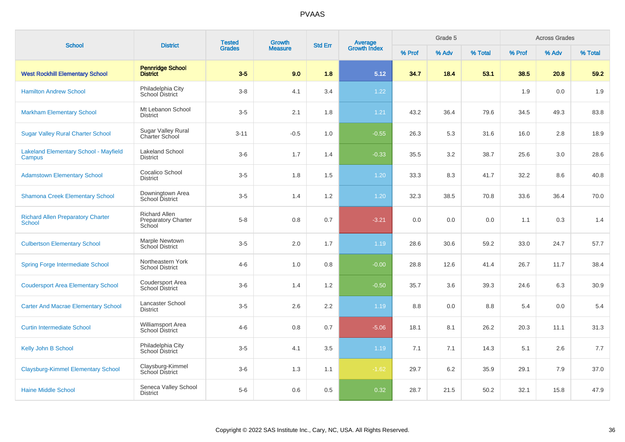| <b>School</b>                                             | <b>District</b>                                              | <b>Tested</b><br><b>Grades</b> | <b>Growth</b><br><b>Measure</b> | <b>Std Err</b>   | <b>Average</b><br>Growth Index | Grade 5 |       |         | <b>Across Grades</b> |       |         |
|-----------------------------------------------------------|--------------------------------------------------------------|--------------------------------|---------------------------------|------------------|--------------------------------|---------|-------|---------|----------------------|-------|---------|
|                                                           |                                                              |                                |                                 |                  |                                | % Prof  | % Adv | % Total | % Prof               | % Adv | % Total |
| <b>West Rockhill Elementary School</b>                    | <b>Pennridge School</b><br><b>District</b>                   | $3-5$                          | 9.0                             | 1.8              | 5.12                           | 34.7    | 18.4  | 53.1    | 38.5                 | 20.8  | 59.2    |
| <b>Hamilton Andrew School</b>                             | Philadelphia City<br>School District                         | $3-8$                          | 4.1                             | 3.4              | 1.22                           |         |       |         | 1.9                  | 0.0   | 1.9     |
| <b>Markham Elementary School</b>                          | Mt Lebanon School<br><b>District</b>                         | $3-5$                          | 2.1                             | 1.8              | 1.21                           | 43.2    | 36.4  | 79.6    | 34.5                 | 49.3  | 83.8    |
| <b>Sugar Valley Rural Charter School</b>                  | <b>Sugar Valley Rural</b><br>Charter School                  | $3 - 11$                       | $-0.5$                          | 1.0              | $-0.55$                        | 26.3    | 5.3   | 31.6    | 16.0                 | 2.8   | 18.9    |
| <b>Lakeland Elementary School - Mayfield</b><br>Campus    | <b>Lakeland School</b><br><b>District</b>                    | $3-6$                          | 1.7                             | 1.4              | $-0.33$                        | 35.5    | 3.2   | 38.7    | 25.6                 | 3.0   | 28.6    |
| <b>Adamstown Elementary School</b>                        | Cocalico School<br><b>District</b>                           | $3-5$                          | 1.8                             | 1.5              | 1.20                           | 33.3    | 8.3   | 41.7    | 32.2                 | 8.6   | 40.8    |
| <b>Shamona Creek Elementary School</b>                    | Downingtown Area<br>School District                          | $3-5$                          | 1.4                             | $1.2\,$          | 1.20                           | 32.3    | 38.5  | 70.8    | 33.6                 | 36.4  | 70.0    |
| <b>Richard Allen Preparatory Charter</b><br><b>School</b> | <b>Richard Allen</b><br><b>Preparatory Charter</b><br>School | $5 - 8$                        | 0.8                             | 0.7              | $-3.21$                        | 0.0     | 0.0   | 0.0     | 1.1                  | 0.3   | 1.4     |
| <b>Culbertson Elementary School</b>                       | Marple Newtown<br><b>School District</b>                     | $3-5$                          | 2.0                             | 1.7              | 1.19                           | 28.6    | 30.6  | 59.2    | 33.0                 | 24.7  | 57.7    |
| <b>Spring Forge Intermediate School</b>                   | Northeastern York<br><b>School District</b>                  | $4 - 6$                        | 1.0                             | 0.8              | $-0.00$                        | 28.8    | 12.6  | 41.4    | 26.7                 | 11.7  | 38.4    |
| <b>Coudersport Area Elementary School</b>                 | Coudersport Area<br>School District                          | $3-6$                          | 1.4                             | 1.2              | $-0.50$                        | 35.7    | 3.6   | 39.3    | 24.6                 | 6.3   | 30.9    |
| <b>Carter And Macrae Elementary School</b>                | Lancaster School<br><b>District</b>                          | $3-5$                          | 2.6                             | $2.2\phantom{0}$ | 1.19                           | 8.8     | 0.0   | 8.8     | 5.4                  | 0.0   | 5.4     |
| <b>Curtin Intermediate School</b>                         | Williamsport Area<br><b>School District</b>                  | $4 - 6$                        | 0.8                             | 0.7              | $-5.06$                        | 18.1    | 8.1   | 26.2    | 20.3                 | 11.1  | 31.3    |
| Kelly John B School                                       | Philadelphia City<br>School District                         | $3-5$                          | 4.1                             | 3.5              | 1.19                           | 7.1     | 7.1   | 14.3    | 5.1                  | 2.6   | 7.7     |
| <b>Claysburg-Kimmel Elementary School</b>                 | Claysburg-Kimmel<br><b>School District</b>                   | $3-6$                          | 1.3                             | 1.1              | $-1.62$                        | 29.7    | 6.2   | 35.9    | 29.1                 | 7.9   | 37.0    |
| <b>Haine Middle School</b>                                | Seneca Valley School<br><b>District</b>                      | $5-6$                          | 0.6                             | 0.5              | 0.32                           | 28.7    | 21.5  | 50.2    | 32.1                 | 15.8  | 47.9    |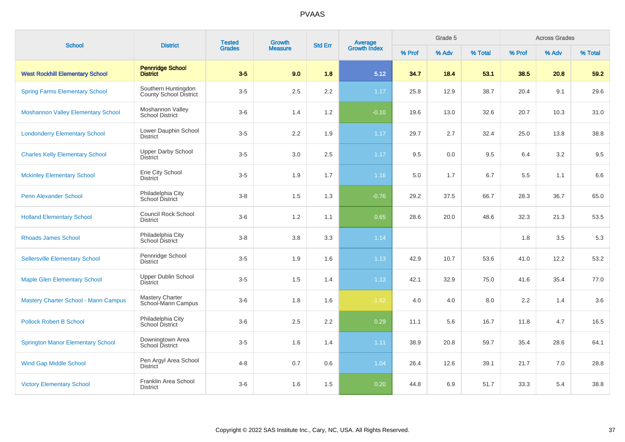| <b>School</b>                               | <b>District</b>                                      | <b>Tested</b><br>Growth<br><b>Grades</b><br><b>Measure</b> | <b>Average</b><br>Growth Index<br><b>Std Err</b> |     | Grade 5 |        |       | <b>Across Grades</b> |        |       |         |
|---------------------------------------------|------------------------------------------------------|------------------------------------------------------------|--------------------------------------------------|-----|---------|--------|-------|----------------------|--------|-------|---------|
|                                             |                                                      |                                                            |                                                  |     |         | % Prof | % Adv | % Total              | % Prof | % Adv | % Total |
| <b>West Rockhill Elementary School</b>      | <b>Pennridge School</b><br><b>District</b>           | $3-5$                                                      | 9.0                                              | 1.8 | 5.12    | 34.7   | 18.4  | 53.1                 | 38.5   | 20.8  | 59.2    |
| <b>Spring Farms Elementary School</b>       | Southern Huntingdon<br><b>County School District</b> | $3-5$                                                      | 2.5                                              | 2.2 | 1.17    | 25.8   | 12.9  | 38.7                 | 20.4   | 9.1   | 29.6    |
| <b>Moshannon Valley Elementary School</b>   | Moshannon Valley<br><b>School District</b>           | $3-6$                                                      | 1.4                                              | 1.2 | $-0.10$ | 19.6   | 13.0  | 32.6                 | 20.7   | 10.3  | 31.0    |
| <b>Londonderry Elementary School</b>        | Lower Dauphin School<br><b>District</b>              | $3-5$                                                      | 2.2                                              | 1.9 | 1.17    | 29.7   | 2.7   | 32.4                 | 25.0   | 13.8  | 38.8    |
| <b>Charles Kelly Elementary School</b>      | <b>Upper Darby School</b><br><b>District</b>         | $3-5$                                                      | 3.0                                              | 2.5 | 1.17    | 9.5    | 0.0   | 9.5                  | 6.4    | 3.2   | 9.5     |
| <b>Mckinley Elementary School</b>           | Erie City School<br><b>District</b>                  | $3-5$                                                      | 1.9                                              | 1.7 | 1.16    | 5.0    | 1.7   | 6.7                  | 5.5    | 1.1   | 6.6     |
| <b>Penn Alexander School</b>                | Philadelphia City<br><b>School District</b>          | $3 - 8$                                                    | 1.5                                              | 1.3 | $-0.76$ | 29.2   | 37.5  | 66.7                 | 28.3   | 36.7  | 65.0    |
| <b>Holland Elementary School</b>            | <b>Council Rock School</b><br><b>District</b>        | $3-6$                                                      | 1.2                                              | 1.1 | 0.65    | 28.6   | 20.0  | 48.6                 | 32.3   | 21.3  | 53.5    |
| <b>Rhoads James School</b>                  | Philadelphia City<br>School District                 | $3 - 8$                                                    | 3.8                                              | 3.3 | 1.14    |        |       |                      | 1.8    | 3.5   | 5.3     |
| <b>Sellersville Elementary School</b>       | Pennridge School<br><b>District</b>                  | $3-5$                                                      | 1.9                                              | 1.6 | 1.13    | 42.9   | 10.7  | 53.6                 | 41.0   | 12.2  | 53.2    |
| <b>Maple Glen Elementary School</b>         | <b>Upper Dublin School</b><br><b>District</b>        | $3-5$                                                      | 1.5                                              | 1.4 | 1.13    | 42.1   | 32.9  | 75.0                 | 41.6   | 35.4  | 77.0    |
| <b>Mastery Charter School - Mann Campus</b> | <b>Mastery Charter</b><br>School-Mann Campus         | $3-6$                                                      | 1.8                                              | 1.6 | $-1.82$ | 4.0    | 4.0   | 8.0                  | 2.2    | 1.4   | 3.6     |
| <b>Pollock Robert B School</b>              | Philadelphia City<br>School District                 | $3-6$                                                      | 2.5                                              | 2.2 | 0.29    | 11.1   | 5.6   | 16.7                 | 11.8   | 4.7   | 16.5    |
| <b>Springton Manor Elementary School</b>    | Downingtown Area<br>School District                  | $3-5$                                                      | 1.6                                              | 1.4 | 1.11    | 38.9   | 20.8  | 59.7                 | 35.4   | 28.6  | 64.1    |
| <b>Wind Gap Middle School</b>               | Pen Argyl Area School<br>District                    | $4 - 8$                                                    | 0.7                                              | 0.6 | 1.04    | 26.4   | 12.6  | 39.1                 | 21.7   | 7.0   | 28.8    |
| <b>Victory Elementary School</b>            | Franklin Area School<br><b>District</b>              | $3-6$                                                      | 1.6                                              | 1.5 | 0.20    | 44.8   | 6.9   | 51.7                 | 33.3   | 5.4   | 38.8    |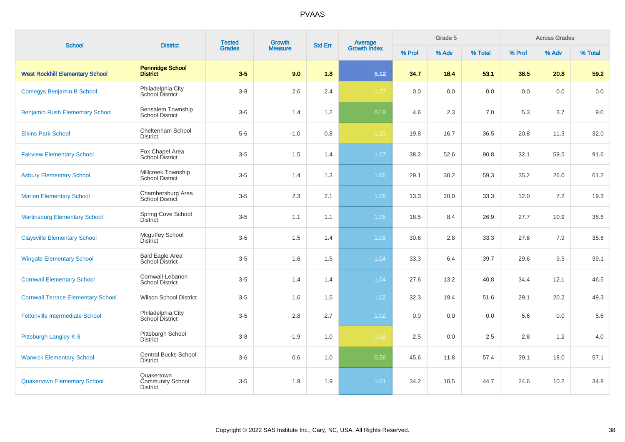| <b>School</b>                             | <b>District</b>                                          | <b>Tested</b><br><b>Grades</b> | Growth         | <b>Std Err</b> |                                |        | Grade 5 |         |         | <b>Across Grades</b> |         |
|-------------------------------------------|----------------------------------------------------------|--------------------------------|----------------|----------------|--------------------------------|--------|---------|---------|---------|----------------------|---------|
|                                           |                                                          |                                | <b>Measure</b> |                | <b>Average</b><br>Growth Index | % Prof | % Adv   | % Total | % Prof  | % Adv                | % Total |
| <b>West Rockhill Elementary School</b>    | <b>Pennridge School</b><br><b>District</b>               | $3-5$                          | 9.0            | 1.8            | 5.12                           | 34.7   | 18.4    | 53.1    | 38.5    | 20.8                 | 59.2    |
| <b>Comegys Benjamin B School</b>          | Philadelphia City<br>School District                     | $3 - 8$                        | 2.6            | 2.4            | $-1.77$                        | 0.0    | 0.0     | $0.0\,$ | $0.0\,$ | 0.0                  | 0.0     |
| <b>Benjamin Rush Elementary School</b>    | Bensalem Township<br><b>School District</b>              | $3-6$                          | 1.4            | 1.2            | 0.18                           | 4.6    | 2.3     | 7.0     | 5.3     | 3.7                  | 9.0     |
| <b>Elkins Park School</b>                 | Cheltenham School<br><b>District</b>                     | $5-6$                          | $-1.0$         | 0.8            | $-1.20$                        | 19.8   | 16.7    | 36.5    | 20.8    | 11.3                 | 32.0    |
| <b>Fairview Elementary School</b>         | Fox Chapel Area<br><b>School District</b>                | $3-5$                          | 1.5            | 1.4            | 1.07                           | 38.2   | 52.6    | 90.8    | 32.1    | 59.5                 | 91.6    |
| <b>Asbury Elementary School</b>           | Millcreek Township<br><b>School District</b>             | $3-5$                          | 1.4            | 1.3            | 1.06                           | 29.1   | 30.2    | 59.3    | 35.2    | 26.0                 | 61.2    |
| <b>Marion Elementary School</b>           | Chambersburg Area<br>School District                     | $3-5$                          | 2.3            | 2.1            | 1.06                           | 13.3   | 20.0    | 33.3    | 12.0    | 7.2                  | 19.3    |
| <b>Martinsburg Elementary School</b>      | Spring Cove School<br><b>District</b>                    | $3-5$                          | 1.1            | 1.1            | 1.05                           | 18.5   | 8.4     | 26.9    | 27.7    | 10.9                 | 38.6    |
| <b>Claysville Elementary School</b>       | <b>Mcguffey School</b><br><b>District</b>                | $3-5$                          | 1.5            | 1.4            | 1.05                           | 30.6   | 2.8     | 33.3    | 27.8    | 7.9                  | 35.6    |
| <b>Wingate Elementary School</b>          | <b>Bald Eagle Area</b><br>School District                | $3-5$                          | 1.6            | 1.5            | 1.04                           | 33.3   | 6.4     | 39.7    | 29.6    | 9.5                  | 39.1    |
| <b>Cornwall Elementary School</b>         | Cornwall-Lebanon<br><b>School District</b>               | $3-5$                          | 1.4            | 1.4            | 1.04                           | 27.6   | 13.2    | 40.8    | 34.4    | 12.1                 | 46.5    |
| <b>Cornwall Terrace Elementary School</b> | <b>Wilson School District</b>                            | $3-5$                          | 1.6            | 1.5            | 1.02                           | 32.3   | 19.4    | 51.6    | 29.1    | 20.2                 | 49.3    |
| <b>Feltonville Intermediate School</b>    | Philadelphia City<br>School District                     | $3-5$                          | 2.8            | 2.7            | 1.02                           | 0.0    | 0.0     | 0.0     | 5.6     | 0.0                  | 5.6     |
| Pittsburgh Langley K-8                    | Pittsburgh School<br><b>District</b>                     | $3-8$                          | $-1.9$         | 1.0            | $-1.92$                        | 2.5    | 0.0     | 2.5     | 2.8     | 1.2                  | 4.0     |
| <b>Warwick Elementary School</b>          | <b>Central Bucks School</b><br><b>District</b>           | $3-6$                          | 0.6            | 1.0            | 0.56                           | 45.6   | 11.8    | 57.4    | 39.1    | 18.0                 | 57.1    |
| <b>Quakertown Elementary School</b>       | Quakertown<br><b>Community School</b><br><b>District</b> | $3-5$                          | 1.9            | 1.9            | 1.01                           | 34.2   | 10.5    | 44.7    | 24.6    | 10.2                 | 34.8    |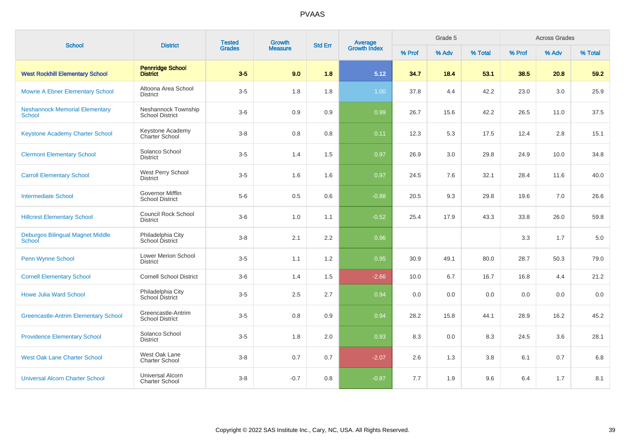| <b>School</b>                                          | <b>District</b>                                   | <b>Tested</b><br><b>Grades</b> | Growth         | <b>Std Err</b> | Average<br>Growth Index |        | Grade 5 |         |        | <b>Across Grades</b> |         |
|--------------------------------------------------------|---------------------------------------------------|--------------------------------|----------------|----------------|-------------------------|--------|---------|---------|--------|----------------------|---------|
|                                                        |                                                   |                                | <b>Measure</b> |                |                         | % Prof | % Adv   | % Total | % Prof | % Adv                | % Total |
| <b>West Rockhill Elementary School</b>                 | <b>Pennridge School</b><br><b>District</b>        | $3-5$                          | 9.0            | 1.8            | 5.12                    | 34.7   | 18.4    | 53.1    | 38.5   | 20.8                 | 59.2    |
| <b>Mowrie A Ebner Elementary School</b>                | Altoona Area School<br><b>District</b>            | $3-5$                          | 1.8            | 1.8            | 1.00                    | 37.8   | 4.4     | 42.2    | 23.0   | 3.0                  | 25.9    |
| <b>Neshannock Memorial Elementary</b><br><b>School</b> | Neshannock Township<br><b>School District</b>     | $3-6$                          | 0.9            | 0.9            | 0.99                    | 26.7   | 15.6    | 42.2    | 26.5   | 11.0                 | 37.5    |
| <b>Keystone Academy Charter School</b>                 | Keystone Academy<br>Charter School                | $3 - 8$                        | 0.8            | 0.8            | 0.11                    | 12.3   | 5.3     | 17.5    | 12.4   | 2.8                  | 15.1    |
| <b>Clermont Elementary School</b>                      | Solanco School<br><b>District</b>                 | $3-5$                          | 1.4            | 1.5            | 0.97                    | 26.9   | 3.0     | 29.8    | 24.9   | 10.0                 | 34.8    |
| <b>Carroll Elementary School</b>                       | West Perry School<br>District                     | $3-5$                          | 1.6            | 1.6            | 0.97                    | 24.5   | 7.6     | 32.1    | 28.4   | 11.6                 | 40.0    |
| <b>Intermediate School</b>                             | <b>Governor Mifflin</b><br><b>School District</b> | $5-6$                          | 0.5            | 0.6            | $-0.88$                 | 20.5   | 9.3     | 29.8    | 19.6   | 7.0                  | 26.6    |
| <b>Hillcrest Elementary School</b>                     | <b>Council Rock School</b><br><b>District</b>     | $3-6$                          | 1.0            | 1.1            | $-0.52$                 | 25.4   | 17.9    | 43.3    | 33.8   | 26.0                 | 59.8    |
| Deburgos Bilingual Magnet Middle<br>School             | Philadelphia City<br>School District              | $3 - 8$                        | 2.1            | 2.2            | 0.96                    |        |         |         | 3.3    | 1.7                  | 5.0     |
| Penn Wynne School                                      | <b>Lower Merion School</b><br><b>District</b>     | $3-5$                          | 1.1            | 1.2            | 0.95                    | 30.9   | 49.1    | 80.0    | 28.7   | 50.3                 | 79.0    |
| <b>Cornell Elementary School</b>                       | <b>Cornell School District</b>                    | $3-6$                          | 1.4            | 1.5            | $-2.66$                 | 10.0   | 6.7     | 16.7    | 16.8   | 4.4                  | 21.2    |
| <b>Howe Julia Ward School</b>                          | Philadelphia City<br>School District              | $3-5$                          | 2.5            | 2.7            | 0.94                    | 0.0    | 0.0     | 0.0     | 0.0    | 0.0                  | 0.0     |
| <b>Greencastle-Antrim Elementary School</b>            | Greencastle-Antrim<br><b>School District</b>      | $3-5$                          | 0.8            | 0.9            | 0.94                    | 28.2   | 15.8    | 44.1    | 28.9   | 16.2                 | 45.2    |
| <b>Providence Elementary School</b>                    | Solanco School<br><b>District</b>                 | $3-5$                          | 1.8            | 2.0            | 0.93                    | 8.3    | 0.0     | 8.3     | 24.5   | 3.6                  | 28.1    |
| <b>West Oak Lane Charter School</b>                    | West Oak Lane<br><b>Charter School</b>            | $3 - 8$                        | 0.7            | 0.7            | $-2.07$                 | 2.6    | 1.3     | 3.8     | 6.1    | 0.7                  | 6.8     |
| <b>Universal Alcorn Charter School</b>                 | <b>Universal Alcorn</b><br><b>Charter School</b>  | $3 - 8$                        | $-0.7$         | 0.8            | $-0.87$                 | 7.7    | 1.9     | 9.6     | 6.4    | 1.7                  | 8.1     |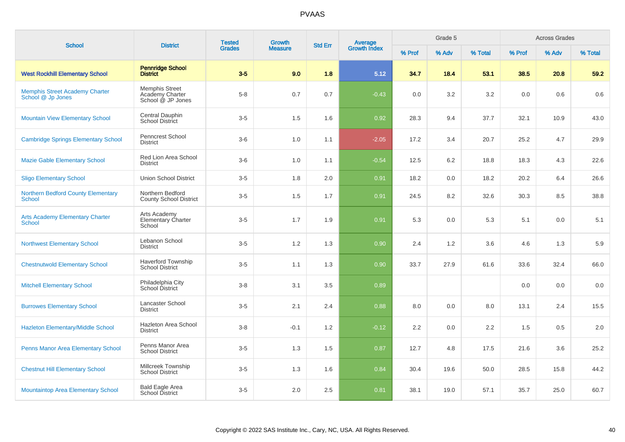| <b>School</b>                                              | <b>District</b>                                               | <b>Tested</b> | <b>Growth</b>  | <b>Std Err</b> |                         |        | Grade 5 | <b>Across Grades</b> |        |       |         |
|------------------------------------------------------------|---------------------------------------------------------------|---------------|----------------|----------------|-------------------------|--------|---------|----------------------|--------|-------|---------|
|                                                            |                                                               | <b>Grades</b> | <b>Measure</b> |                | Average<br>Growth Index | % Prof | % Adv   | % Total              | % Prof | % Adv | % Total |
| <b>West Rockhill Elementary School</b>                     | <b>Pennridge School</b><br><b>District</b>                    | $3-5$         | 9.0            | 1.8            | 5.12                    | 34.7   | 18.4    | 53.1                 | 38.5   | 20.8  | 59.2    |
| <b>Memphis Street Academy Charter</b><br>School @ Jp Jones | <b>Memphis Street</b><br>Academy Charter<br>School @ JP Jones | $5 - 8$       | 0.7            | 0.7            | $-0.43$                 | 0.0    | 3.2     | 3.2                  | 0.0    | 0.6   | 0.6     |
| <b>Mountain View Elementary School</b>                     | Central Dauphin<br>School District                            | $3-5$         | 1.5            | 1.6            | 0.92                    | 28.3   | 9.4     | 37.7                 | 32.1   | 10.9  | 43.0    |
| <b>Cambridge Springs Elementary School</b>                 | Penncrest School<br><b>District</b>                           | $3-6$         | 1.0            | 1.1            | $-2.05$                 | 17.2   | 3.4     | 20.7                 | 25.2   | 4.7   | 29.9    |
| <b>Mazie Gable Elementary School</b>                       | Red Lion Area School<br><b>District</b>                       | $3-6$         | 1.0            | 1.1            | $-0.54$                 | 12.5   | 6.2     | 18.8                 | 18.3   | 4.3   | 22.6    |
| <b>Sligo Elementary School</b>                             | <b>Union School District</b>                                  | $3-5$         | 1.8            | 2.0            | 0.91                    | 18.2   | 0.0     | 18.2                 | 20.2   | 6.4   | 26.6    |
| <b>Northern Bedford County Elementary</b><br><b>School</b> | Northern Bedford<br><b>County School District</b>             | $3-5$         | 1.5            | 1.7            | 0.91                    | 24.5   | 8.2     | 32.6                 | 30.3   | 8.5   | 38.8    |
| <b>Arts Academy Elementary Charter</b><br>School           | Arts Academy<br>Elementary Charter<br>School                  | $3-5$         | 1.7            | 1.9            | 0.91                    | 5.3    | 0.0     | 5.3                  | 5.1    | 0.0   | 5.1     |
| <b>Northwest Elementary School</b>                         | Lebanon School<br><b>District</b>                             | $3-5$         | 1.2            | 1.3            | 0.90                    | 2.4    | 1.2     | 3.6                  | 4.6    | 1.3   | 5.9     |
| <b>Chestnutwold Elementary School</b>                      | <b>Haverford Township</b><br><b>School District</b>           | $3-5$         | 1.1            | 1.3            | 0.90                    | 33.7   | 27.9    | 61.6                 | 33.6   | 32.4  | 66.0    |
| <b>Mitchell Elementary School</b>                          | Philadelphia City<br>School District                          | $3 - 8$       | 3.1            | 3.5            | 0.89                    |        |         |                      | 0.0    | 0.0   | 0.0     |
| <b>Burrowes Elementary School</b>                          | Lancaster School<br><b>District</b>                           | $3-5$         | 2.1            | 2.4            | 0.88                    | 8.0    | 0.0     | 8.0                  | 13.1   | 2.4   | 15.5    |
| Hazleton Elementary/Middle School                          | Hazleton Area School<br><b>District</b>                       | $3 - 8$       | $-0.1$         | 1.2            | $-0.12$                 | 2.2    | 0.0     | 2.2                  | 1.5    | 0.5   | 2.0     |
| Penns Manor Area Elementary School                         | Penns Manor Area<br><b>School District</b>                    | $3-5$         | 1.3            | 1.5            | 0.87                    | 12.7   | 4.8     | 17.5                 | 21.6   | 3.6   | 25.2    |
| <b>Chestnut Hill Elementary School</b>                     | Millcreek Township<br><b>School District</b>                  | $3-5$         | 1.3            | 1.6            | 0.84                    | 30.4   | 19.6    | 50.0                 | 28.5   | 15.8  | 44.2    |
| <b>Mountaintop Area Elementary School</b>                  | <b>Bald Eagle Area</b><br>School District                     | $3-5$         | 2.0            | 2.5            | 0.81                    | 38.1   | 19.0    | 57.1                 | 35.7   | 25.0  | 60.7    |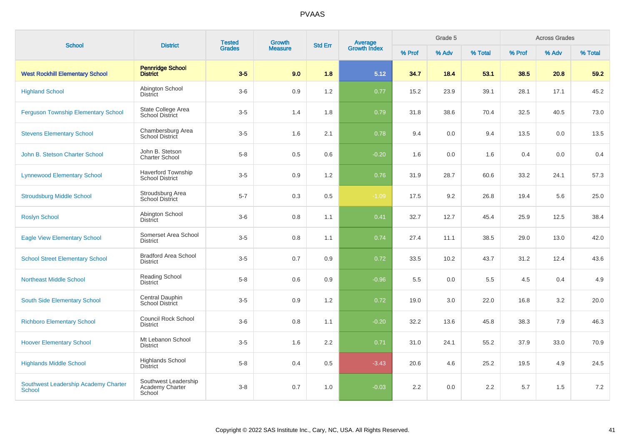| <b>School</b>                                  | <b>District</b>                                     | <b>Tested</b><br><b>Grades</b> | <b>Growth</b>  | <b>Std Err</b>   |                                |        | Grade 5 |         |        | <b>Across Grades</b> |         |
|------------------------------------------------|-----------------------------------------------------|--------------------------------|----------------|------------------|--------------------------------|--------|---------|---------|--------|----------------------|---------|
|                                                |                                                     |                                | <b>Measure</b> |                  | <b>Average</b><br>Growth Index | % Prof | % Adv   | % Total | % Prof | % Adv                | % Total |
| <b>West Rockhill Elementary School</b>         | <b>Pennridge School</b><br><b>District</b>          | $3-5$                          | 9.0            | 1.8              | 5.12                           | 34.7   | 18.4    | 53.1    | 38.5   | 20.8                 | 59.2    |
| <b>Highland School</b>                         | Abington School<br><b>District</b>                  | $3-6$                          | 0.9            | 1.2              | 0.77                           | 15.2   | 23.9    | 39.1    | 28.1   | 17.1                 | 45.2    |
| <b>Ferguson Township Elementary School</b>     | State College Area<br><b>School District</b>        | $3-5$                          | 1.4            | 1.8              | 0.79                           | 31.8   | 38.6    | 70.4    | 32.5   | 40.5                 | 73.0    |
| <b>Stevens Elementary School</b>               | Chambersburg Area<br>School District                | $3-5$                          | 1.6            | 2.1              | 0.78                           | 9.4    | 0.0     | 9.4     | 13.5   | 0.0                  | 13.5    |
| John B. Stetson Charter School                 | John B. Stetson<br><b>Charter School</b>            | $5-8$                          | 0.5            | 0.6              | $-0.20$                        | 1.6    | 0.0     | 1.6     | 0.4    | 0.0                  | 0.4     |
| <b>Lynnewood Elementary School</b>             | <b>Haverford Township</b><br><b>School District</b> | $3-5$                          | 0.9            | 1.2              | 0.76                           | 31.9   | 28.7    | 60.6    | 33.2   | 24.1                 | 57.3    |
| <b>Stroudsburg Middle School</b>               | Stroudsburg Area<br><b>School District</b>          | $5 - 7$                        | 0.3            | 0.5              | $-1.09$                        | 17.5   | 9.2     | 26.8    | 19.4   | 5.6                  | 25.0    |
| <b>Roslyn School</b>                           | Abington School<br>District                         | $3-6$                          | 0.8            | 1.1              | 0.41                           | 32.7   | 12.7    | 45.4    | 25.9   | 12.5                 | 38.4    |
| <b>Eagle View Elementary School</b>            | Somerset Area School<br><b>District</b>             | $3-5$                          | 0.8            | 1.1              | 0.74                           | 27.4   | 11.1    | 38.5    | 29.0   | 13.0                 | 42.0    |
| <b>School Street Elementary School</b>         | <b>Bradford Area School</b><br><b>District</b>      | $3-5$                          | 0.7            | 0.9              | 0.72                           | 33.5   | 10.2    | 43.7    | 31.2   | 12.4                 | 43.6    |
| <b>Northeast Middle School</b>                 | <b>Reading School</b><br><b>District</b>            | $5 - 8$                        | 0.6            | 0.9              | $-0.96$                        | 5.5    | 0.0     | 5.5     | 4.5    | 0.4                  | 4.9     |
| South Side Elementary School                   | Central Dauphin<br><b>School District</b>           | $3-5$                          | 0.9            | 1.2              | 0.72                           | 19.0   | 3.0     | 22.0    | 16.8   | 3.2                  | 20.0    |
| <b>Richboro Elementary School</b>              | Council Rock School<br><b>District</b>              | $3-6$                          | 0.8            | 1.1              | $-0.20$                        | 32.2   | 13.6    | 45.8    | 38.3   | 7.9                  | 46.3    |
| <b>Hoover Elementary School</b>                | Mt Lebanon School<br><b>District</b>                | $3-5$                          | 1.6            | $2.2\phantom{0}$ | 0.71                           | 31.0   | 24.1    | 55.2    | 37.9   | 33.0                 | 70.9    |
| <b>Highlands Middle School</b>                 | <b>Highlands School</b><br><b>District</b>          | $5 - 8$                        | 0.4            | 0.5              | $-3.43$                        | 20.6   | 4.6     | 25.2    | 19.5   | 4.9                  | 24.5    |
| Southwest Leadership Academy Charter<br>School | Southwest Leadership<br>Academy Charter<br>School   | $3 - 8$                        | 0.7            | 1.0              | $-0.03$                        | 2.2    | 0.0     | 2.2     | 5.7    | 1.5                  | 7.2     |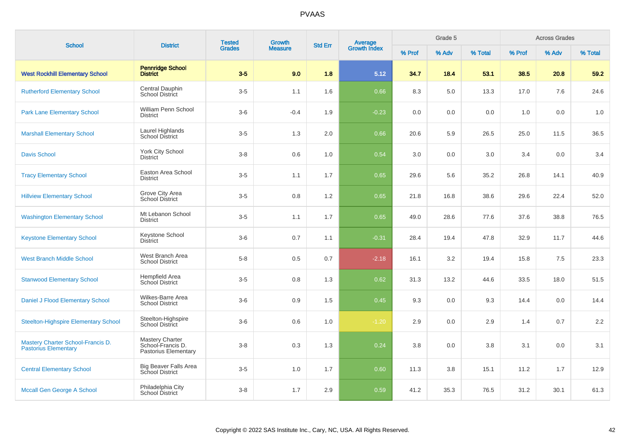| <b>School</b>                                                    | <b>District</b>                                                     | <b>Tested</b> | <b>Growth</b>  | <b>Std Err</b> | Average<br>Growth Index |        | Grade 5 |         |        | <b>Across Grades</b> |         |
|------------------------------------------------------------------|---------------------------------------------------------------------|---------------|----------------|----------------|-------------------------|--------|---------|---------|--------|----------------------|---------|
|                                                                  |                                                                     | <b>Grades</b> | <b>Measure</b> |                |                         | % Prof | % Adv   | % Total | % Prof | % Adv                | % Total |
| <b>West Rockhill Elementary School</b>                           | <b>Pennridge School</b><br><b>District</b>                          | $3-5$         | 9.0            | 1.8            | 5.12                    | 34.7   | 18.4    | 53.1    | 38.5   | 20.8                 | 59.2    |
| <b>Rutherford Elementary School</b>                              | Central Dauphin<br><b>School District</b>                           | $3-5$         | 1.1            | 1.6            | 0.66                    | 8.3    | 5.0     | 13.3    | 17.0   | 7.6                  | 24.6    |
| <b>Park Lane Elementary School</b>                               | William Penn School<br><b>District</b>                              | $3-6$         | $-0.4$         | 1.9            | $-0.23$                 | 0.0    | 0.0     | 0.0     | 1.0    | 0.0                  | 1.0     |
| <b>Marshall Elementary School</b>                                | Laurel Highlands<br>School District                                 | $3-5$         | 1.3            | 2.0            | 0.66                    | 20.6   | 5.9     | 26.5    | 25.0   | 11.5                 | 36.5    |
| <b>Davis School</b>                                              | York City School<br><b>District</b>                                 | $3-8$         | 0.6            | 1.0            | 0.54                    | 3.0    | 0.0     | 3.0     | 3.4    | 0.0                  | 3.4     |
| <b>Tracy Elementary School</b>                                   | Easton Area School<br><b>District</b>                               | $3-5$         | 1.1            | 1.7            | 0.65                    | 29.6   | 5.6     | 35.2    | 26.8   | 14.1                 | 40.9    |
| <b>Hillview Elementary School</b>                                | Grove City Area<br>School District                                  | $3-5$         | 0.8            | 1.2            | 0.65                    | 21.8   | 16.8    | 38.6    | 29.6   | 22.4                 | 52.0    |
| <b>Washington Elementary School</b>                              | Mt Lebanon School<br><b>District</b>                                | $3-5$         | 1.1            | 1.7            | 0.65                    | 49.0   | 28.6    | 77.6    | 37.6   | 38.8                 | 76.5    |
| <b>Keystone Elementary School</b>                                | Keystone School<br><b>District</b>                                  | $3-6$         | 0.7            | 1.1            | $-0.31$                 | 28.4   | 19.4    | 47.8    | 32.9   | 11.7                 | 44.6    |
| <b>West Branch Middle School</b>                                 | West Branch Area<br><b>School District</b>                          | $5-8$         | 0.5            | 0.7            | $-2.18$                 | 16.1   | 3.2     | 19.4    | 15.8   | 7.5                  | 23.3    |
| <b>Stanwood Elementary School</b>                                | Hempfield Area<br>School District                                   | $3-5$         | 0.8            | 1.3            | 0.62                    | 31.3   | 13.2    | 44.6    | 33.5   | 18.0                 | 51.5    |
| Daniel J Flood Elementary School                                 | Wilkes-Barre Area<br><b>School District</b>                         | $3-6$         | 0.9            | 1.5            | 0.45                    | 9.3    | 0.0     | 9.3     | 14.4   | 0.0                  | 14.4    |
| <b>Steelton-Highspire Elementary School</b>                      | Steelton-Highspire<br>School District                               | $3-6$         | 0.6            | 1.0            | $-1.20$                 | 2.9    | 0.0     | 2.9     | 1.4    | 0.7                  | 2.2     |
| Mastery Charter School-Francis D.<br><b>Pastorius Elementary</b> | <b>Mastery Charter</b><br>School-Francis D.<br>Pastorius Elementary | $3-8$         | 0.3            | 1.3            | 0.24                    | 3.8    | 0.0     | 3.8     | 3.1    | 0.0                  | 3.1     |
| <b>Central Elementary School</b>                                 | <b>Big Beaver Falls Area</b><br><b>School District</b>              | $3-5$         | 1.0            | 1.7            | 0.60                    | 11.3   | 3.8     | 15.1    | 11.2   | 1.7                  | 12.9    |
| <b>Mccall Gen George A School</b>                                | Philadelphia City<br><b>School District</b>                         | $3-8$         | 1.7            | 2.9            | 0.59                    | 41.2   | 35.3    | 76.5    | 31.2   | 30.1                 | 61.3    |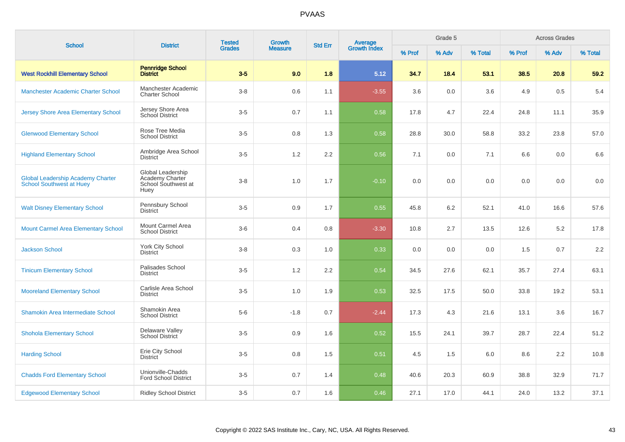| <b>School</b>                                                               | <b>District</b>                                                     | <b>Tested</b> | Growth         | <b>Std Err</b> |                                |        | Grade 5 |         |        | <b>Across Grades</b> |         |
|-----------------------------------------------------------------------------|---------------------------------------------------------------------|---------------|----------------|----------------|--------------------------------|--------|---------|---------|--------|----------------------|---------|
|                                                                             |                                                                     | <b>Grades</b> | <b>Measure</b> |                | <b>Average</b><br>Growth Index | % Prof | % Adv   | % Total | % Prof | % Adv                | % Total |
| <b>West Rockhill Elementary School</b>                                      | <b>Pennridge School</b><br><b>District</b>                          | $3-5$         | 9.0            | 1.8            | 5.12                           | 34.7   | 18.4    | 53.1    | 38.5   | 20.8                 | 59.2    |
| <b>Manchester Academic Charter School</b>                                   | Manchester Academic<br><b>Charter School</b>                        | $3-8$         | 0.6            | 1.1            | $-3.55$                        | 3.6    | 0.0     | 3.6     | 4.9    | 0.5                  | 5.4     |
| <b>Jersey Shore Area Elementary School</b>                                  | Jersey Shore Area<br><b>School District</b>                         | $3-5$         | 0.7            | 1.1            | 0.58                           | 17.8   | 4.7     | 22.4    | 24.8   | 11.1                 | 35.9    |
| <b>Glenwood Elementary School</b>                                           | Rose Tree Media<br><b>School District</b>                           | $3-5$         | 0.8            | 1.3            | 0.58                           | 28.8   | 30.0    | 58.8    | 33.2   | 23.8                 | 57.0    |
| <b>Highland Elementary School</b>                                           | Ambridge Area School<br><b>District</b>                             | $3-5$         | 1.2            | 2.2            | 0.56                           | 7.1    | 0.0     | 7.1     | 6.6    | 0.0                  | 6.6     |
| <b>Global Leadership Academy Charter</b><br><b>School Southwest at Huey</b> | Global Leadership<br>Academy Charter<br>School Southwest at<br>Huey | $3 - 8$       | 1.0            | 1.7            | $-0.10$                        | 0.0    | 0.0     | 0.0     | 0.0    | 0.0                  | $0.0\,$ |
| <b>Walt Disney Elementary School</b>                                        | Pennsbury School<br><b>District</b>                                 | $3-5$         | 0.9            | 1.7            | 0.55                           | 45.8   | 6.2     | 52.1    | 41.0   | 16.6                 | 57.6    |
| <b>Mount Carmel Area Elementary School</b>                                  | Mount Carmel Area<br><b>School District</b>                         | $3-6$         | 0.4            | 0.8            | $-3.30$                        | 10.8   | 2.7     | 13.5    | 12.6   | 5.2                  | 17.8    |
| <b>Jackson School</b>                                                       | York City School<br><b>District</b>                                 | $3-8$         | 0.3            | 1.0            | 0.33                           | 0.0    | 0.0     | 0.0     | 1.5    | 0.7                  | 2.2     |
| <b>Tinicum Elementary School</b>                                            | Palisades School<br><b>District</b>                                 | $3-5$         | 1.2            | 2.2            | 0.54                           | 34.5   | 27.6    | 62.1    | 35.7   | 27.4                 | 63.1    |
| <b>Mooreland Elementary School</b>                                          | Carlisle Area School<br><b>District</b>                             | $3-5$         | 1.0            | 1.9            | 0.53                           | 32.5   | 17.5    | 50.0    | 33.8   | 19.2                 | 53.1    |
| Shamokin Area Intermediate School                                           | Shamokin Area<br><b>School District</b>                             | $5-6$         | $-1.8$         | 0.7            | $-2.44$                        | 17.3   | 4.3     | 21.6    | 13.1   | 3.6                  | 16.7    |
| <b>Shohola Elementary School</b>                                            | Delaware Valley<br><b>School District</b>                           | $3-5$         | 0.9            | 1.6            | 0.52                           | 15.5   | 24.1    | 39.7    | 28.7   | 22.4                 | 51.2    |
| <b>Harding School</b>                                                       | Erie City School<br><b>District</b>                                 | $3-5$         | 0.8            | 1.5            | 0.51                           | 4.5    | 1.5     | 6.0     | 8.6    | 2.2                  | 10.8    |
| <b>Chadds Ford Elementary School</b>                                        | Unionville-Chadds<br><b>Ford School District</b>                    | $3-5$         | 0.7            | 1.4            | 0.48                           | 40.6   | 20.3    | 60.9    | 38.8   | 32.9                 | 71.7    |
| <b>Edgewood Elementary School</b>                                           | <b>Ridley School District</b>                                       | $3-5$         | 0.7            | 1.6            | 0.46                           | 27.1   | 17.0    | 44.1    | 24.0   | 13.2                 | 37.1    |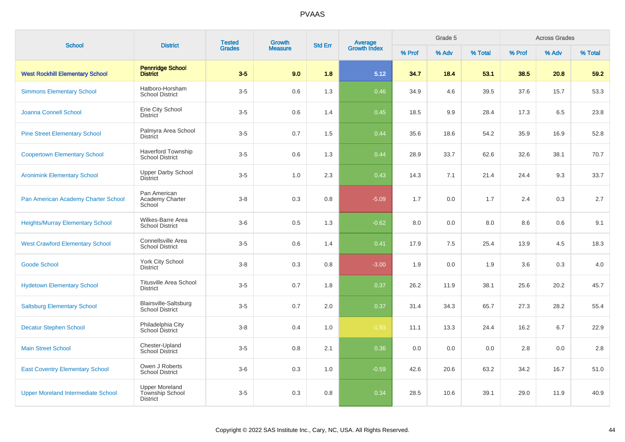| <b>School</b>                             | <b>District</b>                                             | <b>Tested</b> | Growth         |                | Average<br>Growth Index |        | Grade 5 |         |        | <b>Across Grades</b> |         |
|-------------------------------------------|-------------------------------------------------------------|---------------|----------------|----------------|-------------------------|--------|---------|---------|--------|----------------------|---------|
|                                           |                                                             | <b>Grades</b> | <b>Measure</b> | <b>Std Err</b> |                         | % Prof | % Adv   | % Total | % Prof | % Adv                | % Total |
| <b>West Rockhill Elementary School</b>    | <b>Pennridge School</b><br><b>District</b>                  | $3-5$         | 9.0            | 1.8            | 5.12                    | 34.7   | 18.4    | 53.1    | 38.5   | 20.8                 | 59.2    |
| <b>Simmons Elementary School</b>          | Hatboro-Horsham<br><b>School District</b>                   | $3-5$         | 0.6            | 1.3            | 0.46                    | 34.9   | 4.6     | 39.5    | 37.6   | 15.7                 | 53.3    |
| Joanna Connell School                     | Erie City School<br><b>District</b>                         | $3-5$         | 0.6            | 1.4            | 0.45                    | 18.5   | 9.9     | 28.4    | 17.3   | 6.5                  | 23.8    |
| <b>Pine Street Elementary School</b>      | Palmyra Area School<br><b>District</b>                      | $3-5$         | 0.7            | 1.5            | 0.44                    | 35.6   | 18.6    | 54.2    | 35.9   | 16.9                 | 52.8    |
| <b>Coopertown Elementary School</b>       | <b>Haverford Township</b><br><b>School District</b>         | $3-5$         | 0.6            | 1.3            | 0.44                    | 28.9   | 33.7    | 62.6    | 32.6   | 38.1                 | 70.7    |
| <b>Aronimink Elementary School</b>        | Upper Darby School<br><b>District</b>                       | $3-5$         | 1.0            | 2.3            | 0.43                    | 14.3   | 7.1     | 21.4    | 24.4   | 9.3                  | 33.7    |
| Pan American Academy Charter School       | Pan American<br>Academy Charter<br>School                   | $3 - 8$       | 0.3            | 0.8            | $-5.09$                 | 1.7    | 0.0     | 1.7     | 2.4    | 0.3                  | $2.7\,$ |
| <b>Heights/Murray Elementary School</b>   | Wilkes-Barre Area<br><b>School District</b>                 | $3-6$         | 0.5            | 1.3            | $-0.62$                 | 8.0    | 0.0     | 8.0     | 8.6    | 0.6                  | 9.1     |
| <b>West Crawford Elementary School</b>    | Connellsville Area<br><b>School District</b>                | $3-5$         | 0.6            | 1.4            | 0.41                    | 17.9   | 7.5     | 25.4    | 13.9   | 4.5                  | 18.3    |
| <b>Goode School</b>                       | <b>York City School</b><br><b>District</b>                  | $3 - 8$       | 0.3            | 0.8            | $-3.00$                 | 1.9    | 0.0     | 1.9     | 3.6    | 0.3                  | $4.0\,$ |
| <b>Hydetown Elementary School</b>         | <b>Titusville Area School</b><br><b>District</b>            | $3-5$         | 0.7            | 1.8            | 0.37                    | 26.2   | 11.9    | 38.1    | 25.6   | 20.2                 | 45.7    |
| <b>Saltsburg Elementary School</b>        | Blairsville-Saltsburg<br><b>School District</b>             | $3-5$         | 0.7            | 2.0            | 0.37                    | 31.4   | 34.3    | 65.7    | 27.3   | 28.2                 | 55.4    |
| <b>Decatur Stephen School</b>             | Philadelphia City<br>School District                        | $3 - 8$       | 0.4            | 1.0            | $-1.93$                 | 11.1   | 13.3    | 24.4    | 16.2   | 6.7                  | 22.9    |
| <b>Main Street School</b>                 | Chester-Upland<br>School District                           | $3-5$         | 0.8            | 2.1            | 0.36                    | 0.0    | 0.0     | 0.0     | 2.8    | 0.0                  | 2.8     |
| <b>East Coventry Elementary School</b>    | Owen J Roberts<br><b>School District</b>                    | $3-6$         | 0.3            | 1.0            | $-0.59$                 | 42.6   | 20.6    | 63.2    | 34.2   | 16.7                 | 51.0    |
| <b>Upper Moreland Intermediate School</b> | <b>Upper Moreland</b><br>Township School<br><b>District</b> | $3-5$         | 0.3            | 0.8            | 0.34                    | 28.5   | 10.6    | 39.1    | 29.0   | 11.9                 | 40.9    |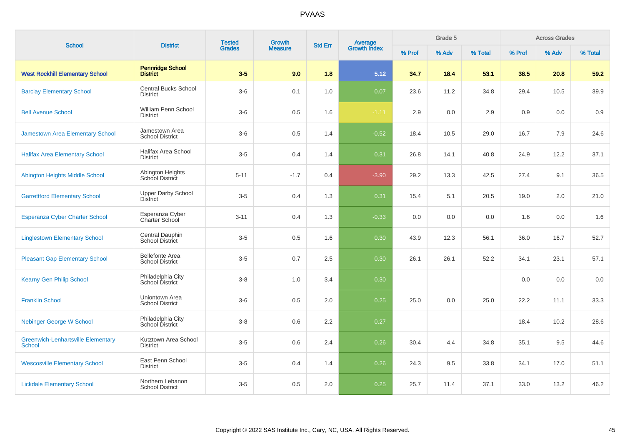| <b>School</b>                                              | <b>District</b>                                  | <b>Tested</b> | Growth         | <b>Std Err</b> | <b>Average</b><br>Growth Index |        | Grade 5 |         |        | <b>Across Grades</b> |         |
|------------------------------------------------------------|--------------------------------------------------|---------------|----------------|----------------|--------------------------------|--------|---------|---------|--------|----------------------|---------|
|                                                            |                                                  | <b>Grades</b> | <b>Measure</b> |                |                                | % Prof | % Adv   | % Total | % Prof | % Adv                | % Total |
| <b>West Rockhill Elementary School</b>                     | <b>Pennridge School</b><br><b>District</b>       | $3-5$         | 9.0            | 1.8            | 5.12                           | 34.7   | 18.4    | 53.1    | 38.5   | 20.8                 | 59.2    |
| <b>Barclay Elementary School</b>                           | <b>Central Bucks School</b><br><b>District</b>   | $3-6$         | 0.1            | 1.0            | 0.07                           | 23.6   | 11.2    | 34.8    | 29.4   | 10.5                 | 39.9    |
| <b>Bell Avenue School</b>                                  | William Penn School<br><b>District</b>           | $3-6$         | 0.5            | 1.6            | $-1.11$                        | 2.9    | 0.0     | 2.9     | 0.9    | 0.0                  | 0.9     |
| Jamestown Area Elementary School                           | Jamestown Area<br><b>School District</b>         | $3-6$         | 0.5            | 1.4            | $-0.52$                        | 18.4   | 10.5    | 29.0    | 16.7   | 7.9                  | 24.6    |
| <b>Halifax Area Elementary School</b>                      | Halifax Area School<br><b>District</b>           | $3-5$         | 0.4            | 1.4            | 0.31                           | 26.8   | 14.1    | 40.8    | 24.9   | 12.2                 | 37.1    |
| Abington Heights Middle School                             | Abington Heights<br>School District              | $5 - 11$      | $-1.7$         | 0.4            | $-3.90$                        | 29.2   | 13.3    | 42.5    | 27.4   | 9.1                  | 36.5    |
| <b>Garrettford Elementary School</b>                       | Upper Darby School<br><b>District</b>            | $3-5$         | 0.4            | 1.3            | 0.31                           | 15.4   | 5.1     | 20.5    | 19.0   | 2.0                  | 21.0    |
| Esperanza Cyber Charter School                             | Esperanza Cyber<br>Charter School                | $3 - 11$      | 0.4            | 1.3            | $-0.33$                        | 0.0    | 0.0     | 0.0     | 1.6    | 0.0                  | 1.6     |
| <b>Linglestown Elementary School</b>                       | Central Dauphin<br><b>School District</b>        | $3-5$         | 0.5            | 1.6            | 0.30                           | 43.9   | 12.3    | 56.1    | 36.0   | 16.7                 | 52.7    |
| <b>Pleasant Gap Elementary School</b>                      | <b>Bellefonte Area</b><br><b>School District</b> | $3-5$         | 0.7            | 2.5            | 0.30                           | 26.1   | 26.1    | 52.2    | 34.1   | 23.1                 | 57.1    |
| <b>Kearny Gen Philip School</b>                            | Philadelphia City<br>School District             | $3 - 8$       | 1.0            | 3.4            | 0.30                           |        |         |         | 0.0    | 0.0                  | 0.0     |
| <b>Franklin School</b>                                     | Uniontown Area<br><b>School District</b>         | $3-6$         | 0.5            | $2.0\,$        | 0.25                           | 25.0   | 0.0     | 25.0    | 22.2   | 11.1                 | 33.3    |
| <b>Nebinger George W School</b>                            | Philadelphia City<br>School District             | $3-8$         | 0.6            | 2.2            | 0.27                           |        |         |         | 18.4   | 10.2                 | 28.6    |
| <b>Greenwich-Lenhartsville Elementary</b><br><b>School</b> | Kutztown Area School<br><b>District</b>          | $3-5$         | 0.6            | 2.4            | 0.26                           | 30.4   | 4.4     | 34.8    | 35.1   | 9.5                  | 44.6    |
| <b>Wescosville Elementary School</b>                       | East Penn School<br><b>District</b>              | $3-5$         | 0.4            | 1.4            | 0.26                           | 24.3   | 9.5     | 33.8    | 34.1   | 17.0                 | 51.1    |
| <b>Lickdale Elementary School</b>                          | Northern Lebanon<br><b>School District</b>       | $3-5$         | 0.5            | 2.0            | 0.25                           | 25.7   | 11.4    | 37.1    | 33.0   | 13.2                 | 46.2    |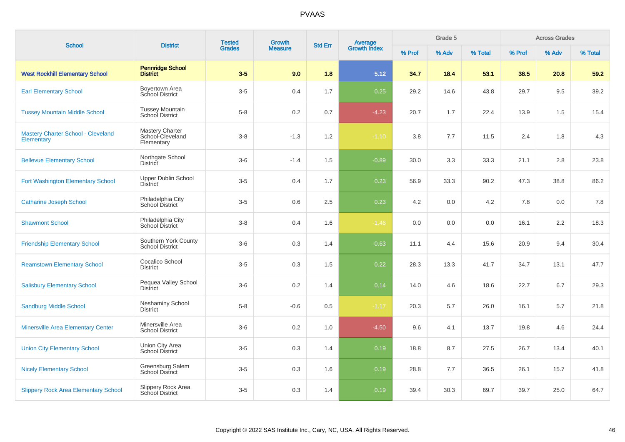| <b>School</b>                                           | <b>District</b>                                          | <b>Tested</b><br><b>Grades</b> | <b>Growth</b>  | <b>Std Err</b> |                                |        | Grade 5 |         |        | <b>Across Grades</b> |         |
|---------------------------------------------------------|----------------------------------------------------------|--------------------------------|----------------|----------------|--------------------------------|--------|---------|---------|--------|----------------------|---------|
|                                                         |                                                          |                                | <b>Measure</b> |                | <b>Average</b><br>Growth Index | % Prof | % Adv   | % Total | % Prof | % Adv                | % Total |
| <b>West Rockhill Elementary School</b>                  | <b>Pennridge School</b><br><b>District</b>               | $3-5$                          | 9.0            | 1.8            | 5.12                           | 34.7   | 18.4    | 53.1    | 38.5   | 20.8                 | 59.2    |
| <b>Earl Elementary School</b>                           | Boyertown Area<br>School District                        | $3-5$                          | 0.4            | 1.7            | 0.25                           | 29.2   | 14.6    | 43.8    | 29.7   | 9.5                  | 39.2    |
| <b>Tussey Mountain Middle School</b>                    | <b>Tussey Mountain</b><br>School District                | $5 - 8$                        | 0.2            | 0.7            | $-4.23$                        | 20.7   | 1.7     | 22.4    | 13.9   | 1.5                  | 15.4    |
| <b>Mastery Charter School - Cleveland</b><br>Elementary | <b>Mastery Charter</b><br>School-Cleveland<br>Elementary | $3 - 8$                        | $-1.3$         | 1.2            | $-1.10$                        | 3.8    | 7.7     | 11.5    | 2.4    | 1.8                  | 4.3     |
| <b>Bellevue Elementary School</b>                       | Northgate School<br>District                             | $3-6$                          | $-1.4$         | 1.5            | $-0.89$                        | 30.0   | 3.3     | 33.3    | 21.1   | 2.8                  | 23.8    |
| Fort Washington Elementary School                       | <b>Upper Dublin School</b><br><b>District</b>            | $3-5$                          | 0.4            | 1.7            | 0.23                           | 56.9   | 33.3    | 90.2    | 47.3   | 38.8                 | 86.2    |
| <b>Catharine Joseph School</b>                          | Philadelphia City<br><b>School District</b>              | $3-5$                          | 0.6            | 2.5            | 0.23                           | 4.2    | 0.0     | 4.2     | 7.8    | 0.0                  | 7.8     |
| <b>Shawmont School</b>                                  | Philadelphia City<br>School District                     | $3-8$                          | 0.4            | 1.6            | $-1.46$                        | 0.0    | 0.0     | 0.0     | 16.1   | 2.2                  | 18.3    |
| <b>Friendship Elementary School</b>                     | Southern York County<br><b>School District</b>           | $3-6$                          | 0.3            | 1.4            | $-0.63$                        | 11.1   | 4.4     | 15.6    | 20.9   | 9.4                  | 30.4    |
| <b>Reamstown Elementary School</b>                      | Cocalico School<br><b>District</b>                       | $3-5$                          | 0.3            | 1.5            | 0.22                           | 28.3   | 13.3    | 41.7    | 34.7   | 13.1                 | 47.7    |
| <b>Salisbury Elementary School</b>                      | Pequea Valley School<br><b>District</b>                  | $3-6$                          | 0.2            | 1.4            | 0.14                           | 14.0   | 4.6     | 18.6    | 22.7   | 6.7                  | 29.3    |
| <b>Sandburg Middle School</b>                           | <b>Neshaminy School</b><br><b>District</b>               | $5 - 8$                        | $-0.6$         | 0.5            | $-1.17$                        | 20.3   | 5.7     | 26.0    | 16.1   | 5.7                  | 21.8    |
| <b>Minersville Area Elementary Center</b>               | Minersville Area<br><b>School District</b>               | $3-6$                          | 0.2            | 1.0            | $-4.50$                        | 9.6    | 4.1     | 13.7    | 19.8   | 4.6                  | 24.4    |
| <b>Union City Elementary School</b>                     | Union City Area<br><b>School District</b>                | $3-5$                          | 0.3            | 1.4            | 0.19                           | 18.8   | 8.7     | 27.5    | 26.7   | 13.4                 | 40.1    |
| <b>Nicely Elementary School</b>                         | Greensburg Salem<br><b>School District</b>               | $3-5$                          | 0.3            | 1.6            | 0.19                           | 28.8   | 7.7     | 36.5    | 26.1   | 15.7                 | 41.8    |
| <b>Slippery Rock Area Elementary School</b>             | Slippery Rock Area<br>School District                    | $3-5$                          | 0.3            | 1.4            | 0.19                           | 39.4   | 30.3    | 69.7    | 39.7   | 25.0                 | 64.7    |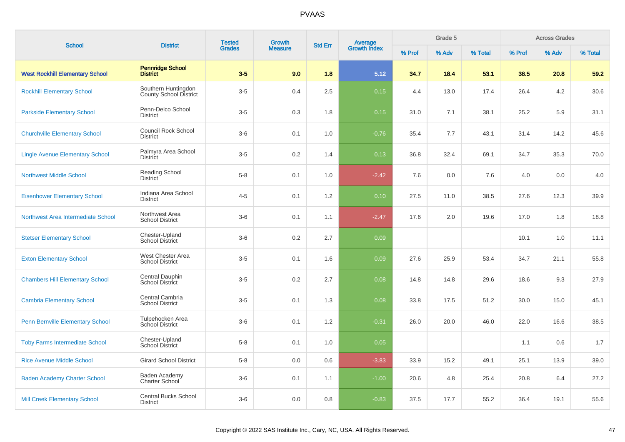|                                         |                                                      | <b>Tested</b> | <b>Growth</b>  |     | <b>Average</b><br>Growth Index<br><b>Std Err</b><br><b>District</b> |        | Grade 5 |         |        | <b>Across Grades</b> |         |
|-----------------------------------------|------------------------------------------------------|---------------|----------------|-----|---------------------------------------------------------------------|--------|---------|---------|--------|----------------------|---------|
| <b>School</b>                           |                                                      | <b>Grades</b> | <b>Measure</b> |     |                                                                     | % Prof | % Adv   | % Total | % Prof | % Adv                | % Total |
| <b>West Rockhill Elementary School</b>  | <b>Pennridge School</b><br><b>District</b>           | $3-5$         | 9.0            | 1.8 | 5.12                                                                | 34.7   | 18.4    | 53.1    | 38.5   | 20.8                 | 59.2    |
| <b>Rockhill Elementary School</b>       | Southern Huntingdon<br><b>County School District</b> | $3-5$         | 0.4            | 2.5 | 0.15                                                                | 4.4    | 13.0    | 17.4    | 26.4   | 4.2                  | 30.6    |
| <b>Parkside Elementary School</b>       | Penn-Delco School<br><b>District</b>                 | $3-5$         | 0.3            | 1.8 | 0.15                                                                | 31.0   | 7.1     | 38.1    | 25.2   | 5.9                  | 31.1    |
| <b>Churchville Elementary School</b>    | <b>Council Rock School</b><br><b>District</b>        | $3-6$         | 0.1            | 1.0 | $-0.76$                                                             | 35.4   | 7.7     | 43.1    | 31.4   | 14.2                 | 45.6    |
| <b>Lingle Avenue Elementary School</b>  | Palmyra Area School<br><b>District</b>               | $3-5$         | 0.2            | 1.4 | 0.13                                                                | 36.8   | 32.4    | 69.1    | 34.7   | 35.3                 | 70.0    |
| <b>Northwest Middle School</b>          | Reading School<br><b>District</b>                    | $5 - 8$       | 0.1            | 1.0 | $-2.42$                                                             | 7.6    | 0.0     | 7.6     | 4.0    | 0.0                  | 4.0     |
| <b>Eisenhower Elementary School</b>     | Indiana Area School<br><b>District</b>               | $4 - 5$       | 0.1            | 1.2 | 0.10                                                                | 27.5   | 11.0    | 38.5    | 27.6   | 12.3                 | 39.9    |
| Northwest Area Intermediate School      | Northwest Area<br><b>School District</b>             | $3-6$         | 0.1            | 1.1 | $-2.47$                                                             | 17.6   | 2.0     | 19.6    | 17.0   | 1.8                  | 18.8    |
| <b>Stetser Elementary School</b>        | Chester-Upland<br><b>School District</b>             | $3-6$         | 0.2            | 2.7 | 0.09                                                                |        |         |         | 10.1   | 1.0                  | 11.1    |
| <b>Exton Elementary School</b>          | West Chester Area<br><b>School District</b>          | $3-5$         | 0.1            | 1.6 | 0.09                                                                | 27.6   | 25.9    | 53.4    | 34.7   | 21.1                 | 55.8    |
| <b>Chambers Hill Elementary School</b>  | Central Dauphin<br>School District                   | $3-5$         | 0.2            | 2.7 | 0.08                                                                | 14.8   | 14.8    | 29.6    | 18.6   | 9.3                  | 27.9    |
| <b>Cambria Elementary School</b>        | Central Cambria<br><b>School District</b>            | $3-5$         | 0.1            | 1.3 | 0.08                                                                | 33.8   | 17.5    | 51.2    | 30.0   | 15.0                 | 45.1    |
| <b>Penn Bernville Elementary School</b> | Tulpehocken Area<br>School District                  | $3-6$         | 0.1            | 1.2 | $-0.31$                                                             | 26.0   | 20.0    | 46.0    | 22.0   | 16.6                 | 38.5    |
| <b>Toby Farms Intermediate School</b>   | Chester-Upland<br><b>School District</b>             | $5-8$         | 0.1            | 1.0 | 0.05                                                                |        |         |         | 1.1    | 0.6                  | 1.7     |
| <b>Rice Avenue Middle School</b>        | <b>Girard School District</b>                        | $5-8$         | 0.0            | 0.6 | $-3.83$                                                             | 33.9   | 15.2    | 49.1    | 25.1   | 13.9                 | 39.0    |
| <b>Baden Academy Charter School</b>     | Baden Academy<br>Charter School                      | $3-6$         | 0.1            | 1.1 | $-1.00$                                                             | 20.6   | 4.8     | 25.4    | 20.8   | 6.4                  | 27.2    |
| <b>Mill Creek Elementary School</b>     | <b>Central Bucks School</b><br><b>District</b>       | $3-6$         | 0.0            | 0.8 | $-0.83$                                                             | 37.5   | 17.7    | 55.2    | 36.4   | 19.1                 | 55.6    |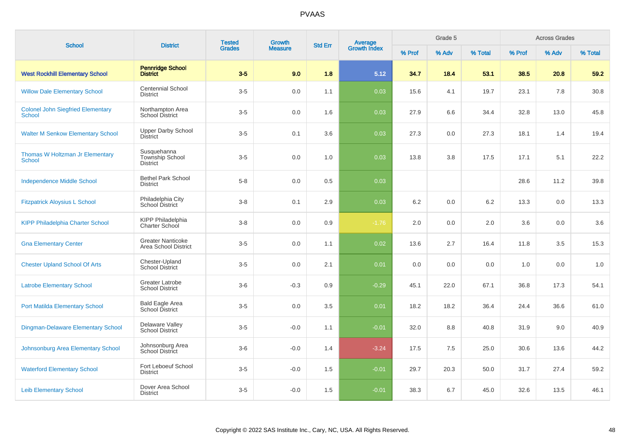| <b>School</b>                                             | <b>District</b>                                   | <b>Tested</b> | Growth         | <b>Std Err</b> |                                |        | Grade 5 |         |        | <b>Across Grades</b> |         |
|-----------------------------------------------------------|---------------------------------------------------|---------------|----------------|----------------|--------------------------------|--------|---------|---------|--------|----------------------|---------|
|                                                           |                                                   | <b>Grades</b> | <b>Measure</b> |                | <b>Average</b><br>Growth Index | % Prof | % Adv   | % Total | % Prof | % Adv                | % Total |
| <b>West Rockhill Elementary School</b>                    | <b>Pennridge School</b><br><b>District</b>        | $3-5$         | 9.0            | 1.8            | 5.12                           | 34.7   | 18.4    | 53.1    | 38.5   | 20.8                 | 59.2    |
| <b>Willow Dale Elementary School</b>                      | <b>Centennial School</b><br><b>District</b>       | $3-5$         | 0.0            | 1.1            | 0.03                           | 15.6   | 4.1     | 19.7    | 23.1   | 7.8                  | 30.8    |
| <b>Colonel John Siegfried Elementary</b><br><b>School</b> | Northampton Area<br><b>School District</b>        | $3-5$         | 0.0            | 1.6            | 0.03                           | 27.9   | 6.6     | 34.4    | 32.8   | 13.0                 | 45.8    |
| <b>Walter M Senkow Elementary School</b>                  | <b>Upper Darby School</b><br><b>District</b>      | $3-5$         | 0.1            | 3.6            | 0.03                           | 27.3   | 0.0     | 27.3    | 18.1   | 1.4                  | 19.4    |
| Thomas W Holtzman Jr Elementary<br><b>School</b>          | Susquehanna<br>Township School<br><b>District</b> | $3-5$         | 0.0            | 1.0            | 0.03                           | 13.8   | 3.8     | 17.5    | 17.1   | 5.1                  | 22.2    |
| <b>Independence Middle School</b>                         | <b>Bethel Park School</b><br><b>District</b>      | $5-8$         | 0.0            | 0.5            | 0.03                           |        |         |         | 28.6   | 11.2                 | 39.8    |
| <b>Fitzpatrick Aloysius L School</b>                      | Philadelphia City<br><b>School District</b>       | $3 - 8$       | 0.1            | 2.9            | 0.03                           | 6.2    | 0.0     | 6.2     | 13.3   | 0.0                  | 13.3    |
| <b>KIPP Philadelphia Charter School</b>                   | <b>KIPP Philadelphia</b><br>Charter School        | $3 - 8$       | 0.0            | 0.9            | $-1.76$                        | 2.0    | 0.0     | 2.0     | 3.6    | 0.0                  | 3.6     |
| <b>Gna Elementary Center</b>                              | <b>Greater Nanticoke</b><br>Area School District  | $3-5$         | 0.0            | 1.1            | 0.02                           | 13.6   | 2.7     | 16.4    | 11.8   | 3.5                  | 15.3    |
| <b>Chester Upland School Of Arts</b>                      | Chester-Upland<br><b>School District</b>          | $3-5$         | 0.0            | 2.1            | 0.01                           | 0.0    | 0.0     | 0.0     | 1.0    | 0.0                  | 1.0     |
| <b>Latrobe Elementary School</b>                          | <b>Greater Latrobe</b><br><b>School District</b>  | $3-6$         | $-0.3$         | 0.9            | $-0.29$                        | 45.1   | 22.0    | 67.1    | 36.8   | 17.3                 | 54.1    |
| <b>Port Matilda Elementary School</b>                     | Bald Eagle Area<br>School District                | $3-5$         | 0.0            | 3.5            | 0.01                           | 18.2   | 18.2    | 36.4    | 24.4   | 36.6                 | 61.0    |
| <b>Dingman-Delaware Elementary School</b>                 | Delaware Valley<br><b>School District</b>         | $3-5$         | $-0.0$         | 1.1            | $-0.01$                        | 32.0   | 8.8     | 40.8    | 31.9   | 9.0                  | 40.9    |
| Johnsonburg Area Elementary School                        | Johnsonburg Area<br>School District               | $3-6$         | $-0.0$         | 1.4            | $-3.24$                        | 17.5   | 7.5     | 25.0    | 30.6   | 13.6                 | 44.2    |
| <b>Waterford Elementary School</b>                        | Fort Leboeuf School<br><b>District</b>            | $3-5$         | $-0.0$         | 1.5            | $-0.01$                        | 29.7   | 20.3    | 50.0    | 31.7   | 27.4                 | 59.2    |
| <b>Leib Elementary School</b>                             | Dover Area School<br><b>District</b>              | $3-5$         | $-0.0$         | 1.5            | $-0.01$                        | 38.3   | 6.7     | 45.0    | 32.6   | 13.5                 | 46.1    |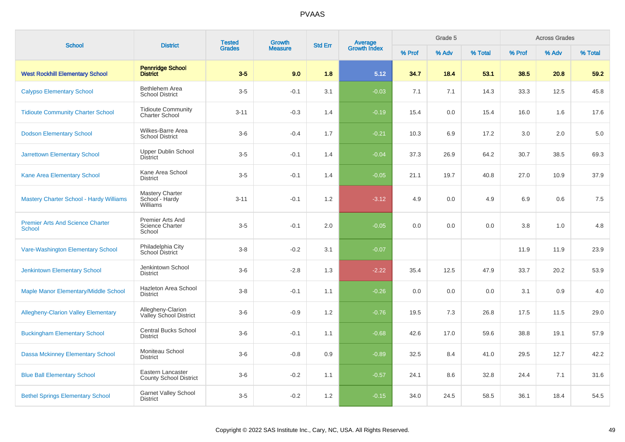| <b>School</b>                                            | <b>District</b>                                      | <b>Tested</b> | <b>Growth</b>  | <b>Std Err</b> | Average<br>Growth Index |        | Grade 5<br><b>Across Grades</b> |         |        |       |         |
|----------------------------------------------------------|------------------------------------------------------|---------------|----------------|----------------|-------------------------|--------|---------------------------------|---------|--------|-------|---------|
|                                                          |                                                      | <b>Grades</b> | <b>Measure</b> |                |                         | % Prof | % Adv                           | % Total | % Prof | % Adv | % Total |
| <b>West Rockhill Elementary School</b>                   | <b>Pennridge School</b><br><b>District</b>           | $3-5$         | 9.0            | 1.8            | 5.12                    | 34.7   | 18.4                            | 53.1    | 38.5   | 20.8  | 59.2    |
| <b>Calypso Elementary School</b>                         | Bethlehem Area<br><b>School District</b>             | $3-5$         | $-0.1$         | 3.1            | $-0.03$                 | 7.1    | 7.1                             | 14.3    | 33.3   | 12.5  | 45.8    |
| <b>Tidioute Community Charter School</b>                 | <b>Tidioute Community</b><br><b>Charter School</b>   | $3 - 11$      | $-0.3$         | 1.4            | $-0.19$                 | 15.4   | 0.0                             | 15.4    | 16.0   | 1.6   | 17.6    |
| <b>Dodson Elementary School</b>                          | Wilkes-Barre Area<br><b>School District</b>          | $3-6$         | $-0.4$         | 1.7            | $-0.21$                 | 10.3   | 6.9                             | 17.2    | 3.0    | 2.0   | 5.0     |
| <b>Jarrettown Elementary School</b>                      | <b>Upper Dublin School</b><br><b>District</b>        | $3-5$         | $-0.1$         | 1.4            | $-0.04$                 | 37.3   | 26.9                            | 64.2    | 30.7   | 38.5  | 69.3    |
| Kane Area Elementary School                              | Kane Area School<br><b>District</b>                  | $3-5$         | $-0.1$         | 1.4            | $-0.05$                 | 21.1   | 19.7                            | 40.8    | 27.0   | 10.9  | 37.9    |
| <b>Mastery Charter School - Hardy Williams</b>           | Mastery Charter<br>School - Hardy<br>Williams        | $3 - 11$      | $-0.1$         | 1.2            | $-3.12$                 | 4.9    | 0.0                             | 4.9     | 6.9    | 0.6   | 7.5     |
| <b>Premier Arts And Science Charter</b><br><b>School</b> | Premier Arts And<br><b>Science Charter</b><br>School | $3-5$         | $-0.1$         | 2.0            | $-0.05$                 | 0.0    | 0.0                             | 0.0     | 3.8    | 1.0   | 4.8     |
| Vare-Washington Elementary School                        | Philadelphia City<br>School District                 | $3 - 8$       | $-0.2$         | 3.1            | $-0.07$                 |        |                                 |         | 11.9   | 11.9  | 23.9    |
| <b>Jenkintown Elementary School</b>                      | Jenkintown School<br><b>District</b>                 | $3-6$         | $-2.8$         | 1.3            | $-2.22$                 | 35.4   | 12.5                            | 47.9    | 33.7   | 20.2  | 53.9    |
| Maple Manor Elementary/Middle School                     | Hazleton Area School<br><b>District</b>              | $3 - 8$       | $-0.1$         | 1.1            | $-0.26$                 | 0.0    | 0.0                             | 0.0     | 3.1    | 0.9   | 4.0     |
| <b>Allegheny-Clarion Valley Elementary</b>               | Allegheny-Clarion<br>Valley School District          | $3-6$         | $-0.9$         | 1.2            | $-0.76$                 | 19.5   | 7.3                             | 26.8    | 17.5   | 11.5  | 29.0    |
| <b>Buckingham Elementary School</b>                      | <b>Central Bucks School</b><br><b>District</b>       | $3-6$         | $-0.1$         | 1.1            | $-0.68$                 | 42.6   | 17.0                            | 59.6    | 38.8   | 19.1  | 57.9    |
| <b>Dassa Mckinney Elementary School</b>                  | Moniteau School<br><b>District</b>                   | $3-6$         | $-0.8$         | 0.9            | $-0.89$                 | 32.5   | 8.4                             | 41.0    | 29.5   | 12.7  | 42.2    |
| <b>Blue Ball Elementary School</b>                       | Eastern Lancaster<br><b>County School District</b>   | $3-6$         | $-0.2$         | 1.1            | $-0.57$                 | 24.1   | 8.6                             | 32.8    | 24.4   | 7.1   | 31.6    |
| <b>Bethel Springs Elementary School</b>                  | <b>Garnet Valley School</b><br><b>District</b>       | $3-5$         | $-0.2$         | 1.2            | $-0.15$                 | 34.0   | 24.5                            | 58.5    | 36.1   | 18.4  | 54.5    |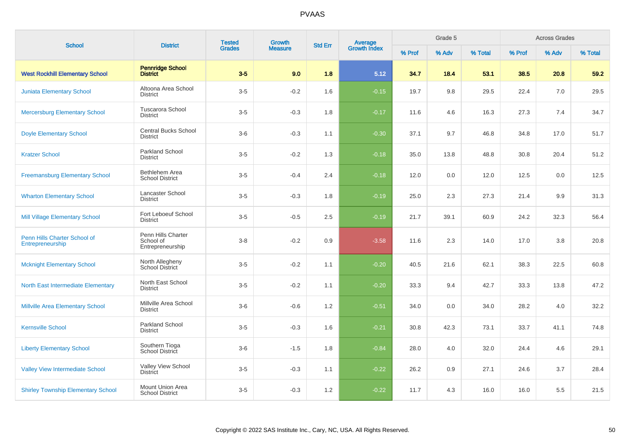| <b>School</b>                                    | <b>District</b>                                     | <b>Tested</b> | <b>Growth</b>  | <b>Std Err</b> |                         |        | Grade 5 |         |        | <b>Across Grades</b><br>% Adv |         |
|--------------------------------------------------|-----------------------------------------------------|---------------|----------------|----------------|-------------------------|--------|---------|---------|--------|-------------------------------|---------|
|                                                  |                                                     | <b>Grades</b> | <b>Measure</b> |                | Average<br>Growth Index | % Prof | % Adv   | % Total | % Prof |                               | % Total |
| <b>West Rockhill Elementary School</b>           | <b>Pennridge School</b><br><b>District</b>          | $3-5$         | 9.0            | 1.8            | 5.12                    | 34.7   | 18.4    | 53.1    | 38.5   | 20.8                          | 59.2    |
| <b>Juniata Elementary School</b>                 | Altoona Area School<br><b>District</b>              | $3-5$         | $-0.2$         | 1.6            | $-0.15$                 | 19.7   | 9.8     | 29.5    | 22.4   | 7.0                           | 29.5    |
| <b>Mercersburg Elementary School</b>             | <b>Tuscarora School</b><br><b>District</b>          | $3-5$         | $-0.3$         | 1.8            | $-0.17$                 | 11.6   | 4.6     | 16.3    | 27.3   | 7.4                           | 34.7    |
| <b>Doyle Elementary School</b>                   | <b>Central Bucks School</b><br><b>District</b>      | $3-6$         | $-0.3$         | 1.1            | $-0.30$                 | 37.1   | 9.7     | 46.8    | 34.8   | 17.0                          | 51.7    |
| <b>Kratzer School</b>                            | <b>Parkland School</b><br><b>District</b>           | $3-5$         | $-0.2$         | 1.3            | $-0.18$                 | 35.0   | 13.8    | 48.8    | 30.8   | 20.4                          | 51.2    |
| <b>Freemansburg Elementary School</b>            | Bethlehem Area<br><b>School District</b>            | $3-5$         | $-0.4$         | 2.4            | $-0.18$                 | 12.0   | 0.0     | 12.0    | 12.5   | 0.0                           | 12.5    |
| <b>Wharton Elementary School</b>                 | Lancaster School<br><b>District</b>                 | $3-5$         | $-0.3$         | 1.8            | $-0.19$                 | 25.0   | 2.3     | 27.3    | 21.4   | 9.9                           | 31.3    |
| Mill Village Elementary School                   | Fort Leboeuf School<br><b>District</b>              | $3-5$         | $-0.5$         | 2.5            | $-0.19$                 | 21.7   | 39.1    | 60.9    | 24.2   | 32.3                          | 56.4    |
| Penn Hills Charter School of<br>Entrepreneurship | Penn Hills Charter<br>School of<br>Entrepreneurship | $3-8$         | $-0.2$         | $0.9\,$        | $-3.58$                 | 11.6   | 2.3     | 14.0    | 17.0   | 3.8                           | 20.8    |
| <b>Mcknight Elementary School</b>                | North Allegheny<br>School District                  | $3-5$         | $-0.2$         | 1.1            | $-0.20$                 | 40.5   | 21.6    | 62.1    | 38.3   | 22.5                          | 60.8    |
| <b>North East Intermediate Elementary</b>        | North East School<br><b>District</b>                | $3-5$         | $-0.2$         | 1.1            | $-0.20$                 | 33.3   | 9.4     | 42.7    | 33.3   | 13.8                          | 47.2    |
| <b>Millville Area Elementary School</b>          | Millville Area School<br><b>District</b>            | $3-6$         | $-0.6$         | 1.2            | $-0.51$                 | 34.0   | 0.0     | 34.0    | 28.2   | 4.0                           | 32.2    |
| <b>Kernsville School</b>                         | <b>Parkland School</b><br><b>District</b>           | $3-5$         | $-0.3$         | 1.6            | $-0.21$                 | 30.8   | 42.3    | 73.1    | 33.7   | 41.1                          | 74.8    |
| <b>Liberty Elementary School</b>                 | Southern Tioga<br>School District                   | $3-6$         | $-1.5$         | 1.8            | $-0.84$                 | 28.0   | 4.0     | 32.0    | 24.4   | 4.6                           | 29.1    |
| <b>Valley View Intermediate School</b>           | Valley View School<br><b>District</b>               | $3-5$         | $-0.3$         | 1.1            | $-0.22$                 | 26.2   | 0.9     | 27.1    | 24.6   | 3.7                           | 28.4    |
| <b>Shirley Township Elementary School</b>        | Mount Union Area<br><b>School District</b>          | $3-5$         | $-0.3$         | 1.2            | $-0.22$                 | 11.7   | 4.3     | 16.0    | 16.0   | 5.5                           | 21.5    |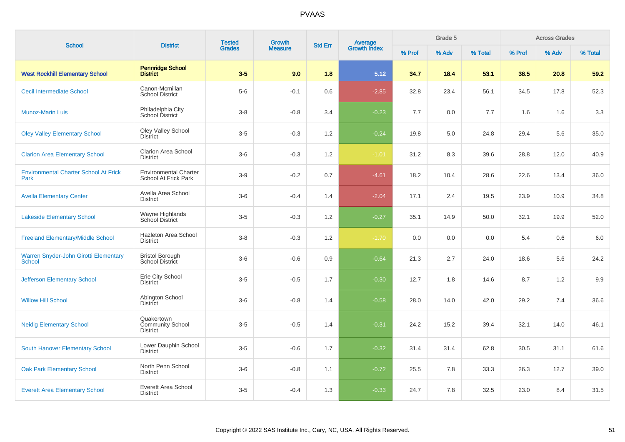| <b>School</b>                                        | <b>District</b>                                      | <b>Tested</b><br><b>Growth</b><br><b>Std Err</b><br><b>Grades</b> | <b>Average</b><br>Growth Index |     | Grade 5 |        |       | <b>Across Grades</b> |        |       |         |
|------------------------------------------------------|------------------------------------------------------|-------------------------------------------------------------------|--------------------------------|-----|---------|--------|-------|----------------------|--------|-------|---------|
|                                                      |                                                      |                                                                   | <b>Measure</b>                 |     |         | % Prof | % Adv | % Total              | % Prof | % Adv | % Total |
| <b>West Rockhill Elementary School</b>               | <b>Pennridge School</b><br><b>District</b>           | $3-5$                                                             | 9.0                            | 1.8 | 5.12    | 34.7   | 18.4  | 53.1                 | 38.5   | 20.8  | 59.2    |
| <b>Cecil Intermediate School</b>                     | Canon-Mcmillan<br><b>School District</b>             | $5-6$                                                             | $-0.1$                         | 0.6 | $-2.85$ | 32.8   | 23.4  | 56.1                 | 34.5   | 17.8  | 52.3    |
| <b>Munoz-Marin Luis</b>                              | Philadelphia City<br>School District                 | $3 - 8$                                                           | $-0.8$                         | 3.4 | $-0.23$ | 7.7    | 0.0   | 7.7                  | 1.6    | 1.6   | 3.3     |
| <b>Oley Valley Elementary School</b>                 | Oley Valley School<br><b>District</b>                | $3-5$                                                             | $-0.3$                         | 1.2 | $-0.24$ | 19.8   | 5.0   | 24.8                 | 29.4   | 5.6   | 35.0    |
| <b>Clarion Area Elementary School</b>                | <b>Clarion Area School</b><br><b>District</b>        | $3-6$                                                             | $-0.3$                         | 1.2 | $-1.01$ | 31.2   | 8.3   | 39.6                 | 28.8   | 12.0  | 40.9    |
| <b>Environmental Charter School At Frick</b><br>Park | <b>Environmental Charter</b><br>School At Frick Park | $3-9$                                                             | $-0.2$                         | 0.7 | $-4.61$ | 18.2   | 10.4  | 28.6                 | 22.6   | 13.4  | 36.0    |
| <b>Avella Elementary Center</b>                      | Avella Area School<br><b>District</b>                | $3-6$                                                             | $-0.4$                         | 1.4 | $-2.04$ | 17.1   | 2.4   | 19.5                 | 23.9   | 10.9  | 34.8    |
| <b>Lakeside Elementary School</b>                    | Wayne Highlands<br>School District                   | $3-5$                                                             | $-0.3$                         | 1.2 | $-0.27$ | 35.1   | 14.9  | 50.0                 | 32.1   | 19.9  | 52.0    |
| <b>Freeland Elementary/Middle School</b>             | Hazleton Area School<br><b>District</b>              | $3 - 8$                                                           | $-0.3$                         | 1.2 | $-1.70$ | 0.0    | 0.0   | 0.0                  | 5.4    | 0.6   | $6.0\,$ |
| Warren Snyder-John Girotti Elementary<br>School      | <b>Bristol Borough</b><br>School District            | $3-6$                                                             | $-0.6$                         | 0.9 | $-0.64$ | 21.3   | 2.7   | 24.0                 | 18.6   | 5.6   | 24.2    |
| <b>Jefferson Elementary School</b>                   | Erie City School<br><b>District</b>                  | $3-5$                                                             | $-0.5$                         | 1.7 | $-0.30$ | 12.7   | 1.8   | 14.6                 | 8.7    | 1.2   | 9.9     |
| <b>Willow Hill School</b>                            | Abington School<br><b>District</b>                   | $3-6$                                                             | $-0.8$                         | 1.4 | $-0.58$ | 28.0   | 14.0  | 42.0                 | 29.2   | 7.4   | 36.6    |
| <b>Neidig Elementary School</b>                      | Quakertown<br>Community School<br><b>District</b>    | $3-5$                                                             | $-0.5$                         | 1.4 | $-0.31$ | 24.2   | 15.2  | 39.4                 | 32.1   | 14.0  | 46.1    |
| South Hanover Elementary School                      | Lower Dauphin School<br><b>District</b>              | $3-5$                                                             | $-0.6$                         | 1.7 | $-0.32$ | 31.4   | 31.4  | 62.8                 | 30.5   | 31.1  | 61.6    |
| <b>Oak Park Elementary School</b>                    | North Penn School<br><b>District</b>                 | $3-6$                                                             | $-0.8$                         | 1.1 | $-0.72$ | 25.5   | 7.8   | 33.3                 | 26.3   | 12.7  | 39.0    |
| <b>Everett Area Elementary School</b>                | Everett Area School<br><b>District</b>               | $3-5$                                                             | $-0.4$                         | 1.3 | $-0.33$ | 24.7   | 7.8   | 32.5                 | 23.0   | 8.4   | 31.5    |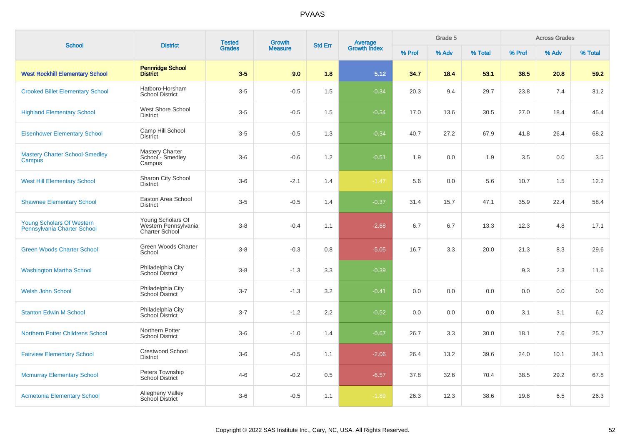| <b>School</b>                                            | <b>District</b>                                                    | <b>Tested</b> | <b>Growth</b>  | <b>Std Err</b> | <b>Average</b><br>Growth Index |        | Grade 5 |         |        | <b>Across Grades</b> |         |
|----------------------------------------------------------|--------------------------------------------------------------------|---------------|----------------|----------------|--------------------------------|--------|---------|---------|--------|----------------------|---------|
|                                                          |                                                                    | <b>Grades</b> | <b>Measure</b> |                |                                | % Prof | % Adv   | % Total | % Prof | % Adv                | % Total |
| <b>West Rockhill Elementary School</b>                   | <b>Pennridge School</b><br><b>District</b>                         | $3-5$         | 9.0            | 1.8            | 5.12                           | 34.7   | 18.4    | 53.1    | 38.5   | 20.8                 | 59.2    |
| <b>Crooked Billet Elementary School</b>                  | Hatboro-Horsham<br><b>School District</b>                          | $3-5$         | $-0.5$         | 1.5            | $-0.34$                        | 20.3   | 9.4     | 29.7    | 23.8   | 7.4                  | 31.2    |
| <b>Highland Elementary School</b>                        | West Shore School<br><b>District</b>                               | $3-5$         | $-0.5$         | 1.5            | $-0.34$                        | 17.0   | 13.6    | 30.5    | 27.0   | 18.4                 | 45.4    |
| <b>Eisenhower Elementary School</b>                      | Camp Hill School<br><b>District</b>                                | $3-5$         | $-0.5$         | 1.3            | $-0.34$                        | 40.7   | 27.2    | 67.9    | 41.8   | 26.4                 | 68.2    |
| <b>Mastery Charter School-Smedley</b><br>Campus          | Mastery Charter<br>School - Smedley<br>Campus                      | $3-6$         | $-0.6$         | 1.2            | $-0.51$                        | 1.9    | 0.0     | 1.9     | 3.5    | 0.0                  | 3.5     |
| <b>West Hill Elementary School</b>                       | Sharon City School<br><b>District</b>                              | $3-6$         | $-2.1$         | 1.4            | $-1.47$                        | 5.6    | 0.0     | 5.6     | 10.7   | 1.5                  | 12.2    |
| <b>Shawnee Elementary School</b>                         | Easton Area School<br><b>District</b>                              | $3-5$         | $-0.5$         | 1.4            | $-0.37$                        | 31.4   | 15.7    | 47.1    | 35.9   | 22.4                 | 58.4    |
| Young Scholars Of Western<br>Pennsylvania Charter School | Young Scholars Of<br>Western Pennsylvania<br><b>Charter School</b> | $3 - 8$       | $-0.4$         | 1.1            | $-2.68$                        | 6.7    | 6.7     | 13.3    | 12.3   | 4.8                  | 17.1    |
| <b>Green Woods Charter School</b>                        | Green Woods Charter<br>School                                      | $3 - 8$       | $-0.3$         | 0.8            | $-5.05$                        | 16.7   | 3.3     | 20.0    | 21.3   | 8.3                  | 29.6    |
| <b>Washington Martha School</b>                          | Philadelphia City<br>School District                               | $3-8$         | $-1.3$         | 3.3            | $-0.39$                        |        |         |         | 9.3    | 2.3                  | 11.6    |
| <b>Welsh John School</b>                                 | Philadelphia City<br>School District                               | $3 - 7$       | $-1.3$         | 3.2            | $-0.41$                        | 0.0    | 0.0     | 0.0     | 0.0    | 0.0                  | 0.0     |
| <b>Stanton Edwin M School</b>                            | Philadelphia City<br>School District                               | $3 - 7$       | $-1.2$         | $2.2\,$        | $-0.52$                        | 0.0    | 0.0     | 0.0     | 3.1    | 3.1                  | 6.2     |
| <b>Northern Potter Childrens School</b>                  | Northern Potter<br><b>School District</b>                          | $3-6$         | $-1.0$         | 1.4            | $-0.67$                        | 26.7   | 3.3     | 30.0    | 18.1   | 7.6                  | 25.7    |
| <b>Fairview Elementary School</b>                        | <b>Crestwood School</b><br><b>District</b>                         | $3-6$         | $-0.5$         | 1.1            | $-2.06$                        | 26.4   | 13.2    | 39.6    | 24.0   | 10.1                 | 34.1    |
| <b>Mcmurray Elementary School</b>                        | Peters Township<br><b>School District</b>                          | $4 - 6$       | $-0.2$         | 0.5            | $-6.57$                        | 37.8   | 32.6    | 70.4    | 38.5   | 29.2                 | 67.8    |
| <b>Acmetonia Elementary School</b>                       | <b>Allegheny Valley</b><br><b>School District</b>                  | $3-6$         | $-0.5$         | 1.1            | $-1.89$                        | 26.3   | 12.3    | 38.6    | 19.8   | 6.5                  | 26.3    |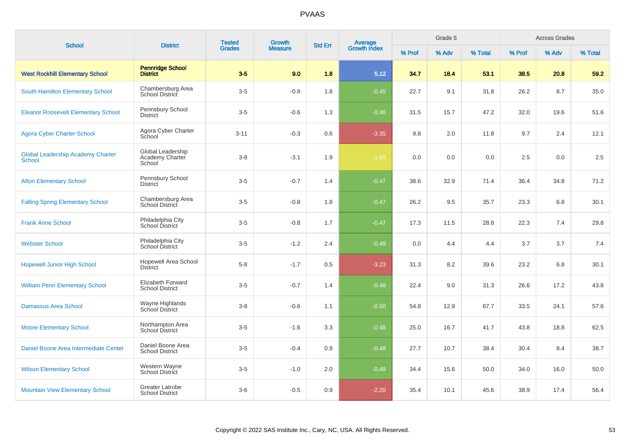| <b>School</b>                                             | <b>District</b>                                  | <b>Tested</b> | <b>Growth</b>  | <b>Std Err</b> |                                |        | Grade 5 |         |        | <b>Across Grades</b> |         |
|-----------------------------------------------------------|--------------------------------------------------|---------------|----------------|----------------|--------------------------------|--------|---------|---------|--------|----------------------|---------|
|                                                           |                                                  | <b>Grades</b> | <b>Measure</b> |                | <b>Average</b><br>Growth Index | % Prof | % Adv   | % Total | % Prof | % Adv                | % Total |
| <b>West Rockhill Elementary School</b>                    | <b>Pennridge School</b><br><b>District</b>       | $3-5$         | 9.0            | 1.8            | 5.12                           | 34.7   | 18.4    | 53.1    | 38.5   | 20.8                 | 59.2    |
| South Hamilton Elementary School                          | Chambersburg Area<br>School District             | $3-5$         | $-0.8$         | 1.8            | $-0.45$                        | 22.7   | 9.1     | 31.8    | 26.2   | 8.7                  | 35.0    |
| <b>Eleanor Roosevelt Elementary School</b>                | Pennsbury School<br><b>District</b>              | $3-5$         | $-0.6$         | 1.3            | $-0.46$                        | 31.5   | 15.7    | 47.2    | 32.0   | 19.6                 | 51.6    |
| <b>Agora Cyber Charter School</b>                         | Agora Cyber Charter<br>School                    | $3 - 11$      | $-0.3$         | 0.6            | $-3.35$                        | 9.8    | 2.0     | 11.8    | 9.7    | 2.4                  | 12.1    |
| <b>Global Leadership Academy Charter</b><br><b>School</b> | Global Leadership<br>Academy Charter<br>School   | $3 - 8$       | $-3.1$         | 1.9            | $-1.63$                        | 0.0    | 0.0     | 0.0     | 2.5    | 0.0                  | 2.5     |
| <b>Afton Elementary School</b>                            | Pennsbury School<br><b>District</b>              | $3-5$         | $-0.7$         | 1.4            | $-0.47$                        | 38.6   | 32.9    | 71.4    | 36.4   | 34.8                 | 71.2    |
| <b>Falling Spring Elementary School</b>                   | Chambersburg Area<br><b>School District</b>      | $3-5$         | $-0.8$         | 1.8            | $-0.47$                        | 26.2   | 9.5     | 35.7    | 23.3   | 6.8                  | 30.1    |
| <b>Frank Anne School</b>                                  | Philadelphia City<br>School District             | $3-5$         | $-0.8$         | 1.7            | $-0.47$                        | 17.3   | 11.5    | 28.8    | 22.3   | 7.4                  | 29.8    |
| <b>Webster School</b>                                     | Philadelphia City<br>School District             | $3-5$         | $-1.2$         | 2.4            | $-0.48$                        | 0.0    | 4.4     | 4.4     | 3.7    | 3.7                  | 7.4     |
| <b>Hopewell Junior High School</b>                        | Hopewell Area School<br><b>District</b>          | $5-8$         | $-1.7$         | 0.5            | $-3.23$                        | 31.3   | 8.2     | 39.6    | 23.2   | 6.8                  | 30.1    |
| <b>William Penn Elementary School</b>                     | Elizabeth Forward<br><b>School District</b>      | $3-5$         | $-0.7$         | 1.4            | $-0.48$                        | 22.4   | 9.0     | 31.3    | 26.6   | 17.2                 | 43.8    |
| <b>Damascus Area School</b>                               | Wayne Highlands<br>School District               | $3-8$         | $-0.6$         | 1.1            | $-0.50$                        | 54.8   | 12.9    | 67.7    | 33.5   | 24.1                 | 57.6    |
| <b>Moore Elementary School</b>                            | Northampton Area<br><b>School District</b>       | $3-5$         | $-1.6$         | 3.3            | $-0.48$                        | 25.0   | 16.7    | 41.7    | 43.8   | 18.8                 | 62.5    |
| Daniel Boone Area Intermediate Center                     | Daniel Boone Area<br><b>School District</b>      | $3-5$         | $-0.4$         | 0.9            | $-0.48$                        | 27.7   | 10.7    | 38.4    | 30.4   | 8.4                  | 38.7    |
| <b>Wilson Elementary School</b>                           | Western Wayne<br><b>School District</b>          | $3-5$         | $-1.0$         | 2.0            | $-0.49$                        | 34.4   | 15.6    | 50.0    | 34.0   | 16.0                 | 50.0    |
| <b>Mountain View Elementary School</b>                    | <b>Greater Latrobe</b><br><b>School District</b> | $3-6$         | $-0.5$         | 0.9            | $-2.20$                        | 35.4   | 10.1    | 45.6    | 38.9   | 17.4                 | 56.4    |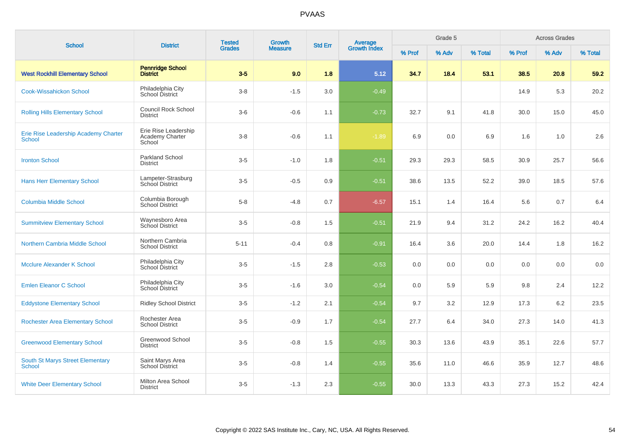|                                                   | <b>District</b>                                   | <b>Tested</b><br><b>Grades</b> | Growth         | <b>Std Err</b> |                                |        | Grade 5 |         |        | <b>Across Grades</b> |         |
|---------------------------------------------------|---------------------------------------------------|--------------------------------|----------------|----------------|--------------------------------|--------|---------|---------|--------|----------------------|---------|
| <b>School</b>                                     |                                                   |                                | <b>Measure</b> |                | <b>Average</b><br>Growth Index | % Prof | % Adv   | % Total | % Prof | % Adv                | % Total |
| <b>West Rockhill Elementary School</b>            | <b>Pennridge School</b><br><b>District</b>        | $3-5$                          | 9.0            | 1.8            | 5.12                           | 34.7   | 18.4    | 53.1    | 38.5   | 20.8                 | 59.2    |
| <b>Cook-Wissahickon School</b>                    | Philadelphia City<br>School District              | $3 - 8$                        | $-1.5$         | 3.0            | $-0.49$                        |        |         |         | 14.9   | 5.3                  | 20.2    |
| <b>Rolling Hills Elementary School</b>            | <b>Council Rock School</b><br><b>District</b>     | $3-6$                          | $-0.6$         | 1.1            | $-0.73$                        | 32.7   | 9.1     | 41.8    | 30.0   | 15.0                 | 45.0    |
| Erie Rise Leadership Academy Charter<br>School    | Erie Rise Leadership<br>Academy Charter<br>School | $3 - 8$                        | $-0.6$         | 1.1            | $-1.89$                        | 6.9    | 0.0     | 6.9     | 1.6    | 1.0                  | 2.6     |
| <b>Ironton School</b>                             | <b>Parkland School</b><br><b>District</b>         | $3-5$                          | $-1.0$         | 1.8            | $-0.51$                        | 29.3   | 29.3    | 58.5    | 30.9   | 25.7                 | 56.6    |
| <b>Hans Herr Elementary School</b>                | Lampeter-Strasburg<br><b>School District</b>      | $3-5$                          | $-0.5$         | 0.9            | $-0.51$                        | 38.6   | 13.5    | 52.2    | 39.0   | 18.5                 | 57.6    |
| <b>Columbia Middle School</b>                     | Columbia Borough<br><b>School District</b>        | $5 - 8$                        | $-4.8$         | 0.7            | $-6.57$                        | 15.1   | 1.4     | 16.4    | 5.6    | 0.7                  | 6.4     |
| <b>Summitview Elementary School</b>               | Waynesboro Area<br>School District                | $3-5$                          | $-0.8$         | 1.5            | $-0.51$                        | 21.9   | 9.4     | 31.2    | 24.2   | 16.2                 | 40.4    |
| Northern Cambria Middle School                    | Northern Cambria<br><b>School District</b>        | $5 - 11$                       | $-0.4$         | 0.8            | $-0.91$                        | 16.4   | 3.6     | 20.0    | 14.4   | 1.8                  | 16.2    |
| Mcclure Alexander K School                        | Philadelphia City<br>School District              | $3-5$                          | $-1.5$         | 2.8            | $-0.53$                        | 0.0    | 0.0     | 0.0     | 0.0    | 0.0                  | 0.0     |
| <b>Emlen Eleanor C School</b>                     | Philadelphia City<br>School District              | $3-5$                          | $-1.6$         | 3.0            | $-0.54$                        | 0.0    | 5.9     | 5.9     | 9.8    | 2.4                  | 12.2    |
| <b>Eddystone Elementary School</b>                | <b>Ridley School District</b>                     | $3-5$                          | $-1.2$         | 2.1            | $-0.54$                        | 9.7    | 3.2     | 12.9    | 17.3   | 6.2                  | 23.5    |
| <b>Rochester Area Elementary School</b>           | Rochester Area<br><b>School District</b>          | $3-5$                          | $-0.9$         | 1.7            | $-0.54$                        | 27.7   | 6.4     | 34.0    | 27.3   | 14.0                 | 41.3    |
| <b>Greenwood Elementary School</b>                | Greenwood School<br><b>District</b>               | $3-5$                          | $-0.8$         | 1.5            | $-0.55$                        | 30.3   | 13.6    | 43.9    | 35.1   | 22.6                 | 57.7    |
| <b>South St Marys Street Elementary</b><br>School | Saint Marys Area<br><b>School District</b>        | $3-5$                          | $-0.8$         | 1.4            | $-0.55$                        | 35.6   | 11.0    | 46.6    | 35.9   | 12.7                 | 48.6    |
| <b>White Deer Elementary School</b>               | Milton Area School<br><b>District</b>             | $3-5$                          | $-1.3$         | 2.3            | $-0.55$                        | 30.0   | 13.3    | 43.3    | 27.3   | 15.2                 | 42.4    |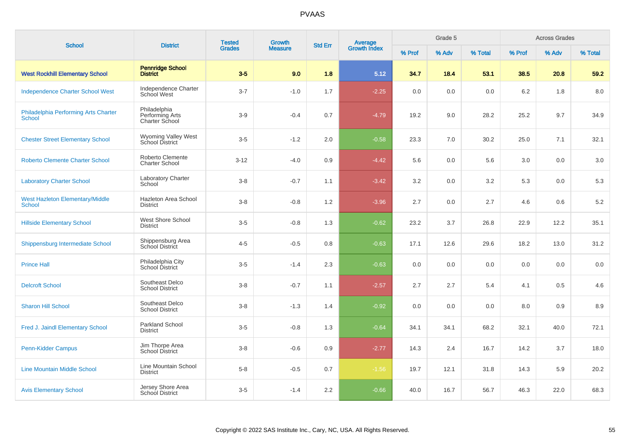| <b>School</b>                                           | <b>District</b>                                   | <b>Tested</b> | <b>Growth</b>  | <b>Std Err</b> |                                |        | Grade 5 |         |        | <b>Across Grades</b> |         |
|---------------------------------------------------------|---------------------------------------------------|---------------|----------------|----------------|--------------------------------|--------|---------|---------|--------|----------------------|---------|
|                                                         |                                                   | <b>Grades</b> | <b>Measure</b> |                | <b>Average</b><br>Growth Index | % Prof | % Adv   | % Total | % Prof | % Adv                | % Total |
| <b>West Rockhill Elementary School</b>                  | <b>Pennridge School</b><br><b>District</b>        | $3-5$         | 9.0            | 1.8            | 5.12                           | 34.7   | 18.4    | 53.1    | 38.5   | 20.8                 | 59.2    |
| <b>Independence Charter School West</b>                 | Independence Charter<br>School West               | $3 - 7$       | $-1.0$         | 1.7            | $-2.25$                        | 0.0    | 0.0     | 0.0     | 6.2    | 1.8                  | 8.0     |
| Philadelphia Performing Arts Charter<br>School          | Philadelphia<br>Performing Arts<br>Charter School | $3-9$         | $-0.4$         | 0.7            | $-4.79$                        | 19.2   | 9.0     | 28.2    | 25.2   | 9.7                  | 34.9    |
| <b>Chester Street Elementary School</b>                 | Wyoming Valley West<br>School District            | $3-5$         | $-1.2$         | 2.0            | $-0.58$                        | 23.3   | 7.0     | 30.2    | 25.0   | 7.1                  | 32.1    |
| <b>Roberto Clemente Charter School</b>                  | Roberto Clemente<br><b>Charter School</b>         | $3-12$        | $-4.0$         | 0.9            | $-4.42$                        | 5.6    | 0.0     | 5.6     | 3.0    | 0.0                  | 3.0     |
| <b>Laboratory Charter School</b>                        | <b>Laboratory Charter</b><br>School               | $3 - 8$       | $-0.7$         | 1.1            | $-3.42$                        | 3.2    | 0.0     | 3.2     | 5.3    | 0.0                  | 5.3     |
| <b>West Hazleton Elementary/Middle</b><br><b>School</b> | Hazleton Area School<br><b>District</b>           | $3 - 8$       | $-0.8$         | 1.2            | $-3.96$                        | 2.7    | 0.0     | 2.7     | 4.6    | 0.6                  | $5.2\,$ |
| <b>Hillside Elementary School</b>                       | West Shore School<br><b>District</b>              | $3-5$         | $-0.8$         | 1.3            | $-0.62$                        | 23.2   | 3.7     | 26.8    | 22.9   | 12.2                 | 35.1    |
| Shippensburg Intermediate School                        | Shippensburg Area<br>School District              | $4 - 5$       | $-0.5$         | 0.8            | $-0.63$                        | 17.1   | 12.6    | 29.6    | 18.2   | 13.0                 | 31.2    |
| <b>Prince Hall</b>                                      | Philadelphia City<br>School District              | $3-5$         | $-1.4$         | 2.3            | $-0.63$                        | 0.0    | 0.0     | 0.0     | 0.0    | 0.0                  | 0.0     |
| <b>Delcroft School</b>                                  | Southeast Delco<br><b>School District</b>         | $3 - 8$       | $-0.7$         | 1.1            | $-2.57$                        | 2.7    | 2.7     | 5.4     | 4.1    | 0.5                  | 4.6     |
| <b>Sharon Hill School</b>                               | Southeast Delco<br><b>School District</b>         | $3-8$         | $-1.3$         | 1.4            | $-0.92$                        | 0.0    | 0.0     | 0.0     | 8.0    | 0.9                  | 8.9     |
| Fred J. Jaindl Elementary School                        | Parkland School<br><b>District</b>                | $3-5$         | $-0.8$         | 1.3            | $-0.64$                        | 34.1   | 34.1    | 68.2    | 32.1   | 40.0                 | 72.1    |
| Penn-Kidder Campus                                      | Jim Thorpe Area<br><b>School District</b>         | $3 - 8$       | $-0.6$         | 0.9            | $-2.77$                        | 14.3   | 2.4     | 16.7    | 14.2   | 3.7                  | 18.0    |
| <b>Line Mountain Middle School</b>                      | Line Mountain School<br><b>District</b>           | $5 - 8$       | $-0.5$         | 0.7            | $-1.56$                        | 19.7   | 12.1    | 31.8    | 14.3   | 5.9                  | 20.2    |
| <b>Avis Elementary School</b>                           | Jersey Shore Area<br>School District              | $3-5$         | $-1.4$         | 2.2            | $-0.66$                        | 40.0   | 16.7    | 56.7    | 46.3   | 22.0                 | 68.3    |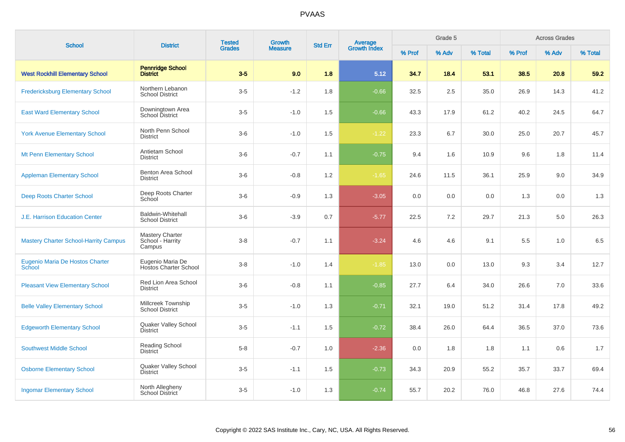| <b>School</b>                                    | <b>District</b>                                    | <b>Tested</b> | <b>Growth</b>  | <b>Std Err</b> |                                |        | Grade 5 |         | <b>Across Grades</b> |       |         |
|--------------------------------------------------|----------------------------------------------------|---------------|----------------|----------------|--------------------------------|--------|---------|---------|----------------------|-------|---------|
|                                                  |                                                    | <b>Grades</b> | <b>Measure</b> |                | <b>Average</b><br>Growth Index | % Prof | % Adv   | % Total | % Prof               | % Adv | % Total |
| <b>West Rockhill Elementary School</b>           | <b>Pennridge School</b><br><b>District</b>         | $3-5$         | 9.0            | 1.8            | 5.12                           | 34.7   | 18.4    | 53.1    | 38.5                 | 20.8  | 59.2    |
| <b>Fredericksburg Elementary School</b>          | Northern Lebanon<br><b>School District</b>         | $3-5$         | $-1.2$         | 1.8            | $-0.66$                        | 32.5   | 2.5     | 35.0    | 26.9                 | 14.3  | 41.2    |
| <b>East Ward Elementary School</b>               | Downingtown Area<br>School District                | $3-5$         | $-1.0$         | 1.5            | $-0.66$                        | 43.3   | 17.9    | 61.2    | 40.2                 | 24.5  | 64.7    |
| <b>York Avenue Elementary School</b>             | North Penn School<br><b>District</b>               | $3-6$         | $-1.0$         | 1.5            | $-1.22$                        | 23.3   | 6.7     | 30.0    | 25.0                 | 20.7  | 45.7    |
| <b>Mt Penn Elementary School</b>                 | Antietam School<br><b>District</b>                 | $3-6$         | $-0.7$         | 1.1            | $-0.75$                        | 9.4    | 1.6     | 10.9    | 9.6                  | 1.8   | 11.4    |
| <b>Appleman Elementary School</b>                | Benton Area School<br><b>District</b>              | $3-6$         | $-0.8$         | 1.2            | $-1.65$                        | 24.6   | 11.5    | 36.1    | 25.9                 | 9.0   | 34.9    |
| <b>Deep Roots Charter School</b>                 | Deep Roots Charter<br>School                       | $3-6$         | $-0.9$         | 1.3            | $-3.05$                        | 0.0    | 0.0     | 0.0     | 1.3                  | 0.0   | 1.3     |
| <b>J.E. Harrison Education Center</b>            | <b>Baldwin-Whitehall</b><br><b>School District</b> | $3-6$         | $-3.9$         | 0.7            | $-5.77$                        | 22.5   | 7.2     | 29.7    | 21.3                 | 5.0   | 26.3    |
| <b>Mastery Charter School-Harrity Campus</b>     | Mastery Charter<br>School - Harrity<br>Campus      | $3-8$         | $-0.7$         | 1.1            | $-3.24$                        | 4.6    | 4.6     | 9.1     | 5.5                  | 1.0   | 6.5     |
| Eugenio Maria De Hostos Charter<br><b>School</b> | Eugenio Maria De<br><b>Hostos Charter School</b>   | $3-8$         | $-1.0$         | 1.4            | $-1.85$                        | 13.0   | 0.0     | 13.0    | 9.3                  | 3.4   | 12.7    |
| <b>Pleasant View Elementary School</b>           | Red Lion Area School<br><b>District</b>            | $3-6$         | $-0.8$         | 1.1            | $-0.85$                        | 27.7   | 6.4     | 34.0    | 26.6                 | 7.0   | 33.6    |
| <b>Belle Valley Elementary School</b>            | Millcreek Township<br><b>School District</b>       | $3-5$         | $-1.0$         | 1.3            | $-0.71$                        | 32.1   | 19.0    | 51.2    | 31.4                 | 17.8  | 49.2    |
| <b>Edgeworth Elementary School</b>               | Quaker Valley School<br><b>District</b>            | $3-5$         | $-1.1$         | 1.5            | $-0.72$                        | 38.4   | 26.0    | 64.4    | 36.5                 | 37.0  | 73.6    |
| <b>Southwest Middle School</b>                   | Reading School<br><b>District</b>                  | $5-8$         | $-0.7$         | 1.0            | $-2.36$                        | 0.0    | 1.8     | 1.8     | 1.1                  | 0.6   | 1.7     |
| <b>Osborne Elementary School</b>                 | Quaker Valley School<br><b>District</b>            | $3-5$         | $-1.1$         | 1.5            | $-0.73$                        | 34.3   | 20.9    | 55.2    | 35.7                 | 33.7  | 69.4    |
| <b>Ingomar Elementary School</b>                 | North Allegheny<br><b>School District</b>          | $3-5$         | $-1.0$         | 1.3            | $-0.74$                        | 55.7   | 20.2    | 76.0    | 46.8                 | 27.6  | 74.4    |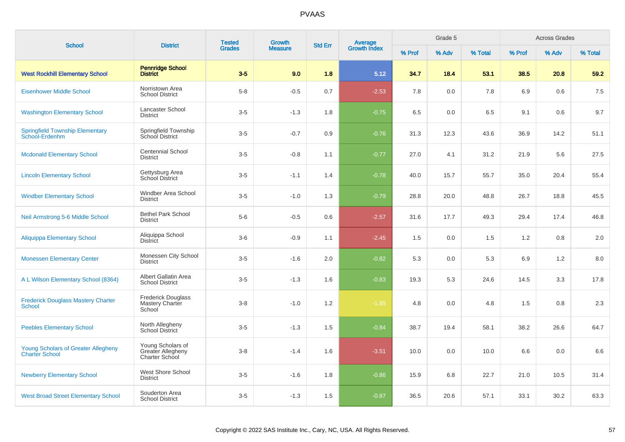| <b>School</b>                                                       | <b>District</b>                                          | <b>Tested</b> | <b>Growth</b>  | <b>Std Err</b> | Average<br>Growth Index |        | Grade 5 |         |        | <b>Across Grades</b> |         |
|---------------------------------------------------------------------|----------------------------------------------------------|---------------|----------------|----------------|-------------------------|--------|---------|---------|--------|----------------------|---------|
|                                                                     |                                                          | <b>Grades</b> | <b>Measure</b> |                |                         | % Prof | % Adv   | % Total | % Prof | % Adv                | % Total |
| <b>West Rockhill Elementary School</b>                              | <b>Pennridge School</b><br><b>District</b>               | $3-5$         | 9.0            | 1.8            | 5.12                    | 34.7   | 18.4    | 53.1    | 38.5   | 20.8                 | 59.2    |
| <b>Eisenhower Middle School</b>                                     | Norristown Area<br><b>School District</b>                | $5 - 8$       | $-0.5$         | 0.7            | $-2.53$                 | 7.8    | 0.0     | 7.8     | 6.9    | 0.6                  | 7.5     |
| <b>Washington Elementary School</b>                                 | Lancaster School<br><b>District</b>                      | $3-5$         | $-1.3$         | 1.8            | $-0.75$                 | 6.5    | 0.0     | 6.5     | 9.1    | 0.6                  | 9.7     |
| <b>Springfield Township Elementary</b><br>School-Erdenhm            | Springfield Township<br>School District                  | $3-5$         | $-0.7$         | 0.9            | $-0.76$                 | 31.3   | 12.3    | 43.6    | 36.9   | 14.2                 | 51.1    |
| <b>Mcdonald Elementary School</b>                                   | <b>Centennial School</b><br><b>District</b>              | $3-5$         | $-0.8$         | 1.1            | $-0.77$                 | 27.0   | 4.1     | 31.2    | 21.9   | 5.6                  | 27.5    |
| <b>Lincoln Elementary School</b>                                    | Gettysburg Area<br>School District                       | $3-5$         | $-1.1$         | 1.4            | $-0.78$                 | 40.0   | 15.7    | 55.7    | 35.0   | 20.4                 | 55.4    |
| <b>Windber Elementary School</b>                                    | Windber Area School<br><b>District</b>                   | $3-5$         | $-1.0$         | 1.3            | $-0.79$                 | 28.8   | 20.0    | 48.8    | 26.7   | 18.8                 | 45.5    |
| Neil Armstrong 5-6 Middle School                                    | <b>Bethel Park School</b><br><b>District</b>             | $5-6$         | $-0.5$         | 0.6            | $-2.57$                 | 31.6   | 17.7    | 49.3    | 29.4   | 17.4                 | 46.8    |
| <b>Aliquippa Elementary School</b>                                  | Aliquippa School<br><b>District</b>                      | $3-6$         | $-0.9$         | 1.1            | $-2.45$                 | 1.5    | 0.0     | 1.5     | 1.2    | 0.8                  | 2.0     |
| <b>Monessen Elementary Center</b>                                   | Monessen City School<br><b>District</b>                  | $3-5$         | $-1.6$         | 2.0            | $-0.82$                 | 5.3    | 0.0     | 5.3     | 6.9    | 1.2                  | 8.0     |
| A L Wilson Elementary School (8364)                                 | Albert Gallatin Area<br><b>School District</b>           | $3-5$         | $-1.3$         | 1.6            | $-0.83$                 | 19.3   | 5.3     | 24.6    | 14.5   | 3.3                  | 17.8    |
| <b>Frederick Douglass Mastery Charter</b><br><b>School</b>          | <b>Frederick Douglass</b><br>Mastery Charter<br>School   | $3 - 8$       | $-1.0$         | 1.2            | $-1.85$                 | 4.8    | 0.0     | 4.8     | 1.5    | 0.8                  | 2.3     |
| <b>Peebles Elementary School</b>                                    | North Allegheny<br><b>School District</b>                | $3-5$         | $-1.3$         | 1.5            | $-0.84$                 | 38.7   | 19.4    | 58.1    | 38.2   | 26.6                 | 64.7    |
| <b>Young Scholars of Greater Allegheny</b><br><b>Charter School</b> | Young Scholars of<br>Greater Allegheny<br>Charter School | $3 - 8$       | $-1.4$         | 1.6            | $-3.51$                 | 10.0   | 0.0     | 10.0    | 6.6    | 0.0                  | 6.6     |
| <b>Newberry Elementary School</b>                                   | West Shore School<br><b>District</b>                     | $3-5$         | $-1.6$         | 1.8            | $-0.86$                 | 15.9   | 6.8     | 22.7    | 21.0   | 10.5                 | 31.4    |
| <b>West Broad Street Elementary School</b>                          | Souderton Area<br><b>School District</b>                 | $3-5$         | $-1.3$         | 1.5            | $-0.87$                 | 36.5   | 20.6    | 57.1    | 33.1   | 30.2                 | 63.3    |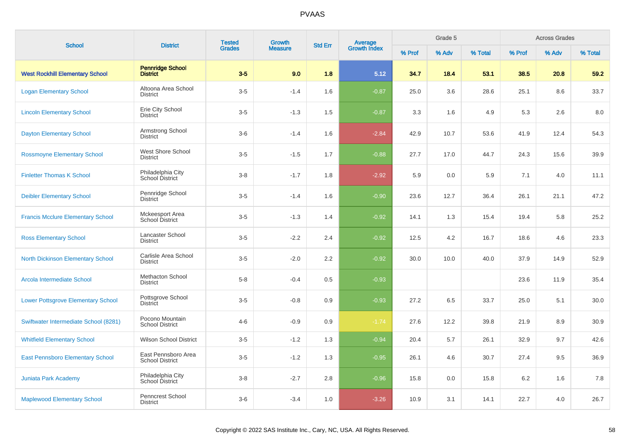| <b>School</b>                             | <b>District</b>                               | <b>Tested</b> | <b>Growth</b>  | <b>Std Err</b> |                                |        | Grade 5 |         |        | <b>Across Grades</b> |         |
|-------------------------------------------|-----------------------------------------------|---------------|----------------|----------------|--------------------------------|--------|---------|---------|--------|----------------------|---------|
|                                           |                                               | <b>Grades</b> | <b>Measure</b> |                | <b>Average</b><br>Growth Index | % Prof | % Adv   | % Total | % Prof | % Adv                | % Total |
| <b>West Rockhill Elementary School</b>    | <b>Pennridge School</b><br><b>District</b>    | $3-5$         | 9.0            | 1.8            | 5.12                           | 34.7   | 18.4    | 53.1    | 38.5   | 20.8                 | 59.2    |
| <b>Logan Elementary School</b>            | Altoona Area School<br><b>District</b>        | $3-5$         | $-1.4$         | 1.6            | $-0.87$                        | 25.0   | 3.6     | 28.6    | 25.1   | 8.6                  | 33.7    |
| <b>Lincoln Elementary School</b>          | Erie City School<br><b>District</b>           | $3-5$         | $-1.3$         | 1.5            | $-0.87$                        | 3.3    | 1.6     | 4.9     | 5.3    | 2.6                  | 8.0     |
| <b>Dayton Elementary School</b>           | Armstrong School<br><b>District</b>           | $3-6$         | $-1.4$         | 1.6            | $-2.84$                        | 42.9   | 10.7    | 53.6    | 41.9   | 12.4                 | 54.3    |
| <b>Rossmoyne Elementary School</b>        | West Shore School<br><b>District</b>          | $3-5$         | $-1.5$         | 1.7            | $-0.88$                        | 27.7   | 17.0    | 44.7    | 24.3   | 15.6                 | 39.9    |
| <b>Finletter Thomas K School</b>          | Philadelphia City<br>School District          | $3 - 8$       | $-1.7$         | 1.8            | $-2.92$                        | 5.9    | 0.0     | 5.9     | 7.1    | 4.0                  | 11.1    |
| <b>Deibler Elementary School</b>          | Pennridge School<br><b>District</b>           | $3-5$         | $-1.4$         | 1.6            | $-0.90$                        | 23.6   | 12.7    | 36.4    | 26.1   | 21.1                 | 47.2    |
| <b>Francis Mcclure Elementary School</b>  | Mckeesport Area<br>School District            | $3-5$         | $-1.3$         | 1.4            | $-0.92$                        | 14.1   | 1.3     | 15.4    | 19.4   | 5.8                  | 25.2    |
| <b>Ross Elementary School</b>             | Lancaster School<br><b>District</b>           | $3-5$         | $-2.2$         | 2.4            | $-0.92$                        | 12.5   | 4.2     | 16.7    | 18.6   | 4.6                  | 23.3    |
| <b>North Dickinson Elementary School</b>  | Carlisle Area School<br><b>District</b>       | $3-5$         | $-2.0$         | 2.2            | $-0.92$                        | 30.0   | 10.0    | 40.0    | 37.9   | 14.9                 | 52.9    |
| Arcola Intermediate School                | <b>Methacton School</b><br><b>District</b>    | $5-8$         | $-0.4$         | 0.5            | $-0.93$                        |        |         |         | 23.6   | 11.9                 | 35.4    |
| <b>Lower Pottsgrove Elementary School</b> | Pottsgrove School<br><b>District</b>          | $3-5$         | $-0.8$         | 0.9            | $-0.93$                        | 27.2   | 6.5     | 33.7    | 25.0   | 5.1                  | 30.0    |
| Swiftwater Intermediate School (8281)     | Pocono Mountain<br><b>School District</b>     | $4 - 6$       | $-0.9$         | 0.9            | $-1.74$                        | 27.6   | 12.2    | 39.8    | 21.9   | 8.9                  | 30.9    |
| <b>Whitfield Elementary School</b>        | <b>Wilson School District</b>                 | $3-5$         | $-1.2$         | 1.3            | $-0.94$                        | 20.4   | 5.7     | 26.1    | 32.9   | 9.7                  | 42.6    |
| <b>East Pennsboro Elementary School</b>   | East Pennsboro Area<br><b>School District</b> | $3-5$         | $-1.2$         | 1.3            | $-0.95$                        | 26.1   | 4.6     | 30.7    | 27.4   | 9.5                  | 36.9    |
| <b>Juniata Park Academy</b>               | Philadelphia City<br>School District          | $3 - 8$       | $-2.7$         | 2.8            | $-0.96$                        | 15.8   | 0.0     | 15.8    | 6.2    | 1.6                  | 7.8     |
| <b>Maplewood Elementary School</b>        | Penncrest School<br><b>District</b>           | $3-6$         | $-3.4$         | 1.0            | $-3.26$                        | 10.9   | 3.1     | 14.1    | 22.7   | 4.0                  | 26.7    |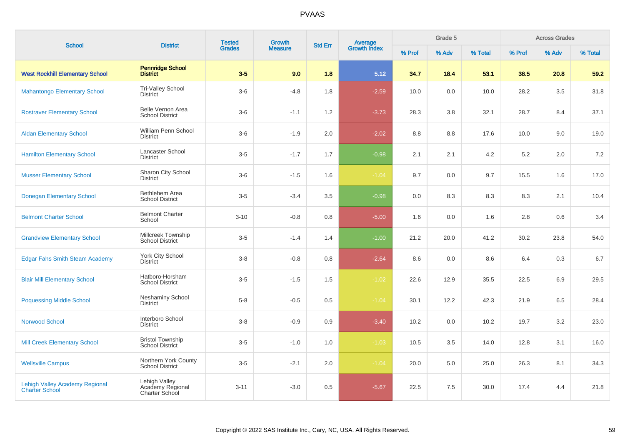| <b>School</b>                                                  | <b>District</b>                                     | <b>Tested</b><br><b>Growth</b><br><b>Grades</b><br><b>Measure</b> | <b>Average</b><br>Growth Index<br><b>Std Err</b> |         |         | Grade 5 |       |         | <b>Across Grades</b> |       |         |
|----------------------------------------------------------------|-----------------------------------------------------|-------------------------------------------------------------------|--------------------------------------------------|---------|---------|---------|-------|---------|----------------------|-------|---------|
|                                                                |                                                     |                                                                   |                                                  |         |         | % Prof  | % Adv | % Total | % Prof               | % Adv | % Total |
| <b>West Rockhill Elementary School</b>                         | <b>Pennridge School</b><br><b>District</b>          | $3-5$                                                             | 9.0                                              | 1.8     | 5.12    | 34.7    | 18.4  | 53.1    | 38.5                 | 20.8  | 59.2    |
| <b>Mahantongo Elementary School</b>                            | Tri-Valley School<br><b>District</b>                | $3-6$                                                             | $-4.8$                                           | 1.8     | $-2.59$ | 10.0    | 0.0   | 10.0    | 28.2                 | 3.5   | 31.8    |
| <b>Rostraver Elementary School</b>                             | Belle Vernon Area<br><b>School District</b>         | $3-6$                                                             | $-1.1$                                           | 1.2     | $-3.73$ | 28.3    | 3.8   | 32.1    | 28.7                 | 8.4   | 37.1    |
| <b>Aldan Elementary School</b>                                 | William Penn School<br><b>District</b>              | $3-6$                                                             | $-1.9$                                           | 2.0     | $-2.02$ | 8.8     | 8.8   | 17.6    | 10.0                 | 9.0   | 19.0    |
| <b>Hamilton Elementary School</b>                              | <b>Lancaster School</b><br><b>District</b>          | $3-5$                                                             | $-1.7$                                           | 1.7     | $-0.98$ | 2.1     | 2.1   | $4.2\,$ | $5.2\,$              | 2.0   | 7.2     |
| <b>Musser Elementary School</b>                                | Sharon City School<br><b>District</b>               | $3-6$                                                             | $-1.5$                                           | 1.6     | $-1.04$ | 9.7     | 0.0   | 9.7     | 15.5                 | 1.6   | 17.0    |
| <b>Donegan Elementary School</b>                               | Bethlehem Area<br><b>School District</b>            | $3-5$                                                             | $-3.4$                                           | $3.5\,$ | $-0.98$ | 0.0     | 8.3   | 8.3     | 8.3                  | 2.1   | 10.4    |
| <b>Belmont Charter School</b>                                  | <b>Belmont Charter</b><br>School                    | $3 - 10$                                                          | $-0.8$                                           | 0.8     | $-5.00$ | 1.6     | 0.0   | 1.6     | $2.8\,$              | 0.6   | 3.4     |
| <b>Grandview Elementary School</b>                             | Millcreek Township<br><b>School District</b>        | $3-5$                                                             | $-1.4$                                           | 1.4     | $-1.00$ | 21.2    | 20.0  | 41.2    | 30.2                 | 23.8  | 54.0    |
| <b>Edgar Fahs Smith Steam Academy</b>                          | York City School<br><b>District</b>                 | $3 - 8$                                                           | $-0.8$                                           | 0.8     | $-2.64$ | 8.6     | 0.0   | 8.6     | 6.4                  | 0.3   | 6.7     |
| <b>Blair Mill Elementary School</b>                            | Hatboro-Horsham<br><b>School District</b>           | $3-5$                                                             | $-1.5$                                           | 1.5     | $-1.02$ | 22.6    | 12.9  | 35.5    | 22.5                 | 6.9   | 29.5    |
| <b>Poquessing Middle School</b>                                | <b>Neshaminy School</b><br><b>District</b>          | $5 - 8$                                                           | $-0.5$                                           | 0.5     | $-1.04$ | 30.1    | 12.2  | 42.3    | 21.9                 | 6.5   | 28.4    |
| <b>Norwood School</b>                                          | Interboro School<br><b>District</b>                 | $3-8$                                                             | $-0.9$                                           | 0.9     | $-3.40$ | 10.2    | 0.0   | 10.2    | 19.7                 | 3.2   | 23.0    |
| <b>Mill Creek Elementary School</b>                            | <b>Bristol Township</b><br><b>School District</b>   | $3-5$                                                             | $-1.0$                                           | 1.0     | $-1.03$ | 10.5    | 3.5   | 14.0    | 12.8                 | 3.1   | 16.0    |
| <b>Wellsville Campus</b>                                       | Northern York County<br><b>School District</b>      | $3-5$                                                             | $-2.1$                                           | 2.0     | $-1.04$ | 20.0    | 5.0   | 25.0    | 26.3                 | 8.1   | 34.3    |
| <b>Lehigh Valley Academy Regional</b><br><b>Charter School</b> | Lehigh Valley<br>Academy Regional<br>Charter School | $3 - 11$                                                          | $-3.0$                                           | 0.5     | $-5.67$ | 22.5    | 7.5   | 30.0    | 17.4                 | 4.4   | 21.8    |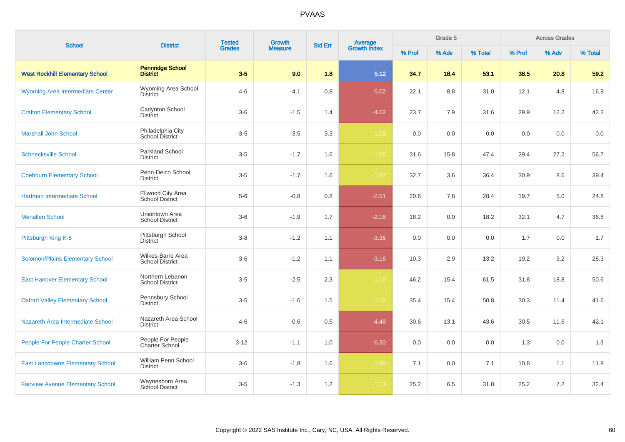| <b>School</b>                            | <b>District</b>                             | <b>Tested</b><br><b>Grades</b> | Growth         | <b>Std Err</b> |                                |        | Grade 5 |         |        | <b>Across Grades</b> |         |
|------------------------------------------|---------------------------------------------|--------------------------------|----------------|----------------|--------------------------------|--------|---------|---------|--------|----------------------|---------|
|                                          |                                             |                                | <b>Measure</b> |                | <b>Average</b><br>Growth Index | % Prof | % Adv   | % Total | % Prof | % Adv                | % Total |
| <b>West Rockhill Elementary School</b>   | <b>Pennridge School</b><br><b>District</b>  | $3-5$                          | 9.0            | 1.8            | 5.12                           | 34.7   | 18.4    | 53.1    | 38.5   | 20.8                 | 59.2    |
| Wyoming Area Intermediate Center         | Wyoming Area School<br>District             | $4 - 6$                        | $-4.1$         | 0.8            | $-5.02$                        | 22.1   | 8.8     | 31.0    | 12.1   | 4.8                  | 16.9    |
| <b>Crafton Elementary School</b>         | Carlynton School<br><b>District</b>         | $3-6$                          | $-1.5$         | 1.4            | $-4.02$                        | 23.7   | 7.9     | 31.6    | 29.9   | 12.2                 | 42.2    |
| <b>Marshall John School</b>              | Philadelphia City<br>School District        | $3-5$                          | $-3.5$         | 3.3            | $-1.05$                        | 0.0    | 0.0     | 0.0     | 0.0    | 0.0                  | 0.0     |
| <b>Schnecksville School</b>              | <b>Parkland School</b><br>District          | $3-5$                          | $-1.7$         | 1.6            | $-1.06$                        | 31.6   | 15.8    | 47.4    | 29.4   | 27.2                 | 56.7    |
| <b>Coebourn Elementary School</b>        | Penn-Delco School<br><b>District</b>        | $3-5$                          | $-1.7$         | 1.6            | $-1.07$                        | 32.7   | 3.6     | 36.4    | 30.9   | 8.6                  | 39.4    |
| Hartman Intermediate School              | Ellwood City Area<br><b>School District</b> | $5-6$                          | $-0.8$         | 0.8            | $-2.51$                        | 20.6   | 7.8     | 28.4    | 19.7   | 5.0                  | 24.8    |
| <b>Menallen School</b>                   | Uniontown Area<br><b>School District</b>    | $3-6$                          | $-1.9$         | 1.7            | $-2.18$                        | 18.2   | 0.0     | 18.2    | 32.1   | 4.7                  | 36.8    |
| Pittsburgh King K-8                      | Pittsburgh School<br><b>District</b>        | $3 - 8$                        | $-1.2$         | 1.1            | $-3.36$                        | 0.0    | 0.0     | 0.0     | 1.7    | 0.0                  | 1.7     |
| Solomon/Plains Elementary School         | Wilkes-Barre Area<br><b>School District</b> | $3-6$                          | $-1.2$         | 1.1            | $-3.16$                        | 10.3   | 2.9     | 13.2    | 19.2   | 9.2                  | 28.3    |
| <b>East Hanover Elementary School</b>    | Northern Lebanon<br><b>School District</b>  | $3-5$                          | $-2.5$         | 2.3            | $-1.10$                        | 46.2   | 15.4    | 61.5    | 31.8   | 18.8                 | 50.6    |
| <b>Oxford Valley Elementary School</b>   | Pennsbury School<br><b>District</b>         | $3-5$                          | $-1.6$         | 1.5            | $-1.10$                        | 35.4   | 15.4    | 50.8    | 30.3   | 11.4                 | 41.6    |
| Nazareth Area Intermediate School        | Nazareth Area School<br><b>District</b>     | $4 - 6$                        | $-0.6$         | 0.5            | $-4.48$                        | 30.6   | 13.1    | 43.6    | 30.5   | 11.6                 | 42.1    |
| People For People Charter School         | People For People<br><b>Charter School</b>  | $3 - 12$                       | $-1.1$         | 1.0            | $-6.30$                        | 0.0    | 0.0     | 0.0     | 1.3    | 0.0                  | 1.3     |
| <b>East Lansdowne Elementary School</b>  | William Penn School<br>District             | $3-6$                          | $-1.8$         | 1.6            | $-1.38$                        | 7.1    | 0.0     | 7.1     | 10.8   | 1.1                  | 11.8    |
| <b>Fairview Avenue Elementary School</b> | Waynesboro Area<br>School District          | $3-5$                          | $-1.3$         | 1.2            | $-1.13$                        | 25.2   | 6.5     | 31.8    | 25.2   | 7.2                  | 32.4    |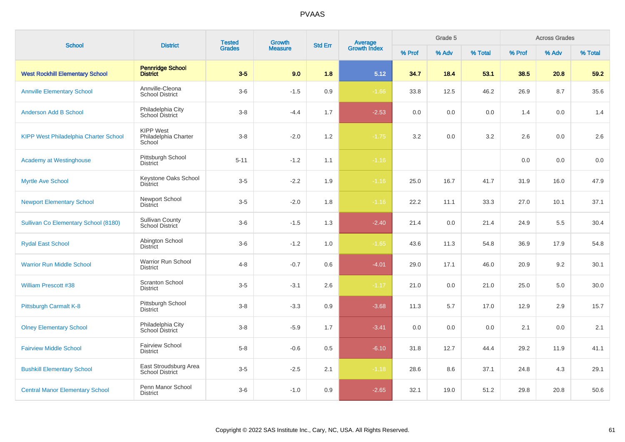| <b>School</b>                                | <b>District</b>                                    | <b>Tested</b> | Growth         | <b>Std Err</b> |                                |        | Grade 5 |         |        | <b>Across Grades</b> |         |
|----------------------------------------------|----------------------------------------------------|---------------|----------------|----------------|--------------------------------|--------|---------|---------|--------|----------------------|---------|
|                                              |                                                    | <b>Grades</b> | <b>Measure</b> |                | <b>Average</b><br>Growth Index | % Prof | % Adv   | % Total | % Prof | % Adv                | % Total |
| <b>West Rockhill Elementary School</b>       | <b>Pennridge School</b><br><b>District</b>         | $3-5$         | 9.0            | 1.8            | 5.12                           | 34.7   | 18.4    | 53.1    | 38.5   | 20.8                 | 59.2    |
| <b>Annville Elementary School</b>            | Annville-Cleona<br><b>School District</b>          | $3-6$         | $-1.5$         | 0.9            | $-1.66$                        | 33.8   | 12.5    | 46.2    | 26.9   | 8.7                  | 35.6    |
| <b>Anderson Add B School</b>                 | Philadelphia City<br>School District               | $3 - 8$       | $-4.4$         | 1.7            | $-2.53$                        | 0.0    | 0.0     | 0.0     | 1.4    | 0.0                  | 1.4     |
| <b>KIPP West Philadelphia Charter School</b> | <b>KIPP West</b><br>Philadelphia Charter<br>School | $3 - 8$       | $-2.0$         | 1.2            | $-1.75$                        | 3.2    | 0.0     | 3.2     | 2.6    | 0.0                  | 2.6     |
| <b>Academy at Westinghouse</b>               | Pittsburgh School<br><b>District</b>               | $5 - 11$      | $-1.2$         | 1.1            | $-1.16$                        |        |         |         | 0.0    | 0.0                  | 0.0     |
| <b>Myrtle Ave School</b>                     | Keystone Oaks School<br><b>District</b>            | $3-5$         | $-2.2$         | 1.9            | $-1.16$                        | 25.0   | 16.7    | 41.7    | 31.9   | 16.0                 | 47.9    |
| <b>Newport Elementary School</b>             | Newport School<br><b>District</b>                  | $3-5$         | $-2.0$         | 1.8            | $-1.16$                        | 22.2   | 11.1    | 33.3    | 27.0   | 10.1                 | 37.1    |
| Sullivan Co Elementary School (8180)         | <b>Sullivan County</b><br>School District          | $3-6$         | $-1.5$         | 1.3            | $-2.40$                        | 21.4   | 0.0     | 21.4    | 24.9   | 5.5                  | 30.4    |
| <b>Rydal East School</b>                     | Abington School<br><b>District</b>                 | $3-6$         | $-1.2$         | 1.0            | $-1.65$                        | 43.6   | 11.3    | 54.8    | 36.9   | 17.9                 | 54.8    |
| <b>Warrior Run Middle School</b>             | Warrior Run School<br><b>District</b>              | $4 - 8$       | $-0.7$         | 0.6            | $-4.01$                        | 29.0   | 17.1    | 46.0    | 20.9   | 9.2                  | 30.1    |
| <b>William Prescott #38</b>                  | <b>Scranton School</b><br><b>District</b>          | $3-5$         | $-3.1$         | 2.6            | $-1.17$                        | 21.0   | 0.0     | 21.0    | 25.0   | 5.0                  | 30.0    |
| Pittsburgh Carmalt K-8                       | Pittsburgh School<br><b>District</b>               | $3 - 8$       | $-3.3$         | 0.9            | $-3.68$                        | 11.3   | 5.7     | 17.0    | 12.9   | 2.9                  | 15.7    |
| <b>Olney Elementary School</b>               | Philadelphia City<br>School District               | $3-8$         | $-5.9$         | 1.7            | $-3.41$                        | 0.0    | 0.0     | 0.0     | 2.1    | 0.0                  | 2.1     |
| <b>Fairview Middle School</b>                | <b>Fairview School</b><br><b>District</b>          | $5 - 8$       | $-0.6$         | 0.5            | $-6.10$                        | 31.8   | 12.7    | 44.4    | 29.2   | 11.9                 | 41.1    |
| <b>Bushkill Elementary School</b>            | East Stroudsburg Area<br><b>School District</b>    | $3-5$         | $-2.5$         | 2.1            | $-1.18$                        | 28.6   | 8.6     | 37.1    | 24.8   | 4.3                  | 29.1    |
| <b>Central Manor Elementary School</b>       | Penn Manor School<br><b>District</b>               | $3-6$         | $-1.0$         | 0.9            | $-2.65$                        | 32.1   | 19.0    | 51.2    | 29.8   | 20.8                 | 50.6    |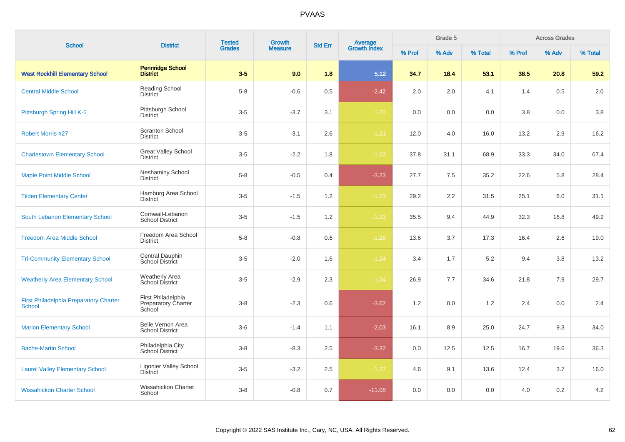| <b>School</b>                                                  | <b>District</b>                                     | <b>Tested</b> | <b>Growth</b>  |                | Average<br>Growth Index |        | Grade 5 |         |        | <b>Across Grades</b> |         |
|----------------------------------------------------------------|-----------------------------------------------------|---------------|----------------|----------------|-------------------------|--------|---------|---------|--------|----------------------|---------|
|                                                                |                                                     | <b>Grades</b> | <b>Measure</b> | <b>Std Err</b> |                         | % Prof | % Adv   | % Total | % Prof | % Adv                | % Total |
| <b>West Rockhill Elementary School</b>                         | <b>Pennridge School</b><br><b>District</b>          | $3-5$         | 9.0            | 1.8            | 5.12                    | 34.7   | 18.4    | 53.1    | 38.5   | 20.8                 | 59.2    |
| <b>Central Middle School</b>                                   | <b>Reading School</b><br><b>District</b>            | $5-8$         | $-0.6$         | 0.5            | $-2.42$                 | 2.0    | 2.0     | 4.1     | 1.4    | 0.5                  | 2.0     |
| Pittsburgh Spring Hill K-5                                     | Pittsburgh School<br><b>District</b>                | $3-5$         | $-3.7$         | 3.1            | $-1.20$                 | 0.0    | 0.0     | 0.0     | 3.8    | 0.0                  | 3.8     |
| <b>Robert Morris #27</b>                                       | <b>Scranton School</b><br><b>District</b>           | $3-5$         | $-3.1$         | 2.6            | $-1.21$                 | 12.0   | 4.0     | 16.0    | 13.2   | 2.9                  | 16.2    |
| <b>Charlestown Elementary School</b>                           | <b>Great Valley School</b><br><b>District</b>       | $3-5$         | $-2.2$         | 1.8            | $-1.22$                 | 37.8   | 31.1    | 68.9    | 33.3   | 34.0                 | 67.4    |
| <b>Maple Point Middle School</b>                               | <b>Neshaminy School</b><br>District                 | $5 - 8$       | $-0.5$         | 0.4            | $-3.23$                 | 27.7   | 7.5     | 35.2    | 22.6   | 5.8                  | 28.4    |
| <b>Tilden Elementary Center</b>                                | Hamburg Area School<br><b>District</b>              | $3-5$         | $-1.5$         | 1.2            | $-1.23$                 | 29.2   | 2.2     | 31.5    | 25.1   | 6.0                  | 31.1    |
| South Lebanon Elementary School                                | Cornwall-Lebanon<br><b>School District</b>          | $3-5$         | $-1.5$         | 1.2            | $-1.23$                 | 35.5   | 9.4     | 44.9    | 32.3   | 16.8                 | 49.2    |
| <b>Freedom Area Middle School</b>                              | Freedom Area School<br>District                     | $5-8$         | $-0.8$         | 0.6            | $-1.28$                 | 13.6   | 3.7     | 17.3    | 16.4   | 2.6                  | 19.0    |
| <b>Tri-Community Elementary School</b>                         | Central Dauphin<br>School District                  | $3-5$         | $-2.0$         | 1.6            | $-1.24$                 | 3.4    | 1.7     | 5.2     | 9.4    | 3.8                  | 13.2    |
| <b>Weatherly Area Elementary School</b>                        | Weatherly Area<br>School District                   | $3-5$         | $-2.9$         | 2.3            | $-1.24$                 | 26.9   | 7.7     | 34.6    | 21.8   | 7.9                  | 29.7    |
| <b>First Philadelphia Preparatory Charter</b><br><b>School</b> | First Philadelphia<br>Preparatory Charter<br>School | $3 - 8$       | $-2.3$         | 0.6            | $-3.62$                 | 1.2    | 0.0     | 1.2     | 2.4    | 0.0                  | 2.4     |
| <b>Marion Elementary School</b>                                | Belle Vernon Area<br><b>School District</b>         | $3-6$         | $-1.4$         | 1.1            | $-2.03$                 | 16.1   | 8.9     | 25.0    | 24.7   | 9.3                  | 34.0    |
| <b>Bache-Martin School</b>                                     | Philadelphia City<br>School District                | $3 - 8$       | $-8.3$         | 2.5            | $-3.32$                 | 0.0    | 12.5    | 12.5    | 16.7   | 19.6                 | 36.3    |
| <b>Laurel Valley Elementary School</b>                         | Ligonier Valley School<br><b>District</b>           | $3-5$         | $-3.2$         | 2.5            | $-1.27$                 | 4.6    | 9.1     | 13.6    | 12.4   | 3.7                  | 16.0    |
| <b>Wissahickon Charter School</b>                              | Wissahickon Charter<br>School                       | $3-8$         | $-0.8$         | 0.7            | $-11.08$                | 0.0    | 0.0     | 0.0     | 4.0    | 0.2                  | 4.2     |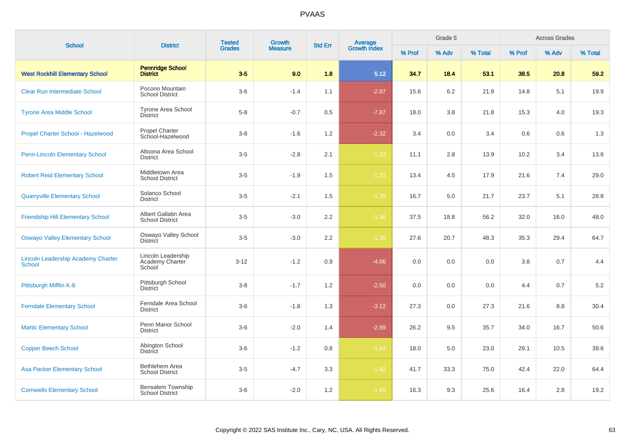| <b>School</b>                                              | <b>District</b>                                 | <b>Tested</b> | Growth         | <b>Std Err</b> |                                |        | Grade 5 |         |         | <b>Across Grades</b> |         |
|------------------------------------------------------------|-------------------------------------------------|---------------|----------------|----------------|--------------------------------|--------|---------|---------|---------|----------------------|---------|
|                                                            |                                                 | <b>Grades</b> | <b>Measure</b> |                | <b>Average</b><br>Growth Index | % Prof | % Adv   | % Total | % Prof  | % Adv                | % Total |
| <b>West Rockhill Elementary School</b>                     | <b>Pennridge School</b><br><b>District</b>      | $3-5$         | 9.0            | 1.8            | 5.12                           | 34.7   | 18.4    | 53.1    | 38.5    | 20.8                 | 59.2    |
| <b>Clear Run Intermediate School</b>                       | Pocono Mountain<br><b>School District</b>       | $3-6$         | $-1.4$         | 1.1            | $-2.87$                        | 15.6   | 6.2     | 21.9    | 14.8    | 5.1                  | 19.9    |
| <b>Tyrone Area Middle School</b>                           | <b>Tyrone Area School</b><br><b>District</b>    | $5 - 8$       | $-0.7$         | 0.5            | $-7.87$                        | 18.0   | 3.8     | 21.8    | 15.3    | 4.0                  | 19.3    |
| Propel Charter School - Hazelwood                          | <b>Propel Charter</b><br>School-Hazelwood       | $3 - 8$       | $-1.6$         | 1.2            | $-2.32$                        | 3.4    | 0.0     | 3.4     | 0.6     | 0.6                  | 1.3     |
| <b>Penn-Lincoln Elementary School</b>                      | Altoona Area School<br><b>District</b>          | $3-5$         | $-2.8$         | 2.1            | $-1.33$                        | 11.1   | 2.8     | 13.9    | 10.2    | 3.4                  | 13.6    |
| <b>Robert Reid Elementary School</b>                       | Middletown Area<br><b>School District</b>       | $3-5$         | $-1.9$         | 1.5            | $-1.33$                        | 13.4   | 4.5     | 17.9    | 21.6    | 7.4                  | 29.0    |
| <b>Quarryville Elementary School</b>                       | Solanco School<br><b>District</b>               | $3-5$         | $-2.1$         | 1.5            | $-1.35$                        | 16.7   | 5.0     | 21.7    | 23.7    | 5.1                  | 28.8    |
| <b>Friendship Hill Elementary School</b>                   | Albert Gallatin Area<br><b>School District</b>  | $3-5$         | $-3.0$         | 2.2            | $-1.36$                        | 37.5   | 18.8    | 56.2    | 32.0    | 16.0                 | 48.0    |
| <b>Oswayo Valley Elementary School</b>                     | Oswayo Valley School<br><b>District</b>         | $3 - 5$       | $-3.0$         | 2.2            | $-1.38$                        | 27.6   | 20.7    | 48.3    | 35.3    | 29.4                 | 64.7    |
| <b>Lincoln Leadership Academy Charter</b><br><b>School</b> | Lincoln Leadership<br>Academy Charter<br>School | $3 - 12$      | $-1.2$         | $0.9\,$        | $-4.06$                        | 0.0    | 0.0     | $0.0\,$ | $3.8\,$ | 0.7                  | 4.4     |
| Pittsburgh Mifflin K-8                                     | Pittsburgh School<br><b>District</b>            | $3 - 8$       | $-1.7$         | 1.2            | $-2.50$                        | 0.0    | 0.0     | 0.0     | 4.4     | 0.7                  | 5.2     |
| <b>Ferndale Elementary School</b>                          | Ferndale Area School<br><b>District</b>         | $3-6$         | $-1.8$         | 1.3            | $-3.12$                        | 27.3   | 0.0     | 27.3    | 21.6    | 8.8                  | 30.4    |
| <b>Martic Elementary School</b>                            | Penn Manor School<br><b>District</b>            | $3-6$         | $-2.0$         | 1.4            | $-2.89$                        | 26.2   | 9.5     | 35.7    | 34.0    | 16.7                 | 50.6    |
| <b>Copper Beech School</b>                                 | Abington School<br>District                     | $3-6$         | $-1.2$         | 0.8            | $-1.54$                        | 18.0   | 5.0     | 23.0    | 29.1    | 10.5                 | 39.6    |
| <b>Asa Packer Elementary School</b>                        | <b>Bethlehem Area</b><br><b>School District</b> | $3-5$         | $-4.7$         | 3.3            | $-1.42$                        | 41.7   | 33.3    | 75.0    | 42.4    | 22.0                 | 64.4    |
| <b>Cornwells Elementary School</b>                         | Bensalem Township<br><b>School District</b>     | $3-6$         | $-2.0$         | 1.2            | $-1.69$                        | 16.3   | 9.3     | 25.6    | 16.4    | 2.8                  | 19.2    |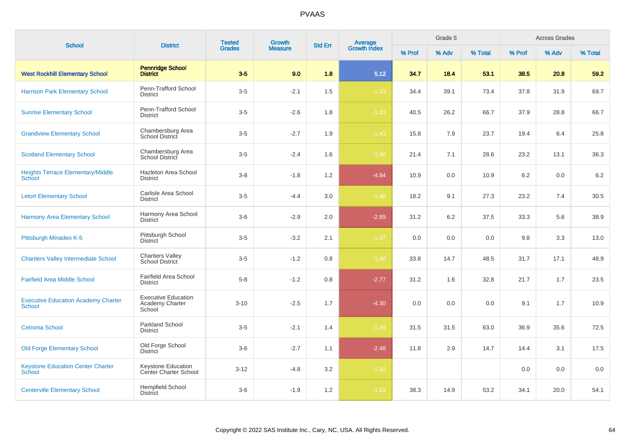| <b>School</b>                                               | <b>District</b>                                         | <b>Tested</b><br><b>Growth</b><br><b>Std Err</b><br><b>Grades</b><br><b>Measure</b> |        |     | Grade 5                        |        |       | <b>Across Grades</b> |        |       |         |
|-------------------------------------------------------------|---------------------------------------------------------|-------------------------------------------------------------------------------------|--------|-----|--------------------------------|--------|-------|----------------------|--------|-------|---------|
|                                                             |                                                         |                                                                                     |        |     | <b>Average</b><br>Growth Index | % Prof | % Adv | % Total              | % Prof | % Adv | % Total |
| <b>West Rockhill Elementary School</b>                      | <b>Pennridge School</b><br><b>District</b>              | $3-5$                                                                               | 9.0    | 1.8 | 5.12                           | 34.7   | 18.4  | 53.1                 | 38.5   | 20.8  | 59.2    |
| <b>Harrison Park Elementary School</b>                      | Penn-Trafford School<br><b>District</b>                 | $3-5$                                                                               | $-2.1$ | 1.5 | $-1.43$                        | 34.4   | 39.1  | 73.4                 | 37.8   | 31.9  | 69.7    |
| <b>Sunrise Elementary School</b>                            | Penn-Trafford School<br><b>District</b>                 | $3-5$                                                                               | $-2.6$ | 1.8 | $-1.43$                        | 40.5   | 26.2  | 66.7                 | 37.9   | 28.8  | 66.7    |
| <b>Grandview Elementary School</b>                          | Chambersburg Area<br>School District                    | $3-5$                                                                               | $-2.7$ | 1.9 | $-1.43$                        | 15.8   | 7.9   | 23.7                 | 19.4   | 6.4   | 25.8    |
| <b>Scotland Elementary School</b>                           | Chambersburg Area<br><b>School District</b>             | $3-5$                                                                               | $-2.4$ | 1.6 | $-1.46$                        | 21.4   | 7.1   | 28.6                 | 23.2   | 13.1  | 36.3    |
| <b>Heights Terrace Elementary/Middle</b><br><b>School</b>   | Hazleton Area School<br><b>District</b>                 | $3 - 8$                                                                             | $-1.8$ | 1.2 | $-4.84$                        | 10.9   | 0.0   | 10.9                 | 6.2    | 0.0   | 6.2     |
| <b>Letort Elementary School</b>                             | Carlisle Area School<br><b>District</b>                 | $3-5$                                                                               | $-4.4$ | 3.0 | $-1.46$                        | 18.2   | 9.1   | 27.3                 | 23.2   | 7.4   | 30.5    |
| <b>Harmony Area Elementary School</b>                       | Harmony Area School<br><b>District</b>                  | $3-6$                                                                               | $-2.9$ | 2.0 | $-2.89$                        | 31.2   | 6.2   | 37.5                 | 33.3   | 5.6   | 38.9    |
| Pittsburgh Minadeo K-5                                      | Pittsburgh School<br><b>District</b>                    | $3-5$                                                                               | $-3.2$ | 2.1 | $-1.47$                        | 0.0    | 0.0   | 0.0                  | 9.8    | 3.3   | 13.0    |
| <b>Chartiers Valley Intermediate School</b>                 | <b>Chartiers Valley</b><br><b>School District</b>       | $3-5$                                                                               | $-1.2$ | 0.8 | $-1.48$                        | 33.8   | 14.7  | 48.5                 | 31.7   | 17.1  | 48.9    |
| <b>Fairfield Area Middle School</b>                         | <b>Fairfield Area School</b><br><b>District</b>         | $5 - 8$                                                                             | $-1.2$ | 0.8 | $-2.77$                        | 31.2   | 1.6   | 32.8                 | 21.7   | 1.7   | 23.5    |
| <b>Executive Education Academy Charter</b><br><b>School</b> | <b>Executive Education</b><br>Academy Charter<br>School | $3 - 10$                                                                            | $-2.5$ | 1.7 | $-4.30$                        | 0.0    | 0.0   | 0.0                  | 9.1    | 1.7   | 10.9    |
| <b>Cetronia School</b>                                      | Parkland School<br><b>District</b>                      | $3-5$                                                                               | $-2.1$ | 1.4 | $-1.49$                        | 31.5   | 31.5  | 63.0                 | 36.9   | 35.6  | 72.5    |
| <b>Old Forge Elementary School</b>                          | Old Forge School<br><b>District</b>                     | $3-6$                                                                               | $-2.7$ | 1.1 | $-2.48$                        | 11.8   | 2.9   | 14.7                 | 14.4   | 3.1   | 17.5    |
| <b>Keystone Education Center Charter</b><br><b>School</b>   | Keystone Education<br><b>Center Charter School</b>      | $3 - 12$                                                                            | $-4.8$ | 3.2 | $-1.50$                        |        |       |                      | 0.0    | 0.0   | 0.0     |
| <b>Centerville Elementary School</b>                        | <b>Hempfield School</b><br><b>District</b>              | $3-6$                                                                               | $-1.9$ | 1.2 | $-1.63$                        | 38.3   | 14.9  | 53.2                 | 34.1   | 20.0  | 54.1    |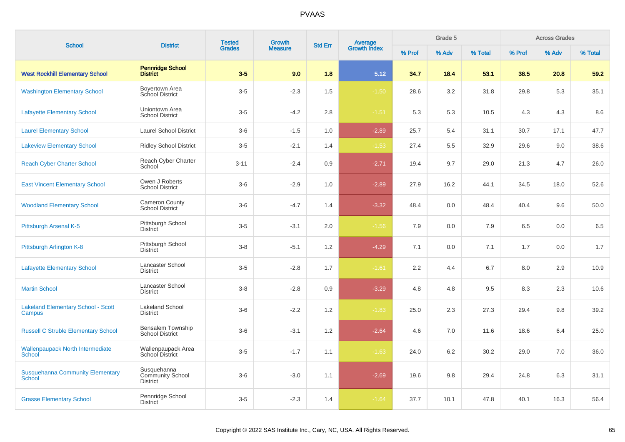| <b>School</b>                                            | <b>District</b>                                           | <b>Tested</b> | <b>Growth</b>  |                |                                |        | Grade 5 |         |        | <b>Across Grades</b> |         |
|----------------------------------------------------------|-----------------------------------------------------------|---------------|----------------|----------------|--------------------------------|--------|---------|---------|--------|----------------------|---------|
|                                                          |                                                           | <b>Grades</b> | <b>Measure</b> | <b>Std Err</b> | <b>Average</b><br>Growth Index | % Prof | % Adv   | % Total | % Prof | % Adv                | % Total |
| <b>West Rockhill Elementary School</b>                   | <b>Pennridge School</b><br><b>District</b>                | $3-5$         | 9.0            | 1.8            | 5.12                           | 34.7   | 18.4    | 53.1    | 38.5   | 20.8                 | 59.2    |
| <b>Washington Elementary School</b>                      | Boyertown Area<br>School District                         | $3-5$         | $-2.3$         | 1.5            | $-1.50$                        | 28.6   | 3.2     | 31.8    | 29.8   | 5.3                  | 35.1    |
| <b>Lafayette Elementary School</b>                       | Uniontown Area<br><b>School District</b>                  | $3-5$         | $-4.2$         | 2.8            | $-1.51$                        | 5.3    | 5.3     | 10.5    | 4.3    | 4.3                  | 8.6     |
| <b>Laurel Elementary School</b>                          | <b>Laurel School District</b>                             | $3-6$         | $-1.5$         | 1.0            | $-2.89$                        | 25.7   | 5.4     | 31.1    | 30.7   | 17.1                 | 47.7    |
| <b>Lakeview Elementary School</b>                        | <b>Ridley School District</b>                             | $3-5$         | $-2.1$         | 1.4            | $-1.53$                        | 27.4   | 5.5     | 32.9    | 29.6   | 9.0                  | 38.6    |
| <b>Reach Cyber Charter School</b>                        | Reach Cyber Charter<br>School                             | $3 - 11$      | $-2.4$         | 0.9            | $-2.71$                        | 19.4   | 9.7     | 29.0    | 21.3   | 4.7                  | 26.0    |
| <b>East Vincent Elementary School</b>                    | Owen J Roberts<br><b>School District</b>                  | $3-6$         | $-2.9$         | 1.0            | $-2.89$                        | 27.9   | 16.2    | 44.1    | 34.5   | 18.0                 | 52.6    |
| <b>Woodland Elementary School</b>                        | <b>Cameron County</b><br><b>School District</b>           | $3-6$         | $-4.7$         | 1.4            | $-3.32$                        | 48.4   | 0.0     | 48.4    | 40.4   | 9.6                  | 50.0    |
| Pittsburgh Arsenal K-5                                   | Pittsburgh School<br><b>District</b>                      | $3-5$         | $-3.1$         | 2.0            | $-1.56$                        | 7.9    | 0.0     | 7.9     | 6.5    | 0.0                  | 6.5     |
| Pittsburgh Arlington K-8                                 | Pittsburgh School<br><b>District</b>                      | $3-8$         | $-5.1$         | 1.2            | $-4.29$                        | 7.1    | 0.0     | 7.1     | 1.7    | 0.0                  | 1.7     |
| <b>Lafayette Elementary School</b>                       | Lancaster School<br><b>District</b>                       | $3-5$         | $-2.8$         | 1.7            | $-1.61$                        | 2.2    | 4.4     | 6.7     | 8.0    | 2.9                  | 10.9    |
| <b>Martin School</b>                                     | Lancaster School<br><b>District</b>                       | $3 - 8$       | $-2.8$         | 0.9            | $-3.29$                        | 4.8    | 4.8     | 9.5     | 8.3    | 2.3                  | 10.6    |
| <b>Lakeland Elementary School - Scott</b><br>Campus      | <b>Lakeland School</b><br><b>District</b>                 | $3-6$         | $-2.2$         | 1.2            | $-1.83$                        | 25.0   | 2.3     | 27.3    | 29.4   | 9.8                  | 39.2    |
| <b>Russell C Struble Elementary School</b>               | Bensalem Township<br><b>School District</b>               | $3-6$         | $-3.1$         | 1.2            | $-2.64$                        | 4.6    | 7.0     | 11.6    | 18.6   | 6.4                  | 25.0    |
| <b>Wallenpaupack North Intermediate</b><br>School        | Wallenpaupack Area<br>School District                     | $3-5$         | $-1.7$         | 1.1            | $-1.63$                        | 24.0   | 6.2     | 30.2    | 29.0   | 7.0                  | 36.0    |
| <b>Susquehanna Community Elementary</b><br><b>School</b> | Susquehanna<br><b>Community School</b><br><b>District</b> | $3-6$         | $-3.0$         | 1.1            | $-2.69$                        | 19.6   | 9.8     | 29.4    | 24.8   | 6.3                  | 31.1    |
| <b>Grasse Elementary School</b>                          | Pennridge School<br><b>District</b>                       | $3-5$         | $-2.3$         | 1.4            | $-1.64$                        | 37.7   | 10.1    | 47.8    | 40.1   | 16.3                 | 56.4    |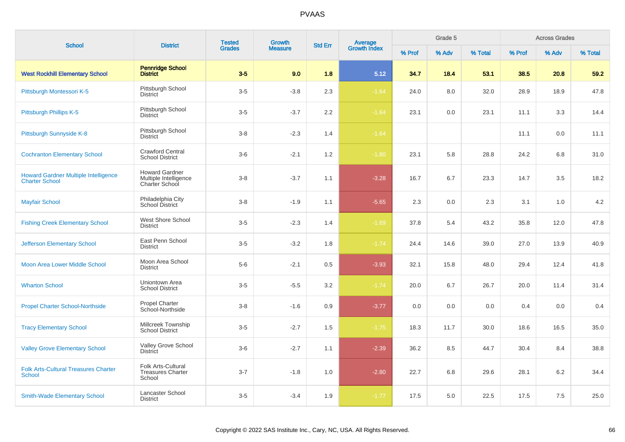| <b>School</b>                                                        | <b>District</b>                                                  | <b>Tested</b> | <b>Growth</b>  |                | Average<br>Growth Index |        | Grade 5 |         |        | <b>Across Grades</b> |         |
|----------------------------------------------------------------------|------------------------------------------------------------------|---------------|----------------|----------------|-------------------------|--------|---------|---------|--------|----------------------|---------|
|                                                                      |                                                                  | <b>Grades</b> | <b>Measure</b> | <b>Std Err</b> |                         | % Prof | % Adv   | % Total | % Prof | % Adv                | % Total |
| <b>West Rockhill Elementary School</b>                               | <b>Pennridge School</b><br><b>District</b>                       | $3-5$         | 9.0            | 1.8            | 5.12                    | 34.7   | 18.4    | 53.1    | 38.5   | 20.8                 | 59.2    |
| Pittsburgh Montessori K-5                                            | Pittsburgh School<br><b>District</b>                             | $3-5$         | $-3.8$         | 2.3            | $-1.64$                 | 24.0   | 8.0     | 32.0    | 28.9   | 18.9                 | 47.8    |
| Pittsburgh Phillips K-5                                              | Pittsburgh School<br><b>District</b>                             | $3-5$         | $-3.7$         | 2.2            | $-1.64$                 | 23.1   | 0.0     | 23.1    | 11.1   | 3.3                  | 14.4    |
| Pittsburgh Sunnyside K-8                                             | Pittsburgh School<br><b>District</b>                             | $3 - 8$       | $-2.3$         | 1.4            | $-1.64$                 |        |         |         | 11.1   | 0.0                  | 11.1    |
| <b>Cochranton Elementary School</b>                                  | <b>Crawford Central</b><br><b>School District</b>                | $3-6$         | $-2.1$         | 1.2            | $-1.80$                 | 23.1   | 5.8     | 28.8    | 24.2   | 6.8                  | 31.0    |
| <b>Howard Gardner Multiple Intelligence</b><br><b>Charter School</b> | <b>Howard Gardner</b><br>Multiple Intelligence<br>Charter School | $3 - 8$       | $-3.7$         | 1.1            | $-3.28$                 | 16.7   | 6.7     | 23.3    | 14.7   | 3.5                  | 18.2    |
| <b>Mayfair School</b>                                                | Philadelphia City<br>School District                             | $3 - 8$       | $-1.9$         | 1.1            | $-5.65$                 | 2.3    | 0.0     | 2.3     | 3.1    | 1.0                  | 4.2     |
| <b>Fishing Creek Elementary School</b>                               | West Shore School<br><b>District</b>                             | $3-5$         | $-2.3$         | 1.4            | $-1.69$                 | 37.8   | 5.4     | 43.2    | 35.8   | 12.0                 | 47.8    |
| <b>Jefferson Elementary School</b>                                   | East Penn School<br><b>District</b>                              | $3 - 5$       | $-3.2$         | 1.8            | $-1.74$                 | 24.4   | 14.6    | 39.0    | 27.0   | 13.9                 | 40.9    |
| Moon Area Lower Middle School                                        | Moon Area School<br><b>District</b>                              | $5-6$         | $-2.1$         | 0.5            | $-3.93$                 | 32.1   | 15.8    | 48.0    | 29.4   | 12.4                 | 41.8    |
| <b>Wharton School</b>                                                | Uniontown Area<br><b>School District</b>                         | $3-5$         | $-5.5$         | 3.2            | $-1.74$                 | 20.0   | 6.7     | 26.7    | 20.0   | 11.4                 | 31.4    |
| <b>Propel Charter School-Northside</b>                               | <b>Propel Charter</b><br>School-Northside                        | $3 - 8$       | $-1.6$         | 0.9            | $-3.77$                 | 0.0    | 0.0     | 0.0     | 0.4    | 0.0                  | 0.4     |
| <b>Tracy Elementary School</b>                                       | Millcreek Township<br><b>School District</b>                     | $3-5$         | $-2.7$         | 1.5            | $-1.75$                 | 18.3   | 11.7    | 30.0    | 18.6   | 16.5                 | 35.0    |
| <b>Valley Grove Elementary School</b>                                | Valley Grove School<br><b>District</b>                           | $3-6$         | $-2.7$         | 1.1            | $-2.39$                 | 36.2   | 8.5     | 44.7    | 30.4   | 8.4                  | 38.8    |
| <b>Folk Arts-Cultural Treasures Charter</b><br><b>School</b>         | Folk Arts-Cultural<br><b>Treasures Charter</b><br>School         | $3 - 7$       | $-1.8$         | 1.0            | $-2.80$                 | 22.7   | 6.8     | 29.6    | 28.1   | 6.2                  | 34.4    |
| <b>Smith-Wade Elementary School</b>                                  | Lancaster School<br><b>District</b>                              | $3-5$         | $-3.4$         | 1.9            | $-1.77$                 | 17.5   | 5.0     | 22.5    | 17.5   | 7.5                  | 25.0    |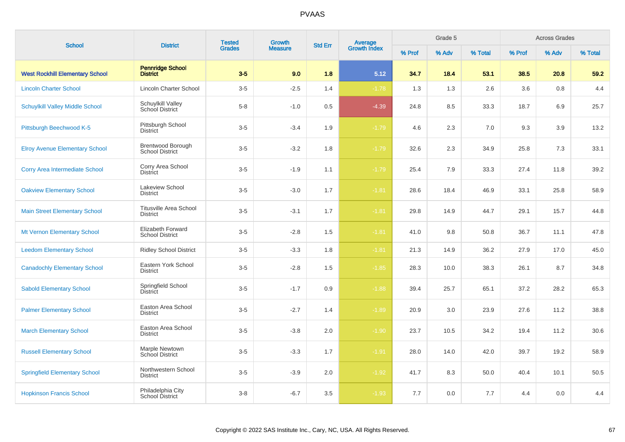| <b>School</b>                          | <b>District</b>                                    | <b>Tested</b> | Growth         | <b>Std Err</b> |                                |        | Grade 5 |         |        | <b>Across Grades</b> |         |
|----------------------------------------|----------------------------------------------------|---------------|----------------|----------------|--------------------------------|--------|---------|---------|--------|----------------------|---------|
|                                        |                                                    | <b>Grades</b> | <b>Measure</b> |                | <b>Average</b><br>Growth Index | % Prof | % Adv   | % Total | % Prof | % Adv                | % Total |
| <b>West Rockhill Elementary School</b> | <b>Pennridge School</b><br><b>District</b>         | $3-5$         | 9.0            | 1.8            | 5.12                           | 34.7   | 18.4    | 53.1    | 38.5   | 20.8                 | 59.2    |
| <b>Lincoln Charter School</b>          | Lincoln Charter School                             | $3-5$         | $-2.5$         | 1.4            | $-1.78$                        | 1.3    | 1.3     | 2.6     | 3.6    | 0.8                  | 4.4     |
| <b>Schuylkill Valley Middle School</b> | Schuylkill Valley<br><b>School District</b>        | $5-8$         | $-1.0$         | 0.5            | $-4.39$                        | 24.8   | 8.5     | 33.3    | 18.7   | 6.9                  | 25.7    |
| Pittsburgh Beechwood K-5               | Pittsburgh School<br><b>District</b>               | $3-5$         | $-3.4$         | 1.9            | $-1.79$                        | 4.6    | 2.3     | 7.0     | 9.3    | 3.9                  | 13.2    |
| <b>Elroy Avenue Elementary School</b>  | <b>Brentwood Borough</b><br><b>School District</b> | $3-5$         | $-3.2$         | 1.8            | $-1.79$                        | 32.6   | 2.3     | 34.9    | 25.8   | 7.3                  | 33.1    |
| <b>Corry Area Intermediate School</b>  | Corry Area School<br>District                      | $3-5$         | $-1.9$         | 1.1            | $-1.79$                        | 25.4   | 7.9     | 33.3    | 27.4   | 11.8                 | 39.2    |
| <b>Oakview Elementary School</b>       | Lakeview School<br><b>District</b>                 | $3-5$         | $-3.0$         | 1.7            | $-1.81$                        | 28.6   | 18.4    | 46.9    | 33.1   | 25.8                 | 58.9    |
| <b>Main Street Elementary School</b>   | <b>Titusville Area School</b><br><b>District</b>   | $3-5$         | $-3.1$         | 1.7            | $-1.81$                        | 29.8   | 14.9    | 44.7    | 29.1   | 15.7                 | 44.8    |
| Mt Vernon Elementary School            | Elizabeth Forward<br><b>School District</b>        | $3-5$         | $-2.8$         | 1.5            | $-1.81$                        | 41.0   | 9.8     | 50.8    | 36.7   | 11.1                 | 47.8    |
| <b>Leedom Elementary School</b>        | <b>Ridley School District</b>                      | $3-5$         | $-3.3$         | 1.8            | $-1.81$                        | 21.3   | 14.9    | 36.2    | 27.9   | 17.0                 | 45.0    |
| <b>Canadochly Elementary School</b>    | Eastern York School<br><b>District</b>             | $3-5$         | $-2.8$         | 1.5            | $-1.85$                        | 28.3   | 10.0    | 38.3    | 26.1   | 8.7                  | 34.8    |
| <b>Sabold Elementary School</b>        | Springfield School<br>District                     | $3-5$         | $-1.7$         | 0.9            | $-1.88$                        | 39.4   | 25.7    | 65.1    | 37.2   | 28.2                 | 65.3    |
| <b>Palmer Elementary School</b>        | Easton Area School<br><b>District</b>              | $3-5$         | $-2.7$         | 1.4            | $-1.89$                        | 20.9   | 3.0     | 23.9    | 27.6   | 11.2                 | 38.8    |
| <b>March Elementary School</b>         | Easton Area School<br><b>District</b>              | $3-5$         | $-3.8$         | 2.0            | $-1.90$                        | 23.7   | 10.5    | 34.2    | 19.4   | 11.2                 | 30.6    |
| <b>Russell Elementary School</b>       | Marple Newtown<br><b>School District</b>           | $3-5$         | $-3.3$         | 1.7            | $-1.91$                        | 28.0   | 14.0    | 42.0    | 39.7   | 19.2                 | 58.9    |
| <b>Springfield Elementary School</b>   | Northwestern School<br><b>District</b>             | $3-5$         | $-3.9$         | $2.0\,$        | $-1.92$                        | 41.7   | 8.3     | 50.0    | 40.4   | 10.1                 | 50.5    |
| <b>Hopkinson Francis School</b>        | Philadelphia City<br>School District               | $3 - 8$       | $-6.7$         | 3.5            | $-1.93$                        | 7.7    | 0.0     | 7.7     | 4.4    | 0.0                  | 4.4     |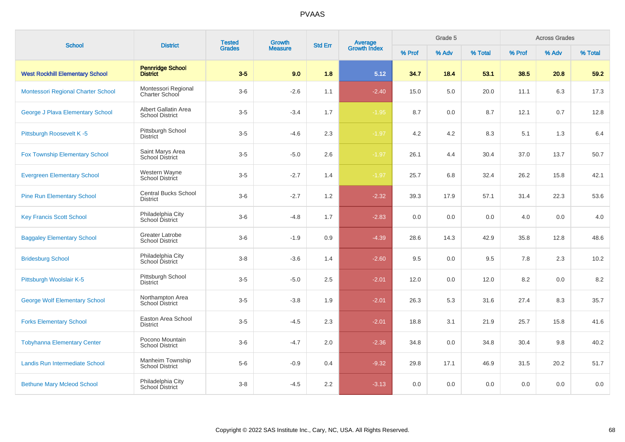| <b>School</b>                           | <b>District</b>                                  | <b>Tested</b> | Growth         | <b>Std Err</b> | <b>Average</b><br>Growth Index |        | Grade 5 |         |        | <b>Across Grades</b> |         |
|-----------------------------------------|--------------------------------------------------|---------------|----------------|----------------|--------------------------------|--------|---------|---------|--------|----------------------|---------|
|                                         |                                                  | <b>Grades</b> | <b>Measure</b> |                |                                | % Prof | % Adv   | % Total | % Prof | % Adv                | % Total |
| <b>West Rockhill Elementary School</b>  | <b>Pennridge School</b><br><b>District</b>       | $3-5$         | 9.0            | 1.8            | 5.12                           | 34.7   | 18.4    | 53.1    | 38.5   | 20.8                 | 59.2    |
| Montessori Regional Charter School      | Montessori Regional<br><b>Charter School</b>     | $3-6$         | $-2.6$         | 1.1            | $-2.40$                        | 15.0   | 5.0     | 20.0    | 11.1   | 6.3                  | 17.3    |
| <b>George J Plava Elementary School</b> | Albert Gallatin Area<br><b>School District</b>   | $3-5$         | $-3.4$         | 1.7            | $-1.95$                        | 8.7    | 0.0     | 8.7     | 12.1   | 0.7                  | 12.8    |
| Pittsburgh Roosevelt K-5                | Pittsburgh School<br><b>District</b>             | $3-5$         | $-4.6$         | 2.3            | $-1.97$                        | 4.2    | 4.2     | 8.3     | 5.1    | 1.3                  | 6.4     |
| <b>Fox Township Elementary School</b>   | Saint Marys Area<br><b>School District</b>       | $3-5$         | $-5.0$         | 2.6            | $-1.97$                        | 26.1   | 4.4     | 30.4    | 37.0   | 13.7                 | 50.7    |
| <b>Evergreen Elementary School</b>      | Western Wayne<br>School District                 | $3-5$         | $-2.7$         | 1.4            | $-1.97$                        | 25.7   | 6.8     | 32.4    | 26.2   | 15.8                 | 42.1    |
| <b>Pine Run Elementary School</b>       | <b>Central Bucks School</b><br><b>District</b>   | $3-6$         | $-2.7$         | 1.2            | $-2.32$                        | 39.3   | 17.9    | 57.1    | 31.4   | 22.3                 | 53.6    |
| <b>Key Francis Scott School</b>         | Philadelphia City<br>School District             | $3-6$         | $-4.8$         | 1.7            | $-2.83$                        | 0.0    | 0.0     | 0.0     | 4.0    | 0.0                  | $4.0$   |
| <b>Baggaley Elementary School</b>       | <b>Greater Latrobe</b><br><b>School District</b> | $3-6$         | $-1.9$         | 0.9            | $-4.39$                        | 28.6   | 14.3    | 42.9    | 35.8   | 12.8                 | 48.6    |
| <b>Bridesburg School</b>                | Philadelphia City<br>School District             | $3 - 8$       | $-3.6$         | 1.4            | $-2.60$                        | 9.5    | 0.0     | 9.5     | 7.8    | 2.3                  | 10.2    |
| Pittsburgh Woolslair K-5                | Pittsburgh School<br><b>District</b>             | $3-5$         | $-5.0$         | 2.5            | $-2.01$                        | 12.0   | 0.0     | 12.0    | 8.2    | 0.0                  | 8.2     |
| <b>George Wolf Elementary School</b>    | Northampton Area<br><b>School District</b>       | $3-5$         | $-3.8$         | 1.9            | $-2.01$                        | 26.3   | 5.3     | 31.6    | 27.4   | 8.3                  | 35.7    |
| <b>Forks Elementary School</b>          | Easton Area School<br><b>District</b>            | $3-5$         | $-4.5$         | 2.3            | $-2.01$                        | 18.8   | 3.1     | 21.9    | 25.7   | 15.8                 | 41.6    |
| <b>Tobyhanna Elementary Center</b>      | Pocono Mountain<br><b>School District</b>        | $3-6$         | $-4.7$         | 2.0            | $-2.36$                        | 34.8   | 0.0     | 34.8    | 30.4   | 9.8                  | 40.2    |
| Landis Run Intermediate School          | Manheim Township<br><b>School District</b>       | $5-6$         | $-0.9$         | 0.4            | $-9.32$                        | 29.8   | 17.1    | 46.9    | 31.5   | 20.2                 | 51.7    |
| <b>Bethune Mary Mcleod School</b>       | Philadelphia City<br>School District             | $3-8$         | $-4.5$         | 2.2            | $-3.13$                        | 0.0    | 0.0     | 0.0     | 0.0    | 0.0                  | 0.0     |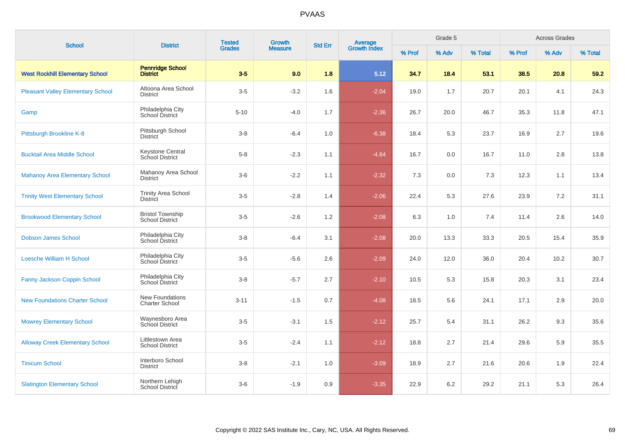| <b>School</b>                            | <b>District</b>                                   | <b>Tested</b><br>Growth<br><b>Grades</b><br><b>Measure</b> | <b>Average</b><br>Growth Index<br><b>Std Err</b> |     | Grade 5 |        |       | <b>Across Grades</b> |        |       |         |
|------------------------------------------|---------------------------------------------------|------------------------------------------------------------|--------------------------------------------------|-----|---------|--------|-------|----------------------|--------|-------|---------|
|                                          |                                                   |                                                            |                                                  |     |         | % Prof | % Adv | % Total              | % Prof | % Adv | % Total |
| <b>West Rockhill Elementary School</b>   | <b>Pennridge School</b><br><b>District</b>        | $3-5$                                                      | 9.0                                              | 1.8 | 5.12    | 34.7   | 18.4  | 53.1                 | 38.5   | 20.8  | 59.2    |
| <b>Pleasant Valley Elementary School</b> | Altoona Area School<br><b>District</b>            | $3-5$                                                      | $-3.2$                                           | 1.6 | $-2.04$ | 19.0   | 1.7   | 20.7                 | 20.1   | 4.1   | 24.3    |
| Gamp                                     | Philadelphia City<br>School District              | $5 - 10$                                                   | $-4.0$                                           | 1.7 | $-2.36$ | 26.7   | 20.0  | 46.7                 | 35.3   | 11.8  | 47.1    |
| Pittsburgh Brookline K-8                 | Pittsburgh School<br><b>District</b>              | $3 - 8$                                                    | $-6.4$                                           | 1.0 | $-6.38$ | 18.4   | 5.3   | 23.7                 | 16.9   | 2.7   | 19.6    |
| <b>Bucktail Area Middle School</b>       | <b>Keystone Central</b><br>School District        | $5 - 8$                                                    | $-2.3$                                           | 1.1 | $-4.84$ | 16.7   | 0.0   | 16.7                 | 11.0   | 2.8   | 13.8    |
| <b>Mahanoy Area Elementary School</b>    | Mahanoy Area School<br><b>District</b>            | $3-6$                                                      | $-2.2$                                           | 1.1 | $-2.32$ | 7.3    | 0.0   | 7.3                  | 12.3   | 1.1   | 13.4    |
| <b>Trinity West Elementary School</b>    | <b>Trinity Area School</b><br><b>District</b>     | $3-5$                                                      | $-2.8$                                           | 1.4 | $-2.06$ | 22.4   | 5.3   | 27.6                 | 23.9   | 7.2   | 31.1    |
| <b>Brookwood Elementary School</b>       | <b>Bristol Township</b><br><b>School District</b> | $3-5$                                                      | $-2.6$                                           | 1.2 | $-2.08$ | 6.3    | 1.0   | 7.4                  | 11.4   | 2.6   | 14.0    |
| <b>Dobson James School</b>               | Philadelphia City<br>School District              | $3 - 8$                                                    | $-6.4$                                           | 3.1 | $-2.08$ | 20.0   | 13.3  | 33.3                 | 20.5   | 15.4  | 35.9    |
| <b>Loesche William H School</b>          | Philadelphia City<br><b>School District</b>       | $3-5$                                                      | $-5.6$                                           | 2.6 | $-2.09$ | 24.0   | 12.0  | 36.0                 | 20.4   | 10.2  | 30.7    |
| Fanny Jackson Coppin School              | Philadelphia City<br>School District              | $3 - 8$                                                    | $-5.7$                                           | 2.7 | $-2.10$ | 10.5   | 5.3   | 15.8                 | 20.3   | 3.1   | 23.4    |
| <b>New Foundations Charter School</b>    | New Foundations<br><b>Charter School</b>          | $3 - 11$                                                   | $-1.5$                                           | 0.7 | $-4.08$ | 18.5   | 5.6   | 24.1                 | 17.1   | 2.9   | 20.0    |
| <b>Mowrey Elementary School</b>          | Waynesboro Area<br>School District                | $3-5$                                                      | $-3.1$                                           | 1.5 | $-2.12$ | 25.7   | 5.4   | 31.1                 | 26.2   | 9.3   | 35.6    |
| <b>Alloway Creek Elementary School</b>   | Littlestown Area<br><b>School District</b>        | $3-5$                                                      | $-2.4$                                           | 1.1 | $-2.12$ | 18.8   | 2.7   | 21.4                 | 29.6   | 5.9   | 35.5    |
| <b>Tinicum School</b>                    | Interboro School<br><b>District</b>               | $3 - 8$                                                    | $-2.1$                                           | 1.0 | $-3.09$ | 18.9   | 2.7   | 21.6                 | 20.6   | 1.9   | 22.4    |
| <b>Slatington Elementary School</b>      | Northern Lehigh<br>School District                | $3-6$                                                      | $-1.9$                                           | 0.9 | $-3.35$ | 22.9   | 6.2   | 29.2                 | 21.1   | 5.3   | 26.4    |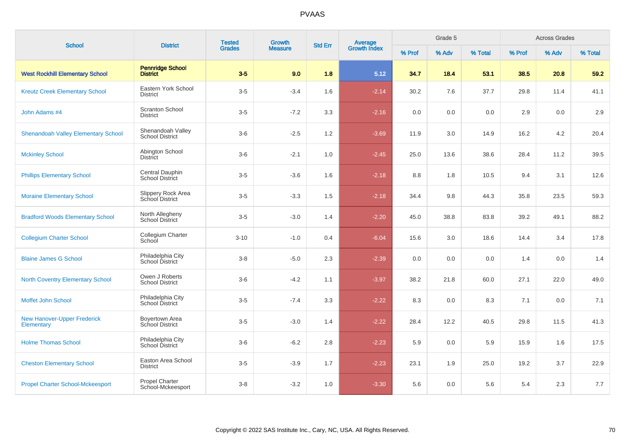| <b>School</b>                                    | <b>District</b>                             | <b>Tested</b> | Growth         | <b>Std Err</b> |                                |        | Grade 5 |         |        | <b>Across Grades</b> |         |
|--------------------------------------------------|---------------------------------------------|---------------|----------------|----------------|--------------------------------|--------|---------|---------|--------|----------------------|---------|
|                                                  |                                             | <b>Grades</b> | <b>Measure</b> |                | <b>Average</b><br>Growth Index | % Prof | % Adv   | % Total | % Prof | % Adv                | % Total |
| <b>West Rockhill Elementary School</b>           | <b>Pennridge School</b><br><b>District</b>  | $3-5$         | 9.0            | 1.8            | 5.12                           | 34.7   | 18.4    | 53.1    | 38.5   | 20.8                 | 59.2    |
| <b>Kreutz Creek Elementary School</b>            | Eastern York School<br><b>District</b>      | $3-5$         | $-3.4$         | 1.6            | $-2.14$                        | 30.2   | 7.6     | 37.7    | 29.8   | 11.4                 | 41.1    |
| John Adams #4                                    | <b>Scranton School</b><br><b>District</b>   | $3-5$         | $-7.2$         | 3.3            | $-2.16$                        | 0.0    | 0.0     | 0.0     | 2.9    | 0.0                  | 2.9     |
| <b>Shenandoah Valley Elementary School</b>       | Shenandoah Valley<br><b>School District</b> | $3-6$         | $-2.5$         | 1.2            | $-3.69$                        | 11.9   | 3.0     | 14.9    | 16.2   | 4.2                  | 20.4    |
| <b>Mckinley School</b>                           | Abington School<br><b>District</b>          | $3-6$         | $-2.1$         | 1.0            | $-2.45$                        | 25.0   | 13.6    | 38.6    | 28.4   | 11.2                 | 39.5    |
| <b>Phillips Elementary School</b>                | Central Dauphin<br>School District          | $3-5$         | $-3.6$         | 1.6            | $-2.18$                        | 8.8    | 1.8     | 10.5    | 9.4    | 3.1                  | 12.6    |
| <b>Moraine Elementary School</b>                 | Slippery Rock Area<br>School District       | $3-5$         | $-3.3$         | 1.5            | $-2.18$                        | 34.4   | 9.8     | 44.3    | 35.8   | 23.5                 | 59.3    |
| <b>Bradford Woods Elementary School</b>          | North Allegheny<br><b>School District</b>   | $3-5$         | $-3.0$         | 1.4            | $-2.20$                        | 45.0   | 38.8    | 83.8    | 39.2   | 49.1                 | 88.2    |
| <b>Collegium Charter School</b>                  | Collegium Charter<br>School                 | $3 - 10$      | $-1.0$         | 0.4            | $-6.04$                        | 15.6   | 3.0     | 18.6    | 14.4   | 3.4                  | 17.8    |
| <b>Blaine James G School</b>                     | Philadelphia City<br>School District        | $3 - 8$       | $-5.0$         | 2.3            | $-2.39$                        | 0.0    | 0.0     | 0.0     | 1.4    | 0.0                  | 1.4     |
| <b>North Coventry Elementary School</b>          | Owen J Roberts<br><b>School District</b>    | $3-6$         | $-4.2$         | 1.1            | $-3.97$                        | 38.2   | 21.8    | 60.0    | 27.1   | 22.0                 | 49.0    |
| Moffet John School                               | Philadelphia City<br>School District        | $3-5$         | $-7.4$         | 3.3            | $-2.22$                        | 8.3    | 0.0     | 8.3     | 7.1    | 0.0                  | 7.1     |
| <b>New Hanover-Upper Frederick</b><br>Elementary | Boyertown Area<br>School District           | $3-5$         | $-3.0$         | 1.4            | $-2.22$                        | 28.4   | 12.2    | 40.5    | 29.8   | 11.5                 | 41.3    |
| <b>Holme Thomas School</b>                       | Philadelphia City<br>School District        | $3-6$         | $-6.2$         | 2.8            | $-2.23$                        | 5.9    | 0.0     | 5.9     | 15.9   | 1.6                  | 17.5    |
| <b>Cheston Elementary School</b>                 | Easton Area School<br><b>District</b>       | $3-5$         | $-3.9$         | 1.7            | $-2.23$                        | 23.1   | 1.9     | 25.0    | 19.2   | 3.7                  | 22.9    |
| <b>Propel Charter School-Mckeesport</b>          | Propel Charter<br>School-Mckeesport         | $3 - 8$       | $-3.2$         | 1.0            | $-3.30$                        | 5.6    | 0.0     | 5.6     | 5.4    | 2.3                  | 7.7     |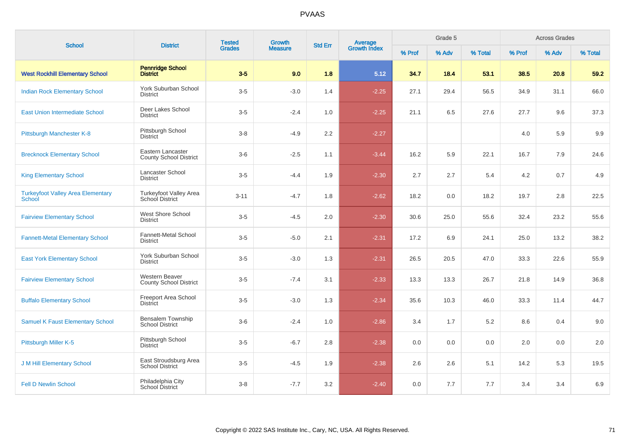| <b>School</b>                                      | <b>District</b>                                    | <b>Tested</b><br><b>Grades</b> | Growth         | <b>Std Err</b> | Average<br>Growth Index |        | Grade 5 |         |        | <b>Across Grades</b> |         |
|----------------------------------------------------|----------------------------------------------------|--------------------------------|----------------|----------------|-------------------------|--------|---------|---------|--------|----------------------|---------|
|                                                    |                                                    |                                | <b>Measure</b> |                |                         | % Prof | % Adv   | % Total | % Prof | % Adv                | % Total |
| <b>West Rockhill Elementary School</b>             | <b>Pennridge School</b><br><b>District</b>         | $3-5$                          | 9.0            | 1.8            | 5.12                    | 34.7   | 18.4    | 53.1    | 38.5   | 20.8                 | 59.2    |
| <b>Indian Rock Elementary School</b>               | <b>York Suburban School</b><br><b>District</b>     | $3-5$                          | $-3.0$         | 1.4            | $-2.25$                 | 27.1   | 29.4    | 56.5    | 34.9   | 31.1                 | 66.0    |
| <b>East Union Intermediate School</b>              | Deer Lakes School<br><b>District</b>               | $3-5$                          | $-2.4$         | 1.0            | $-2.25$                 | 21.1   | 6.5     | 27.6    | 27.7   | 9.6                  | 37.3    |
| Pittsburgh Manchester K-8                          | Pittsburgh School<br><b>District</b>               | $3 - 8$                        | $-4.9$         | 2.2            | $-2.27$                 |        |         |         | 4.0    | 5.9                  | 9.9     |
| <b>Brecknock Elementary School</b>                 | Eastern Lancaster<br><b>County School District</b> | $3-6$                          | $-2.5$         | 1.1            | $-3.44$                 | 16.2   | 5.9     | 22.1    | 16.7   | 7.9                  | 24.6    |
| <b>King Elementary School</b>                      | Lancaster School<br><b>District</b>                | $3-5$                          | $-4.4$         | 1.9            | $-2.30$                 | 2.7    | 2.7     | 5.4     | 4.2    | 0.7                  | 4.9     |
| <b>Turkeyfoot Valley Area Elementary</b><br>School | Turkeyfoot Valley Area<br>School District          | $3 - 11$                       | $-4.7$         | 1.8            | $-2.62$                 | 18.2   | 0.0     | 18.2    | 19.7   | 2.8                  | 22.5    |
| <b>Fairview Elementary School</b>                  | West Shore School<br><b>District</b>               | $3-5$                          | $-4.5$         | 2.0            | $-2.30$                 | 30.6   | 25.0    | 55.6    | 32.4   | 23.2                 | 55.6    |
| <b>Fannett-Metal Elementary School</b>             | <b>Fannett-Metal School</b><br><b>District</b>     | $3-5$                          | $-5.0$         | 2.1            | $-2.31$                 | 17.2   | 6.9     | 24.1    | 25.0   | 13.2                 | 38.2    |
| <b>East York Elementary School</b>                 | York Suburban School<br><b>District</b>            | $3-5$                          | $-3.0$         | 1.3            | $-2.31$                 | 26.5   | 20.5    | 47.0    | 33.3   | 22.6                 | 55.9    |
| <b>Fairview Elementary School</b>                  | Western Beaver<br><b>County School District</b>    | $3-5$                          | $-7.4$         | 3.1            | $-2.33$                 | 13.3   | 13.3    | 26.7    | 21.8   | 14.9                 | 36.8    |
| <b>Buffalo Elementary School</b>                   | Freeport Area School<br><b>District</b>            | $3-5$                          | $-3.0$         | 1.3            | $-2.34$                 | 35.6   | 10.3    | 46.0    | 33.3   | 11.4                 | 44.7    |
| <b>Samuel K Faust Elementary School</b>            | <b>Bensalem Township</b><br><b>School District</b> | $3-6$                          | $-2.4$         | 1.0            | $-2.86$                 | 3.4    | 1.7     | 5.2     | 8.6    | 0.4                  | 9.0     |
| Pittsburgh Miller K-5                              | Pittsburgh School<br><b>District</b>               | $3-5$                          | $-6.7$         | 2.8            | $-2.38$                 | 0.0    | 0.0     | 0.0     | 2.0    | 0.0                  | 2.0     |
| <b>J M Hill Elementary School</b>                  | East Stroudsburg Area<br><b>School District</b>    | $3-5$                          | $-4.5$         | 1.9            | $-2.38$                 | 2.6    | 2.6     | 5.1     | 14.2   | 5.3                  | 19.5    |
| <b>Fell D Newlin School</b>                        | Philadelphia City<br>School District               | $3 - 8$                        | $-7.7$         | 3.2            | $-2.40$                 | 0.0    | 7.7     | 7.7     | 3.4    | 3.4                  | 6.9     |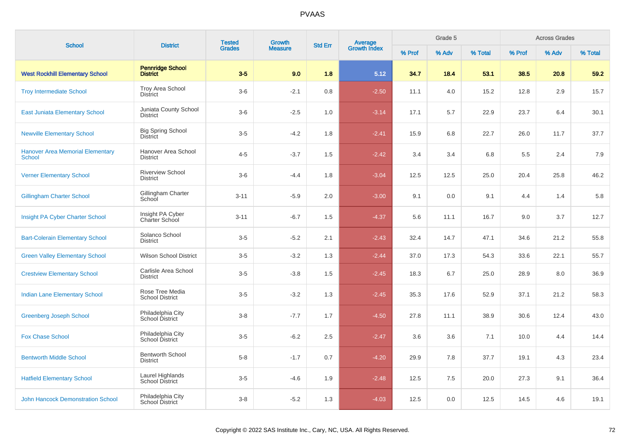| <b>School</b>                                            | <b>District</b>                             | <b>Tested</b><br><b>Grades</b> | <b>Growth</b>  | <b>Std Err</b> |                                |        | Grade 5 |         |        | <b>Across Grades</b> |         |
|----------------------------------------------------------|---------------------------------------------|--------------------------------|----------------|----------------|--------------------------------|--------|---------|---------|--------|----------------------|---------|
|                                                          |                                             |                                | <b>Measure</b> |                | <b>Average</b><br>Growth Index | % Prof | % Adv   | % Total | % Prof | % Adv                | % Total |
| <b>West Rockhill Elementary School</b>                   | <b>Pennridge School</b><br><b>District</b>  | $3-5$                          | 9.0            | 1.8            | 5.12                           | 34.7   | 18.4    | 53.1    | 38.5   | 20.8                 | 59.2    |
| <b>Troy Intermediate School</b>                          | <b>Troy Area School</b><br><b>District</b>  | $3-6$                          | $-2.1$         | 0.8            | $-2.50$                        | 11.1   | 4.0     | 15.2    | 12.8   | 2.9                  | 15.7    |
| <b>East Juniata Elementary School</b>                    | Juniata County School<br><b>District</b>    | $3-6$                          | $-2.5$         | 1.0            | $-3.14$                        | 17.1   | 5.7     | 22.9    | 23.7   | 6.4                  | 30.1    |
| <b>Newville Elementary School</b>                        | <b>Big Spring School</b><br><b>District</b> | $3-5$                          | $-4.2$         | 1.8            | $-2.41$                        | 15.9   | 6.8     | 22.7    | 26.0   | 11.7                 | 37.7    |
| <b>Hanover Area Memorial Elementary</b><br><b>School</b> | Hanover Area School<br><b>District</b>      | $4 - 5$                        | $-3.7$         | 1.5            | $-2.42$                        | 3.4    | 3.4     | 6.8     | 5.5    | 2.4                  | 7.9     |
| <b>Verner Elementary School</b>                          | <b>Riverview School</b><br><b>District</b>  | $3-6$                          | $-4.4$         | 1.8            | $-3.04$                        | 12.5   | 12.5    | 25.0    | 20.4   | 25.8                 | 46.2    |
| <b>Gillingham Charter School</b>                         | Gillingham Charter<br>School                | $3 - 11$                       | $-5.9$         | 2.0            | $-3.00$                        | 9.1    | 0.0     | 9.1     | 4.4    | 1.4                  | 5.8     |
| Insight PA Cyber Charter School                          | Insight PA Cyber<br>Charter School          | $3 - 11$                       | $-6.7$         | 1.5            | $-4.37$                        | 5.6    | 11.1    | 16.7    | 9.0    | 3.7                  | 12.7    |
| <b>Bart-Colerain Elementary School</b>                   | Solanco School<br><b>District</b>           | $3-5$                          | $-5.2$         | 2.1            | $-2.43$                        | 32.4   | 14.7    | 47.1    | 34.6   | 21.2                 | 55.8    |
| <b>Green Valley Elementary School</b>                    | <b>Wilson School District</b>               | $3-5$                          | $-3.2$         | 1.3            | $-2.44$                        | 37.0   | 17.3    | 54.3    | 33.6   | 22.1                 | 55.7    |
| <b>Crestview Elementary School</b>                       | Carlisle Area School<br><b>District</b>     | $3-5$                          | $-3.8$         | 1.5            | $-2.45$                        | 18.3   | 6.7     | 25.0    | 28.9   | 8.0                  | 36.9    |
| <b>Indian Lane Elementary School</b>                     | Rose Tree Media<br><b>School District</b>   | $3-5$                          | $-3.2$         | 1.3            | $-2.45$                        | 35.3   | 17.6    | 52.9    | 37.1   | 21.2                 | 58.3    |
| <b>Greenberg Joseph School</b>                           | Philadelphia City<br>School District        | $3 - 8$                        | $-7.7$         | 1.7            | $-4.50$                        | 27.8   | 11.1    | 38.9    | 30.6   | 12.4                 | 43.0    |
| <b>Fox Chase School</b>                                  | Philadelphia City<br>School District        | $3-5$                          | $-6.2$         | 2.5            | $-2.47$                        | 3.6    | 3.6     | 7.1     | 10.0   | 4.4                  | 14.4    |
| <b>Bentworth Middle School</b>                           | <b>Bentworth School</b><br><b>District</b>  | $5 - 8$                        | $-1.7$         | 0.7            | $-4.20$                        | 29.9   | 7.8     | 37.7    | 19.1   | 4.3                  | 23.4    |
| <b>Hatfield Elementary School</b>                        | Laurel Highlands<br>School District         | $3-5$                          | $-4.6$         | 1.9            | $-2.48$                        | 12.5   | 7.5     | 20.0    | 27.3   | 9.1                  | 36.4    |
| <b>John Hancock Demonstration School</b>                 | Philadelphia City<br>School District        | $3 - 8$                        | $-5.2$         | 1.3            | $-4.03$                        | 12.5   | 0.0     | 12.5    | 14.5   | 4.6                  | 19.1    |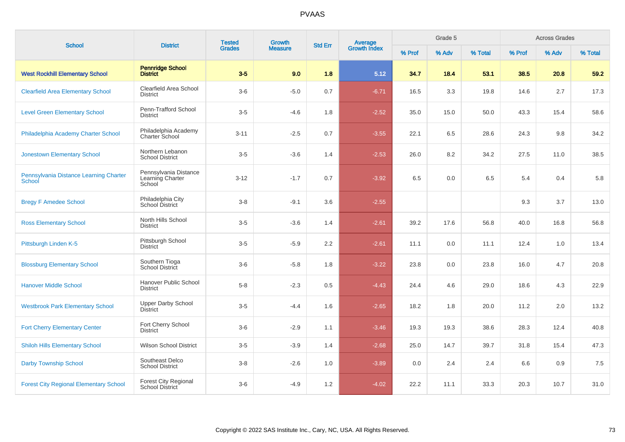| <b>School</b>                                    | <b>District</b>                                       | <b>Tested</b> | Growth         | <b>Std Err</b> | <b>Average</b><br>Growth Index | Grade 5<br><b>Across Grades</b> |       |         |        |       |         |
|--------------------------------------------------|-------------------------------------------------------|---------------|----------------|----------------|--------------------------------|---------------------------------|-------|---------|--------|-------|---------|
|                                                  |                                                       | <b>Grades</b> | <b>Measure</b> |                |                                | % Prof                          | % Adv | % Total | % Prof | % Adv | % Total |
| <b>West Rockhill Elementary School</b>           | <b>Pennridge School</b><br><b>District</b>            | $3-5$         | 9.0            | 1.8            | 5.12                           | 34.7                            | 18.4  | 53.1    | 38.5   | 20.8  | 59.2    |
| <b>Clearfield Area Elementary School</b>         | Clearfield Area School<br><b>District</b>             | $3-6$         | $-5.0$         | 0.7            | $-6.71$                        | 16.5                            | 3.3   | 19.8    | 14.6   | 2.7   | 17.3    |
| <b>Level Green Elementary School</b>             | Penn-Trafford School<br><b>District</b>               | $3-5$         | $-4.6$         | 1.8            | $-2.52$                        | 35.0                            | 15.0  | 50.0    | 43.3   | 15.4  | 58.6    |
| Philadelphia Academy Charter School              | Philadelphia Academy<br><b>Charter School</b>         | $3 - 11$      | $-2.5$         | 0.7            | $-3.55$                        | 22.1                            | 6.5   | 28.6    | 24.3   | 9.8   | 34.2    |
| <b>Jonestown Elementary School</b>               | Northern Lebanon<br><b>School District</b>            | $3-5$         | $-3.6$         | 1.4            | $-2.53$                        | 26.0                            | 8.2   | 34.2    | 27.5   | 11.0  | 38.5    |
| Pennsylvania Distance Learning Charter<br>School | Pennsylvania Distance<br>Learning Charter<br>School   | $3 - 12$      | $-1.7$         | 0.7            | $-3.92$                        | 6.5                             | 0.0   | 6.5     | 5.4    | 0.4   | 5.8     |
| <b>Bregy F Amedee School</b>                     | Philadelphia City<br>School District                  | $3-8$         | $-9.1$         | 3.6            | $-2.55$                        |                                 |       |         | 9.3    | 3.7   | 13.0    |
| <b>Ross Elementary School</b>                    | North Hills School<br><b>District</b>                 | $3-5$         | $-3.6$         | 1.4            | $-2.61$                        | 39.2                            | 17.6  | 56.8    | 40.0   | 16.8  | 56.8    |
| Pittsburgh Linden K-5                            | Pittsburgh School<br><b>District</b>                  | $3-5$         | $-5.9$         | 2.2            | $-2.61$                        | 11.1                            | 0.0   | 11.1    | 12.4   | 1.0   | 13.4    |
| <b>Blossburg Elementary School</b>               | Southern Tioga<br>School District                     | $3-6$         | $-5.8$         | 1.8            | $-3.22$                        | 23.8                            | 0.0   | 23.8    | 16.0   | 4.7   | 20.8    |
| <b>Hanover Middle School</b>                     | Hanover Public School<br><b>District</b>              | $5-8$         | $-2.3$         | 0.5            | $-4.43$                        | 24.4                            | 4.6   | 29.0    | 18.6   | 4.3   | 22.9    |
| <b>Westbrook Park Elementary School</b>          | <b>Upper Darby School</b><br><b>District</b>          | $3-5$         | $-4.4$         | 1.6            | $-2.65$                        | 18.2                            | 1.8   | 20.0    | 11.2   | 2.0   | 13.2    |
| <b>Fort Cherry Elementary Center</b>             | Fort Cherry School<br><b>District</b>                 | $3-6$         | $-2.9$         | 1.1            | $-3.46$                        | 19.3                            | 19.3  | 38.6    | 28.3   | 12.4  | 40.8    |
| <b>Shiloh Hills Elementary School</b>            | <b>Wilson School District</b>                         | $3-5$         | $-3.9$         | 1.4            | $-2.68$                        | 25.0                            | 14.7  | 39.7    | 31.8   | 15.4  | 47.3    |
| <b>Darby Township School</b>                     | Southeast Delco<br><b>School District</b>             | $3-8$         | $-2.6$         | 1.0            | $-3.89$                        | 0.0                             | 2.4   | 2.4     | 6.6    | 0.9   | 7.5     |
| <b>Forest City Regional Elementary School</b>    | <b>Forest City Regional</b><br><b>School District</b> | $3-6$         | $-4.9$         | 1.2            | $-4.02$                        | 22.2                            | 11.1  | 33.3    | 20.3   | 10.7  | 31.0    |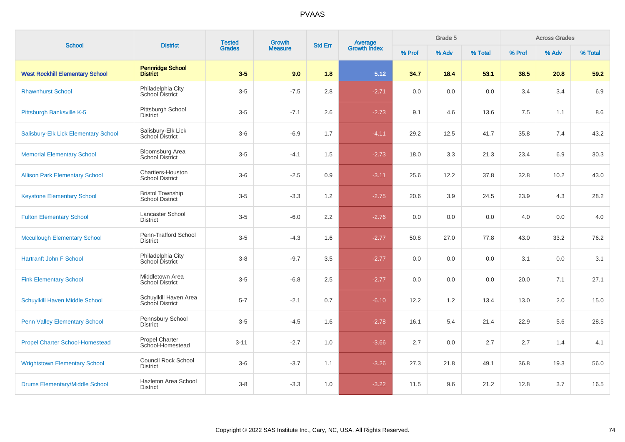| <b>School</b>                          | <b>District</b>                                   | <b>Tested</b> | Growth         | <b>Std Err</b> |                                |         | Grade 5<br><b>Across Grades</b> |         |        |       |         |
|----------------------------------------|---------------------------------------------------|---------------|----------------|----------------|--------------------------------|---------|---------------------------------|---------|--------|-------|---------|
|                                        |                                                   | <b>Grades</b> | <b>Measure</b> |                | <b>Average</b><br>Growth Index | % Prof  | % Adv                           | % Total | % Prof | % Adv | % Total |
| <b>West Rockhill Elementary School</b> | <b>Pennridge School</b><br><b>District</b>        | $3-5$         | 9.0            | 1.8            | 5.12                           | 34.7    | 18.4                            | 53.1    | 38.5   | 20.8  | 59.2    |
| <b>Rhawnhurst School</b>               | Philadelphia City<br>School District              | $3-5$         | $-7.5$         | 2.8            | $-2.71$                        | $0.0\,$ | 0.0                             | 0.0     | 3.4    | 3.4   | 6.9     |
| Pittsburgh Banksville K-5              | Pittsburgh School<br><b>District</b>              | $3-5$         | $-7.1$         | 2.6            | $-2.73$                        | 9.1     | 4.6                             | 13.6    | 7.5    | 1.1   | 8.6     |
| Salisbury-Elk Lick Elementary School   | Salisbury-Elk Lick<br>School District             | $3-6$         | $-6.9$         | 1.7            | $-4.11$                        | 29.2    | 12.5                            | 41.7    | 35.8   | 7.4   | 43.2    |
| <b>Memorial Elementary School</b>      | <b>Bloomsburg Area</b><br><b>School District</b>  | $3-5$         | $-4.1$         | 1.5            | $-2.73$                        | 18.0    | 3.3                             | 21.3    | 23.4   | 6.9   | 30.3    |
| <b>Allison Park Elementary School</b>  | Chartiers-Houston<br><b>School District</b>       | $3-6$         | $-2.5$         | 0.9            | $-3.11$                        | 25.6    | 12.2                            | 37.8    | 32.8   | 10.2  | 43.0    |
| <b>Keystone Elementary School</b>      | <b>Bristol Township</b><br><b>School District</b> | $3-5$         | $-3.3$         | 1.2            | $-2.75$                        | 20.6    | 3.9                             | 24.5    | 23.9   | 4.3   | 28.2    |
| <b>Fulton Elementary School</b>        | Lancaster School<br><b>District</b>               | $3-5$         | $-6.0$         | 2.2            | $-2.76$                        | 0.0     | 0.0                             | 0.0     | 4.0    | 0.0   | 4.0     |
| <b>Mccullough Elementary School</b>    | Penn-Trafford School<br><b>District</b>           | $3-5$         | $-4.3$         | 1.6            | $-2.77$                        | 50.8    | 27.0                            | 77.8    | 43.0   | 33.2  | 76.2    |
| <b>Hartranft John F School</b>         | Philadelphia City<br>School District              | $3 - 8$       | $-9.7$         | 3.5            | $-2.77$                        | 0.0     | 0.0                             | 0.0     | 3.1    | 0.0   | 3.1     |
| <b>Fink Elementary School</b>          | Middletown Area<br><b>School District</b>         | $3-5$         | $-6.8$         | 2.5            | $-2.77$                        | 0.0     | 0.0                             | 0.0     | 20.0   | 7.1   | 27.1    |
| Schuylkill Haven Middle School         | Schuylkill Haven Area<br>School District          | $5 - 7$       | $-2.1$         | 0.7            | $-6.10$                        | 12.2    | 1.2                             | 13.4    | 13.0   | 2.0   | 15.0    |
| <b>Penn Valley Elementary School</b>   | Pennsbury School<br><b>District</b>               | $3-5$         | $-4.5$         | 1.6            | $-2.78$                        | 16.1    | 5.4                             | 21.4    | 22.9   | 5.6   | 28.5    |
| <b>Propel Charter School-Homestead</b> | Propel Charter<br>School-Homestead                | $3 - 11$      | $-2.7$         | 1.0            | $-3.66$                        | 2.7     | 0.0                             | 2.7     | 2.7    | 1.4   | 4.1     |
| <b>Wrightstown Elementary School</b>   | <b>Council Rock School</b><br><b>District</b>     | $3-6$         | $-3.7$         | 1.1            | $-3.26$                        | 27.3    | 21.8                            | 49.1    | 36.8   | 19.3  | 56.0    |
| <b>Drums Elementary/Middle School</b>  | Hazleton Area School<br><b>District</b>           | $3-8$         | $-3.3$         | 1.0            | $-3.22$                        | 11.5    | 9.6                             | 21.2    | 12.8   | 3.7   | 16.5    |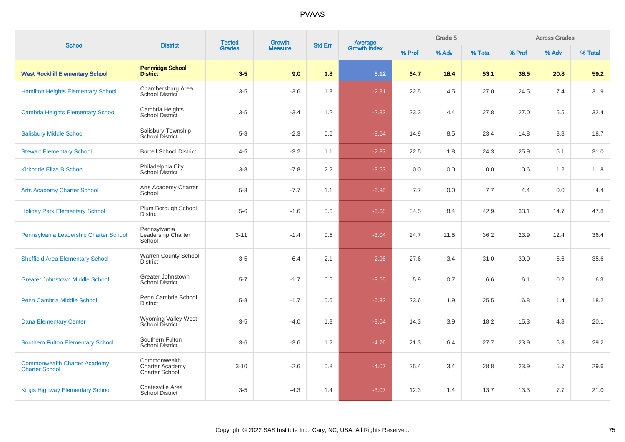| <b>School</b>                                                | <b>District</b>                                                 | <b>Tested</b> | <b>Growth</b>  | <b>Std Err</b>   |                         |        | Grade 5 |         |        | <b>Across Grades</b> |         |
|--------------------------------------------------------------|-----------------------------------------------------------------|---------------|----------------|------------------|-------------------------|--------|---------|---------|--------|----------------------|---------|
|                                                              |                                                                 | <b>Grades</b> | <b>Measure</b> |                  | Average<br>Growth Index | % Prof | % Adv   | % Total | % Prof | % Adv                | % Total |
| <b>West Rockhill Elementary School</b>                       | <b>Pennridge School</b><br><b>District</b>                      | $3-5$         | 9.0            | 1.8              | 5.12                    | 34.7   | 18.4    | 53.1    | 38.5   | 20.8                 | 59.2    |
| <b>Hamilton Heights Elementary School</b>                    | Chambersburg Area<br><b>School District</b>                     | $3-5$         | $-3.6$         | 1.3              | $-2.81$                 | 22.5   | 4.5     | 27.0    | 24.5   | 7.4                  | 31.9    |
| <b>Cambria Heights Elementary School</b>                     | Cambria Heights<br><b>School District</b>                       | $3-5$         | $-3.4$         | 1.2              | $-2.82$                 | 23.3   | 4.4     | 27.8    | 27.0   | 5.5                  | 32.4    |
| <b>Salisbury Middle School</b>                               | Salisbury Township<br>School District                           | $5 - 8$       | $-2.3$         | 0.6              | $-3.64$                 | 14.9   | 8.5     | 23.4    | 14.8   | 3.8                  | 18.7    |
| <b>Stewart Elementary School</b>                             | <b>Burrell School District</b>                                  | $4 - 5$       | $-3.2$         | 1.1              | $-2.87$                 | 22.5   | 1.8     | 24.3    | 25.9   | 5.1                  | 31.0    |
| <b>Kirkbride Eliza B School</b>                              | Philadelphia City<br><b>School District</b>                     | $3 - 8$       | $-7.8$         | $2.2\phantom{0}$ | $-3.53$                 | 0.0    | 0.0     | 0.0     | 10.6   | 1.2                  | 11.8    |
| <b>Arts Academy Charter School</b>                           | Arts Academy Charter<br>School                                  | $5 - 8$       | $-7.7$         | 1.1              | $-6.85$                 | 7.7    | 0.0     | 7.7     | 4.4    | 0.0                  | 4.4     |
| <b>Holiday Park Elementary School</b>                        | Plum Borough School<br><b>District</b>                          | $5-6$         | $-1.6$         | 0.6              | $-6.68$                 | 34.5   | 8.4     | 42.9    | 33.1   | 14.7                 | 47.8    |
| Pennsylvania Leadership Charter School                       | Pennsylvania<br>Leadership Charter<br>School                    | $3 - 11$      | $-1.4$         | 0.5              | $-3.04$                 | 24.7   | 11.5    | 36.2    | 23.9   | 12.4                 | 36.4    |
| <b>Sheffield Area Elementary School</b>                      | Warren County School<br><b>District</b>                         | $3-5$         | $-6.4$         | 2.1              | $-2.96$                 | 27.6   | 3.4     | 31.0    | 30.0   | 5.6                  | 35.6    |
| <b>Greater Johnstown Middle School</b>                       | Greater Johnstown<br><b>School District</b>                     | $5 - 7$       | $-1.7$         | 0.6              | $-3.65$                 | 5.9    | 0.7     | 6.6     | 6.1    | 0.2                  | 6.3     |
| Penn Cambria Middle School                                   | Penn Cambria School<br><b>District</b>                          | $5 - 8$       | $-1.7$         | 0.6              | $-6.32$                 | 23.6   | 1.9     | 25.5    | 16.8   | 1.4                  | 18.2    |
| <b>Dana Elementary Center</b>                                | Wyoming Valley West<br>School District                          | $3-5$         | $-4.0$         | 1.3              | $-3.04$                 | 14.3   | 3.9     | 18.2    | 15.3   | 4.8                  | 20.1    |
| <b>Southern Fulton Elementary School</b>                     | Southern Fulton<br><b>School District</b>                       | $3-6$         | $-3.6$         | 1.2              | $-4.76$                 | 21.3   | 6.4     | 27.7    | 23.9   | 5.3                  | 29.2    |
| <b>Commonwealth Charter Academy</b><br><b>Charter School</b> | Commonwealth<br><b>Charter Academy</b><br><b>Charter School</b> | $3 - 10$      | $-2.6$         | 0.8              | $-4.07$                 | 25.4   | 3.4     | 28.8    | 23.9   | 5.7                  | 29.6    |
| <b>Kings Highway Elementary School</b>                       | Coatesville Area<br><b>School District</b>                      | $3-5$         | $-4.3$         | 1.4              | $-3.07$                 | 12.3   | 1.4     | 13.7    | 13.3   | 7.7                  | 21.0    |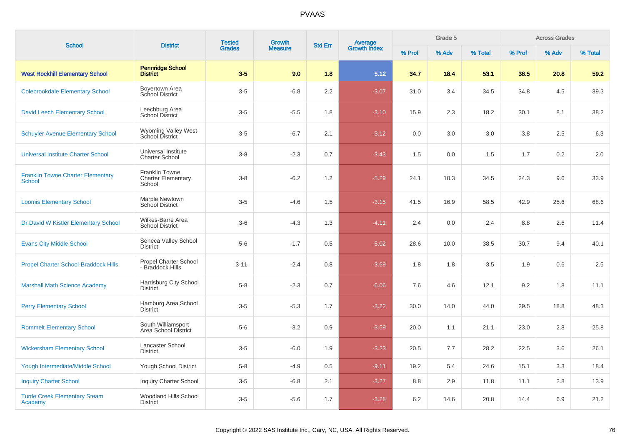|                                                           |                                                              | <b>Tested</b><br>Growth<br><b>Grades</b><br><b>Measure</b> | <b>Average</b><br>Growth Index<br><b>Std Err</b> |     | Grade 5 |        |       | <b>Across Grades</b> |        |       |         |
|-----------------------------------------------------------|--------------------------------------------------------------|------------------------------------------------------------|--------------------------------------------------|-----|---------|--------|-------|----------------------|--------|-------|---------|
| <b>School</b>                                             | <b>District</b>                                              |                                                            |                                                  |     |         | % Prof | % Adv | % Total              | % Prof | % Adv | % Total |
| <b>West Rockhill Elementary School</b>                    | <b>Pennridge School</b><br><b>District</b>                   | $3-5$                                                      | 9.0                                              | 1.8 | 5.12    | 34.7   | 18.4  | 53.1                 | 38.5   | 20.8  | 59.2    |
| <b>Colebrookdale Elementary School</b>                    | Boyertown Area<br>School District                            | $3-5$                                                      | $-6.8$                                           | 2.2 | $-3.07$ | 31.0   | 3.4   | 34.5                 | 34.8   | 4.5   | 39.3    |
| <b>David Leech Elementary School</b>                      | Leechburg Area<br>School District                            | $3-5$                                                      | $-5.5$                                           | 1.8 | $-3.10$ | 15.9   | 2.3   | 18.2                 | 30.1   | 8.1   | 38.2    |
| <b>Schuyler Avenue Elementary School</b>                  | <b>Wyoming Valley West</b><br><b>School District</b>         | $3-5$                                                      | $-6.7$                                           | 2.1 | $-3.12$ | 0.0    | 3.0   | 3.0                  | 3.8    | 2.5   | 6.3     |
| <b>Universal Institute Charter School</b>                 | Universal Institute<br><b>Charter School</b>                 | $3-8$                                                      | $-2.3$                                           | 0.7 | $-3.43$ | 1.5    | 0.0   | 1.5                  | 1.7    | 0.2   | 2.0     |
| <b>Franklin Towne Charter Elementary</b><br><b>School</b> | <b>Franklin Towne</b><br><b>Charter Elementary</b><br>School | $3-8$                                                      | $-6.2$                                           | 1.2 | $-5.29$ | 24.1   | 10.3  | 34.5                 | 24.3   | 9.6   | 33.9    |
| <b>Loomis Elementary School</b>                           | Marple Newtown<br><b>School District</b>                     | $3-5$                                                      | $-4.6$                                           | 1.5 | $-3.15$ | 41.5   | 16.9  | 58.5                 | 42.9   | 25.6  | 68.6    |
| Dr David W Kistler Elementary School                      | Wilkes-Barre Area<br><b>School District</b>                  | $3-6$                                                      | $-4.3$                                           | 1.3 | $-4.11$ | 2.4    | 0.0   | 2.4                  | 8.8    | 2.6   | 11.4    |
| <b>Evans City Middle School</b>                           | Seneca Valley School<br><b>District</b>                      | $5-6$                                                      | $-1.7$                                           | 0.5 | $-5.02$ | 28.6   | 10.0  | 38.5                 | 30.7   | 9.4   | 40.1    |
| <b>Propel Charter School-Braddock Hills</b>               | <b>Propel Charter School</b><br>- Braddock Hills             | $3 - 11$                                                   | $-2.4$                                           | 0.8 | $-3.69$ | 1.8    | 1.8   | 3.5                  | 1.9    | 0.6   | 2.5     |
| <b>Marshall Math Science Academy</b>                      | Harrisburg City School<br><b>District</b>                    | $5-8$                                                      | $-2.3$                                           | 0.7 | $-6.06$ | 7.6    | 4.6   | 12.1                 | 9.2    | 1.8   | 11.1    |
| <b>Perry Elementary School</b>                            | Hamburg Area School<br><b>District</b>                       | $3-5$                                                      | $-5.3$                                           | 1.7 | $-3.22$ | 30.0   | 14.0  | 44.0                 | 29.5   | 18.8  | 48.3    |
| <b>Rommelt Elementary School</b>                          | South Williamsport<br>Area School District                   | $5-6$                                                      | $-3.2$                                           | 0.9 | $-3.59$ | 20.0   | 1.1   | 21.1                 | 23.0   | 2.8   | 25.8    |
| <b>Wickersham Elementary School</b>                       | Lancaster School<br><b>District</b>                          | $3-5$                                                      | $-6.0$                                           | 1.9 | $-3.23$ | 20.5   | 7.7   | 28.2                 | 22.5   | 3.6   | 26.1    |
| <b>Yough Intermediate/Middle School</b>                   | Yough School District                                        | $5-8$                                                      | $-4.9$                                           | 0.5 | $-9.11$ | 19.2   | 5.4   | 24.6                 | 15.1   | 3.3   | 18.4    |
| <b>Inquiry Charter School</b>                             | <b>Inquiry Charter School</b>                                | $3-5$                                                      | $-6.8$                                           | 2.1 | $-3.27$ | 8.8    | 2.9   | 11.8                 | 11.1   | 2.8   | 13.9    |
| <b>Turtle Creek Elementary Steam</b><br>Academy           | Woodland Hills School<br><b>District</b>                     | $3-5$                                                      | $-5.6$                                           | 1.7 | $-3.28$ | 6.2    | 14.6  | 20.8                 | 14.4   | 6.9   | 21.2    |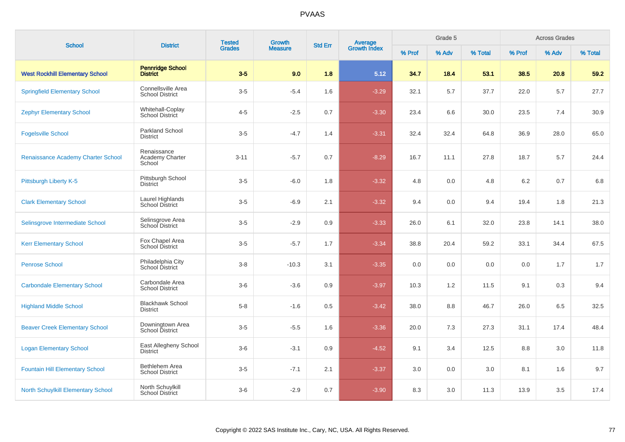| <b>School</b>                             | <b>District</b>                              | <b>Tested</b><br><b>Grades</b> | <b>Growth</b>  | <b>Std Err</b> |                                |        | Grade 5 |         |         | <b>Across Grades</b> |         |
|-------------------------------------------|----------------------------------------------|--------------------------------|----------------|----------------|--------------------------------|--------|---------|---------|---------|----------------------|---------|
|                                           |                                              |                                | <b>Measure</b> |                | <b>Average</b><br>Growth Index | % Prof | % Adv   | % Total | % Prof  | % Adv                | % Total |
| <b>West Rockhill Elementary School</b>    | <b>Pennridge School</b><br><b>District</b>   | $3-5$                          | 9.0            | 1.8            | 5.12                           | 34.7   | 18.4    | 53.1    | 38.5    | 20.8                 | 59.2    |
| <b>Springfield Elementary School</b>      | Connellsville Area<br><b>School District</b> | $3-5$                          | $-5.4$         | 1.6            | $-3.29$                        | 32.1   | 5.7     | 37.7    | 22.0    | 5.7                  | 27.7    |
| <b>Zephyr Elementary School</b>           | Whitehall-Coplay<br><b>School District</b>   | $4 - 5$                        | $-2.5$         | 0.7            | $-3.30$                        | 23.4   | 6.6     | 30.0    | 23.5    | 7.4                  | 30.9    |
| <b>Fogelsville School</b>                 | <b>Parkland School</b><br><b>District</b>    | $3-5$                          | $-4.7$         | 1.4            | $-3.31$                        | 32.4   | 32.4    | 64.8    | 36.9    | 28.0                 | 65.0    |
| Renaissance Academy Charter School        | Renaissance<br>Academy Charter<br>School     | $3 - 11$                       | $-5.7$         | 0.7            | $-8.29$                        | 16.7   | 11.1    | 27.8    | 18.7    | 5.7                  | 24.4    |
| Pittsburgh Liberty K-5                    | Pittsburgh School<br><b>District</b>         | $3-5$                          | $-6.0$         | 1.8            | $-3.32$                        | 4.8    | 0.0     | 4.8     | $6.2\,$ | 0.7                  | 6.8     |
| <b>Clark Elementary School</b>            | Laurel Highlands<br><b>School District</b>   | $3-5$                          | $-6.9$         | 2.1            | $-3.32$                        | 9.4    | 0.0     | 9.4     | 19.4    | 1.8                  | 21.3    |
| Selinsgrove Intermediate School           | Selinsgrove Area<br>School District          | $3-5$                          | $-2.9$         | 0.9            | $-3.33$                        | 26.0   | 6.1     | 32.0    | 23.8    | 14.1                 | 38.0    |
| <b>Kerr Elementary School</b>             | Fox Chapel Area<br><b>School District</b>    | $3-5$                          | $-5.7$         | 1.7            | $-3.34$                        | 38.8   | 20.4    | 59.2    | 33.1    | 34.4                 | 67.5    |
| <b>Penrose School</b>                     | Philadelphia City<br>School District         | $3 - 8$                        | $-10.3$        | 3.1            | $-3.35$                        | 0.0    | 0.0     | 0.0     | 0.0     | 1.7                  | 1.7     |
| <b>Carbondale Elementary School</b>       | Carbondale Area<br><b>School District</b>    | $3-6$                          | $-3.6$         | 0.9            | $-3.97$                        | 10.3   | 1.2     | 11.5    | 9.1     | 0.3                  | 9.4     |
| <b>Highland Middle School</b>             | <b>Blackhawk School</b><br><b>District</b>   | $5 - 8$                        | $-1.6$         | 0.5            | $-3.42$                        | 38.0   | 8.8     | 46.7    | 26.0    | 6.5                  | 32.5    |
| <b>Beaver Creek Elementary School</b>     | Downingtown Area<br><b>School District</b>   | $3-5$                          | $-5.5$         | 1.6            | $-3.36$                        | 20.0   | 7.3     | 27.3    | 31.1    | 17.4                 | 48.4    |
| <b>Logan Elementary School</b>            | East Allegheny School<br><b>District</b>     | $3-6$                          | $-3.1$         | 0.9            | $-4.52$                        | 9.1    | 3.4     | 12.5    | 8.8     | 3.0                  | 11.8    |
| <b>Fountain Hill Elementary School</b>    | Bethlehem Area<br><b>School District</b>     | $3-5$                          | $-7.1$         | 2.1            | $-3.37$                        | 3.0    | 0.0     | 3.0     | 8.1     | 1.6                  | 9.7     |
| <b>North Schuylkill Elementary School</b> | North Schuylkill<br>School District          | $3-6$                          | $-2.9$         | 0.7            | $-3.90$                        | 8.3    | 3.0     | 11.3    | 13.9    | 3.5                  | 17.4    |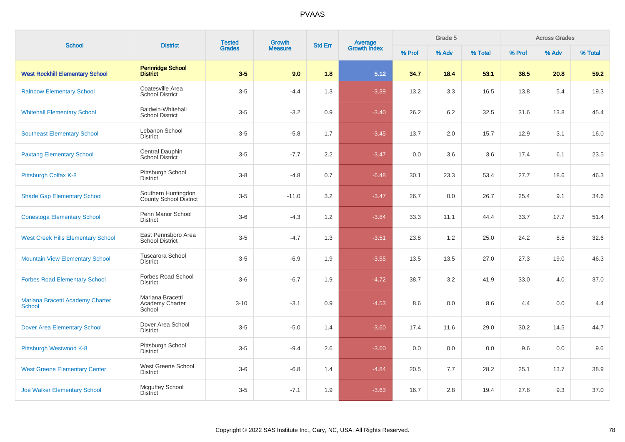| <b>School</b>                                     | <b>District</b>                                    | <b>Tested</b> | <b>Growth</b>  | <b>Std Err</b> |                         |        | Grade 5 |         |        | <b>Across Grades</b><br>% Adv |         |
|---------------------------------------------------|----------------------------------------------------|---------------|----------------|----------------|-------------------------|--------|---------|---------|--------|-------------------------------|---------|
|                                                   |                                                    | <b>Grades</b> | <b>Measure</b> |                | Average<br>Growth Index | % Prof | % Adv   | % Total | % Prof |                               | % Total |
| <b>West Rockhill Elementary School</b>            | <b>Pennridge School</b><br><b>District</b>         | $3-5$         | 9.0            | 1.8            | 5.12                    | 34.7   | 18.4    | 53.1    | 38.5   | 20.8                          | 59.2    |
| <b>Rainbow Elementary School</b>                  | Coatesville Area<br><b>School District</b>         | $3-5$         | $-4.4$         | 1.3            | $-3.39$                 | 13.2   | 3.3     | 16.5    | 13.8   | 5.4                           | 19.3    |
| <b>Whitehall Elementary School</b>                | <b>Baldwin-Whitehall</b><br><b>School District</b> | $3-5$         | $-3.2$         | 0.9            | $-3.40$                 | 26.2   | 6.2     | 32.5    | 31.6   | 13.8                          | 45.4    |
| <b>Southeast Elementary School</b>                | Lebanon School<br><b>District</b>                  | $3-5$         | $-5.8$         | 1.7            | $-3.45$                 | 13.7   | $2.0\,$ | 15.7    | 12.9   | 3.1                           | 16.0    |
| <b>Paxtang Elementary School</b>                  | Central Dauphin<br>School District                 | $3-5$         | $-7.7$         | $2.2\,$        | $-3.47$                 | 0.0    | 3.6     | 3.6     | 17.4   | 6.1                           | 23.5    |
| Pittsburgh Colfax K-8                             | Pittsburgh School<br><b>District</b>               | $3-8$         | $-4.8$         | 0.7            | $-6.48$                 | 30.1   | 23.3    | 53.4    | 27.7   | 18.6                          | 46.3    |
| <b>Shade Gap Elementary School</b>                | Southern Huntingdon<br>County School District      | $3-5$         | $-11.0$        | 3.2            | $-3.47$                 | 26.7   | 0.0     | 26.7    | 25.4   | 9.1                           | 34.6    |
| <b>Conestoga Elementary School</b>                | Penn Manor School<br><b>District</b>               | $3-6$         | $-4.3$         | 1.2            | $-3.84$                 | 33.3   | 11.1    | 44.4    | 33.7   | 17.7                          | 51.4    |
| <b>West Creek Hills Elementary School</b>         | East Pennsboro Area<br><b>School District</b>      | $3-5$         | $-4.7$         | 1.3            | $-3.51$                 | 23.8   | 1.2     | 25.0    | 24.2   | 8.5                           | 32.6    |
| <b>Mountain View Elementary School</b>            | <b>Tuscarora School</b><br><b>District</b>         | $3-5$         | $-6.9$         | 1.9            | $-3.55$                 | 13.5   | 13.5    | 27.0    | 27.3   | 19.0                          | 46.3    |
| <b>Forbes Road Elementary School</b>              | Forbes Road School<br><b>District</b>              | $3-6$         | $-6.7$         | 1.9            | $-4.72$                 | 38.7   | 3.2     | 41.9    | 33.0   | 4.0                           | 37.0    |
| Mariana Bracetti Academy Charter<br><b>School</b> | Mariana Bracetti<br>Academy Charter<br>School      | $3 - 10$      | $-3.1$         | 0.9            | $-4.53$                 | 8.6    | 0.0     | 8.6     | 4.4    | 0.0                           | 4.4     |
| <b>Dover Area Elementary School</b>               | Dover Area School<br><b>District</b>               | $3-5$         | $-5.0$         | 1.4            | $-3.60$                 | 17.4   | 11.6    | 29.0    | 30.2   | 14.5                          | 44.7    |
| Pittsburgh Westwood K-8                           | Pittsburgh School<br><b>District</b>               | $3-5$         | $-9.4$         | 2.6            | $-3.60$                 | 0.0    | 0.0     | 0.0     | 9.6    | 0.0                           | 9.6     |
| <b>West Greene Elementary Center</b>              | West Greene School<br><b>District</b>              | $3-6$         | $-6.8$         | 1.4            | $-4.84$                 | 20.5   | 7.7     | 28.2    | 25.1   | 13.7                          | 38.9    |
| <b>Joe Walker Elementary School</b>               | Mcguffey School<br><b>District</b>                 | $3-5$         | $-7.1$         | 1.9            | $-3.63$                 | 16.7   | 2.8     | 19.4    | 27.8   | 9.3                           | 37.0    |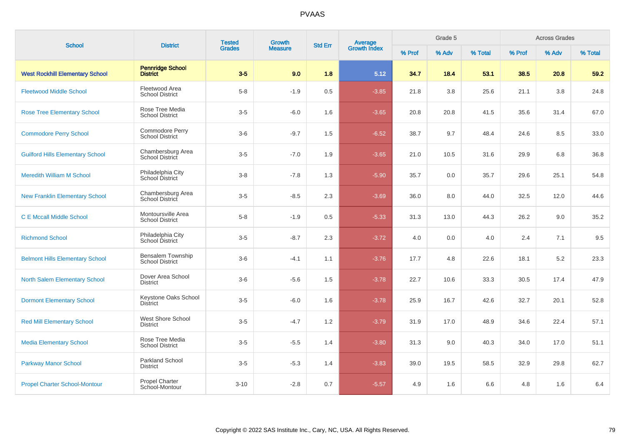| <b>School</b>                           | <b>District</b>                              | <b>Tested</b> | Growth         | <b>Std Err</b> |                                |        | Grade 5 |         |        | <b>Across Grades</b> |         |
|-----------------------------------------|----------------------------------------------|---------------|----------------|----------------|--------------------------------|--------|---------|---------|--------|----------------------|---------|
|                                         |                                              | <b>Grades</b> | <b>Measure</b> |                | <b>Average</b><br>Growth Index | % Prof | % Adv   | % Total | % Prof | % Adv                | % Total |
| <b>West Rockhill Elementary School</b>  | <b>Pennridge School</b><br><b>District</b>   | $3-5$         | 9.0            | 1.8            | 5.12                           | 34.7   | 18.4    | 53.1    | 38.5   | 20.8                 | 59.2    |
| <b>Fleetwood Middle School</b>          | Fleetwood Area<br><b>School District</b>     | $5-8$         | $-1.9$         | 0.5            | $-3.85$                        | 21.8   | 3.8     | 25.6    | 21.1   | 3.8                  | 24.8    |
| <b>Rose Tree Elementary School</b>      | Rose Tree Media<br><b>School District</b>    | $3-5$         | $-6.0$         | 1.6            | $-3.65$                        | 20.8   | 20.8    | 41.5    | 35.6   | 31.4                 | 67.0    |
| <b>Commodore Perry School</b>           | Commodore Perry<br><b>School District</b>    | $3-6$         | $-9.7$         | 1.5            | $-6.52$                        | 38.7   | 9.7     | 48.4    | 24.6   | 8.5                  | 33.0    |
| <b>Guilford Hills Elementary School</b> | Chambersburg Area<br>School District         | $3-5$         | $-7.0$         | 1.9            | $-3.65$                        | 21.0   | 10.5    | 31.6    | 29.9   | 6.8                  | 36.8    |
| <b>Meredith William M School</b>        | Philadelphia City<br>School District         | $3 - 8$       | $-7.8$         | 1.3            | $-5.90$                        | 35.7   | 0.0     | 35.7    | 29.6   | 25.1                 | 54.8    |
| <b>New Franklin Elementary School</b>   | Chambersburg Area<br>School District         | $3-5$         | $-8.5$         | 2.3            | $-3.69$                        | 36.0   | 8.0     | 44.0    | 32.5   | 12.0                 | 44.6    |
| <b>C E Mccall Middle School</b>         | Montoursville Area<br><b>School District</b> | $5-8$         | $-1.9$         | 0.5            | $-5.33$                        | 31.3   | 13.0    | 44.3    | 26.2   | 9.0                  | 35.2    |
| <b>Richmond School</b>                  | Philadelphia City<br>School District         | $3-5$         | $-8.7$         | 2.3            | $-3.72$                        | 4.0    | 0.0     | 4.0     | 2.4    | 7.1                  | 9.5     |
| <b>Belmont Hills Elementary School</b>  | Bensalem Township<br><b>School District</b>  | $3-6$         | $-4.1$         | 1.1            | $-3.76$                        | 17.7   | 4.8     | 22.6    | 18.1   | 5.2                  | 23.3    |
| North Salem Elementary School           | Dover Area School<br><b>District</b>         | $3-6$         | $-5.6$         | 1.5            | $-3.78$                        | 22.7   | 10.6    | 33.3    | 30.5   | 17.4                 | 47.9    |
| <b>Dormont Elementary School</b>        | Keystone Oaks School<br><b>District</b>      | $3-5$         | $-6.0$         | 1.6            | $-3.78$                        | 25.9   | 16.7    | 42.6    | 32.7   | 20.1                 | 52.8    |
| <b>Red Mill Elementary School</b>       | West Shore School<br><b>District</b>         | $3-5$         | $-4.7$         | 1.2            | $-3.79$                        | 31.9   | 17.0    | 48.9    | 34.6   | 22.4                 | 57.1    |
| <b>Media Elementary School</b>          | Rose Tree Media<br><b>School District</b>    | $3-5$         | $-5.5$         | 1.4            | $-3.80$                        | 31.3   | 9.0     | 40.3    | 34.0   | 17.0                 | 51.1    |
| <b>Parkway Manor School</b>             | <b>Parkland School</b><br><b>District</b>    | $3-5$         | $-5.3$         | 1.4            | $-3.83$                        | 39.0   | 19.5    | 58.5    | 32.9   | 29.8                 | 62.7    |
| <b>Propel Charter School-Montour</b>    | <b>Propel Charter</b><br>School-Montour      | $3 - 10$      | $-2.8$         | 0.7            | $-5.57$                        | 4.9    | 1.6     | 6.6     | 4.8    | 1.6                  | 6.4     |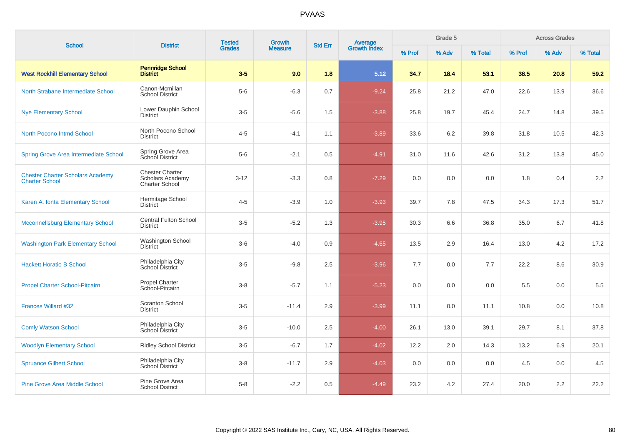| <b>School</b>                                                    | <b>District</b>                                                            | <b>Tested</b> | Growth         | <b>Std Err</b> | <b>Average</b><br>Growth Index |        | Grade 5 |         |        | <b>Across Grades</b> |         |
|------------------------------------------------------------------|----------------------------------------------------------------------------|---------------|----------------|----------------|--------------------------------|--------|---------|---------|--------|----------------------|---------|
|                                                                  |                                                                            | <b>Grades</b> | <b>Measure</b> |                |                                | % Prof | % Adv   | % Total | % Prof | % Adv                | % Total |
| <b>West Rockhill Elementary School</b>                           | <b>Pennridge School</b><br><b>District</b>                                 | $3-5$         | 9.0            | 1.8            | 5.12                           | 34.7   | 18.4    | 53.1    | 38.5   | 20.8                 | 59.2    |
| North Strabane Intermediate School                               | Canon-Mcmillan<br><b>School District</b>                                   | $5-6$         | $-6.3$         | 0.7            | $-9.24$                        | 25.8   | 21.2    | 47.0    | 22.6   | 13.9                 | 36.6    |
| <b>Nye Elementary School</b>                                     | Lower Dauphin School<br><b>District</b>                                    | $3-5$         | $-5.6$         | 1.5            | $-3.88$                        | 25.8   | 19.7    | 45.4    | 24.7   | 14.8                 | 39.5    |
| North Pocono Intmd School                                        | North Pocono School<br><b>District</b>                                     | $4 - 5$       | $-4.1$         | 1.1            | $-3.89$                        | 33.6   | 6.2     | 39.8    | 31.8   | 10.5                 | 42.3    |
| <b>Spring Grove Area Intermediate School</b>                     | Spring Grove Area<br>School District                                       | $5-6$         | $-2.1$         | 0.5            | $-4.91$                        | 31.0   | 11.6    | 42.6    | 31.2   | 13.8                 | 45.0    |
| <b>Chester Charter Scholars Academy</b><br><b>Charter School</b> | <b>Chester Charter</b><br><b>Scholars Academy</b><br><b>Charter School</b> | $3 - 12$      | $-3.3$         | 0.8            | $-7.29$                        | 0.0    | 0.0     | 0.0     | 1.8    | 0.4                  | 2.2     |
| Karen A. Ionta Elementary School                                 | Hermitage School<br><b>District</b>                                        | $4 - 5$       | $-3.9$         | 1.0            | $-3.93$                        | 39.7   | 7.8     | 47.5    | 34.3   | 17.3                 | 51.7    |
| <b>Mcconnellsburg Elementary School</b>                          | <b>Central Fulton School</b><br><b>District</b>                            | $3-5$         | $-5.2$         | 1.3            | $-3.95$                        | 30.3   | 6.6     | 36.8    | 35.0   | 6.7                  | 41.8    |
| <b>Washington Park Elementary School</b>                         | <b>Washington School</b><br><b>District</b>                                | $3-6$         | $-4.0$         | 0.9            | $-4.65$                        | 13.5   | 2.9     | 16.4    | 13.0   | 4.2                  | 17.2    |
| <b>Hackett Horatio B School</b>                                  | Philadelphia City<br>School District                                       | $3-5$         | $-9.8$         | 2.5            | $-3.96$                        | 7.7    | 0.0     | 7.7     | 22.2   | 8.6                  | 30.9    |
| <b>Propel Charter School-Pitcairn</b>                            | Propel Charter<br>School-Pitcairn                                          | $3-8$         | $-5.7$         | 1.1            | $-5.23$                        | 0.0    | 0.0     | 0.0     | 5.5    | 0.0                  | 5.5     |
| Frances Willard #32                                              | <b>Scranton School</b><br><b>District</b>                                  | $3-5$         | $-11.4$        | 2.9            | $-3.99$                        | 11.1   | 0.0     | 11.1    | 10.8   | 0.0                  | 10.8    |
| <b>Comly Watson School</b>                                       | Philadelphia City<br>School District                                       | $3-5$         | $-10.0$        | 2.5            | $-4.00$                        | 26.1   | 13.0    | 39.1    | 29.7   | 8.1                  | 37.8    |
| <b>Woodlyn Elementary School</b>                                 | <b>Ridley School District</b>                                              | $3-5$         | $-6.7$         | 1.7            | $-4.02$                        | 12.2   | 2.0     | 14.3    | 13.2   | 6.9                  | 20.1    |
| <b>Spruance Gilbert School</b>                                   | Philadelphia City<br>School District                                       | $3-8$         | $-11.7$        | 2.9            | $-4.03$                        | 0.0    | 0.0     | 0.0     | 4.5    | 0.0                  | 4.5     |
| <b>Pine Grove Area Middle School</b>                             | Pine Grove Area<br><b>School District</b>                                  | $5-8$         | $-2.2$         | 0.5            | $-4.49$                        | 23.2   | 4.2     | 27.4    | 20.0   | 2.2                  | 22.2    |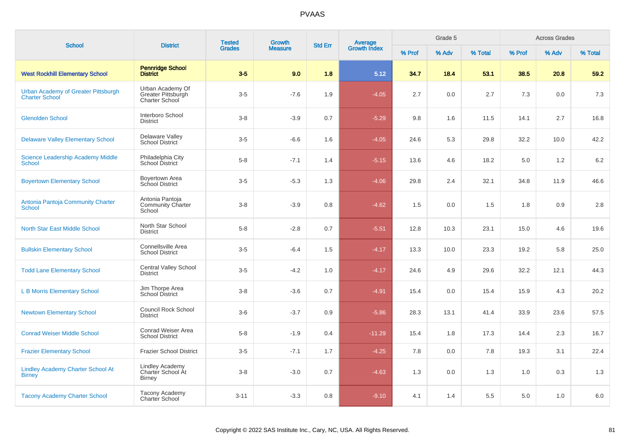| <b>School</b>                                                | <b>District</b>                                                 | <b>Tested</b> | <b>Growth</b>  |                |                         |        | Grade 5 |         |        | <b>Across Grades</b> |         |
|--------------------------------------------------------------|-----------------------------------------------------------------|---------------|----------------|----------------|-------------------------|--------|---------|---------|--------|----------------------|---------|
|                                                              |                                                                 | <b>Grades</b> | <b>Measure</b> | <b>Std Err</b> | Average<br>Growth Index | % Prof | % Adv   | % Total | % Prof | % Adv                | % Total |
| <b>West Rockhill Elementary School</b>                       | <b>Pennridge School</b><br><b>District</b>                      | $3-5$         | 9.0            | 1.8            | 5.12                    | 34.7   | 18.4    | 53.1    | 38.5   | 20.8                 | 59.2    |
| Urban Academy of Greater Pittsburgh<br><b>Charter School</b> | Urban Academy Of<br>Greater Pittsburgh<br><b>Charter School</b> | $3-5$         | $-7.6$         | 1.9            | $-4.05$                 | 2.7    | 0.0     | 2.7     | 7.3    | 0.0                  | 7.3     |
| <b>Glenolden School</b>                                      | Interboro School<br><b>District</b>                             | $3 - 8$       | $-3.9$         | 0.7            | $-5.29$                 | 9.8    | 1.6     | 11.5    | 14.1   | 2.7                  | 16.8    |
| <b>Delaware Valley Elementary School</b>                     | Delaware Valley<br><b>School District</b>                       | $3-5$         | $-6.6$         | 1.6            | $-4.05$                 | 24.6   | 5.3     | 29.8    | 32.2   | 10.0                 | 42.2    |
| <b>Science Leadership Academy Middle</b><br><b>School</b>    | Philadelphia City<br>School District                            | $5-8$         | $-7.1$         | 1.4            | $-5.15$                 | 13.6   | 4.6     | 18.2    | 5.0    | 1.2                  | 6.2     |
| <b>Boyertown Elementary School</b>                           | Boyertown Area<br>School District                               | $3-5$         | $-5.3$         | 1.3            | $-4.06$                 | 29.8   | 2.4     | 32.1    | 34.8   | 11.9                 | 46.6    |
| Antonia Pantoja Community Charter<br><b>School</b>           | Antonia Pantoja<br><b>Community Charter</b><br>School           | $3 - 8$       | $-3.9$         | 0.8            | $-4.62$                 | 1.5    | 0.0     | 1.5     | 1.8    | 0.9                  | $2.8\,$ |
| <b>North Star East Middle School</b>                         | North Star School<br><b>District</b>                            | $5 - 8$       | $-2.8$         | 0.7            | $-5.51$                 | 12.8   | 10.3    | 23.1    | 15.0   | 4.6                  | 19.6    |
| <b>Bullskin Elementary School</b>                            | Connellsville Area<br><b>School District</b>                    | $3-5$         | $-6.4$         | 1.5            | $-4.17$                 | 13.3   | 10.0    | 23.3    | 19.2   | 5.8                  | 25.0    |
| <b>Todd Lane Elementary School</b>                           | <b>Central Valley School</b><br><b>District</b>                 | $3-5$         | $-4.2$         | 1.0            | $-4.17$                 | 24.6   | 4.9     | 29.6    | 32.2   | 12.1                 | 44.3    |
| <b>L B Morris Elementary School</b>                          | Jim Thorpe Area<br><b>School District</b>                       | $3 - 8$       | $-3.6$         | 0.7            | $-4.91$                 | 15.4   | 0.0     | 15.4    | 15.9   | 4.3                  | 20.2    |
| <b>Newtown Elementary School</b>                             | <b>Council Rock School</b><br><b>District</b>                   | $3-6$         | $-3.7$         | 0.9            | $-5.86$                 | 28.3   | 13.1    | 41.4    | 33.9   | 23.6                 | 57.5    |
| <b>Conrad Weiser Middle School</b>                           | Conrad Weiser Area<br><b>School District</b>                    | $5-8$         | $-1.9$         | 0.4            | $-11.29$                | 15.4   | 1.8     | 17.3    | 14.4   | 2.3                  | 16.7    |
| <b>Frazier Elementary School</b>                             | Frazier School District                                         | $3-5$         | $-7.1$         | 1.7            | $-4.25$                 | 7.8    | 0.0     | 7.8     | 19.3   | 3.1                  | 22.4    |
| <b>Lindley Academy Charter School At</b><br><b>Birney</b>    | <b>Lindley Academy</b><br>Charter School At<br><b>Birney</b>    | $3 - 8$       | $-3.0$         | 0.7            | $-4.63$                 | 1.3    | 0.0     | 1.3     | 1.0    | 0.3                  | 1.3     |
| <b>Tacony Academy Charter School</b>                         | Tacony Academy<br><b>Charter School</b>                         | $3 - 11$      | $-3.3$         | 0.8            | $-9.10$                 | 4.1    | 1.4     | 5.5     | 5.0    | 1.0                  | 6.0     |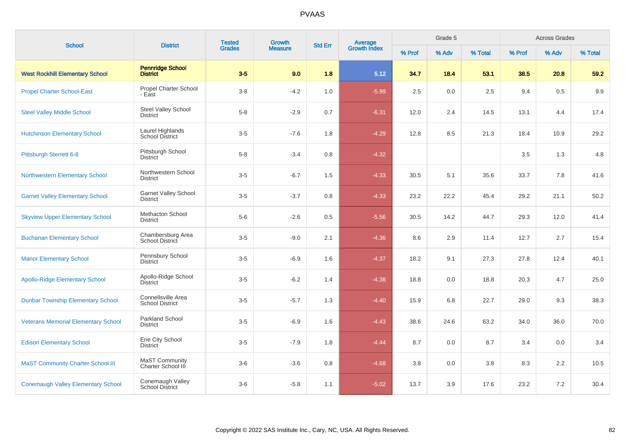| <b>School</b>                              | <b>District</b>                                | <b>Tested</b><br><b>Grades</b> | Growth         | <b>Std Err</b> | <b>Average</b><br>Growth Index |        | Grade 5 |         |        | <b>Across Grades</b> |         |
|--------------------------------------------|------------------------------------------------|--------------------------------|----------------|----------------|--------------------------------|--------|---------|---------|--------|----------------------|---------|
|                                            |                                                |                                | <b>Measure</b> |                |                                | % Prof | % Adv   | % Total | % Prof | % Adv                | % Total |
| <b>West Rockhill Elementary School</b>     | <b>Pennridge School</b><br><b>District</b>     | $3-5$                          | 9.0            | 1.8            | 5.12                           | 34.7   | 18.4    | 53.1    | 38.5   | 20.8                 | 59.2    |
| <b>Propel Charter School-East</b>          | Propel Charter School<br>- East                | $3-8$                          | $-4.2$         | 1.0            | $-5.99$                        | 2.5    | 0.0     | 2.5     | 9.4    | 0.5                  | 9.9     |
| <b>Steel Valley Middle School</b>          | Steel Valley School<br><b>District</b>         | $5 - 8$                        | $-2.9$         | 0.7            | $-6.31$                        | 12.0   | 2.4     | 14.5    | 13.1   | 4.4                  | 17.4    |
| <b>Hutchinson Elementary School</b>        | Laurel Highlands<br>School District            | $3-5$                          | $-7.6$         | 1.8            | $-4.29$                        | 12.8   | 8.5     | 21.3    | 18.4   | 10.9                 | 29.2    |
| Pittsburgh Sterrett 6-8                    | Pittsburgh School<br><b>District</b>           | $5-8$                          | $-3.4$         | 0.8            | $-4.32$                        |        |         |         | 3.5    | 1.3                  | 4.8     |
| <b>Northwestern Elementary School</b>      | Northwestern School<br><b>District</b>         | $3-5$                          | $-6.7$         | 1.5            | $-4.33$                        | 30.5   | 5.1     | 35.6    | 33.7   | 7.8                  | 41.6    |
| <b>Garnet Valley Elementary School</b>     | <b>Garnet Valley School</b><br><b>District</b> | $3-5$                          | $-3.7$         | 0.8            | $-4.33$                        | 23.2   | 22.2    | 45.4    | 29.2   | 21.1                 | 50.2    |
| <b>Skyview Upper Elementary School</b>     | <b>Methacton School</b><br><b>District</b>     | $5-6$                          | $-2.6$         | 0.5            | $-5.56$                        | 30.5   | 14.2    | 44.7    | 29.3   | 12.0                 | 41.4    |
| <b>Buchanan Elementary School</b>          | Chambersburg Area<br>School District           | $3-5$                          | $-9.0$         | 2.1            | $-4.36$                        | 8.6    | 2.9     | 11.4    | 12.7   | 2.7                  | 15.4    |
| <b>Manor Elementary School</b>             | Pennsbury School<br><b>District</b>            | $3-5$                          | $-6.9$         | 1.6            | $-4.37$                        | 18.2   | 9.1     | 27.3    | 27.8   | 12.4                 | 40.1    |
| <b>Apollo-Ridge Elementary School</b>      | Apollo-Ridge School<br><b>District</b>         | $3-5$                          | $-6.2$         | 1.4            | $-4.38$                        | 18.8   | 0.0     | 18.8    | 20.3   | 4.7                  | 25.0    |
| <b>Dunbar Township Elementary School</b>   | Connellsville Area<br><b>School District</b>   | $3-5$                          | $-5.7$         | 1.3            | $-4.40$                        | 15.9   | 6.8     | 22.7    | 29.0   | 9.3                  | 38.3    |
| <b>Veterans Memorial Elementary School</b> | Parkland School<br><b>District</b>             | $3-5$                          | $-6.9$         | 1.6            | $-4.43$                        | 38.6   | 24.6    | 63.2    | 34.0   | 36.0                 | 70.0    |
| <b>Edison Elementary School</b>            | Erie City School<br><b>District</b>            | $3-5$                          | $-7.9$         | 1.8            | $-4.44$                        | 8.7    | 0.0     | 8.7     | 3.4    | 0.0                  | 3.4     |
| <b>MaST Community Charter School III</b>   | MaST Community<br>Charter School III           | $3-6$                          | $-3.6$         | 0.8            | $-4.68$                        | 3.8    | 0.0     | 3.8     | 8.3    | 2.2                  | 10.5    |
| <b>Conemaugh Valley Elementary School</b>  | Conemaugh Valley<br><b>School District</b>     | $3-6$                          | $-5.8$         | 1.1            | $-5.02$                        | 13.7   | 3.9     | 17.6    | 23.2   | 7.2                  | 30.4    |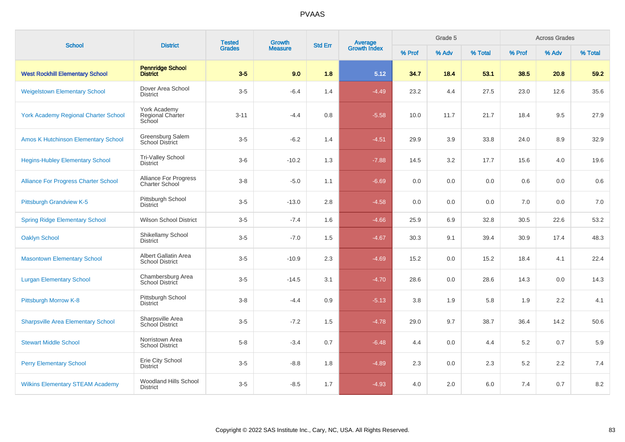| <b>School</b>                               | <b>District</b>                                       | <b>Tested</b> | Growth         | <b>Std Err</b> |                                |        | Grade 5 |         |         | <b>Across Grades</b> |         |
|---------------------------------------------|-------------------------------------------------------|---------------|----------------|----------------|--------------------------------|--------|---------|---------|---------|----------------------|---------|
|                                             |                                                       | <b>Grades</b> | <b>Measure</b> |                | <b>Average</b><br>Growth Index | % Prof | % Adv   | % Total | % Prof  | % Adv                | % Total |
| <b>West Rockhill Elementary School</b>      | <b>Pennridge School</b><br><b>District</b>            | $3-5$         | 9.0            | 1.8            | 5.12                           | 34.7   | 18.4    | 53.1    | 38.5    | 20.8                 | 59.2    |
| <b>Weigelstown Elementary School</b>        | Dover Area School<br><b>District</b>                  | $3-5$         | $-6.4$         | 1.4            | $-4.49$                        | 23.2   | 4.4     | 27.5    | 23.0    | 12.6                 | 35.6    |
| <b>York Academy Regional Charter School</b> | York Academy<br>Regional Charter<br>School            | $3 - 11$      | $-4.4$         | 0.8            | $-5.58$                        | 10.0   | 11.7    | 21.7    | 18.4    | 9.5                  | 27.9    |
| <b>Amos K Hutchinson Elementary School</b>  | Greensburg Salem<br><b>School District</b>            | $3-5$         | $-6.2$         | 1.4            | $-4.51$                        | 29.9   | 3.9     | 33.8    | 24.0    | 8.9                  | 32.9    |
| <b>Hegins-Hubley Elementary School</b>      | Tri-Valley School<br><b>District</b>                  | $3-6$         | $-10.2$        | 1.3            | $-7.88$                        | 14.5   | 3.2     | 17.7    | 15.6    | 4.0                  | 19.6    |
| <b>Alliance For Progress Charter School</b> | <b>Alliance For Progress</b><br><b>Charter School</b> | $3-8$         | $-5.0$         | 1.1            | $-6.69$                        | 0.0    | 0.0     | 0.0     | 0.6     | 0.0                  | 0.6     |
| <b>Pittsburgh Grandview K-5</b>             | Pittsburgh School<br><b>District</b>                  | $3-5$         | $-13.0$        | 2.8            | $-4.58$                        | 0.0    | 0.0     | 0.0     | 7.0     | 0.0                  | 7.0     |
| <b>Spring Ridge Elementary School</b>       | <b>Wilson School District</b>                         | $3-5$         | $-7.4$         | 1.6            | $-4.66$                        | 25.9   | 6.9     | 32.8    | 30.5    | 22.6                 | 53.2    |
| <b>Oaklyn School</b>                        | Shikellamy School<br><b>District</b>                  | $3-5$         | $-7.0$         | 1.5            | $-4.67$                        | 30.3   | 9.1     | 39.4    | 30.9    | 17.4                 | 48.3    |
| <b>Masontown Elementary School</b>          | Albert Gallatin Area<br><b>School District</b>        | $3-5$         | $-10.9$        | 2.3            | $-4.69$                        | 15.2   | 0.0     | 15.2    | 18.4    | 4.1                  | 22.4    |
| <b>Lurgan Elementary School</b>             | Chambersburg Area<br><b>School District</b>           | $3-5$         | $-14.5$        | 3.1            | $-4.70$                        | 28.6   | 0.0     | 28.6    | 14.3    | 0.0                  | 14.3    |
| Pittsburgh Morrow K-8                       | Pittsburgh School<br><b>District</b>                  | $3 - 8$       | $-4.4$         | 0.9            | $-5.13$                        | 3.8    | 1.9     | 5.8     | 1.9     | 2.2                  | 4.1     |
| <b>Sharpsville Area Elementary School</b>   | Sharpsville Area<br>School District                   | $3-5$         | $-7.2$         | 1.5            | $-4.78$                        | 29.0   | 9.7     | 38.7    | 36.4    | 14.2                 | 50.6    |
| <b>Stewart Middle School</b>                | Norristown Area<br><b>School District</b>             | $5 - 8$       | $-3.4$         | 0.7            | $-6.48$                        | 4.4    | 0.0     | 4.4     | $5.2\,$ | 0.7                  | 5.9     |
| <b>Perry Elementary School</b>              | Erie City School<br><b>District</b>                   | $3-5$         | $-8.8$         | 1.8            | $-4.89$                        | 2.3    | 0.0     | 2.3     | $5.2\,$ | 2.2                  | 7.4     |
| <b>Wilkins Elementary STEAM Academy</b>     | Woodland Hills School<br><b>District</b>              | $3-5$         | $-8.5$         | 1.7            | $-4.93$                        | 4.0    | 2.0     | 6.0     | 7.4     | 0.7                  | 8.2     |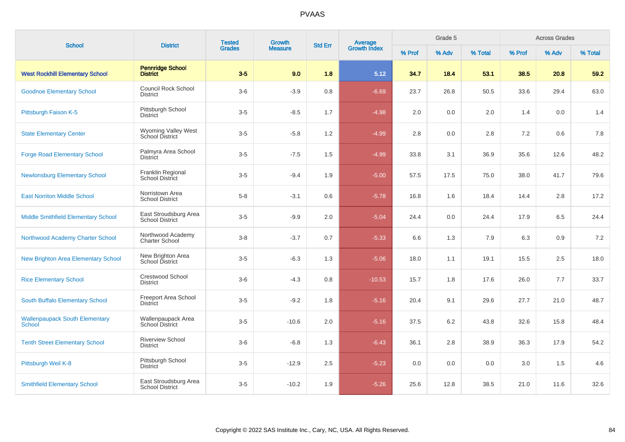| <b>School</b>                                   | <b>District</b>                                 | <b>Tested</b><br><b>Grades</b> | Growth         | <b>Std Err</b> |                                |        | Grade 5 |         |         | <b>Across Grades</b> |         |
|-------------------------------------------------|-------------------------------------------------|--------------------------------|----------------|----------------|--------------------------------|--------|---------|---------|---------|----------------------|---------|
|                                                 |                                                 |                                | <b>Measure</b> |                | <b>Average</b><br>Growth Index | % Prof | % Adv   | % Total | % Prof  | % Adv                | % Total |
| <b>West Rockhill Elementary School</b>          | <b>Pennridge School</b><br><b>District</b>      | $3-5$                          | 9.0            | 1.8            | 5.12                           | 34.7   | 18.4    | 53.1    | 38.5    | 20.8                 | 59.2    |
| <b>Goodnoe Elementary School</b>                | Council Rock School<br><b>District</b>          | $3-6$                          | $-3.9$         | 0.8            | $-6.69$                        | 23.7   | 26.8    | 50.5    | 33.6    | 29.4                 | 63.0    |
| Pittsburgh Faison K-5                           | Pittsburgh School<br><b>District</b>            | $3-5$                          | $-8.5$         | 1.7            | $-4.98$                        | 2.0    | 0.0     | 2.0     | 1.4     | 0.0                  | 1.4     |
| <b>State Elementary Center</b>                  | Wyoming Valley West<br>School District          | $3-5$                          | $-5.8$         | 1.2            | $-4.99$                        | 2.8    | 0.0     | 2.8     | 7.2     | 0.6                  | 7.8     |
| <b>Forge Road Elementary School</b>             | Palmyra Area School<br><b>District</b>          | $3-5$                          | $-7.5$         | 1.5            | $-4.99$                        | 33.8   | 3.1     | 36.9    | 35.6    | 12.6                 | 48.2    |
| <b>Newlonsburg Elementary School</b>            | Franklin Regional<br><b>School District</b>     | $3-5$                          | $-9.4$         | 1.9            | $-5.00$                        | 57.5   | 17.5    | 75.0    | 38.0    | 41.7                 | 79.6    |
| <b>East Norriton Middle School</b>              | Norristown Area<br><b>School District</b>       | $5-8$                          | $-3.1$         | 0.6            | $-5.78$                        | 16.8   | 1.6     | 18.4    | 14.4    | 2.8                  | 17.2    |
| Middle Smithfield Elementary School             | East Stroudsburg Area<br><b>School District</b> | $3-5$                          | $-9.9$         | 2.0            | $-5.04$                        | 24.4   | 0.0     | 24.4    | 17.9    | 6.5                  | 24.4    |
| Northwood Academy Charter School                | Northwood Academy<br><b>Charter School</b>      | $3 - 8$                        | $-3.7$         | 0.7            | $-5.33$                        | 6.6    | 1.3     | 7.9     | 6.3     | 0.9                  | 7.2     |
| New Brighton Area Elementary School             | New Brighton Area<br>School District            | $3-5$                          | $-6.3$         | 1.3            | $-5.06$                        | 18.0   | 1.1     | 19.1    | 15.5    | 2.5                  | 18.0    |
| <b>Rice Elementary School</b>                   | <b>Crestwood School</b><br><b>District</b>      | $3-6$                          | $-4.3$         | 0.8            | $-10.53$                       | 15.7   | 1.8     | 17.6    | 26.0    | 7.7                  | 33.7    |
| South Buffalo Elementary School                 | Freeport Area School<br>District                | $3-5$                          | $-9.2$         | 1.8            | $-5.16$                        | 20.4   | 9.1     | 29.6    | 27.7    | 21.0                 | 48.7    |
| <b>Wallenpaupack South Elementary</b><br>School | Wallenpaupack Area<br>School District           | $3-5$                          | $-10.6$        | 2.0            | $-5.16$                        | 37.5   | 6.2     | 43.8    | 32.6    | 15.8                 | 48.4    |
| <b>Tenth Street Elementary School</b>           | <b>Riverview School</b><br><b>District</b>      | $3-6$                          | $-6.8$         | 1.3            | $-6.43$                        | 36.1   | 2.8     | 38.9    | 36.3    | 17.9                 | 54.2    |
| Pittsburgh Weil K-8                             | Pittsburgh School<br><b>District</b>            | $3-5$                          | $-12.9$        | $2.5\,$        | $-5.23$                        | 0.0    | 0.0     | 0.0     | $3.0\,$ | 1.5                  | 4.6     |
| <b>Smithfield Elementary School</b>             | East Stroudsburg Area<br><b>School District</b> | $3-5$                          | $-10.2$        | 1.9            | $-5.26$                        | 25.6   | 12.8    | 38.5    | 21.0    | 11.6                 | 32.6    |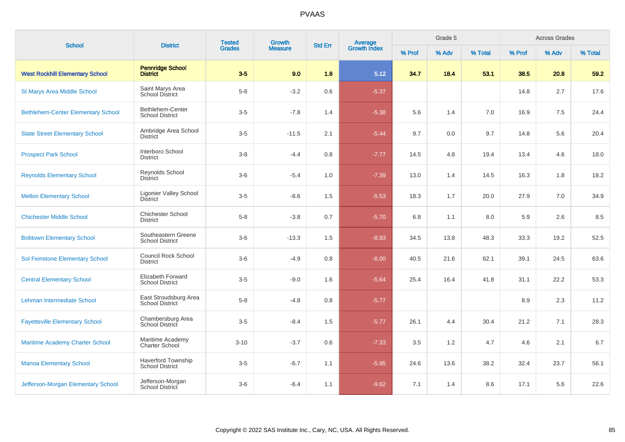| <b>School</b>                             | <b>District</b>                                     | <b>Tested</b> | Growth         | <b>Std Err</b> |                                |        | Grade 5 |         | <b>Across Grades</b> |       |         |  |
|-------------------------------------------|-----------------------------------------------------|---------------|----------------|----------------|--------------------------------|--------|---------|---------|----------------------|-------|---------|--|
|                                           |                                                     | <b>Grades</b> | <b>Measure</b> |                | <b>Average</b><br>Growth Index | % Prof | % Adv   | % Total | % Prof               | % Adv | % Total |  |
| <b>West Rockhill Elementary School</b>    | <b>Pennridge School</b><br><b>District</b>          | $3-5$         | 9.0            | 1.8            | 5.12                           | 34.7   | 18.4    | 53.1    | 38.5                 | 20.8  | 59.2    |  |
| <b>St Marys Area Middle School</b>        | Saint Marys Area<br><b>School District</b>          | $5 - 8$       | $-3.2$         | 0.6            | $-5.37$                        |        |         |         | 14.8                 | 2.7   | 17.6    |  |
| <b>Bethlehem-Center Elementary School</b> | Bethlehem-Center<br><b>School District</b>          | $3-5$         | $-7.8$         | 1.4            | $-5.38$                        | 5.6    | 1.4     | 7.0     | 16.9                 | 7.5   | 24.4    |  |
| <b>State Street Elementary School</b>     | Ambridge Area School<br><b>District</b>             | $3-5$         | $-11.5$        | 2.1            | $-5.44$                        | 9.7    | 0.0     | 9.7     | 14.8                 | 5.6   | 20.4    |  |
| <b>Prospect Park School</b>               | Interboro School<br><b>District</b>                 | $3-8$         | $-4.4$         | 0.8            | $-7.77$                        | 14.5   | 4.8     | 19.4    | 13.4                 | 4.6   | 18.0    |  |
| <b>Reynolds Elementary School</b>         | Reynolds School<br><b>District</b>                  | $3-6$         | $-5.4$         | 1.0            | $-7.39$                        | 13.0   | 1.4     | 14.5    | 16.3                 | 1.8   | 18.2    |  |
| <b>Mellon Elementary School</b>           | <b>Ligonier Valley School</b><br><b>District</b>    | $3-5$         | $-8.6$         | 1.5            | $-5.53$                        | 18.3   | 1.7     | 20.0    | 27.9                 | 7.0   | 34.9    |  |
| <b>Chichester Middle School</b>           | <b>Chichester School</b><br><b>District</b>         | $5 - 8$       | $-3.8$         | 0.7            | $-5.70$                        | 6.8    | 1.1     | 8.0     | 5.9                  | 2.6   | 8.5     |  |
| <b>Bobtown Elementary School</b>          | Southeastern Greene<br><b>School District</b>       | $3-6$         | $-13.3$        | 1.5            | $-8.93$                        | 34.5   | 13.8    | 48.3    | 33.3                 | 19.2  | 52.5    |  |
| Sol Feinstone Elementary School           | <b>Council Rock School</b><br><b>District</b>       | $3-6$         | $-4.9$         | 0.8            | $-6.00$                        | 40.5   | 21.6    | 62.1    | 39.1                 | 24.5  | 63.6    |  |
| <b>Central Elementary School</b>          | Elizabeth Forward<br><b>School District</b>         | $3-5$         | $-9.0$         | 1.6            | $-5.64$                        | 25.4   | 16.4    | 41.8    | 31.1                 | 22.2  | 53.3    |  |
| Lehman Intermediate School                | East Stroudsburg Area<br><b>School District</b>     | $5-8$         | $-4.8$         | 0.8            | $-5.77$                        |        |         |         | 8.9                  | 2.3   | 11.2    |  |
| <b>Fayetteville Elementary School</b>     | Chambersburg Area<br>School District                | $3-5$         | $-8.4$         | 1.5            | $-5.77$                        | 26.1   | 4.4     | 30.4    | 21.2                 | 7.1   | 28.3    |  |
| <b>Maritime Academy Charter School</b>    | Maritime Academy<br><b>Charter School</b>           | $3 - 10$      | $-3.7$         | 0.6            | $-7.33$                        | 3.5    | 1.2     | 4.7     | 4.6                  | 2.1   | 6.7     |  |
| <b>Manoa Elementary School</b>            | <b>Haverford Township</b><br><b>School District</b> | $3-5$         | $-6.7$         | 1.1            | $-5.95$                        | 24.6   | 13.6    | 38.2    | 32.4                 | 23.7  | 56.1    |  |
| Jefferson-Morgan Elementary School        | Jefferson-Morgan<br>School District                 | $3-6$         | $-6.4$         | 1.1            | $-9.62$                        | 7.1    | 1.4     | 8.6     | 17.1                 | 5.6   | 22.6    |  |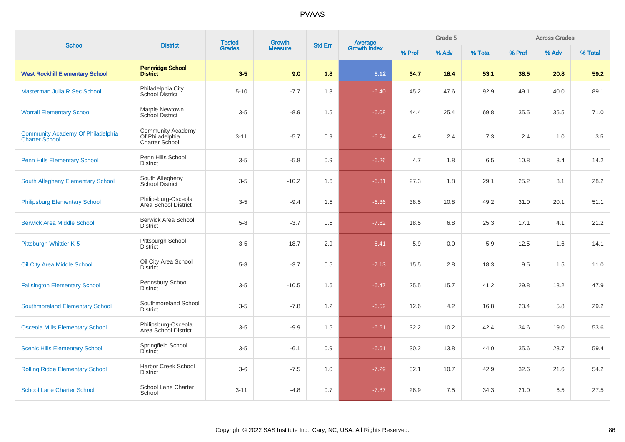| <b>School</b>                                                     | <b>District</b>                                                      | <b>Tested</b> | Growth<br><b>Measure</b> | <b>Std Err</b> |                                |        | Grade 5 |         | <b>Across Grades</b> |       |         |  |
|-------------------------------------------------------------------|----------------------------------------------------------------------|---------------|--------------------------|----------------|--------------------------------|--------|---------|---------|----------------------|-------|---------|--|
|                                                                   |                                                                      | <b>Grades</b> |                          |                | <b>Average</b><br>Growth Index | % Prof | % Adv   | % Total | % Prof               | % Adv | % Total |  |
| <b>West Rockhill Elementary School</b>                            | <b>Pennridge School</b><br><b>District</b>                           | $3-5$         | 9.0                      | 1.8            | 5.12                           | 34.7   | 18.4    | 53.1    | 38.5                 | 20.8  | 59.2    |  |
| Masterman Julia R Sec School                                      | Philadelphia City<br>School District                                 | $5 - 10$      | $-7.7$                   | 1.3            | $-6.40$                        | 45.2   | 47.6    | 92.9    | 49.1                 | 40.0  | 89.1    |  |
| <b>Worrall Elementary School</b>                                  | Marple Newtown<br>School District                                    | $3-5$         | $-8.9$                   | 1.5            | $-6.08$                        | 44.4   | 25.4    | 69.8    | 35.5                 | 35.5  | 71.0    |  |
| <b>Community Academy Of Philadelphia</b><br><b>Charter School</b> | <b>Community Academy</b><br>Of Philadelphia<br><b>Charter School</b> | $3 - 11$      | $-5.7$                   | 0.9            | $-6.24$                        | 4.9    | 2.4     | 7.3     | 2.4                  | 1.0   | 3.5     |  |
| <b>Penn Hills Elementary School</b>                               | Penn Hills School<br><b>District</b>                                 | $3-5$         | $-5.8$                   | 0.9            | $-6.26$                        | 4.7    | 1.8     | 6.5     | 10.8                 | 3.4   | 14.2    |  |
| South Allegheny Elementary School                                 | South Allegheny<br><b>School District</b>                            | $3-5$         | $-10.2$                  | 1.6            | $-6.31$                        | 27.3   | 1.8     | 29.1    | 25.2                 | 3.1   | 28.2    |  |
| <b>Philipsburg Elementary School</b>                              | Philipsburg-Osceola<br>Area School District                          | $3-5$         | $-9.4$                   | 1.5            | $-6.36$                        | 38.5   | 10.8    | 49.2    | 31.0                 | 20.1  | 51.1    |  |
| <b>Berwick Area Middle School</b>                                 | <b>Berwick Area School</b><br><b>District</b>                        | $5-8$         | $-3.7$                   | 0.5            | $-7.82$                        | 18.5   | 6.8     | 25.3    | 17.1                 | 4.1   | 21.2    |  |
| Pittsburgh Whittier K-5                                           | Pittsburgh School<br><b>District</b>                                 | $3-5$         | $-18.7$                  | 2.9            | $-6.41$                        | 5.9    | 0.0     | 5.9     | 12.5                 | 1.6   | 14.1    |  |
| Oil City Area Middle School                                       | Oil City Area School<br><b>District</b>                              | $5 - 8$       | $-3.7$                   | 0.5            | $-7.13$                        | 15.5   | 2.8     | 18.3    | 9.5                  | 1.5   | 11.0    |  |
| <b>Fallsington Elementary School</b>                              | Pennsbury School<br><b>District</b>                                  | $3-5$         | $-10.5$                  | 1.6            | $-6.47$                        | 25.5   | 15.7    | 41.2    | 29.8                 | 18.2  | 47.9    |  |
| <b>Southmoreland Elementary School</b>                            | Southmoreland School<br><b>District</b>                              | $3-5$         | $-7.8$                   | 1.2            | $-6.52$                        | 12.6   | 4.2     | 16.8    | 23.4                 | 5.8   | 29.2    |  |
| <b>Osceola Mills Elementary School</b>                            | Philipsburg-Osceola<br>Area School District                          | $3-5$         | $-9.9$                   | 1.5            | $-6.61$                        | 32.2   | 10.2    | 42.4    | 34.6                 | 19.0  | 53.6    |  |
| <b>Scenic Hills Elementary School</b>                             | Springfield School<br>District                                       | $3-5$         | $-6.1$                   | 0.9            | $-6.61$                        | 30.2   | 13.8    | 44.0    | 35.6                 | 23.7  | 59.4    |  |
| <b>Rolling Ridge Elementary School</b>                            | <b>Harbor Creek School</b><br><b>District</b>                        | $3-6$         | $-7.5$                   | 1.0            | $-7.29$                        | 32.1   | 10.7    | 42.9    | 32.6                 | 21.6  | 54.2    |  |
| <b>School Lane Charter School</b>                                 | School Lane Charter<br>School                                        | $3 - 11$      | $-4.8$                   | 0.7            | $-7.87$                        | 26.9   | 7.5     | 34.3    | 21.0                 | 6.5   | 27.5    |  |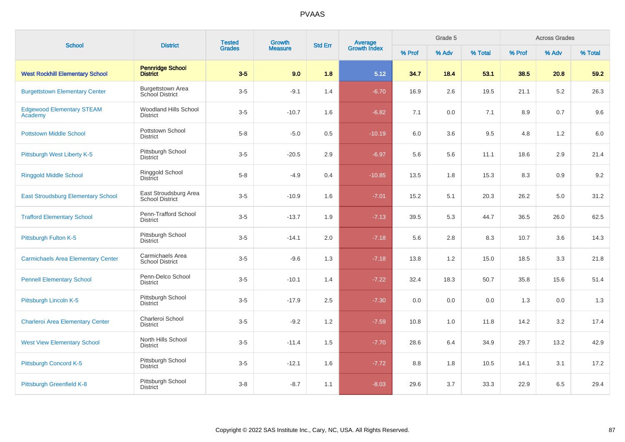| <b>School</b>                               | <b>District</b>                                 | <b>Tested</b> | Growth         | <b>Std Err</b> |                                |        | Grade 5 |         | <b>Across Grades</b> |       |         |  |
|---------------------------------------------|-------------------------------------------------|---------------|----------------|----------------|--------------------------------|--------|---------|---------|----------------------|-------|---------|--|
|                                             |                                                 | <b>Grades</b> | <b>Measure</b> |                | <b>Average</b><br>Growth Index | % Prof | % Adv   | % Total | % Prof               | % Adv | % Total |  |
| <b>West Rockhill Elementary School</b>      | <b>Pennridge School</b><br><b>District</b>      | $3-5$         | 9.0            | 1.8            | 5.12                           | 34.7   | 18.4    | 53.1    | 38.5                 | 20.8  | 59.2    |  |
| <b>Burgettstown Elementary Center</b>       | <b>Burgettstown Area</b><br>School District     | $3-5$         | $-9.1$         | 1.4            | $-6.70$                        | 16.9   | 2.6     | 19.5    | 21.1                 | 5.2   | 26.3    |  |
| <b>Edgewood Elementary STEAM</b><br>Academy | <b>Woodland Hills School</b><br><b>District</b> | $3-5$         | $-10.7$        | 1.6            | $-6.82$                        | 7.1    | 0.0     | 7.1     | 8.9                  | 0.7   | 9.6     |  |
| <b>Pottstown Middle School</b>              | Pottstown School<br><b>District</b>             | $5 - 8$       | $-5.0$         | 0.5            | $-10.19$                       | 6.0    | 3.6     | 9.5     | 4.8                  | 1.2   | 6.0     |  |
| Pittsburgh West Liberty K-5                 | Pittsburgh School<br><b>District</b>            | $3-5$         | $-20.5$        | 2.9            | $-6.97$                        | 5.6    | 5.6     | 11.1    | 18.6                 | 2.9   | 21.4    |  |
| <b>Ringgold Middle School</b>               | Ringgold School<br><b>District</b>              | $5 - 8$       | $-4.9$         | 0.4            | $-10.85$                       | 13.5   | 1.8     | 15.3    | 8.3                  | 0.9   | 9.2     |  |
| <b>East Stroudsburg Elementary School</b>   | East Stroudsburg Area<br><b>School District</b> | $3-5$         | $-10.9$        | 1.6            | $-7.01$                        | 15.2   | 5.1     | 20.3    | 26.2                 | 5.0   | 31.2    |  |
| <b>Trafford Elementary School</b>           | Penn-Trafford School<br><b>District</b>         | $3-5$         | $-13.7$        | 1.9            | $-7.13$                        | 39.5   | 5.3     | 44.7    | 36.5                 | 26.0  | 62.5    |  |
| Pittsburgh Fulton K-5                       | Pittsburgh School<br><b>District</b>            | $3-5$         | $-14.1$        | 2.0            | $-7.18$                        | 5.6    | 2.8     | 8.3     | 10.7                 | 3.6   | 14.3    |  |
| <b>Carmichaels Area Elementary Center</b>   | Carmichaels Area<br><b>School District</b>      | $3-5$         | $-9.6$         | 1.3            | $-7.18$                        | 13.8   | 1.2     | 15.0    | 18.5                 | 3.3   | 21.8    |  |
| <b>Pennell Elementary School</b>            | Penn-Delco School<br>District                   | $3-5$         | $-10.1$        | 1.4            | $-7.22$                        | 32.4   | 18.3    | 50.7    | 35.8                 | 15.6  | 51.4    |  |
| Pittsburgh Lincoln K-5                      | Pittsburgh School<br><b>District</b>            | $3-5$         | $-17.9$        | 2.5            | $-7.30$                        | 0.0    | 0.0     | 0.0     | 1.3                  | 0.0   | 1.3     |  |
| <b>Charleroi Area Elementary Center</b>     | Charleroi School<br><b>District</b>             | $3-5$         | $-9.2$         | 1.2            | $-7.59$                        | 10.8   | 1.0     | 11.8    | 14.2                 | 3.2   | 17.4    |  |
| <b>West View Elementary School</b>          | North Hills School<br><b>District</b>           | $3-5$         | $-11.4$        | 1.5            | $-7.70$                        | 28.6   | 6.4     | 34.9    | 29.7                 | 13.2  | 42.9    |  |
| Pittsburgh Concord K-5                      | Pittsburgh School<br><b>District</b>            | $3-5$         | $-12.1$        | 1.6            | $-7.72$                        | 8.8    | 1.8     | 10.5    | 14.1                 | 3.1   | 17.2    |  |
| Pittsburgh Greenfield K-8                   | Pittsburgh School<br><b>District</b>            | $3 - 8$       | $-8.7$         | 1.1            | $-8.03$                        | 29.6   | 3.7     | 33.3    | 22.9                 | 6.5   | 29.4    |  |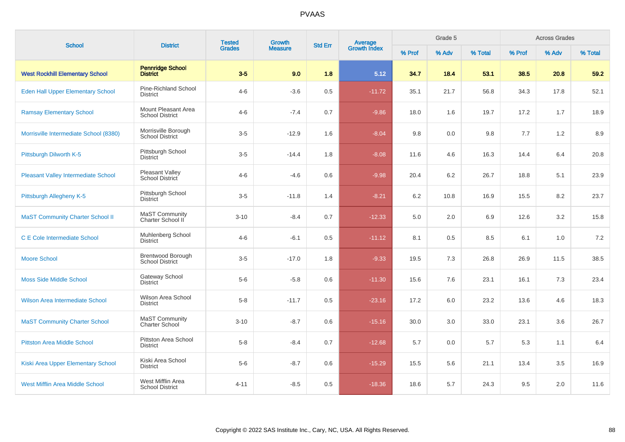| <b>School</b>                              | <b>District</b>                               | <b>Tested</b> | Growth         | <b>Std Err</b> |                                |         | Grade 5 |         | <b>Across Grades</b> |       |         |  |
|--------------------------------------------|-----------------------------------------------|---------------|----------------|----------------|--------------------------------|---------|---------|---------|----------------------|-------|---------|--|
|                                            |                                               | <b>Grades</b> | <b>Measure</b> |                | <b>Average</b><br>Growth Index | % Prof  | % Adv   | % Total | % Prof               | % Adv | % Total |  |
| <b>West Rockhill Elementary School</b>     | <b>Pennridge School</b><br><b>District</b>    | $3-5$         | 9.0            | 1.8            | 5.12                           | 34.7    | 18.4    | 53.1    | 38.5                 | 20.8  | 59.2    |  |
| <b>Eden Hall Upper Elementary School</b>   | Pine-Richland School<br><b>District</b>       | $4 - 6$       | $-3.6$         | 0.5            | $-11.72$                       | 35.1    | 21.7    | 56.8    | 34.3                 | 17.8  | 52.1    |  |
| <b>Ramsay Elementary School</b>            | Mount Pleasant Area<br><b>School District</b> | $4 - 6$       | $-7.4$         | 0.7            | $-9.86$                        | 18.0    | 1.6     | 19.7    | 17.2                 | 1.7   | 18.9    |  |
| Morrisville Intermediate School (8380)     | Morrisville Borough<br><b>School District</b> | $3-5$         | $-12.9$        | 1.6            | $-8.04$                        | 9.8     | 0.0     | 9.8     | 7.7                  | 1.2   | 8.9     |  |
| Pittsburgh Dilworth K-5                    | Pittsburgh School<br><b>District</b>          | $3-5$         | $-14.4$        | 1.8            | $-8.08$                        | 11.6    | 4.6     | 16.3    | 14.4                 | 6.4   | 20.8    |  |
| <b>Pleasant Valley Intermediate School</b> | Pleasant Valley<br>School District            | $4 - 6$       | $-4.6$         | 0.6            | $-9.98$                        | 20.4    | 6.2     | 26.7    | 18.8                 | 5.1   | 23.9    |  |
| Pittsburgh Allegheny K-5                   | Pittsburgh School<br><b>District</b>          | $3-5$         | $-11.8$        | 1.4            | $-8.21$                        | $6.2\,$ | 10.8    | 16.9    | 15.5                 | 8.2   | 23.7    |  |
| <b>MaST Community Charter School II</b>    | MaST Community<br>Charter School II           | $3 - 10$      | $-8.4$         | 0.7            | $-12.33$                       | 5.0     | 2.0     | 6.9     | 12.6                 | 3.2   | 15.8    |  |
| <b>C E Cole Intermediate School</b>        | Muhlenberg School<br><b>District</b>          | $4 - 6$       | $-6.1$         | 0.5            | $-11.12$                       | 8.1     | 0.5     | 8.5     | 6.1                  | 1.0   | 7.2     |  |
| <b>Moore School</b>                        | Brentwood Borough<br><b>School District</b>   | $3-5$         | $-17.0$        | 1.8            | $-9.33$                        | 19.5    | 7.3     | 26.8    | 26.9                 | 11.5  | 38.5    |  |
| <b>Moss Side Middle School</b>             | <b>Gateway School</b><br><b>District</b>      | $5-6$         | $-5.8$         | 0.6            | $-11.30$                       | 15.6    | 7.6     | 23.1    | 16.1                 | 7.3   | 23.4    |  |
| <b>Wilson Area Intermediate School</b>     | Wilson Area School<br><b>District</b>         | $5-8$         | $-11.7$        | 0.5            | $-23.16$                       | 17.2    | 6.0     | 23.2    | 13.6                 | 4.6   | 18.3    |  |
| <b>MaST Community Charter School</b>       | MaST Community<br><b>Charter School</b>       | $3 - 10$      | $-8.7$         | 0.6            | $-15.16$                       | 30.0    | 3.0     | 33.0    | 23.1                 | 3.6   | 26.7    |  |
| <b>Pittston Area Middle School</b>         | Pittston Area School<br><b>District</b>       | $5-8$         | $-8.4$         | 0.7            | $-12.68$                       | 5.7     | 0.0     | 5.7     | 5.3                  | 1.1   | 6.4     |  |
| Kiski Area Upper Elementary School         | Kiski Area School<br><b>District</b>          | $5-6$         | $-8.7$         | 0.6            | $-15.29$                       | 15.5    | 5.6     | 21.1    | 13.4                 | 3.5   | 16.9    |  |
| <b>West Mifflin Area Middle School</b>     | West Mifflin Area<br><b>School District</b>   | $4 - 11$      | $-8.5$         | 0.5            | $-18.36$                       | 18.6    | 5.7     | 24.3    | 9.5                  | 2.0   | 11.6    |  |